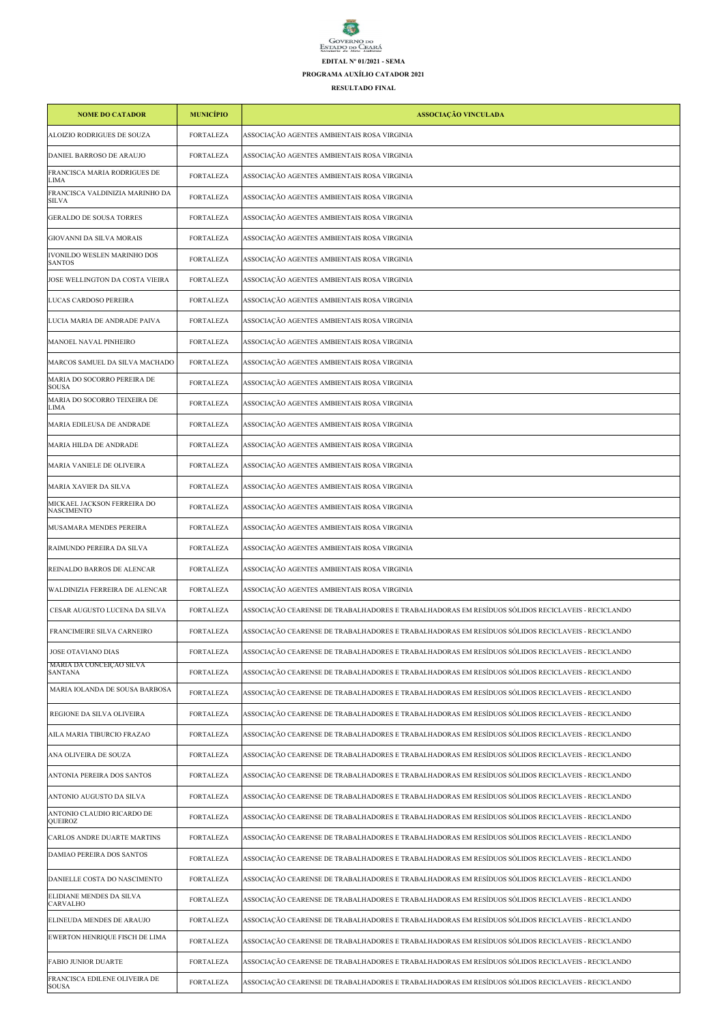## $\sum_{i=1}^{n}$ GOVERNO DO<br>ESTADO DO CEARÁ<br>Secretaria do Meio Ambiente **EDITAL Nº 01/2021 - SEMA PROGRAMA AUXÍLIO CATADOR 2021**

**RESULTADO FINAL**

| <b>NOME DO CATADOR</b>                           | <b>MUNICÍPIO</b> | ASSOCIAÇÃO VINCULADA                                                                              |
|--------------------------------------------------|------------------|---------------------------------------------------------------------------------------------------|
| ALOIZIO RODRIGUES DE SOUZA                       | <b>FORTALEZA</b> | ASSOCIAÇÃO AGENTES AMBIENTAIS ROSA VIRGINIA                                                       |
| DANIEL BARROSO DE ARAUJO                         | FORTALEZA        | ASSOCIAÇÃO AGENTES AMBIENTAIS ROSA VIRGINIA                                                       |
| FRANCISCA MARIA RODRIGUES DE<br>LIMA             | <b>FORTALEZA</b> | ASSOCIAÇÃO AGENTES AMBIENTAIS ROSA VIRGINIA                                                       |
| FRANCISCA VALDINIZIA MARINHO DA<br><b>SILVA</b>  | <b>FORTALEZA</b> | ASSOCIAÇÃO AGENTES AMBIENTAIS ROSA VIRGINIA                                                       |
| <b>GERALDO DE SOUSA TORRES</b>                   | FORTALEZA        | ASSOCIAÇÃO AGENTES AMBIENTAIS ROSA VIRGINIA                                                       |
| GIOVANNI DA SILVA MORAIS                         | FORTALEZA        | ASSOCIAÇÃO AGENTES AMBIENTAIS ROSA VIRGINIA                                                       |
| IVONILDO WESLEN MARINHO DOS<br><b>SANTOS</b>     | FORTALEZA        | ASSOCIAÇÃO AGENTES AMBIENTAIS ROSA VIRGINIA                                                       |
| JOSE WELLINGTON DA COSTA VIEIRA                  | FORTALEZA        | ASSOCIAÇÃO AGENTES AMBIENTAIS ROSA VIRGINIA                                                       |
| LUCAS CARDOSO PEREIRA                            | <b>FORTALEZA</b> | ASSOCIAÇÃO AGENTES AMBIENTAIS ROSA VIRGINIA                                                       |
| LUCIA MARIA DE ANDRADE PAIVA                     | <b>FORTALEZA</b> | ASSOCIAÇÃO AGENTES AMBIENTAIS ROSA VIRGINIA                                                       |
| MANOEL NAVAL PINHEIRO                            | FORTALEZA        | ASSOCIAÇÃO AGENTES AMBIENTAIS ROSA VIRGINIA                                                       |
| MARCOS SAMUEL DA SILVA MACHADO                   | <b>FORTALEZA</b> | ASSOCIAÇÃO AGENTES AMBIENTAIS ROSA VIRGINIA                                                       |
| MARIA DO SOCORRO PEREIRA DE<br><b>SOUSA</b>      | <b>FORTALEZA</b> | ASSOCIAÇÃO AGENTES AMBIENTAIS ROSA VIRGINIA                                                       |
| MARIA DO SOCORRO TEIXEIRA DE<br>LIMA             | <b>FORTALEZA</b> | ASSOCIAÇÃO AGENTES AMBIENTAIS ROSA VIRGINIA                                                       |
| MARIA EDILEUSA DE ANDRADE                        | <b>FORTALEZA</b> | ASSOCIAÇÃO AGENTES AMBIENTAIS ROSA VIRGINIA                                                       |
| MARIA HILDA DE ANDRADE                           | <b>FORTALEZA</b> | ASSOCIAÇÃO AGENTES AMBIENTAIS ROSA VIRGINIA                                                       |
| MARIA VANIELE DE OLIVEIRA                        | FORTALEZA        | ASSOCIAÇÃO AGENTES AMBIENTAIS ROSA VIRGINIA                                                       |
| MARIA XAVIER DA SILVA                            | FORTALEZA        | ASSOCIAÇÃO AGENTES AMBIENTAIS ROSA VIRGINIA                                                       |
| MICKAEL JACKSON FERREIRA DO<br><b>NASCIMENTO</b> | <b>FORTALEZA</b> | ASSOCIAÇÃO AGENTES AMBIENTAIS ROSA VIRGINIA                                                       |
| MUSAMARA MENDES PEREIRA                          | <b>FORTALEZA</b> | ASSOCIAÇÃO AGENTES AMBIENTAIS ROSA VIRGINIA                                                       |
| RAIMUNDO PEREIRA DA SILVA                        | <b>FORTALEZA</b> | ASSOCIAÇÃO AGENTES AMBIENTAIS ROSA VIRGINIA                                                       |
| REINALDO BARROS DE ALENCAR                       | <b>FORTALEZA</b> | ASSOCIAÇÃO AGENTES AMBIENTAIS ROSA VIRGINIA                                                       |
| WALDINIZIA FERREIRA DE ALENCAR                   | FORTALEZA        | ASSOCIAÇÃO AGENTES AMBIENTAIS ROSA VIRGINIA                                                       |
| CESAR AUGUSTO LUCENA DA SILVA                    | FORTALEZA        | ASSOCIAÇÃO CEARENSE DE TRABALHADORES E TRABALHADORAS EM RESÍDUOS SÓLIDOS RECICLAVEIS - RECICLANDO |
| FRANCIMEIRE SILVA CARNEIRO                       | <b>FORTALEZA</b> | ASSOCIAÇÃO CEARENSE DE TRABALHADORES E TRABALHADORAS EM RESÍDUOS SÓLIDOS RECICLAVEIS - RECICLANDO |
| JOSE OTAVIANO DIAS                               | <b>FORTALEZA</b> | ASSOCIAÇÃO CEARENSE DE TRABALHADORES E TRABALHADORAS EM RESÍDUOS SÓLIDOS RECICLAVEIS - RECICLANDO |
| MARIA DA CONCEIÇÃO SILVA<br>SANTANA              | FORTALEZA        | ASSOCIAÇÃO CEARENSE DE TRABALHADORES E TRABALHADORAS EM RESÍDUOS SÓLIDOS RECICLAVEIS - RECICLANDO |
| MARIA IOLANDA DE SOUSA BARBOSA                   | FORTALEZA        | ASSOCIAÇÃO CEARENSE DE TRABALHADORES E TRABALHADORAS EM RESÍDUOS SÓLIDOS RECICLAVEIS - RECICLANDO |
| REGIONE DA SILVA OLIVEIRA                        | FORTALEZA        | ASSOCIAÇÃO CEARENSE DE TRABALHADORES E TRABALHADORAS EM RESÍDUOS SÓLIDOS RECICLAVEIS - RECICLANDO |
| AILA MARIA TIBURCIO FRAZAO                       | FORTALEZA        | ASSOCIACÃO CEARENSE DE TRABALHADORES E TRABALHADORAS EM RESÍDUOS SÓLIDOS RECICLAVEIS - RECICLANDO |
| ANA OLIVEIRA DE SOUZA                            | <b>FORTALEZA</b> | ASSOCIAÇÃO CEARENSE DE TRABALHADORES E TRABALHADORAS EM RESÍDUOS SÓLIDOS RECICLAVEIS - RECICLANDO |
| ANTONIA PEREIRA DOS SANTOS                       | FORTALEZA        | ASSOCIAÇÃO CEARENSE DE TRABALHADORES E TRABALHADORAS EM RESÍDUOS SÓLIDOS RECICLAVEIS - RECICLANDO |
| ANTONIO AUGUSTO DA SILVA                         | FORTALEZA        | ASSOCIACÃO CEARENSE DE TRABALHADORES E TRABALHADORAS EM RESÍDUOS SÓLIDOS RECICLAVEIS - RECICLANDO |
| ANTONIO CLAUDIO RICARDO DE<br><b>QUEIROZ</b>     | FORTALEZA        | ASSOCIAÇÃO CEARENSE DE TRABALHADORES E TRABALHADORAS EM RESÍDUOS SÓLIDOS RECICLAVEIS - RECICLANDO |
| CARLOS ANDRE DUARTE MARTINS                      | FORTALEZA        | ASSOCIAÇÃO CEARENSE DE TRABALHADORES E TRABALHADORAS EM RESÍDUOS SÓLIDOS RECICLAVEIS - RECICLANDO |
| DAMIAO PEREIRA DOS SANTOS                        | <b>FORTALEZA</b> | ASSOCIAÇÃO CEARENSE DE TRABALHADORES E TRABALHADORAS EM RESÍDUOS SÓLIDOS RECICLAVEIS - RECICLANDO |
| DANIELLE COSTA DO NASCIMENTO                     | FORTALEZA        | ASSOCIAÇÃO CEARENSE DE TRABALHADORES E TRABALHADORAS EM RESÍDUOS SÓLIDOS RECICLAVEIS - RECICLANDO |
| ELIDIANE MENDES DA SILVA<br>CARVALHO             | <b>FORTALEZA</b> | ASSOCIAÇÃO CEARENSE DE TRABALHADORES E TRABALHADORAS EM RESÍDUOS SÓLIDOS RECICLAVEIS - RECICLANDO |
| ELINEUDA MENDES DE ARAUJO                        | <b>FORTALEZA</b> | ASSOCIAÇÃO CEARENSE DE TRABALHADORES E TRABALHADORAS EM RESÍDUOS SÓLIDOS RECICLAVEIS - RECICLANDO |
| EWERTON HENRIQUE FISCH DE LIMA                   | FORTALEZA        | ASSOCIAÇÃO CEARENSE DE TRABALHADORES E TRABALHADORAS EM RESÍDUOS SÓLIDOS RECICLAVEIS - RECICLANDO |
| FABIO JUNIOR DUARTE                              | <b>FORTALEZA</b> | ASSOCIAÇÃO CEARENSE DE TRABALHADORES E TRABALHADORAS EM RESÍDUOS SÓLIDOS RECICLAVEIS - RECICLANDO |
| FRANCISCA EDILENE OLIVEIRA DE<br><b>SOUSA</b>    | FORTALEZA        | ASSOCIAÇÃO CEARENSE DE TRABALHADORES E TRABALHADORAS EM RESÍDUOS SÓLIDOS RECICLAVEIS - RECICLANDO |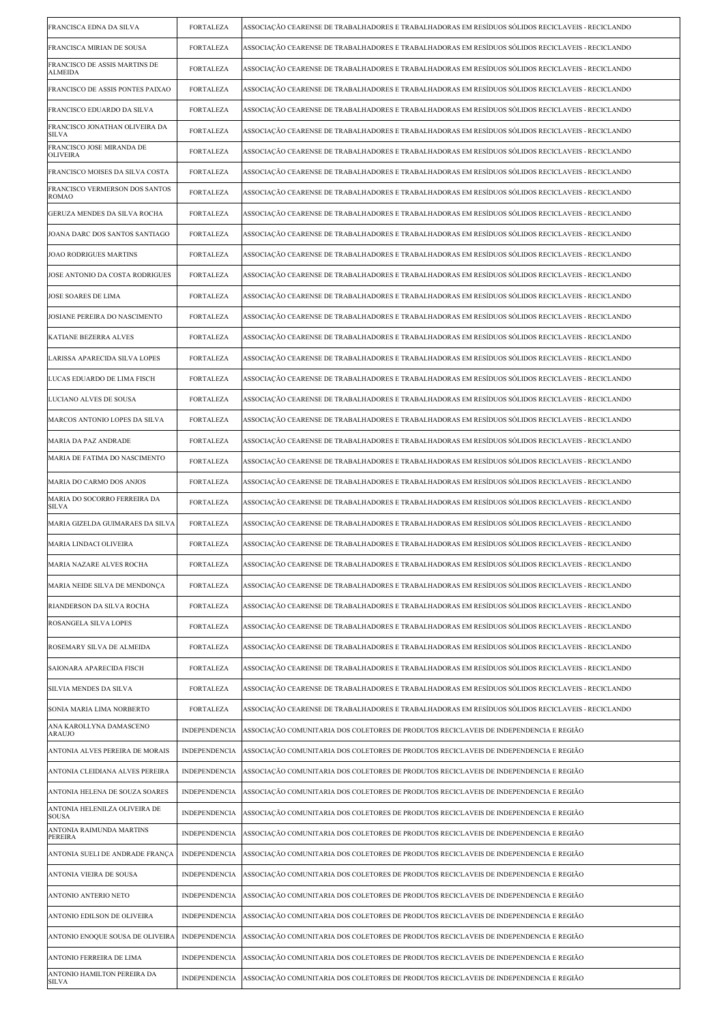| FRANCISCA EDNA DA SILVA                         | <b>FORTALEZA</b>     | ASSOCIAÇÃO CEARENSE DE TRABALHADORES E TRABALHADORAS EM RESÍDUOS SÓLIDOS RECICLAVEIS - RECICLANDO |
|-------------------------------------------------|----------------------|---------------------------------------------------------------------------------------------------|
| FRANCISCA MIRIAN DE SOUSA                       | <b>FORTALEZA</b>     | ASSOCIAÇÃO CEARENSE DE TRABALHADORES E TRABALHADORAS EM RESÍDUOS SÓLIDOS RECICLAVEIS - RECICLANDO |
| FRANCISCO DE ASSIS MARTINS DE<br><b>ALMEIDA</b> | FORTALEZA            | ASSOCIAÇÃO CEARENSE DE TRABALHADORES E TRABALHADORAS EM RESÍDUOS SÓLIDOS RECICLAVEIS - RECICLANDO |
| FRANCISCO DE ASSIS PONTES PAIXAO                | <b>FORTALEZA</b>     | ASSOCIAÇÃO CEARENSE DE TRABALHADORES E TRABALHADORAS EM RESÍDUOS SÓLIDOS RECICLAVEIS - RECICLANDO |
| FRANCISCO EDUARDO DA SILVA                      | <b>FORTALEZA</b>     | ASSOCIAÇÃO CEARENSE DE TRABALHADORES E TRABALHADORAS EM RESÍDUOS SÓLIDOS RECICLAVEIS - RECICLANDO |
| FRANCISCO JONATHAN OLIVEIRA DA<br><b>SILVA</b>  | <b>FORTALEZA</b>     | ASSOCIAÇÃO CEARENSE DE TRABALHADORES E TRABALHADORAS EM RESÍDUOS SÓLIDOS RECICLAVEIS - RECICLANDO |
| FRANCISCO JOSE MIRANDA DE<br><b>OLIVEIRA</b>    | <b>FORTALEZA</b>     | ASSOCIAÇÃO CEARENSE DE TRABALHADORES E TRABALHADORAS EM RESÍDUOS SÓLIDOS RECICLAVEIS - RECICLANDO |
| FRANCISCO MOISES DA SILVA COSTA                 | <b>FORTALEZA</b>     | ASSOCIAÇÃO CEARENSE DE TRABALHADORES E TRABALHADORAS EM RESÍDUOS SÓLIDOS RECICLAVEIS - RECICLANDO |
| FRANCISCO VERMERSON DOS SANTOS<br><b>ROMAO</b>  | FORTALEZA            | ASSOCIAÇÃO CEARENSE DE TRABALHADORES E TRABALHADORAS EM RESÍDUOS SÓLIDOS RECICLAVEIS - RECICLANDO |
| GERUZA MENDES DA SILVA ROCHA                    | <b>FORTALEZA</b>     | ASSOCIAÇÃO CEARENSE DE TRABALHADORES E TRABALHADORAS EM RESÍDUOS SÓLIDOS RECICLAVEIS - RECICLANDO |
| JOANA DARC DOS SANTOS SANTIAGO                  | <b>FORTALEZA</b>     | ASSOCIAÇÃO CEARENSE DE TRABALHADORES E TRABALHADORAS EM RESÍDUOS SÓLIDOS RECICLAVEIS - RECICLANDO |
| JOAO RODRIGUES MARTINS                          | <b>FORTALEZA</b>     | ASSOCIAÇÃO CEARENSE DE TRABALHADORES E TRABALHADORAS EM RESÍDUOS SÓLIDOS RECICLAVEIS - RECICLANDO |
| JOSE ANTONIO DA COSTA RODRIGUES                 | <b>FORTALEZA</b>     | ASSOCIAÇÃO CEARENSE DE TRABALHADORES E TRABALHADORAS EM RESÍDUOS SÓLIDOS RECICLAVEIS - RECICLANDO |
| JOSE SOARES DE LIMA                             | <b>FORTALEZA</b>     | ASSOCIAÇÃO CEARENSE DE TRABALHADORES E TRABALHADORAS EM RESÍDUOS SÓLIDOS RECICLAVEIS - RECICLANDO |
| JOSIANE PEREIRA DO NASCIMENTO                   | <b>FORTALEZA</b>     | ASSOCIAÇÃO CEARENSE DE TRABALHADORES E TRABALHADORAS EM RESÍDUOS SÓLIDOS RECICLAVEIS - RECICLANDO |
| KATIANE BEZERRA ALVES                           | <b>FORTALEZA</b>     | ASSOCIAÇÃO CEARENSE DE TRABALHADORES E TRABALHADORAS EM RESÍDUOS SÓLIDOS RECICLAVEIS - RECICLANDO |
| LARISSA APARECIDA SILVA LOPES                   | <b>FORTALEZA</b>     | ASSOCIAÇÃO CEARENSE DE TRABALHADORES E TRABALHADORAS EM RESÍDUOS SÓLIDOS RECICLAVEIS - RECICLANDO |
| LUCAS EDUARDO DE LIMA FISCH                     | FORTALEZA            | ASSOCIAÇÃO CEARENSE DE TRABALHADORES E TRABALHADORAS EM RESÍDUOS SÓLIDOS RECICLAVEIS - RECICLANDO |
| LUCIANO ALVES DE SOUSA                          | <b>FORTALEZA</b>     | ASSOCIAÇÃO CEARENSE DE TRABALHADORES E TRABALHADORAS EM RESÍDUOS SÓLIDOS RECICLAVEIS - RECICLANDO |
| MARCOS ANTONIO LOPES DA SILVA                   | FORTALEZA            | ASSOCIAÇÃO CEARENSE DE TRABALHADORES E TRABALHADORAS EM RESÍDUOS SÓLIDOS RECICLAVEIS - RECICLANDO |
| MARIA DA PAZ ANDRADE                            | FORTALEZA            | ASSOCIAÇÃO CEARENSE DE TRABALHADORES E TRABALHADORAS EM RESÍDUOS SÓLIDOS RECICLAVEIS - RECICLANDO |
| MARIA DE FATIMA DO NASCIMENTO                   | <b>FORTALEZA</b>     | ASSOCIAÇÃO CEARENSE DE TRABALHADORES E TRABALHADORAS EM RESÍDUOS SÓLIDOS RECICLAVEIS - RECICLANDO |
| MARIA DO CARMO DOS ANJOS                        | <b>FORTALEZA</b>     | ASSOCIAÇÃO CEARENSE DE TRABALHADORES E TRABALHADORAS EM RESÍDUOS SÓLIDOS RECICLAVEIS - RECICLANDO |
| MARIA DO SOCORRO FERREIRA DA<br><b>SILVA</b>    | <b>FORTALEZA</b>     | ASSOCIACÃO CEARENSE DE TRABALHADORES E TRABALHADORAS EM RESÍDUOS SÓLIDOS RECICLAVEIS - RECICLANDO |
| MARIA GIZELDA GUIMARAES DA SILVA                | <b>FORTALEZA</b>     | ASSOCIACÃO CEARENSE DE TRABALHADORES E TRABALHADORAS EM RESÍDUOS SÓLIDOS RECICLAVEIS - RECICLANDO |
| MARIA LINDACI OLIVEIRA                          | FORTALEZA            | ASSOCIAÇÃO CEARENSE DE TRABALHADORES E TRABALHADORAS EM RESÍDUOS SÓLIDOS RECICLAVEIS - RECICLANDO |
| MARIA NAZARE ALVES ROCHA                        | <b>FORTALEZA</b>     | ASSOCIAÇÃO CEARENSE DE TRABALHADORES E TRABALHADORAS EM RESÍDUOS SÓLIDOS RECICLAVEIS - RECICLANDO |
| MARIA NEIDE SILVA DE MENDONÇA                   | <b>FORTALEZA</b>     | ASSOCIAÇÃO CEARENSE DE TRABALHADORES E TRABALHADORAS EM RESÍDUOS SÓLIDOS RECICLAVEIS - RECICLANDO |
| RIANDERSON DA SILVA ROCHA                       | <b>FORTALEZA</b>     | ASSOCIAÇÃO CEARENSE DE TRABALHADORES E TRABALHADORAS EM RESÍDUOS SÓLIDOS RECICLAVEIS - RECICLANDO |
| ROSANGELA SILVA LOPES                           | FORTALEZA            | ASSOCIAÇÃO CEARENSE DE TRABALHADORES E TRABALHADORAS EM RESÍDUOS SÓLIDOS RECICLAVEIS - RECICLANDO |
| ROSEMARY SILVA DE ALMEIDA                       | <b>FORTALEZA</b>     | ASSOCIACÃO CEARENSE DE TRABALHADORES E TRABALHADORAS EM RESÍDUOS SÓLIDOS RECICLAVEIS - RECICLANDO |
| SAIONARA APARECIDA FISCH                        | <b>FORTALEZA</b>     | ASSOCIAÇÃO CEARENSE DE TRABALHADORES E TRABALHADORAS EM RESÍDUOS SÓLIDOS RECICLAVEIS - RECICLANDO |
| SILVIA MENDES DA SILVA                          | <b>FORTALEZA</b>     | ASSOCIAÇÃO CEARENSE DE TRABALHADORES E TRABALHADORAS EM RESÍDUOS SÓLIDOS RECICLAVEIS - RECICLANDO |
| SONIA MARIA LIMA NORBERTO                       | <b>FORTALEZA</b>     | ASSOCIAÇÃO CEARENSE DE TRABALHADORES E TRABALHADORAS EM RESÍDUOS SÓLIDOS RECICLAVEIS - RECICLANDO |
| ANA KAROLLYNA DAMASCENO<br>ARAUJO               | <b>INDEPENDENCIA</b> | ASSOCIAÇÃO COMUNITARIA DOS COLETORES DE PRODUTOS RECICLAVEIS DE INDEPENDENCIA E REGIÃO            |
| ANTONIA ALVES PEREIRA DE MORAIS                 | <b>INDEPENDENCIA</b> | ASSOCIAÇÃO COMUNITARIA DOS COLETORES DE PRODUTOS RECICLAVEIS DE INDEPENDENCIA E REGIÃO            |
| ANTONIA CLEIDIANA ALVES PEREIRA                 | <b>INDEPENDENCIA</b> | ASSOCIAÇÃO COMUNITARIA DOS COLETORES DE PRODUTOS RECICLAVEIS DE INDEPENDENCIA E REGIÃO            |
| ANTONIA HELENA DE SOUZA SOARES                  | <b>INDEPENDENCIA</b> | ASSOCIAÇÃO COMUNITARIA DOS COLETORES DE PRODUTOS RECICLAVEIS DE INDEPENDENCIA E REGIÃO            |
| ANTONIA HELENILZA OLIVEIRA DE<br><b>SOUSA</b>   | INDEPENDENCIA        | ASSOCIAÇÃO COMUNITARIA DOS COLETORES DE PRODUTOS RECICLAVEIS DE INDEPENDENCIA E REGIÃO            |
| ANTONIA RAIMUNDA MARTINS<br>PEREIRA             | <b>INDEPENDENCIA</b> | ASSOCIAÇÃO COMUNITARIA DOS COLETORES DE PRODUTOS RECICLAVEIS DE INDEPENDENCIA E REGIÃO            |
| ANTONIA SUELI DE ANDRADE FRANÇA                 | <b>INDEPENDENCIA</b> | ASSOCIAÇÃO COMUNITARIA DOS COLETORES DE PRODUTOS RECICLAVEIS DE INDEPENDENCIA E REGIÃO            |
| ANTONIA VIEIRA DE SOUSA                         | <b>INDEPENDENCIA</b> | ASSOCIAÇÃO COMUNITARIA DOS COLETORES DE PRODUTOS RECICLAVEIS DE INDEPENDENCIA E REGIÃO            |
| ANTONIO ANTERIO NETO                            | <b>INDEPENDENCIA</b> | ASSOCIAÇÃO COMUNITARIA DOS COLETORES DE PRODUTOS RECICLAVEIS DE INDEPENDENCIA E REGIÃO            |
| ANTONIO EDILSON DE OLIVEIRA                     | <b>INDEPENDENCIA</b> | ASSOCIAÇÃO COMUNITARIA DOS COLETORES DE PRODUTOS RECICLAVEIS DE INDEPENDENCIA E REGIÃO            |
| ANTONIO ENOQUE SOUSA DE OLIVEIRA                | INDEPENDENCIA        | ASSOCIAÇÃO COMUNITARIA DOS COLETORES DE PRODUTOS RECICLAVEIS DE INDEPENDENCIA E REGIÃO            |
| ANTONIO FERREIRA DE LIMA                        | <b>INDEPENDENCIA</b> | ASSOCIAÇÃO COMUNITARIA DOS COLETORES DE PRODUTOS RECICLAVEIS DE INDEPENDENCIA E REGIÃO            |
| ANTONIO HAMILTON PEREIRA DA<br>SILVA            | <b>INDEPENDENCIA</b> | ASSOCIAÇÃO COMUNITARIA DOS COLETORES DE PRODUTOS RECICLAVEIS DE INDEPENDENCIA E REGIÃO            |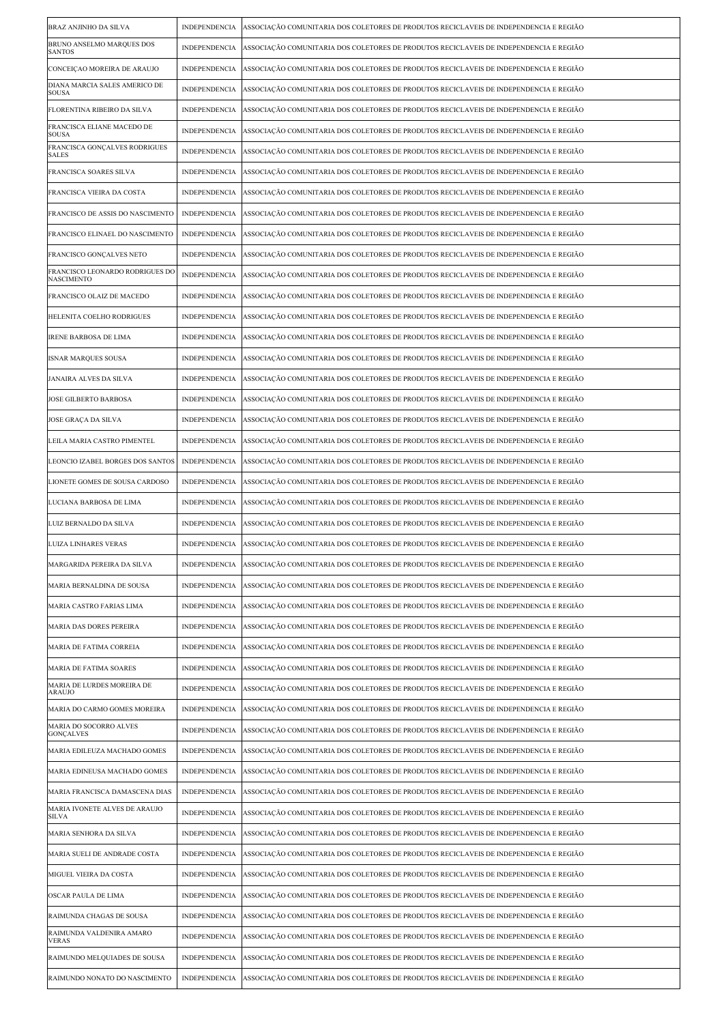| BRAZ ANJINHO DA SILVA                         | <b>INDEPENDENCIA</b> | ASSOCIAÇÃO COMUNITARIA DOS COLETORES DE PRODUTOS RECICLAVEIS DE INDEPENDENCIA E REGIÃO |
|-----------------------------------------------|----------------------|----------------------------------------------------------------------------------------|
| BRUNO ANSELMO MARQUES DOS<br><b>SANTOS</b>    | <b>INDEPENDENCIA</b> | ASSOCIAÇÃO COMUNITARIA DOS COLETORES DE PRODUTOS RECICLAVEIS DE INDEPENDENCIA E REGIÃO |
| CONCEIÇÃO MOREIRA DE ARAUJO                   | INDEPENDENCIA        | ASSOCIAÇÃO COMUNITARIA DOS COLETORES DE PRODUTOS RECICLAVEIS DE INDEPENDENCIA E REGIÃO |
| DIANA MARCIA SALES AMERICO DE<br><b>SOUSA</b> | INDEPENDENCIA        | ASSOCIAÇÃO COMUNITARIA DOS COLETORES DE PRODUTOS RECICLAVEIS DE INDEPENDENCIA E REGIÃO |
| FLORENTINA RIBEIRO DA SILVA                   | <b>INDEPENDENCIA</b> | ASSOCIAÇÃO COMUNITARIA DOS COLETORES DE PRODUTOS RECICLAVEIS DE INDEPENDENCIA E REGIÃO |
| FRANCISCA ELIANE MACEDO DE<br><b>SOUSA</b>    | <b>INDEPENDENCIA</b> | ASSOCIAÇÃO COMUNITARIA DOS COLETORES DE PRODUTOS RECICLAVEIS DE INDEPENDENCIA E REGIÃO |
| FRANCISCA GONÇALVES RODRIGUES<br><b>SALES</b> | <b>INDEPENDENCIA</b> | ASSOCIAÇÃO COMUNITARIA DOS COLETORES DE PRODUTOS RECICLAVEIS DE INDEPENDENCIA E REGIÃO |
| FRANCISCA SOARES SILVA                        | INDEPENDENCIA        | ASSOCIAÇÃO COMUNITARIA DOS COLETORES DE PRODUTOS RECICLAVEIS DE INDEPENDENCIA E REGIÃO |
| FRANCISCA VIEIRA DA COSTA                     | <b>INDEPENDENCIA</b> | ASSOCIAÇÃO COMUNITARIA DOS COLETORES DE PRODUTOS RECICLAVEIS DE INDEPENDENCIA E REGIÃO |
| FRANCISCO DE ASSIS DO NASCIMENTO              | <b>INDEPENDENCIA</b> | ASSOCIAÇÃO COMUNITARIA DOS COLETORES DE PRODUTOS RECICLAVEIS DE INDEPENDENCIA E REGIÃO |
| FRANCISCO ELINAEL DO NASCIMENTO               | <b>INDEPENDENCIA</b> | ASSOCIAÇÃO COMUNITARIA DOS COLETORES DE PRODUTOS RECICLAVEIS DE INDEPENDENCIA E REGIÃO |
| FRANCISCO GONÇALVES NETO                      | <b>INDEPENDENCIA</b> | ASSOCIAÇÃO COMUNITARIA DOS COLETORES DE PRODUTOS RECICLAVEIS DE INDEPENDENCIA E REGIÃO |
| FRANCISCO LEONARDO RODRIGUES DO<br>NASCIMENTO | <b>INDEPENDENCIA</b> | ASSOCIAÇÃO COMUNITARIA DOS COLETORES DE PRODUTOS RECICLAVEIS DE INDEPENDENCIA E REGIÃO |
| FRANCISCO OLAIZ DE MACEDO                     | <b>INDEPENDENCIA</b> | ASSOCIAÇÃO COMUNITARIA DOS COLETORES DE PRODUTOS RECICLAVEIS DE INDEPENDENCIA E REGIÃO |
| HELENITA COELHO RODRIGUES                     | INDEPENDENCIA        | ASSOCIAÇÃO COMUNITARIA DOS COLETORES DE PRODUTOS RECICLAVEIS DE INDEPENDENCIA E REGIÃO |
| <b>IRENE BARBOSA DE LIMA</b>                  | <b>INDEPENDENCIA</b> | ASSOCIAÇÃO COMUNITARIA DOS COLETORES DE PRODUTOS RECICLAVEIS DE INDEPENDENCIA E REGIÃO |
| <b>ISNAR MARQUES SOUSA</b>                    | INDEPENDENCIA        | ASSOCIAÇÃO COMUNITARIA DOS COLETORES DE PRODUTOS RECICLAVEIS DE INDEPENDENCIA E REGIÃO |
| JANAIRA ALVES DA SILVA                        | INDEPENDENCIA        | ASSOCIAÇÃO COMUNITARIA DOS COLETORES DE PRODUTOS RECICLAVEIS DE INDEPENDENCIA E REGIÃO |
| JOSE GILBERTO BARBOSA                         | INDEPENDENCIA        | ASSOCIAÇÃO COMUNITARIA DOS COLETORES DE PRODUTOS RECICLAVEIS DE INDEPENDENCIA E REGIÃO |
| JOSE GRAÇA DA SILVA                           | <b>INDEPENDENCIA</b> | ASSOCIAÇÃO COMUNITARIA DOS COLETORES DE PRODUTOS RECICLAVEIS DE INDEPENDENCIA E REGIÃO |
| LEILA MARIA CASTRO PIMENTEL                   | <b>INDEPENDENCIA</b> | ASSOCIAÇÃO COMUNITARIA DOS COLETORES DE PRODUTOS RECICLAVEIS DE INDEPENDENCIA E REGIÃO |
| LEONCIO IZABEL BORGES DOS SANTOS              | <b>INDEPENDENCIA</b> | ASSOCIAÇÃO COMUNITARIA DOS COLETORES DE PRODUTOS RECICLAVEIS DE INDEPENDENCIA E REGIÃO |
| LIONETE GOMES DE SOUSA CARDOSO                | INDEPENDENCIA        | ASSOCIAÇÃO COMUNITARIA DOS COLETORES DE PRODUTOS RECICLAVEIS DE INDEPENDENCIA E REGIÃO |
| LUCIANA BARBOSA DE LIMA                       | <b>INDEPENDENCIA</b> | ASSOCIAÇÃO COMUNITARIA DOS COLETORES DE PRODUTOS RECICLAVEIS DE INDEPENDENCIA E REGIÃO |
| LUIZ BERNALDO DA SILVA                        | INDEPENDENCIA        | ASSOCIAÇÃO COMUNITARIA DOS COLETORES DE PRODUTOS RECICLAVEIS DE INDEPENDENCIA E REGIÃO |
| <b>LUIZA LINHARES VERAS</b>                   | <b>INDEPENDENCIA</b> | ASSOCIAÇÃO COMUNITARIA DOS COLETORES DE PRODUTOS RECICLAVEIS DE INDEPENDENCIA E REGIÃO |
| MARGARIDA PEREIRA DA SILVA                    | INDEPENDENCIA        | ASSOCIAÇÃO COMUNITARIA DOS COLETORES DE PRODUTOS RECICLAVEIS DE INDEPENDENCIA E REGIÃO |
| MARIA BERNALDINA DE SOUSA                     | <b>INDEPENDENCIA</b> | ASSOCIAÇÃO COMUNITARIA DOS COLETORES DE PRODUTOS RECICLAVEIS DE INDEPENDENCIA E REGIÃO |
| MARIA CASTRO FARIAS LIMA                      | INDEPENDENCIA        | ASSOCIAÇÃO COMUNITARIA DOS COLETORES DE PRODUTOS RECICLAVEIS DE INDEPENDENCIA E REGIÃO |
| MARIA DAS DORES PEREIRA                       | <b>INDEPENDENCIA</b> | ASSOCIAÇÃO COMUNITARIA DOS COLETORES DE PRODUTOS RECICLAVEIS DE INDEPENDENCIA E REGIÃO |
| MARIA DE FATIMA CORREIA                       | <b>INDEPENDENCIA</b> | ASSOCIAÇÃO COMUNITARIA DOS COLETORES DE PRODUTOS RECICLAVEIS DE INDEPENDENCIA E REGIÃO |
| MARIA DE FATIMA SOARES                        | INDEPENDENCIA        | ASSOCIAÇÃO COMUNITARIA DOS COLETORES DE PRODUTOS RECICLAVEIS DE INDEPENDENCIA E REGIÃO |
| MARIA DE LURDES MOREIRA DE<br>ARAUJO          | <b>INDEPENDENCIA</b> | ASSOCIAÇÃO COMUNITARIA DOS COLETORES DE PRODUTOS RECICLAVEIS DE INDEPENDENCIA E REGIÃO |
| MARIA DO CARMO GOMES MOREIRA                  | <b>INDEPENDENCIA</b> | ASSOCIAÇÃO COMUNITARIA DOS COLETORES DE PRODUTOS RECICLAVEIS DE INDEPENDENCIA E REGIÃO |
| MARIA DO SOCORRO ALVES<br><b>GONÇALVES</b>    | INDEPENDENCIA        | ASSOCIAÇÃO COMUNITARIA DOS COLETORES DE PRODUTOS RECICLAVEIS DE INDEPENDENCIA E REGIÃO |
| MARIA EDILEUZA MACHADO GOMES                  | <b>INDEPENDENCIA</b> | ASSOCIAÇÃO COMUNITARIA DOS COLETORES DE PRODUTOS RECICLAVEIS DE INDEPENDENCIA E REGIÃO |
| MARIA EDINEUSA MACHADO GOMES                  | <b>INDEPENDENCIA</b> | ASSOCIAÇÃO COMUNITARIA DOS COLETORES DE PRODUTOS RECICLAVEIS DE INDEPENDENCIA E REGIÃO |
| MARIA FRANCISCA DAMASCENA DIAS                | <b>INDEPENDENCIA</b> | ASSOCIAÇÃO COMUNITARIA DOS COLETORES DE PRODUTOS RECICLAVEIS DE INDEPENDENCIA E REGIÃO |
| MARIA IVONETE ALVES DE ARAUJO<br><b>SILVA</b> | <b>INDEPENDENCIA</b> | ASSOCIAÇÃO COMUNITARIA DOS COLETORES DE PRODUTOS RECICLAVEIS DE INDEPENDENCIA E REGIÃO |
| MARIA SENHORA DA SILVA                        | <b>INDEPENDENCIA</b> | ASSOCIAÇÃO COMUNITARIA DOS COLETORES DE PRODUTOS RECICLAVEIS DE INDEPENDENCIA E REGIÃO |
| MARIA SUELI DE ANDRADE COSTA                  | INDEPENDENCIA        | ASSOCIAÇÃO COMUNITARIA DOS COLETORES DE PRODUTOS RECICLAVEIS DE INDEPENDENCIA E REGIÃO |
| MIGUEL VIEIRA DA COSTA                        | <b>INDEPENDENCIA</b> | ASSOCIAÇÃO COMUNITARIA DOS COLETORES DE PRODUTOS RECICLAVEIS DE INDEPENDENCIA E REGIÃO |
| OSCAR PAULA DE LIMA                           | <b>INDEPENDENCIA</b> | ASSOCIAÇÃO COMUNITARIA DOS COLETORES DE PRODUTOS RECICLAVEIS DE INDEPENDENCIA E REGIÃO |
| RAIMUNDA CHAGAS DE SOUSA                      | INDEPENDENCIA        | ASSOCIAÇÃO COMUNITARIA DOS COLETORES DE PRODUTOS RECICLAVEIS DE INDEPENDENCIA E REGIÃO |
| RAIMUNDA VALDENIRA AMARO<br><b>VERAS</b>      | <b>INDEPENDENCIA</b> | ASSOCIAÇÃO COMUNITARIA DOS COLETORES DE PRODUTOS RECICLAVEIS DE INDEPENDENCIA E REGIÃO |
| RAIMUNDO MELQUIADES DE SOUSA                  | <b>INDEPENDENCIA</b> | ASSOCIAÇÃO COMUNITARIA DOS COLETORES DE PRODUTOS RECICLAVEIS DE INDEPENDENCIA E REGIÃO |
| RAIMUNDO NONATO DO NASCIMENTO                 | INDEPENDENCIA        | ASSOCIAÇÃO COMUNITARIA DOS COLETORES DE PRODUTOS RECICLAVEIS DE INDEPENDENCIA E REGIÃO |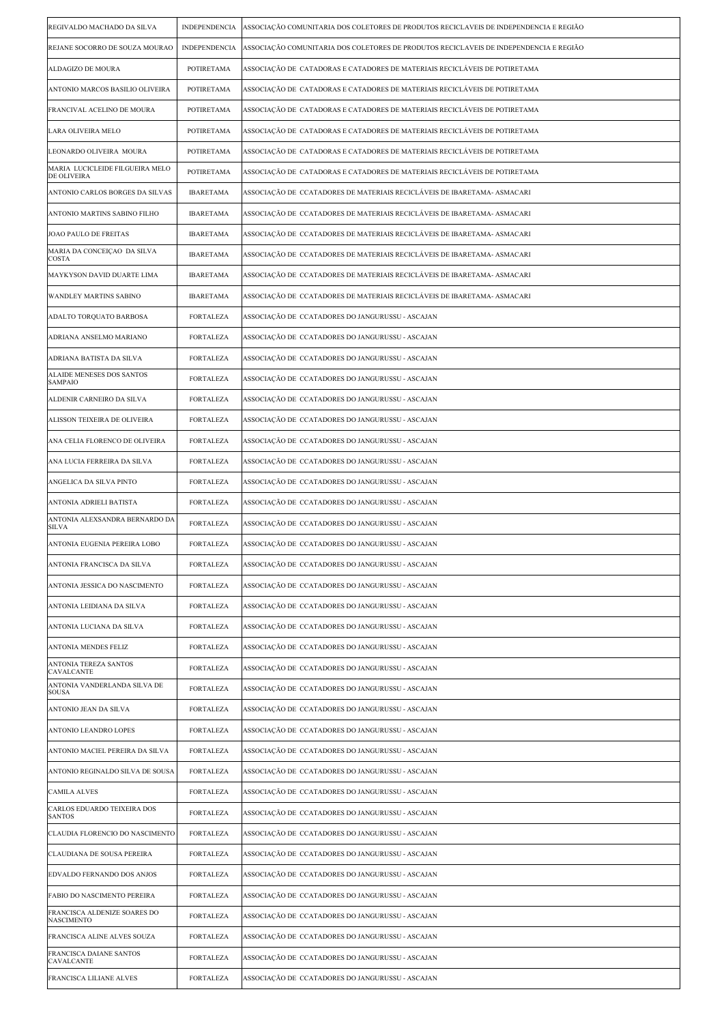| REGIVALDO MACHADO DA SILVA                     | <b>INDEPENDENCIA</b> | ASSOCIAÇÃO COMUNITARIA DOS COLETORES DE PRODUTOS RECICLAVEIS DE INDEPENDENCIA E REGIÃO |
|------------------------------------------------|----------------------|----------------------------------------------------------------------------------------|
| REJANE SOCORRO DE SOUZA MOURAO                 | <b>INDEPENDENCIA</b> | ASSOCIAÇÃO COMUNITARIA DOS COLETORES DE PRODUTOS RECICLAVEIS DE INDEPENDENCIA E REGIÃO |
| ALDAGIZO DE MOURA                              | POTIRETAMA           | ASSOCIAÇÃO DE CATADORAS E CATADORES DE MATERIAIS RECICLÁVEIS DE POTIRETAMA             |
| ANTONIO MARCOS BASILIO OLIVEIRA                | POTIRETAMA           | ASSOCIAÇÃO DE CATADORAS E CATADORES DE MATERIAIS RECICLÁVEIS DE POTIRETAMA             |
| FRANCIVAL ACELINO DE MOURA                     | POTIRETAMA           | ASSOCIAÇÃO DE CATADORAS E CATADORES DE MATERIAIS RECICLÁVEIS DE POTIRETAMA             |
| LARA OLIVEIRA MELO                             | POTIRETAMA           | ASSOCIAÇÃO DE CATADORAS E CATADORES DE MATERIAIS RECICLÁVEIS DE POTIRETAMA             |
| LEONARDO OLIVEIRA MOURA                        | POTIRETAMA           | ASSOCIAÇÃO DE  CATADORAS E CATADORES DE MATERIAIS RECICLÁVEIS DE POTIRETAMA            |
| MARIA LUCICLEIDE FILGUEIRA MELO<br>DE OLIVEIRA | POTIRETAMA           | ASSOCIAÇÃO DE  CATADORAS E CATADORES DE MATERIAIS RECICLÁVEIS DE POTIRETAMA            |
| ANTONIO CARLOS BORGES DA SILVAS                | <b>IBARETAMA</b>     | ASSOCIAÇÃO DE  CCATADORES DE MATERIAIS RECICLÁVEIS DE IBARETAMA- ASMACARI              |
| ANTONIO MARTINS SABINO FILHO                   | <b>IBARETAMA</b>     | ASSOCIAÇÃO DE CCATADORES DE MATERIAIS RECICLÁVEIS DE IBARETAMA- ASMACARI               |
| JOAO PAULO DE FREITAS                          | <b>IBARETAMA</b>     | ASSOCIAÇÃO DE  CCATADORES DE MATERIAIS RECICLÁVEIS DE IBARETAMA- ASMACARI              |
| MARIA DA CONCEIÇAO DA SILVA<br>COSTA           | <b>IBARETAMA</b>     | ASSOCIAÇÃO DE  CCATADORES DE MATERIAIS RECICLÁVEIS DE IBARETAMA- ASMACARI              |
| MAYKYSON DAVID DUARTE LIMA                     | <b>IBARETAMA</b>     | ASSOCIAÇÃO DE  CCATADORES DE MATERIAIS RECICLÁVEIS DE IBARETAMA- ASMACARI              |
| <b>WANDLEY MARTINS SABINO</b>                  | <b>IBARETAMA</b>     | ASSOCIAÇÃO DE  CCATADORES DE MATERIAIS RECICLÁVEIS DE IBARETAMA- ASMACARI              |
| ADALTO TORQUATO BARBOSA                        | <b>FORTALEZA</b>     | ASSOCIAÇÃO DE  CCATADORES DO JANGURUSSU - ASCAJAN                                      |
| ADRIANA ANSELMO MARIANO                        | <b>FORTALEZA</b>     | ASSOCIAÇÃO DE  CCATADORES DO JANGURUSSU - ASCAJAN                                      |
| ADRIANA BATISTA DA SILVA                       | <b>FORTALEZA</b>     | ASSOCIAÇÃO DE CCATADORES DO JANGURUSSU - ASCAJAN                                       |
| ALAIDE MENESES DOS SANTOS<br>SAMPAIO           | <b>FORTALEZA</b>     | ASSOCIAÇÃO DE  CCATADORES DO JANGURUSSU - ASCAJAN                                      |
| ALDENIR CARNEIRO DA SILVA                      | FORTALEZA            | ASSOCIAÇÃO DE  CCATADORES DO JANGURUSSU - ASCAJAN                                      |
| ALISSON TEIXEIRA DE OLIVEIRA                   | <b>FORTALEZA</b>     | ASSOCIAÇÃO DE  CCATADORES DO JANGURUSSU - ASCAJAN                                      |
| ANA CELIA FLORENCO DE OLIVEIRA                 | FORTALEZA            | ASSOCIAÇÃO DE  CCATADORES DO JANGURUSSU - ASCAJAN                                      |
| ANA LUCIA FERREIRA DA SILVA                    | FORTALEZA            | ASSOCIAÇÃO DE CCATADORES DO JANGURUSSU - ASCAJAN                                       |
| ANGELICA DA SILVA PINTO                        | FORTALEZA            | ASSOCIAÇÃO DE CCATADORES DO JANGURUSSU - ASCAJAN                                       |
| ANTONIA ADRIELI BATISTA                        | <b>FORTALEZA</b>     | ASSOCIAÇÃO DE  CCATADORES DO JANGURUSSU - ASCAJAN                                      |
| ANTONIA ALEXSANDRA BERNARDO DA<br>SILVA        | <b>FORTALEZA</b>     | ASSOCIAÇÃO DE CCATADORES DO JANGURUSSU - ASCAJAN                                       |
| ANTONIA EUGENIA PEREIRA LOBO                   | FORTALEZA            | ASSOCIAÇÃO DE  CCATADORES DO JANGURUSSU - ASCAJAN                                      |
| ANTONIA FRANCISCA DA SILVA                     | <b>FORTALEZA</b>     | ASSOCIAÇÃO DE  CCATADORES DO JANGURUSSU - ASCAJAN                                      |
| ANTONIA JESSICA DO NASCIMENTO                  | <b>FORTALEZA</b>     | ASSOCIAÇÃO DE CCATADORES DO JANGURUSSU - ASCAJAN                                       |
| ANTONIA LEIDIANA DA SILVA                      | FORTALEZA            | ASSOCIAÇÃO DE CCATADORES DO JANGURUSSU - ASCAJAN                                       |
| ANTONIA LUCIANA DA SILVA                       | FORTALEZA            | ASSOCIAÇÃO DE CCATADORES DO JANGURUSSU - ASCAJAN                                       |
| ANTONIA MENDES FELIZ                           | FORTALEZA            | ASSOCIAÇÃO DE CCATADORES DO JANGURUSSU - ASCAJAN                                       |
| ANTONIA TEREZA SANTOS<br><b>CAVALCANTE</b>     | FORTALEZA            | ASSOCIAÇÃO DE  CCATADORES DO JANGURUSSU - ASCAJAN                                      |
| ANTONIA VANDERLANDA SILVA DE<br>SOUSA          | <b>FORTALEZA</b>     | ASSOCIAÇÃO DE  CCATADORES DO JANGURUSSU - ASCAJAN                                      |
| ANTONIO JEAN DA SILVA                          | <b>FORTALEZA</b>     | ASSOCIAÇÃO DE  CCATADORES DO JANGURUSSU - ASCAJAN                                      |
| ANTONIO LEANDRO LOPES                          | FORTALEZA            | ASSOCIAÇÃO DE CCATADORES DO JANGURUSSU - ASCAJAN                                       |
| ANTONIO MACIEL PEREIRA DA SILVA                | FORTALEZA            | ASSOCIAÇÃO DE  CCATADORES DO JANGURUSSU - ASCAJAN                                      |
| ANTONIO REGINALDO SILVA DE SOUSA               | FORTALEZA            | ASSOCIAÇÃO DE  CCATADORES DO JANGURUSSU - ASCAJAN                                      |
| <b>CAMILA ALVES</b>                            | FORTALEZA            | ASSOCIAÇÃO DE  CCATADORES DO JANGURUSSU - ASCAJAN                                      |
| CARLOS EDUARDO TEIXEIRA DOS<br><b>SANTOS</b>   | FORTALEZA            | ASSOCIAÇÃO DE  CCATADORES DO JANGURUSSU - ASCAJAN                                      |
| CLAUDIA FLORENCIO DO NASCIMENTO                | <b>FORTALEZA</b>     | ASSOCIAÇÃO DE CCATADORES DO JANGURUSSU - ASCAJAN                                       |
| CLAUDIANA DE SOUSA PEREIRA                     | FORTALEZA            | ASSOCIAÇÃO DE CCATADORES DO JANGURUSSU - ASCAJAN                                       |
| EDVALDO FERNANDO DOS ANJOS                     | FORTALEZA            | ASSOCIAÇÃO DE  CCATADORES DO JANGURUSSU - ASCAJAN                                      |
| FABIO DO NASCIMENTO PEREIRA                    | FORTALEZA            | ASSOCIAÇÃO DE  CCATADORES DO JANGURUSSU - ASCAJAN                                      |
| FRANCISCA ALDENIZE SOARES DO<br>NASCIMENTO     | FORTALEZA            | ASSOCIAÇÃO DE  CCATADORES DO JANGURUSSU - ASCAJAN                                      |
| FRANCISCA ALINE ALVES SOUZA                    | FORTALEZA            | ASSOCIAÇÃO DE  CCATADORES DO JANGURUSSU - ASCAJAN                                      |
| FRANCISCA DAIANE SANTOS<br>CAVALCANTE          | <b>FORTALEZA</b>     | ASSOCIAÇÃO DE CCATADORES DO JANGURUSSU - ASCAJAN                                       |
| FRANCISCA LILIANE ALVES                        | <b>FORTALEZA</b>     | ASSOCIAÇÃO DE CCATADORES DO JANGURUSSU - ASCAJAN                                       |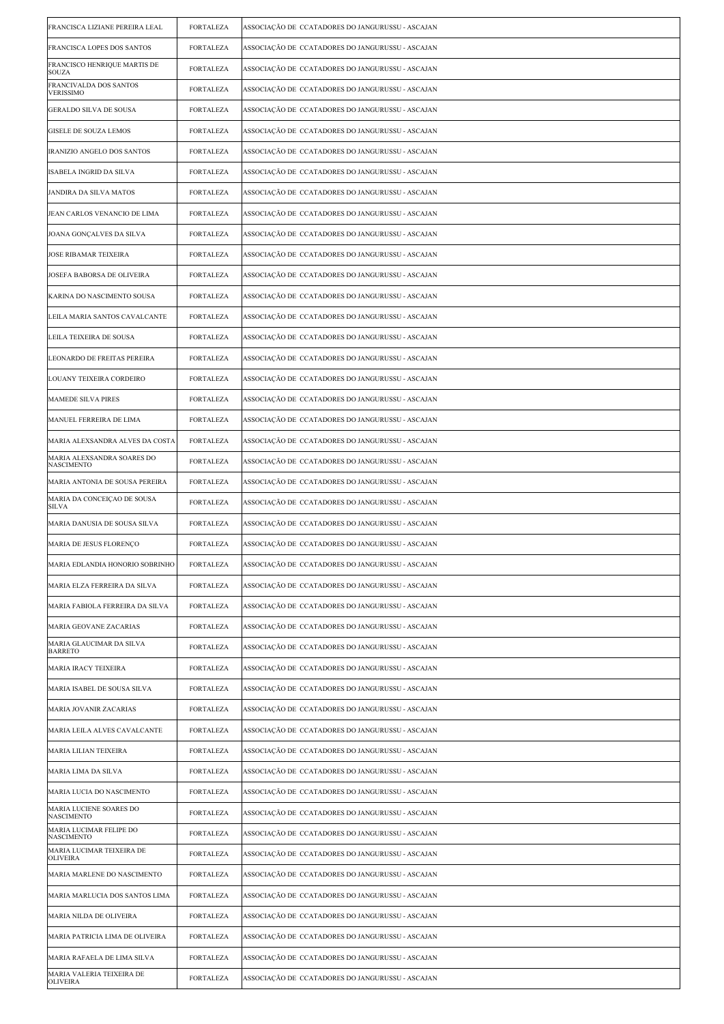| FRANCISCA LIZIANE PEREIRA LEAL                  | <b>FORTALEZA</b> | ASSOCIAÇÃO DE CCATADORES DO JANGURUSSU - ASCAJAN  |
|-------------------------------------------------|------------------|---------------------------------------------------|
| FRANCISCA LOPES DOS SANTOS                      | FORTALEZA        | ASSOCIAÇÃO DE  CCATADORES DO JANGURUSSU - ASCAJAN |
| FRANCISCO HENRIQUE MARTIS DE<br><b>SOUZA</b>    | FORTALEZA        | ASSOCIAÇÃO DE CCATADORES DO JANGURUSSU - ASCAJAN  |
| FRANCIVALDA DOS SANTOS<br><b>VERISSIMO</b>      | <b>FORTALEZA</b> | ASSOCIAÇÃO DE CCATADORES DO JANGURUSSU - ASCAJAN  |
| <b>GERALDO SILVA DE SOUSA</b>                   | <b>FORTALEZA</b> | ASSOCIAÇÃO DE CCATADORES DO JANGURUSSU - ASCAJAN  |
| <b>GISELE DE SOUZA LEMOS</b>                    | FORTALEZA        | ASSOCIAÇÃO DE CCATADORES DO JANGURUSSU - ASCAJAN  |
| IRANIZIO ANGELO DOS SANTOS                      | <b>FORTALEZA</b> | ASSOCIAÇÃO DE CCATADORES DO JANGURUSSU - ASCAJAN  |
| ISABELA INGRID DA SILVA                         | <b>FORTALEZA</b> | ASSOCIAÇÃO DE CCATADORES DO JANGURUSSU - ASCAJAN  |
| JANDIRA DA SILVA MATOS                          | <b>FORTALEZA</b> | ASSOCIAÇÃO DE CCATADORES DO JANGURUSSU - ASCAJAN  |
| JEAN CARLOS VENANCIO DE LIMA                    | <b>FORTALEZA</b> | ASSOCIAÇÃO DE  CCATADORES DO JANGURUSSU - ASCAJAN |
| JOANA GONÇALVES DA SILVA                        | <b>FORTALEZA</b> | ASSOCIAÇÃO DE CCATADORES DO JANGURUSSU - ASCAJAN  |
| JOSE RIBAMAR TEIXEIRA                           | <b>FORTALEZA</b> | ASSOCIAÇÃO DE CCATADORES DO JANGURUSSU - ASCAJAN  |
| JOSEFA BABORSA DE OLIVEIRA                      | <b>FORTALEZA</b> | ASSOCIAÇÃO DE CCATADORES DO JANGURUSSU - ASCAJAN  |
| KARINA DO NASCIMENTO SOUSA                      | FORTALEZA        | ASSOCIAÇÃO DE  CCATADORES DO JANGURUSSU - ASCAJAN |
| LEILA MARIA SANTOS CAVALCANTE                   | FORTALEZA        | ASSOCIAÇÃO DE  CCATADORES DO JANGURUSSU - ASCAJAN |
| LEILA TEIXEIRA DE SOUSA                         | <b>FORTALEZA</b> | ASSOCIAÇÃO DE CCATADORES DO JANGURUSSU - ASCAJAN  |
| LEONARDO DE FREITAS PEREIRA                     | <b>FORTALEZA</b> | ASSOCIAÇÃO DE CCATADORES DO JANGURUSSU - ASCAJAN  |
| LOUANY TEIXEIRA CORDEIRO                        | FORTALEZA        | ASSOCIAÇÃO DE CCATADORES DO JANGURUSSU - ASCAJAN  |
| MAMEDE SILVA PIRES                              | FORTALEZA        | ASSOCIAÇÃO DE CCATADORES DO JANGURUSSU - ASCAJAN  |
| MANUEL FERREIRA DE LIMA                         | <b>FORTALEZA</b> | ASSOCIAÇÃO DE CCATADORES DO JANGURUSSU - ASCAJAN  |
| MARIA ALEXSANDRA ALVES DA COSTA                 | <b>FORTALEZA</b> | ASSOCIAÇÃO DE CCATADORES DO JANGURUSSU - ASCAJAN  |
| MARIA ALEXSANDRA SOARES DO<br><b>NASCIMENTO</b> | <b>FORTALEZA</b> | ASSOCIAÇÃO DE  CCATADORES DO JANGURUSSU - ASCAJAN |
| MARIA ANTONIA DE SOUSA PEREIRA                  | FORTALEZA        | ASSOCIAÇÃO DE CCATADORES DO JANGURUSSU - ASCAJAN  |
| MARIA DA CONCEIÇAO DE SOUSA<br><b>SILVA</b>     | FORTALEZA        | ASSOCIAÇÃO DE CCATADORES DO JANGURUSSU - ASCAJAN  |
| MARIA DANUSIA DE SOUSA SILVA                    | <b>FORTALEZA</b> | ASSOCIAÇÃO DE CCATADORES DO JANGURUSSU - ASCAJAN  |
| MARIA DE JESUS FLORENÇO                         | FORTALEZA        | ASSOCIAÇÃO DE CCATADORES DO JANGURUSSU - ASCAJAN  |
| MARIA EDLANDIA HONORIO SOBRINHO                 | <b>FORTALEZA</b> | ASSOCIAÇÃO DE  CCATADORES DO JANGURUSSU - ASCAJAN |
| MARIA ELZA FERREIRA DA SILVA                    | <b>FORTALEZA</b> | ASSOCIAÇÃO DE CCATADORES DO JANGURUSSU - ASCAJAN  |
| MARIA FABIOLA FERREIRA DA SILVA                 | FORTALEZA        | ASSOCIAÇÃO DE CCATADORES DO JANGURUSSU - ASCAJAN  |
| MARIA GEOVANE ZACARIAS                          | <b>FORTALEZA</b> | ASSOCIAÇÃO DE CCATADORES DO JANGURUSSU - ASCAJAN  |
| MARIA GLAUCIMAR DA SILVA<br><b>BARRETO</b>      | <b>FORTALEZA</b> | ASSOCIAÇÃO DE CCATADORES DO JANGURUSSU - ASCAJAN  |
| MARIA IRACY TEIXEIRA                            | FORTALEZA        | ASSOCIAÇÃO DE CCATADORES DO JANGURUSSU - ASCAJAN  |
| MARIA ISABEL DE SOUSA SILVA                     | <b>FORTALEZA</b> | ASSOCIAÇÃO DE CCATADORES DO JANGURUSSU - ASCAJAN  |
| MARIA JOVANIR ZACARIAS                          | <b>FORTALEZA</b> | ASSOCIAÇÃO DE CCATADORES DO JANGURUSSU - ASCAJAN  |
| MARIA LEILA ALVES CAVALCANTE                    | <b>FORTALEZA</b> | ASSOCIAÇÃO DE CCATADORES DO JANGURUSSU - ASCAJAN  |
| <b>MARIA LILIAN TEIXEIRA</b>                    | <b>FORTALEZA</b> | ASSOCIAÇÃO DE CCATADORES DO JANGURUSSU - ASCAJAN  |
| MARIA LIMA DA SILVA                             | <b>FORTALEZA</b> | ASSOCIAÇÃO DE CCATADORES DO JANGURUSSU - ASCAJAN  |
| MARIA LUCIA DO NASCIMENTO                       | FORTALEZA        | ASSOCIAÇÃO DE CCATADORES DO JANGURUSSU - ASCAJAN  |
| MARIA LUCIENE SOARES DO<br><b>NASCIMENTO</b>    | <b>FORTALEZA</b> | ASSOCIAÇÃO DE CCATADORES DO JANGURUSSU - ASCAJAN  |
| MARIA LUCIMAR FELIPE DO<br><b>NASCIMENTO</b>    | <b>FORTALEZA</b> | ASSOCIAÇÃO DE CCATADORES DO JANGURUSSU - ASCAJAN  |
| MARIA LUCIMAR TEIXEIRA DE<br><b>OLIVEIRA</b>    | <b>FORTALEZA</b> | ASSOCIAÇÃO DE CCATADORES DO JANGURUSSU - ASCAJAN  |
| MARIA MARLENE DO NASCIMENTO                     | FORTALEZA        | ASSOCIAÇÃO DE CCATADORES DO JANGURUSSU - ASCAJAN  |
| MARIA MARLUCIA DOS SANTOS LIMA                  | <b>FORTALEZA</b> | ASSOCIAÇÃO DE CCATADORES DO JANGURUSSU - ASCAJAN  |
| MARIA NILDA DE OLIVEIRA                         | FORTALEZA        | ASSOCIAÇÃO DE CCATADORES DO JANGURUSSU - ASCAJAN  |
| MARIA PATRICIA LIMA DE OLIVEIRA                 | <b>FORTALEZA</b> | ASSOCIAÇÃO DE CCATADORES DO JANGURUSSU - ASCAJAN  |
| MARIA RAFAELA DE LIMA SILVA                     | <b>FORTALEZA</b> | ASSOCIAÇÃO DE CCATADORES DO JANGURUSSU - ASCAJAN  |
| MARIA VALERIA TEIXEIRA DE<br><b>OLIVEIRA</b>    | <b>FORTALEZA</b> | ASSOCIAÇÃO DE CCATADORES DO JANGURUSSU - ASCAJAN  |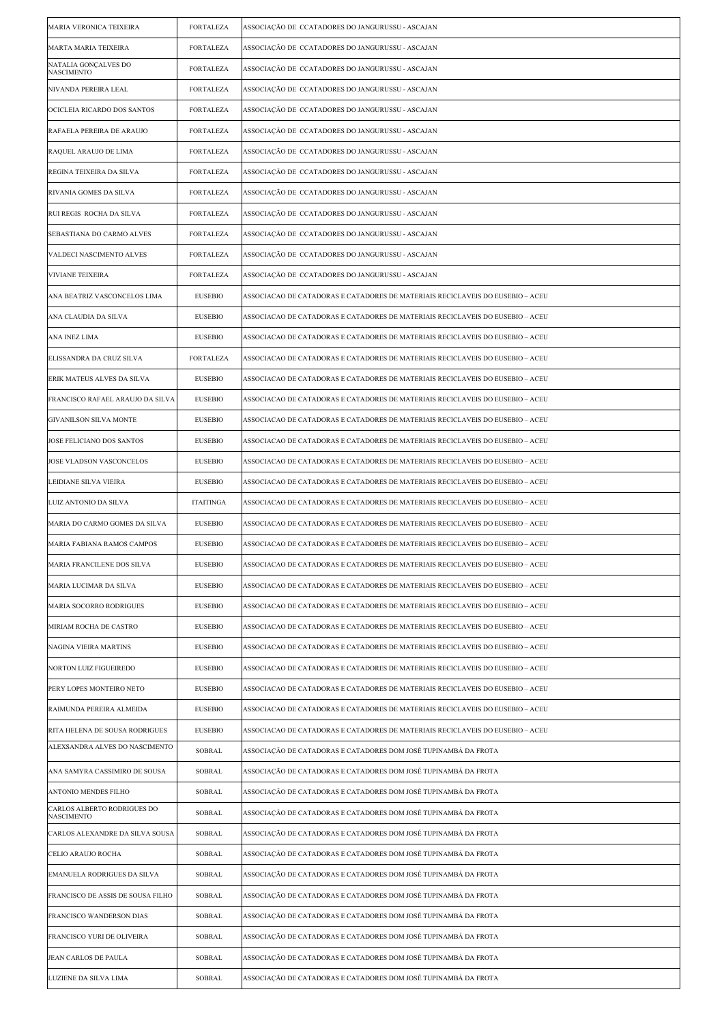| <b>MARIA VERONICA TEIXEIRA</b>                   | <b>FORTALEZA</b> | ASSOCIAÇÃO DE CCATADORES DO JANGURUSSU - ASCAJAN                               |
|--------------------------------------------------|------------------|--------------------------------------------------------------------------------|
| MARTA MARIA TEIXEIRA                             | FORTALEZA        | ASSOCIAÇÃO DE CCATADORES DO JANGURUSSU - ASCAJAN                               |
| NATALIA GONÇALVES DO<br><b>NASCIMENTO</b>        | <b>FORTALEZA</b> | ASSOCIAÇÃO DE CCATADORES DO JANGURUSSU - ASCAJAN                               |
| NIVANDA PEREIRA LEAL                             | <b>FORTALEZA</b> | ASSOCIAÇÃO DE  CCATADORES DO JANGURUSSU - ASCAJAN                              |
| OCICLEIA RICARDO DOS SANTOS                      | FORTALEZA        | ASSOCIAÇÃO DE CCATADORES DO JANGURUSSU - ASCAJAN                               |
| RAFAELA PEREIRA DE ARAUJO                        | <b>FORTALEZA</b> | ASSOCIAÇÃO DE CCATADORES DO JANGURUSSU - ASCAJAN                               |
| RAQUEL ARAUJO DE LIMA                            | <b>FORTALEZA</b> | ASSOCIAÇÃO DE CCATADORES DO JANGURUSSU - ASCAJAN                               |
| REGINA TEIXEIRA DA SILVA                         | FORTALEZA        | ASSOCIAÇÃO DE CCATADORES DO JANGURUSSU - ASCAJAN                               |
| RIVANIA GOMES DA SILVA                           | <b>FORTALEZA</b> | ASSOCIAÇÃO DE CCATADORES DO JANGURUSSU - ASCAJAN                               |
| RUI REGIS ROCHA DA SILVA                         | <b>FORTALEZA</b> | ASSOCIAÇÃO DE  CCATADORES DO JANGURUSSU - ASCAJAN                              |
| SEBASTIANA DO CARMO ALVES                        | FORTALEZA        | ASSOCIAÇÃO DE CCATADORES DO JANGURUSSU - ASCAJAN                               |
| VALDECI NASCIMENTO ALVES                         | <b>FORTALEZA</b> | ASSOCIAÇÃO DE CCATADORES DO JANGURUSSU - ASCAJAN                               |
| <b>VIVIANE TEIXEIRA</b>                          | <b>FORTALEZA</b> | ASSOCIAÇÃO DE CCATADORES DO JANGURUSSU - ASCAJAN                               |
| ANA BEATRIZ VASCONCELOS LIMA                     | <b>EUSEBIO</b>   | ASSOCIACAO DE CATADORAS E CATADORES DE MATERIAIS RECICLAVEIS DO EUSEBIO – ACEU |
| ANA CLAUDIA DA SILVA                             | <b>EUSEBIO</b>   | ASSOCIACAO DE CATADORAS E CATADORES DE MATERIAIS RECICLAVEIS DO EUSEBIO – ACEU |
| ANA INEZ LIMA                                    | <b>EUSEBIO</b>   | ASSOCIACAO DE CATADORAS E CATADORES DE MATERIAIS RECICLAVEIS DO EUSEBIO – ACEU |
| ELISSANDRA DA CRUZ SILVA                         | <b>FORTALEZA</b> | ASSOCIACAO DE CATADORAS E CATADORES DE MATERIAIS RECICLAVEIS DO EUSEBIO – ACEU |
| ERIK MATEUS ALVES DA SILVA                       | <b>EUSEBIO</b>   | ASSOCIACAO DE CATADORAS E CATADORES DE MATERIAIS RECICLAVEIS DO EUSEBIO – ACEU |
| FRANCISCO RAFAEL ARAUJO DA SILVA                 | <b>EUSEBIO</b>   | ASSOCIACAO DE CATADORAS E CATADORES DE MATERIAIS RECICLAVEIS DO EUSEBIO – ACEU |
| GIVANILSON SILVA MONTE                           | <b>EUSEBIO</b>   | ASSOCIACAO DE CATADORAS E CATADORES DE MATERIAIS RECICLAVEIS DO EUSEBIO – ACEU |
| JOSE FELICIANO DOS SANTOS                        | <b>EUSEBIO</b>   | ASSOCIACAO DE CATADORAS E CATADORES DE MATERIAIS RECICLAVEIS DO EUSEBIO – ACEU |
| JOSE VLADSON VASCONCELOS                         | <b>EUSEBIO</b>   | ASSOCIACAO DE CATADORAS E CATADORES DE MATERIAIS RECICLAVEIS DO EUSEBIO – ACEU |
| LEIDIANE SILVA VIEIRA                            | <b>EUSEBIO</b>   | ASSOCIACAO DE CATADORAS E CATADORES DE MATERIAIS RECICLAVEIS DO EUSEBIO – ACEU |
| LUIZ ANTONIO DA SILVA                            | <b>ITAITINGA</b> | ASSOCIACAO DE CATADORAS E CATADORES DE MATERIAIS RECICLAVEIS DO EUSEBIO – ACEU |
| MARIA DO CARMO GOMES DA SILVA                    | <b>EUSEBIO</b>   | ASSOCIACAO DE CATADORAS E CATADORES DE MATERIAIS RECICLAVEIS DO EUSEBIO – ACEU |
| MARIA FABIANA RAMOS CAMPOS                       | <b>EUSEBIO</b>   | ASSOCIACAO DE CATADORAS E CATADORES DE MATERIAIS RECICLAVEIS DO EUSEBIO – ACEU |
| MARIA FRANCILENE DOS SILVA                       | <b>EUSEBIO</b>   | ASSOCIACAO DE CATADORAS E CATADORES DE MATERIAIS RECICLAVEIS DO EUSEBIO – ACEU |
| MARIA LUCIMAR DA SILVA                           | <b>EUSEBIO</b>   | ASSOCIACAO DE CATADORAS E CATADORES DE MATERIAIS RECICLAVEIS DO EUSEBIO – ACEU |
| MARIA SOCORRO RODRIGUES                          | <b>EUSEBIO</b>   | ASSOCIACAO DE CATADORAS E CATADORES DE MATERIAIS RECICLAVEIS DO EUSEBIO – ACEU |
| MIRIAM ROCHA DE CASTRO                           | <b>EUSEBIO</b>   | ASSOCIACAO DE CATADORAS E CATADORES DE MATERIAIS RECICLAVEIS DO EUSEBIO – ACEU |
| NAGINA VIEIRA MARTINS                            | <b>EUSEBIO</b>   | ASSOCIACAO DE CATADORAS E CATADORES DE MATERIAIS RECICLAVEIS DO EUSEBIO – ACEU |
| NORTON LUIZ FIGUEIREDO                           | <b>EUSEBIO</b>   | ASSOCIACAO DE CATADORAS E CATADORES DE MATERIAIS RECICLAVEIS DO EUSEBIO – ACEU |
| PERY LOPES MONTEIRO NETO                         | <b>EUSEBIO</b>   | ASSOCIACAO DE CATADORAS E CATADORES DE MATERIAIS RECICLAVEIS DO EUSEBIO – ACEU |
| RAIMUNDA PEREIRA ALMEIDA                         | <b>EUSEBIO</b>   | ASSOCIACAO DE CATADORAS E CATADORES DE MATERIAIS RECICLAVEIS DO EUSEBIO – ACEU |
| RITA HELENA DE SOUSA RODRIGUES                   | <b>EUSEBIO</b>   | ASSOCIACAO DE CATADORAS E CATADORES DE MATERIAIS RECICLAVEIS DO EUSEBIO – ACEU |
| ALEXSANDRA ALVES DO NASCIMENTO                   | SOBRAL           | ASSOCIAÇÃO DE CATADORAS E CATADORES DOM JOSÉ TUPINAMBÁ DA FROTA                |
| ANA SAMYRA CASSIMIRO DE SOUSA                    | SOBRAL           | ASSOCIAÇÃO DE CATADORAS E CATADORES DOM JOSÉ TUPINAMBÁ DA FROTA                |
| ANTONIO MENDES FILHO                             | SOBRAL           | ASSOCIAÇÃO DE CATADORAS E CATADORES DOM JOSÉ TUPINAMBÁ DA FROTA                |
| CARLOS ALBERTO RODRIGUES DO<br><b>NASCIMENTO</b> | SOBRAL           | ASSOCIAÇÃO DE CATADORAS E CATADORES DOM JOSÉ TUPINAMBÁ DA FROTA                |
| CARLOS ALEXANDRE DA SILVA SOUSA                  | SOBRAL           | ASSOCIAÇÃO DE CATADORAS E CATADORES DOM JOSÉ TUPINAMBÁ DA FROTA                |
| CELIO ARAUJO ROCHA                               | SOBRAL           | ASSOCIAÇÃO DE CATADORAS E CATADORES DOM JOSÉ TUPINAMBÁ DA FROTA                |
| EMANUELA RODRIGUES DA SILVA                      | SOBRAL           | ASSOCIAÇÃO DE CATADORAS E CATADORES DOM JOSÉ TUPINAMBÁ DA FROTA                |
| FRANCISCO DE ASSIS DE SOUSA FILHO                | SOBRAL           | ASSOCIAÇÃO DE CATADORAS E CATADORES DOM JOSÉ TUPINAMBÁ DA FROTA                |
| FRANCISCO WANDERSON DIAS                         | SOBRAL           | ASSOCIAÇÃO DE CATADORAS E CATADORES DOM JOSÉ TUPINAMBÁ DA FROTA                |
| FRANCISCO YURI DE OLIVEIRA                       | SOBRAL           | ASSOCIAÇÃO DE CATADORAS E CATADORES DOM JOSÉ TUPINAMBÁ DA FROTA                |
| JEAN CARLOS DE PAULA                             | SOBRAL           | ASSOCIAÇÃO DE CATADORAS E CATADORES DOM JOSÉ TUPINAMBÁ DA FROTA                |
| LUZIENE DA SILVA LIMA                            | SOBRAL           | ASSOCIAÇÃO DE CATADORAS E CATADORES DOM JOSÉ TUPINAMBÁ DA FROTA                |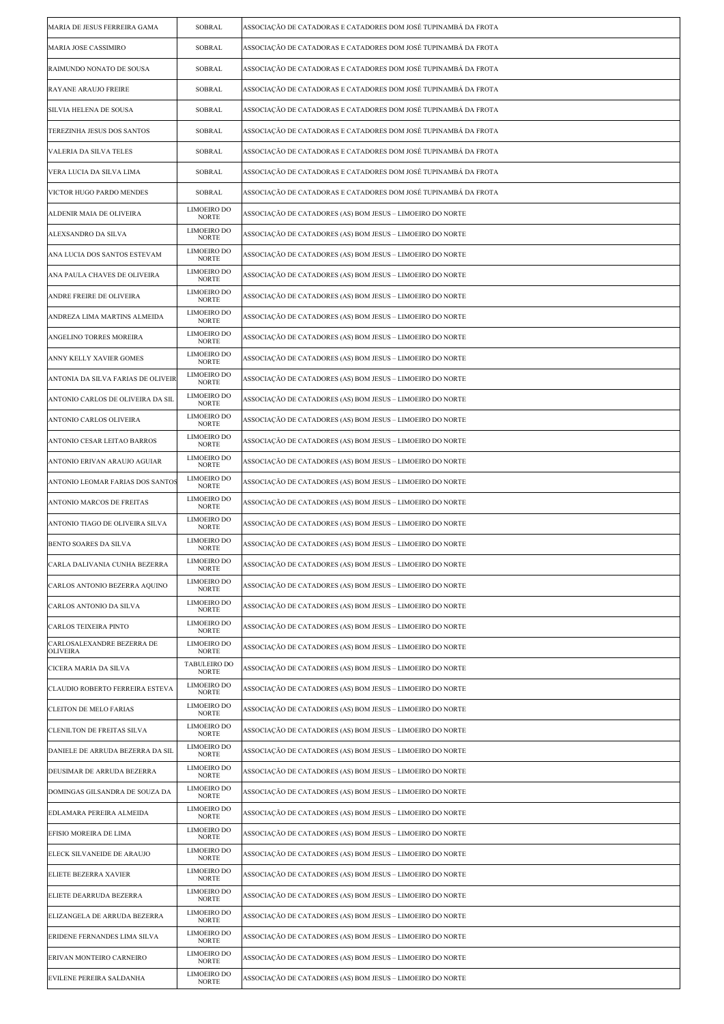| MARIA DE JESUS FERREIRA GAMA           | <b>SOBRAL</b>                      | ASSOCIAÇÃO DE CATADORAS E CATADORES DOM JOSÉ TUPINAMBÁ DA FROTA |
|----------------------------------------|------------------------------------|-----------------------------------------------------------------|
| MARIA JOSE CASSIMIRO                   | <b>SOBRAL</b>                      | ASSOCIAÇÃO DE CATADORAS E CATADORES DOM JOSÉ TUPINAMBÁ DA FROTA |
| RAIMUNDO NONATO DE SOUSA               | SOBRAL                             | ASSOCIAÇÃO DE CATADORAS E CATADORES DOM JOSÉ TUPINAMBÁ DA FROTA |
| RAYANE ARAUJO FREIRE                   | SOBRAL                             | ASSOCIAÇÃO DE CATADORAS E CATADORES DOM JOSÉ TUPINAMBÁ DA FROTA |
| SILVIA HELENA DE SOUSA                 | <b>SOBRAL</b>                      | ASSOCIAÇÃO DE CATADORAS E CATADORES DOM JOSÉ TUPINAMBÁ DA FROTA |
| TEREZINHA JESUS DOS SANTOS             | <b>SOBRAL</b>                      | ASSOCIAÇÃO DE CATADORAS E CATADORES DOM JOSÉ TUPINAMBÁ DA FROTA |
| VALERIA DA SILVA TELES                 | SOBRAL                             | ASSOCIAÇÃO DE CATADORAS E CATADORES DOM JOSÉ TUPINAMBÁ DA FROTA |
| VERA LUCIA DA SILVA LIMA               | SOBRAL                             | ASSOCIAÇÃO DE CATADORAS E CATADORES DOM JOSÉ TUPINAMBÁ DA FROTA |
| VICTOR HUGO PARDO MENDES               | <b>SOBRAL</b>                      | ASSOCIAÇÃO DE CATADORAS E CATADORES DOM JOSÉ TUPINAMBÁ DA FROTA |
| ALDENIR MAIA DE OLIVEIRA               | LIMOEIRO DO<br><b>NORTE</b>        | ASSOCIAÇÃO DE CATADORES (AS) BOM JESUS – LIMOEIRO DO NORTE      |
| ALEXSANDRO DA SILVA                    | LIMOEIRO DO<br><b>NORTE</b>        | ASSOCIAÇÃO DE CATADORES (AS) BOM JESUS – LIMOEIRO DO NORTE      |
| ANA LUCIA DOS SANTOS ESTEVAM           | LIMOEIRO DO<br><b>NORTE</b>        | ASSOCIAÇÃO DE CATADORES (AS) BOM JESUS – LIMOEIRO DO NORTE      |
| ANA PAULA CHAVES DE OLIVEIRA           | LIMOEIRO DO<br><b>NORTE</b>        | ASSOCIAÇÃO DE CATADORES (AS) BOM JESUS – LIMOEIRO DO NORTE      |
| ANDRE FREIRE DE OLIVEIRA               | LIMOEIRO DO<br><b>NORTE</b>        | ASSOCIAÇÃO DE CATADORES (AS) BOM JESUS – LIMOEIRO DO NORTE      |
| ANDREZA LIMA MARTINS ALMEIDA           | LIMOEIRO DO<br><b>NORTE</b>        | ASSOCIAÇÃO DE CATADORES (AS) BOM JESUS – LIMOEIRO DO NORTE      |
| ANGELINO TORRES MOREIRA                | LIMOEIRO DO<br><b>NORTE</b>        | ASSOCIAÇÃO DE CATADORES (AS) BOM JESUS – LIMOEIRO DO NORTE      |
| ANNY KELLY XAVIER GOMES                | LIMOEIRO DO<br><b>NORTE</b>        | ASSOCIAÇÃO DE CATADORES (AS) BOM JESUS – LIMOEIRO DO NORTE      |
| ANTONIA DA SILVA FARIAS DE OLIVEIR     | LIMOEIRO DO<br><b>NORTE</b>        | ASSOCIAÇÃO DE CATADORES (AS) BOM JESUS – LIMOEIRO DO NORTE      |
| ANTONIO CARLOS DE OLIVEIRA DA SIL      | LIMOEIRO DO<br><b>NORTE</b>        | ASSOCIAÇÃO DE CATADORES (AS) BOM JESUS – LIMOEIRO DO NORTE      |
| ANTONIO CARLOS OLIVEIRA                | LIMOEIRO DO<br><b>NORTE</b>        | ASSOCIAÇÃO DE CATADORES (AS) BOM JESUS – LIMOEIRO DO NORTE      |
| ANTONIO CESAR LEITAO BARROS            | LIMOEIRO DO<br><b>NORTE</b>        | ASSOCIAÇÃO DE CATADORES (AS) BOM JESUS – LIMOEIRO DO NORTE      |
| ANTONIO ERIVAN ARAUJO AGUIAR           | LIMOEIRO DO<br><b>NORTE</b>        | ASSOCIAÇÃO DE CATADORES (AS) BOM JESUS – LIMOEIRO DO NORTE      |
| ANTONIO LEOMAR FARIAS DOS SANTOS       | LIMOEIRO DO<br><b>NORTE</b>        | ASSOCIAÇÃO DE CATADORES (AS) BOM JESUS – LIMOEIRO DO NORTE      |
| ANTONIO MARCOS DE FREITAS              | LIMOEIRO DO<br><b>NORTE</b>        | ASSOCIAÇÃO DE CATADORES (AS) BOM JESUS – LIMOEIRO DO NORTE      |
| ANTONIO TIAGO DE OLIVEIRA SILVA        | LIMOEIRO DO<br><b>NORTE</b>        | ASSOCIAÇÃO DE CATADORES (AS) BOM JESUS – LIMOEIRO DO NORTE      |
| <b>BENTO SOARES DA SILVA</b>           | <b>LIMOEIRO DO</b><br><b>NORTE</b> | ASSOCIAÇÃO DE CATADORES (AS) BOM JESUS – LIMOEIRO DO NORTE      |
| CARLA DALIVANIA CUNHA BEZERRA          | LIMOEIRO DO<br>NORTE               | ASSOCIAÇÃO DE CATADORES (AS) BOM JESUS - LIMOEIRO DO NORTE      |
| CARLOS ANTONIO BEZERRA AQUINO          | <b>LIMOEIRO DO</b><br><b>NORTE</b> | ASSOCIAÇÃO DE CATADORES (AS) BOM JESUS – LIMOEIRO DO NORTE      |
| CARLOS ANTONIO DA SILVA                | LIMOEIRO DO<br><b>NORTE</b>        | ASSOCIAÇÃO DE CATADORES (AS) BOM JESUS – LIMOEIRO DO NORTE      |
| CARLOS TEIXEIRA PINTO                  | LIMOEIRO DO<br><b>NORTE</b>        | ASSOCIAÇÃO DE CATADORES (AS) BOM JESUS – LIMOEIRO DO NORTE      |
| CARLOSALEXANDRE BEZERRA DE<br>OLIVEIRA | LIMOEIRO DO<br><b>NORTE</b>        | ASSOCIAÇÃO DE CATADORES (AS) BOM JESUS – LIMOEIRO DO NORTE      |
| CICERA MARIA DA SILVA                  | TABULEIRO DO<br><b>NORTE</b>       | ASSOCIAÇÃO DE CATADORES (AS) BOM JESUS – LIMOEIRO DO NORTE      |
| CLAUDIO ROBERTO FERREIRA ESTEVA        | LIMOEIRO DO<br><b>NORTE</b>        | ASSOCIACÃO DE CATADORES (AS) BOM JESUS – LIMOEIRO DO NORTE      |
| <b>CLEITON DE MELO FARIAS</b>          | LIMOEIRO DO<br>NORTE               | ASSOCIAÇÃO DE CATADORES (AS) BOM JESUS – LIMOEIRO DO NORTE      |
| CLENILTON DE FREITAS SILVA             | LIMOEIRO DO<br><b>NORTE</b>        | ASSOCIAÇÃO DE CATADORES (AS) BOM JESUS – LIMOEIRO DO NORTE      |
| DANIELE DE ARRUDA BEZERRA DA SIL       | LIMOEIRO DO<br><b>NORTE</b>        | ASSOCIAÇÃO DE CATADORES (AS) BOM JESUS – LIMOEIRO DO NORTE      |
| DEUSIMAR DE ARRUDA BEZERRA             | LIMOEIRO DO<br><b>NORTE</b>        | ASSOCIAÇÃO DE CATADORES (AS) BOM JESUS – LIMOEIRO DO NORTE      |
| DOMINGAS GILSANDRA DE SOUZA DA         | LIMOEIRO DO<br>NORTE               | ASSOCIAÇÃO DE CATADORES (AS) BOM JESUS – LIMOEIRO DO NORTE      |
| EDLAMARA PEREIRA ALMEIDA               | LIMOEIRO DO<br><b>NORTE</b>        | ASSOCIAÇÃO DE CATADORES (AS) BOM JESUS – LIMOEIRO DO NORTE      |
| EFISIO MOREIRA DE LIMA                 | LIMOEIRO DO<br><b>NORTE</b>        | ASSOCIAÇÃO DE CATADORES (AS) BOM JESUS – LIMOEIRO DO NORTE      |
| ELECK SILVANEIDE DE ARAUJO             | LIMOEIRO DO<br><b>NORTE</b>        | ASSOCIAÇÃO DE CATADORES (AS) BOM JESUS – LIMOEIRO DO NORTE      |
| <b>ELIETE BEZERRA XAVIER</b>           | LIMOEIRO DO<br><b>NORTE</b>        | ASSOCIAÇÃO DE CATADORES (AS) BOM JESUS – LIMOEIRO DO NORTE      |
| ELIETE DEARRUDA BEZERRA                | LIMOEIRO DO<br>NORTE               | ASSOCIAÇÃO DE CATADORES (AS) BOM JESUS – LIMOEIRO DO NORTE      |
| ELIZANGELA DE ARRUDA BEZERRA           | <b>LIMOEIRO DO</b><br>NORTE        | ASSOCIAÇÃO DE CATADORES (AS) BOM JESUS – LIMOEIRO DO NORTE      |
| ERIDENE FERNANDES LIMA SILVA           | LIMOEIRO DO<br><b>NORTE</b>        | ASSOCIAÇÃO DE CATADORES (AS) BOM JESUS – LIMOEIRO DO NORTE      |
| ERIVAN MONTEIRO CARNEIRO               | LIMOEIRO DO<br><b>NORTE</b>        | ASSOCIAÇÃO DE CATADORES (AS) BOM JESUS – LIMOEIRO DO NORTE      |
| EVILENE PEREIRA SALDANHA               | LIMOEIRO DO<br><b>NORTE</b>        | ASSOCIAÇÃO DE CATADORES (AS) BOM JESUS – LIMOEIRO DO NORTE      |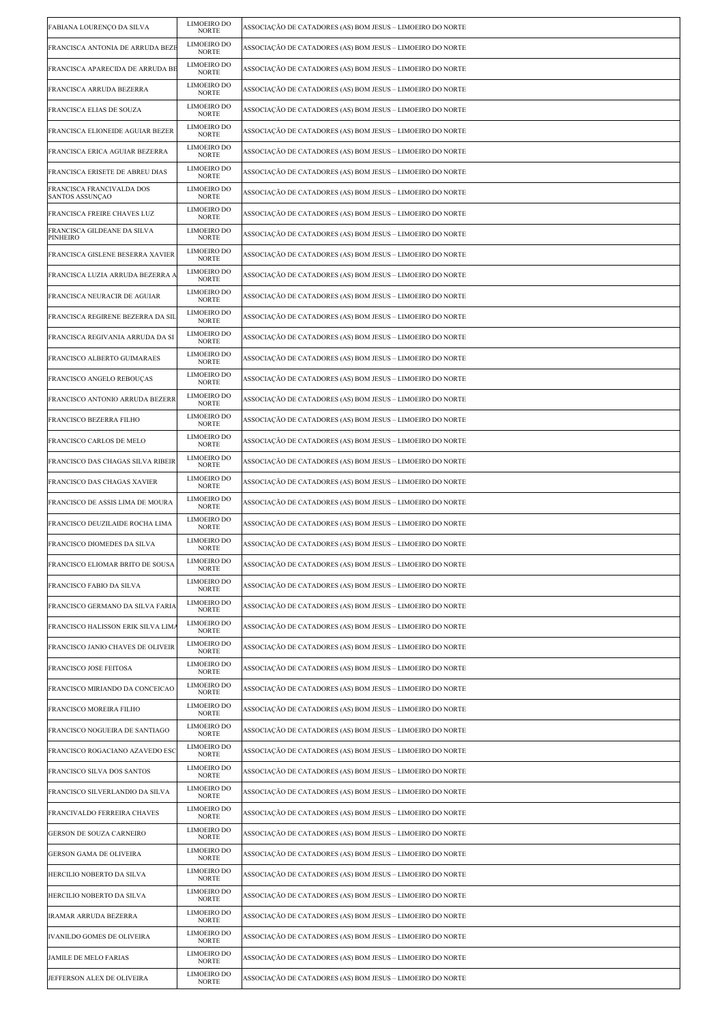| FABIANA LOURENÇO DA SILVA                    | <b>LIMOEIRO DO</b><br><b>NORTE</b> | ASSOCIAÇÃO DE CATADORES (AS) BOM JESUS - LIMOEIRO DO NORTE |
|----------------------------------------------|------------------------------------|------------------------------------------------------------|
| FRANCISCA ANTONIA DE ARRUDA BEZI             | <b>LIMOEIRO DO</b><br><b>NORTE</b> | ASSOCIAÇÃO DE CATADORES (AS) BOM JESUS – LIMOEIRO DO NORTE |
| FRANCISCA APARECIDA DE ARRUDA BE             | <b>LIMOEIRO DO</b><br><b>NORTE</b> | ASSOCIAÇÃO DE CATADORES (AS) BOM JESUS – LIMOEIRO DO NORTE |
| FRANCISCA ARRUDA BEZERRA                     | <b>LIMOEIRO DO</b><br><b>NORTE</b> | ASSOCIAÇÃO DE CATADORES (AS) BOM JESUS – LIMOEIRO DO NORTE |
| FRANCISCA ELIAS DE SOUZA                     | LIMOEIRO DO<br><b>NORTE</b>        | ASSOCIAÇÃO DE CATADORES (AS) BOM JESUS – LIMOEIRO DO NORTE |
| FRANCISCA ELIONEIDE AGUIAR BEZER             | LIMOEIRO DO<br><b>NORTE</b>        | ASSOCIAÇÃO DE CATADORES (AS) BOM JESUS – LIMOEIRO DO NORTE |
| FRANCISCA ERICA AGUIAR BEZERRA               | <b>LIMOEIRO DO</b><br><b>NORTE</b> | ASSOCIAÇÃO DE CATADORES (AS) BOM JESUS – LIMOEIRO DO NORTE |
| FRANCISCA ERISETE DE ABREU DIAS              | LIMOEIRO DO<br><b>NORTE</b>        | ASSOCIAÇÃO DE CATADORES (AS) BOM JESUS – LIMOEIRO DO NORTE |
| FRANCISCA FRANCIVALDA DOS<br>SANTOS ASSUNÇÃO | LIMOEIRO DO<br><b>NORTE</b>        | ASSOCIAÇÃO DE CATADORES (AS) BOM JESUS – LIMOEIRO DO NORTE |
| FRANCISCA FREIRE CHAVES LUZ                  | <b>LIMOEIRO DO</b><br><b>NORTE</b> | ASSOCIAÇÃO DE CATADORES (AS) BOM JESUS – LIMOEIRO DO NORTE |
| FRANCISCA GILDEANE DA SILVA<br>PINHEIRO      | LIMOEIRO DO<br><b>NORTE</b>        | ASSOCIAÇÃO DE CATADORES (AS) BOM JESUS – LIMOEIRO DO NORTE |
| FRANCISCA GISLENE BESERRA XAVIER             | LIMOEIRO DO<br><b>NORTE</b>        | ASSOCIAÇÃO DE CATADORES (AS) BOM JESUS – LIMOEIRO DO NORTE |
| FRANCISCA LUZIA ARRUDA BEZERRA A             | <b>LIMOEIRO DO</b><br><b>NORTE</b> | ASSOCIAÇÃO DE CATADORES (AS) BOM JESUS – LIMOEIRO DO NORTE |
| FRANCISCA NEURACIR DE AGUIAR                 | <b>LIMOEIRO DO</b><br><b>NORTE</b> | ASSOCIAÇÃO DE CATADORES (AS) BOM JESUS – LIMOEIRO DO NORTE |
| FRANCISCA REGIRENE BEZERRA DA SIL            | LIMOEIRO DO<br><b>NORTE</b>        | ASSOCIAÇÃO DE CATADORES (AS) BOM JESUS – LIMOEIRO DO NORTE |
| FRANCISCA REGIVANIA ARRUDA DA SI             | <b>LIMOEIRO DO</b><br><b>NORTE</b> | ASSOCIAÇÃO DE CATADORES (AS) BOM JESUS – LIMOEIRO DO NORTE |
| FRANCISCO ALBERTO GUIMARAES                  | LIMOEIRO DO<br><b>NORTE</b>        | ASSOCIAÇÃO DE CATADORES (AS) BOM JESUS – LIMOEIRO DO NORTE |
| FRANCISCO ANGELO REBOUÇAS                    | LIMOEIRO DO<br><b>NORTE</b>        | ASSOCIAÇÃO DE CATADORES (AS) BOM JESUS – LIMOEIRO DO NORTE |
| FRANCISCO ANTONIO ARRUDA BEZERR              | <b>LIMOEIRO DO</b><br><b>NORTE</b> | ASSOCIAÇÃO DE CATADORES (AS) BOM JESUS – LIMOEIRO DO NORTE |
| FRANCISCO BEZERRA FILHO                      | LIMOEIRO DO<br><b>NORTE</b>        | ASSOCIAÇÃO DE CATADORES (AS) BOM JESUS – LIMOEIRO DO NORTE |
| FRANCISCO CARLOS DE MELO                     | LIMOEIRO DO<br><b>NORTE</b>        | ASSOCIAÇÃO DE CATADORES (AS) BOM JESUS – LIMOEIRO DO NORTE |
| FRANCISCO DAS CHAGAS SILVA RIBEIR            | <b>LIMOEIRO DO</b><br><b>NORTE</b> | ASSOCIAÇÃO DE CATADORES (AS) BOM JESUS – LIMOEIRO DO NORTE |
| FRANCISCO DAS CHAGAS XAVIER                  | LIMOEIRO DO<br><b>NORTE</b>        | ASSOCIAÇÃO DE CATADORES (AS) BOM JESUS – LIMOEIRO DO NORTE |
| FRANCISCO DE ASSIS LIMA DE MOURA             | LIMOEIRO DO<br><b>NORTE</b>        | ASSOCIAÇÃO DE CATADORES (AS) BOM JESUS – LIMOEIRO DO NORTE |
| FRANCISCO DEUZILAIDE ROCHA LIMA              | <b>LIMOEIRO DO</b><br><b>NORTE</b> | ASSOCIAÇÃO DE CATADORES (AS) BOM JESUS – LIMOEIRO DO NORTE |
| FRANCISCO DIOMEDES DA SILVA                  | <b>LIMOEIRO DO</b><br><b>NORTE</b> | ASSOCIAÇÃO DE CATADORES (AS) BOM JESUS – LIMOEIRO DO NORTE |
| FRANCISCO ELIOMAR BRITO DE SOUSA             | LIMOEIRO DO<br>NORTE               | ASSOCIAÇÃO DE CATADORES (AS) BOM JESUS – LIMOEIRO DO NORTE |
| FRANCISCO FABIO DA SILVA                     | <b>LIMOEIRO DO</b><br><b>NORTE</b> | ASSOCIAÇÃO DE CATADORES (AS) BOM JESUS – LIMOEIRO DO NORTE |
| FRANCISCO GERMANO DA SILVA FARIA             | LIMOEIRO DO<br><b>NORTE</b>        | ASSOCIAÇÃO DE CATADORES (AS) BOM JESUS – LIMOEIRO DO NORTE |
| FRANCISCO HALISSON ERIK SILVA LIMA           | LIMOEIRO DO<br><b>NORTE</b>        | ASSOCIAÇÃO DE CATADORES (AS) BOM JESUS – LIMOEIRO DO NORTE |
| FRANCISCO JANIO CHAVES DE OLIVEIR            | <b>LIMOEIRO DO</b><br>NORTE        | ASSOCIAÇÃO DE CATADORES (AS) BOM JESUS – LIMOEIRO DO NORTE |
| FRANCISCO JOSE FEITOSA                       | LIMOEIRO DO<br><b>NORTE</b>        | ASSOCIAÇÃO DE CATADORES (AS) BOM JESUS – LIMOEIRO DO NORTE |
| FRANCISCO MIRIANDO DA CONCEICAO              | LIMOEIRO DO<br>NORTE               | ASSOCIAÇÃO DE CATADORES (AS) BOM JESUS – LIMOEIRO DO NORTE |
| FRANCISCO MOREIRA FILHO                      | <b>LIMOEIRO DO</b><br><b>NORTE</b> | ASSOCIAÇÃO DE CATADORES (AS) BOM JESUS – LIMOEIRO DO NORTE |
| FRANCISCO NOGUEIRA DE SANTIAGO               | LIMOEIRO DO<br><b>NORTE</b>        | ASSOCIAÇÃO DE CATADORES (AS) BOM JESUS – LIMOEIRO DO NORTE |
| FRANCISCO ROGACIANO AZAVEDO ESC              | LIMOEIRO DO<br><b>NORTE</b>        | ASSOCIAÇÃO DE CATADORES (AS) BOM JESUS – LIMOEIRO DO NORTE |
| FRANCISCO SILVA DOS SANTOS                   | <b>LIMOEIRO DO</b><br><b>NORTE</b> | ASSOCIAÇÃO DE CATADORES (AS) BOM JESUS – LIMOEIRO DO NORTE |
| FRANCISCO SILVERLANDIO DA SILVA              | LIMOEIRO DO<br><b>NORTE</b>        | ASSOCIAÇÃO DE CATADORES (AS) BOM JESUS – LIMOEIRO DO NORTE |
| FRANCIVALDO FERREIRA CHAVES                  | LIMOEIRO DO<br>NORTE               | ASSOCIAÇÃO DE CATADORES (AS) BOM JESUS – LIMOEIRO DO NORTE |
| GERSON DE SOUZA CARNEIRO                     | <b>LIMOEIRO DO</b><br><b>NORTE</b> | ASSOCIAÇÃO DE CATADORES (AS) BOM JESUS – LIMOEIRO DO NORTE |
| GERSON GAMA DE OLIVEIRA                      | LIMOEIRO DO<br><b>NORTE</b>        | ASSOCIAÇÃO DE CATADORES (AS) BOM JESUS – LIMOEIRO DO NORTE |
| HERCILIO NOBERTO DA SILVA                    | LIMOEIRO DO<br><b>NORTE</b>        | ASSOCIAÇÃO DE CATADORES (AS) BOM JESUS – LIMOEIRO DO NORTE |
| HERCILIO NOBERTO DA SILVA                    | LIMOEIRO DO<br><b>NORTE</b>        | ASSOCIAÇÃO DE CATADORES (AS) BOM JESUS – LIMOEIRO DO NORTE |
| IRAMAR ARRUDA BEZERRA                        | LIMOEIRO DO<br>NORTE               | ASSOCIAÇÃO DE CATADORES (AS) BOM JESUS – LIMOEIRO DO NORTE |
| IVANILDO GOMES DE OLIVEIRA                   | LIMOEIRO DO<br><b>NORTE</b>        | ASSOCIAÇÃO DE CATADORES (AS) BOM JESUS – LIMOEIRO DO NORTE |
| JAMILE DE MELO FARIAS                        | <b>LIMOEIRO DO</b><br><b>NORTE</b> | ASSOCIAÇÃO DE CATADORES (AS) BOM JESUS – LIMOEIRO DO NORTE |
| JEFFERSON ALEX DE OLIVEIRA                   | LIMOEIRO DO<br><b>NORTE</b>        | ASSOCIAÇÃO DE CATADORES (AS) BOM JESUS – LIMOEIRO DO NORTE |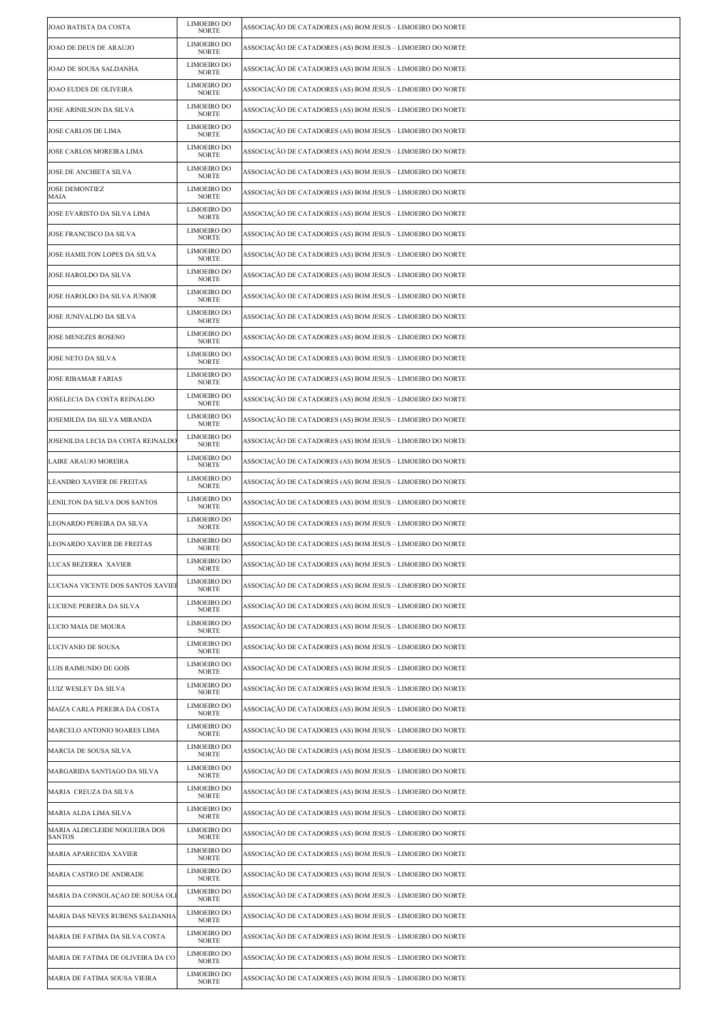| JOAO BATISTA DA COSTA                          | LIMOEIRO DO<br><b>NORTE</b>        | ASSOCIAÇÃO DE CATADORES (AS) BOM JESUS – LIMOEIRO DO NORTE |
|------------------------------------------------|------------------------------------|------------------------------------------------------------|
| JOAO DE DEUS DE ARAUJO                         | <b>LIMOEIRO DO</b><br><b>NORTE</b> | ASSOCIAÇÃO DE CATADORES (AS) BOM JESUS – LIMOEIRO DO NORTE |
| JOAO DE SOUSA SALDANHA                         | LIMOEIRO DO<br><b>NORTE</b>        | ASSOCIAÇÃO DE CATADORES (AS) BOM JESUS – LIMOEIRO DO NORTE |
| JOAO EUDES DE OLIVEIRA                         | LIMOEIRO DO<br><b>NORTE</b>        | ASSOCIAÇÃO DE CATADORES (AS) BOM JESUS – LIMOEIRO DO NORTE |
| <b>JOSE ARINILSON DA SILVA</b>                 | LIMOEIRO DO<br><b>NORTE</b>        | ASSOCIAÇÃO DE CATADORES (AS) BOM JESUS – LIMOEIRO DO NORTE |
| JOSE CARLOS DE LIMA                            | LIMOEIRO DO<br><b>NORTE</b>        | ASSOCIAÇÃO DE CATADORES (AS) BOM JESUS – LIMOEIRO DO NORTE |
| JOSE CARLOS MOREIRA LIMA                       | LIMOEIRO DO<br><b>NORTE</b>        | ASSOCIAÇÃO DE CATADORES (AS) BOM JESUS – LIMOEIRO DO NORTE |
| JOSE DE ANCHIETA SILVA                         | LIMOEIRO DO<br><b>NORTE</b>        | ASSOCIAÇÃO DE CATADORES (AS) BOM JESUS – LIMOEIRO DO NORTE |
| <b>JOSE DEMONTIEZ</b><br>MAIA                  | LIMOEIRO DO<br><b>NORTE</b>        | ASSOCIAÇÃO DE CATADORES (AS) BOM JESUS – LIMOEIRO DO NORTE |
| JOSE EVARISTO DA SILVA LIMA                    | <b>LIMOEIRO DO</b><br><b>NORTE</b> | ASSOCIAÇÃO DE CATADORES (AS) BOM JESUS – LIMOEIRO DO NORTE |
| JOSE FRANCISCO DA SILVA                        | LIMOEIRO DO<br><b>NORTE</b>        | ASSOCIAÇÃO DE CATADORES (AS) BOM JESUS – LIMOEIRO DO NORTE |
| JOSE HAMILTON LOPES DA SILVA                   | LIMOEIRO DO<br><b>NORTE</b>        | ASSOCIAÇÃO DE CATADORES (AS) BOM JESUS – LIMOEIRO DO NORTE |
| <b>JOSE HAROLDO DA SILVA</b>                   | LIMOEIRO DO<br><b>NORTE</b>        | ASSOCIAÇÃO DE CATADORES (AS) BOM JESUS – LIMOEIRO DO NORTE |
| JOSE HAROLDO DA SILVA JUNIOR                   | <b>LIMOEIRO DO</b><br><b>NORTE</b> | ASSOCIAÇÃO DE CATADORES (AS) BOM JESUS – LIMOEIRO DO NORTE |
| JOSE JUNIVALDO DA SILVA                        | LIMOEIRO DO<br><b>NORTE</b>        | ASSOCIAÇÃO DE CATADORES (AS) BOM JESUS – LIMOEIRO DO NORTE |
| JOSE MENEZES ROSENO                            | LIMOEIRO DO<br><b>NORTE</b>        | ASSOCIAÇÃO DE CATADORES (AS) BOM JESUS – LIMOEIRO DO NORTE |
| JOSE NETO DA SILVA                             | LIMOEIRO DO<br><b>NORTE</b>        | ASSOCIAÇÃO DE CATADORES (AS) BOM JESUS – LIMOEIRO DO NORTE |
| <b>JOSE RIBAMAR FARIAS</b>                     | LIMOEIRO DO<br><b>NORTE</b>        | ASSOCIAÇÃO DE CATADORES (AS) BOM JESUS – LIMOEIRO DO NORTE |
| JOSELECIA DA COSTA REINALDO                    | LIMOEIRO DO<br>NORTE               | ASSOCIAÇÃO DE CATADORES (AS) BOM JESUS – LIMOEIRO DO NORTE |
| JOSEMILDA DA SILVA MIRANDA                     | LIMOEIRO DO<br><b>NORTE</b>        | ASSOCIAÇÃO DE CATADORES (AS) BOM JESUS – LIMOEIRO DO NORTE |
| JOSENILDA LECIA DA COSTA REINALDO              | LIMOEIRO DO<br><b>NORTE</b>        | ASSOCIAÇÃO DE CATADORES (AS) BOM JESUS – LIMOEIRO DO NORTE |
| LAIRE ARAUJO MOREIRA                           | <b>LIMOEIRO DO</b><br><b>NORTE</b> | ASSOCIAÇÃO DE CATADORES (AS) BOM JESUS – LIMOEIRO DO NORTE |
| LEANDRO XAVIER DE FREITAS                      | LIMOEIRO DO<br><b>NORTE</b>        | ASSOCIAÇÃO DE CATADORES (AS) BOM JESUS – LIMOEIRO DO NORTE |
| LENILTON DA SILVA DOS SANTOS                   | LIMOEIRO DO<br><b>NORTE</b>        | ASSOCIAÇÃO DE CATADORES (AS) BOM JESUS – LIMOEIRO DO NORTE |
| LEONARDO PEREIRA DA SILVA                      | LIMOEIRO DO<br><b>NORTE</b>        | ASSOCIAÇÃO DE CATADORES (AS) BOM JESUS – LIMOEIRO DO NORTE |
| <b>LEONARDO XAVIER DE FREITAS</b>              | <b>LIMOEIRO DO</b><br><b>NORTE</b> | ASSOCIAÇÃO DE CATADORES (AS) BOM JESUS – LIMOEIRO DO NORTE |
| LUCAS BEZERRA XAVIER                           | LIMOEIRO DO<br>NORTE               | ASSOCIAÇÃO DE CATADORES (AS) BOM JESUS - LIMOEIRO DO NORTE |
| LUCIANA VICENTE DOS SANTOS XAVIE               | <b>LIMOEIRO DO</b><br><b>NORTE</b> | ASSOCIAÇÃO DE CATADORES (AS) BOM JESUS – LIMOEIRO DO NORTE |
| LUCIENE PEREIRA DA SILVA                       | LIMOEIRO DO<br><b>NORTE</b>        | ASSOCIAÇÃO DE CATADORES (AS) BOM JESUS – LIMOEIRO DO NORTE |
| LUCIO MAIA DE MOURA                            | LIMOEIRO DO<br><b>NORTE</b>        | ASSOCIAÇÃO DE CATADORES (AS) BOM JESUS – LIMOEIRO DO NORTE |
| LUCIVANIO DE SOUSA                             | LIMOEIRO DO<br>NORTE               | ASSOCIAÇÃO DE CATADORES (AS) BOM JESUS – LIMOEIRO DO NORTE |
| LUIS RAIMUNDO DE GOIS                          | LIMOEIRO DO<br><b>NORTE</b>        | ASSOCIAÇÃO DE CATADORES (AS) BOM JESUS – LIMOEIRO DO NORTE |
| LUIZ WESLEY DA SILVA                           | LIMOEIRO DO<br><b>NORTE</b>        | ASSOCIAÇÃO DE CATADORES (AS) BOM JESUS – LIMOEIRO DO NORTE |
| MAIZA CARLA PEREIRA DA COSTA                   | <b>LIMOEIRO DO</b><br><b>NORTE</b> | ASSOCIAÇÃO DE CATADORES (AS) BOM JESUS – LIMOEIRO DO NORTE |
| MARCELO ANTONIO SOARES LIMA                    | LIMOEIRO DO<br><b>NORTE</b>        | ASSOCIAÇÃO DE CATADORES (AS) BOM JESUS – LIMOEIRO DO NORTE |
| MARCIA DE SOUSA SILVA                          | LIMOEIRO DO<br><b>NORTE</b>        | ASSOCIAÇÃO DE CATADORES (AS) BOM JESUS – LIMOEIRO DO NORTE |
| MARGARIDA SANTIAGO DA SILVA                    | LIMOEIRO DO<br>NORTE               | ASSOCIAÇÃO DE CATADORES (AS) BOM JESUS – LIMOEIRO DO NORTE |
| MARIA CREUZA DA SILVA                          | LIMOEIRO DO<br>NORTE               | ASSOCIAÇÃO DE CATADORES (AS) BOM JESUS – LIMOEIRO DO NORTE |
| MARIA ALDA LIMA SILVA                          | LIMOEIRO DO<br><b>NORTE</b>        | ASSOCIAÇÃO DE CATADORES (AS) BOM JESUS – LIMOEIRO DO NORTE |
| MARIA ALDECLEIDE NOGUEIRA DOS<br><b>SANTOS</b> | <b>LIMOEIRO DO</b><br><b>NORTE</b> | ASSOCIAÇÃO DE CATADORES (AS) BOM JESUS – LIMOEIRO DO NORTE |
| MARIA APARECIDA XAVIER                         | LIMOEIRO DO<br><b>NORTE</b>        | ASSOCIAÇÃO DE CATADORES (AS) BOM JESUS – LIMOEIRO DO NORTE |
| MARIA CASTRO DE ANDRADE                        | LIMOEIRO DO<br><b>NORTE</b>        | ASSOCIAÇÃO DE CATADORES (AS) BOM JESUS – LIMOEIRO DO NORTE |
| MARIA DA CONSOLAÇÃO DE SOUSA OLI               | LIMOEIRO DO<br><b>NORTE</b>        | ASSOCIAÇÃO DE CATADORES (AS) BOM JESUS – LIMOEIRO DO NORTE |
| MARIA DAS NEVES RUBENS SALDANHA                | LIMOEIRO DO<br><b>NORTE</b>        | ASSOCIAÇÃO DE CATADORES (AS) BOM JESUS – LIMOEIRO DO NORTE |
| MARIA DE FATIMA DA SILVA COSTA                 | LIMOEIRO DO<br><b>NORTE</b>        | ASSOCIAÇÃO DE CATADORES (AS) BOM JESUS – LIMOEIRO DO NORTE |
| MARIA DE FATIMA DE OLIVEIRA DA CO              | <b>LIMOEIRO DO</b><br><b>NORTE</b> | ASSOCIAÇÃO DE CATADORES (AS) BOM JESUS – LIMOEIRO DO NORTE |
| MARIA DE FATIMA SOUSA VIEIRA                   | LIMOEIRO DO<br><b>NORTE</b>        | ASSOCIAÇÃO DE CATADORES (AS) BOM JESUS – LIMOEIRO DO NORTE |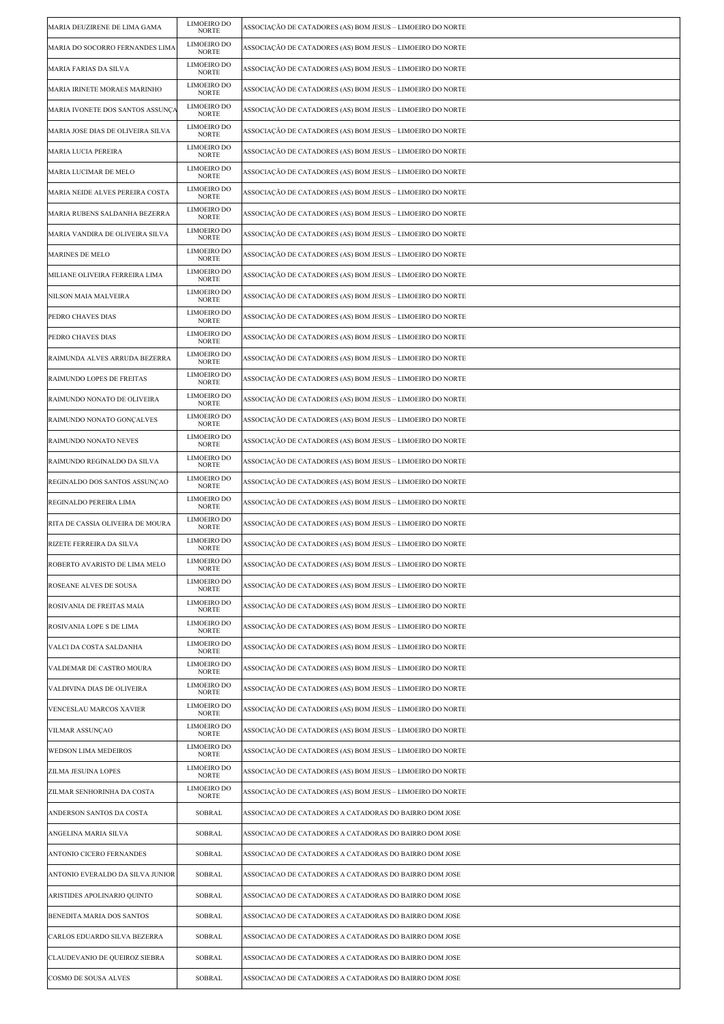| MARIA DEUZIRENE DE LIMA GAMA      | LIMOEIRO DO<br><b>NORTE</b>        | ASSOCIAÇÃO DE CATADORES (AS) BOM JESUS – LIMOEIRO DO NORTE |
|-----------------------------------|------------------------------------|------------------------------------------------------------|
| MARIA DO SOCORRO FERNANDES LIMA   | LIMOEIRO DO<br><b>NORTE</b>        | ASSOCIAÇÃO DE CATADORES (AS) BOM JESUS – LIMOEIRO DO NORTE |
| MARIA FARIAS DA SILVA             | LIMOEIRO DO<br><b>NORTE</b>        | ASSOCIAÇÃO DE CATADORES (AS) BOM JESUS – LIMOEIRO DO NORTE |
| MARIA IRINETE MORAES MARINHO      | LIMOEIRO DO<br><b>NORTE</b>        | ASSOCIAÇÃO DE CATADORES (AS) BOM JESUS – LIMOEIRO DO NORTE |
| MARIA IVONETE DOS SANTOS ASSUNÇA  | LIMOEIRO DO<br><b>NORTE</b>        | ASSOCIAÇÃO DE CATADORES (AS) BOM JESUS – LIMOEIRO DO NORTE |
| MARIA JOSE DIAS DE OLIVEIRA SILVA | LIMOEIRO DO<br><b>NORTE</b>        | ASSOCIAÇÃO DE CATADORES (AS) BOM JESUS – LIMOEIRO DO NORTE |
| MARIA LUCIA PEREIRA               | LIMOEIRO DO<br><b>NORTE</b>        | ASSOCIAÇÃO DE CATADORES (AS) BOM JESUS – LIMOEIRO DO NORTE |
| MARIA LUCIMAR DE MELO             | LIMOEIRO DO<br>NORTE               | ASSOCIAÇÃO DE CATADORES (AS) BOM JESUS – LIMOEIRO DO NORTE |
| MARIA NEIDE ALVES PEREIRA COSTA   | <b>LIMOEIRO DO</b><br><b>NORTE</b> | ASSOCIAÇÃO DE CATADORES (AS) BOM JESUS – LIMOEIRO DO NORTE |
| MARIA RUBENS SALDANHA BEZERRA     | LIMOEIRO DO<br><b>NORTE</b>        | ASSOCIAÇÃO DE CATADORES (AS) BOM JESUS – LIMOEIRO DO NORTE |
| MARIA VANDIRA DE OLIVEIRA SILVA   | LIMOEIRO DO<br><b>NORTE</b>        | ASSOCIAÇÃO DE CATADORES (AS) BOM JESUS – LIMOEIRO DO NORTE |
| <b>MARINES DE MELO</b>            | LIMOEIRO DO<br><b>NORTE</b>        | ASSOCIAÇÃO DE CATADORES (AS) BOM JESUS – LIMOEIRO DO NORTE |
| MILIANE OLIVEIRA FERREIRA LIMA    | LIMOEIRO DO<br><b>NORTE</b>        | ASSOCIAÇÃO DE CATADORES (AS) BOM JESUS – LIMOEIRO DO NORTE |
| NILSON MAIA MALVEIRA              | LIMOEIRO DO<br><b>NORTE</b>        | ASSOCIAÇÃO DE CATADORES (AS) BOM JESUS – LIMOEIRO DO NORTE |
| PEDRO CHAVES DIAS                 | LIMOEIRO DO<br><b>NORTE</b>        | ASSOCIAÇÃO DE CATADORES (AS) BOM JESUS – LIMOEIRO DO NORTE |
| PEDRO CHAVES DIAS                 | LIMOEIRO DO<br><b>NORTE</b>        | ASSOCIAÇÃO DE CATADORES (AS) BOM JESUS – LIMOEIRO DO NORTE |
| RAIMUNDA ALVES ARRUDA BEZERRA     | LIMOEIRO DO<br><b>NORTE</b>        | ASSOCIAÇÃO DE CATADORES (AS) BOM JESUS – LIMOEIRO DO NORTE |
| RAIMUNDO LOPES DE FREITAS         | LIMOEIRO DO<br><b>NORTE</b>        | ASSOCIAÇÃO DE CATADORES (AS) BOM JESUS – LIMOEIRO DO NORTE |
| RAIMUNDO NONATO DE OLIVEIRA       | LIMOEIRO DO<br><b>NORTE</b>        | ASSOCIAÇÃO DE CATADORES (AS) BOM JESUS – LIMOEIRO DO NORTE |
| RAIMUNDO NONATO GONÇALVES         | <b>LIMOEIRO DO</b><br><b>NORTE</b> | ASSOCIAÇÃO DE CATADORES (AS) BOM JESUS – LIMOEIRO DO NORTE |
| RAIMUNDO NONATO NEVES             | LIMOEIRO DO<br><b>NORTE</b>        | ASSOCIAÇÃO DE CATADORES (AS) BOM JESUS – LIMOEIRO DO NORTE |
| RAIMUNDO REGINALDO DA SILVA       | LIMOEIRO DO<br><b>NORTE</b>        | ASSOCIAÇÃO DE CATADORES (AS) BOM JESUS – LIMOEIRO DO NORTE |
| REGINALDO DOS SANTOS ASSUNÇÃO     | LIMOEIRO DO<br><b>NORTE</b>        | ASSOCIAÇÃO DE CATADORES (AS) BOM JESUS – LIMOEIRO DO NORTE |
| REGINALDO PEREIRA LIMA            | LIMOEIRO DO<br><b>NORTE</b>        | ASSOCIAÇÃO DE CATADORES (AS) BOM JESUS – LIMOEIRO DO NORTE |
| RITA DE CASSIA OLIVEIRA DE MOURA  | LIMOEIRO DO<br><b>NORTE</b>        | ASSOCIAÇÃO DE CATADORES (AS) BOM JESUS – LIMOEIRO DO NORTE |
| RIZETE FERREIRA DA SILVA          | <b>LIMOEIRO DO</b><br><b>NORTE</b> | ASSOCIAÇÃO DE CATADORES (AS) BOM JESUS – LIMOEIRO DO NORTE |
| ROBERTO AVARISTO DE LIMA MELO     | LIMOEIRO DO<br>NORTE               | ASSOCIAÇÃO DE CATADORES (AS) BOM JESUS - LIMOEIRO DO NORTE |
| ROSEANE ALVES DE SOUSA            | <b>LIMOEIRO DO</b><br><b>NORTE</b> | ASSOCIAÇÃO DE CATADORES (AS) BOM JESUS – LIMOEIRO DO NORTE |
| ROSIVANIA DE FREITAS MAIA         | LIMOEIRO DO<br><b>NORTE</b>        | ASSOCIAÇÃO DE CATADORES (AS) BOM JESUS – LIMOEIRO DO NORTE |
| ROSIVANIA LOPE S DE LIMA          | LIMOEIRO DO<br><b>NORTE</b>        | ASSOCIAÇÃO DE CATADORES (AS) BOM JESUS – LIMOEIRO DO NORTE |
| VALCI DA COSTA SALDANHA           | LIMOEIRO DO<br><b>NORTE</b>        | ASSOCIAÇÃO DE CATADORES (AS) BOM JESUS – LIMOEIRO DO NORTE |
| VALDEMAR DE CASTRO MOURA          | <b>LIMOEIRO DO</b><br>NORTE        | ASSOCIAÇÃO DE CATADORES (AS) BOM JESUS – LIMOEIRO DO NORTE |
| VALDIVINA DIAS DE OLIVEIRA        | LIMOEIRO DO<br><b>NORTE</b>        | ASSOCIAÇÃO DE CATADORES (AS) BOM JESUS – LIMOEIRO DO NORTE |
| VENCESLAU MARCOS XAVIER           | LIMOEIRO DO<br><b>NORTE</b>        | ASSOCIAÇÃO DE CATADORES (AS) BOM JESUS – LIMOEIRO DO NORTE |
| VILMAR ASSUNÇAO                   | LIMOEIRO DO<br><b>NORTE</b>        | ASSOCIAÇÃO DE CATADORES (AS) BOM JESUS – LIMOEIRO DO NORTE |
| WEDSON LIMA MEDEIROS              | LIMOEIRO DO<br><b>NORTE</b>        | ASSOCIAÇÃO DE CATADORES (AS) BOM JESUS – LIMOEIRO DO NORTE |
| <b>ZILMA JESUINA LOPES</b>        | LIMOEIRO DO<br><b>NORTE</b>        | ASSOCIAÇÃO DE CATADORES (AS) BOM JESUS – LIMOEIRO DO NORTE |
| ZILMAR SENHORINHA DA COSTA        | LIMOEIRO DO<br>NORTE               | ASSOCIAÇÃO DE CATADORES (AS) BOM JESUS – LIMOEIRO DO NORTE |
| ANDERSON SANTOS DA COSTA          | SOBRAL                             | ASSOCIACAO DE CATADORES A CATADORAS DO BAIRRO DOM JOSE     |
| ANGELINA MARIA SILVA              | SOBRAL                             | ASSOCIACAO DE CATADORES A CATADORAS DO BAIRRO DOM JOSE     |
| ANTONIO CICERO FERNANDES          | SOBRAL                             | ASSOCIACAO DE CATADORES A CATADORAS DO BAIRRO DOM JOSE     |
| ANTONIO EVERALDO DA SILVA JUNIOR  | SOBRAL                             | ASSOCIACAO DE CATADORES A CATADORAS DO BAIRRO DOM JOSE     |
| ARISTIDES APOLINARIO QUINTO       | SOBRAL                             | ASSOCIACAO DE CATADORES A CATADORAS DO BAIRRO DOM JOSE     |
| <b>BENEDITA MARIA DOS SANTOS</b>  | SOBRAL                             | ASSOCIACAO DE CATADORES A CATADORAS DO BAIRRO DOM JOSE     |
| CARLOS EDUARDO SILVA BEZERRA      | SOBRAL                             | ASSOCIACAO DE CATADORES A CATADORAS DO BAIRRO DOM JOSE     |
| CLAUDEVANIO DE QUEIROZ SIEBRA     | SOBRAL                             | ASSOCIACAO DE CATADORES A CATADORAS DO BAIRRO DOM JOSE     |
| <b>COSMO DE SOUSA ALVES</b>       | SOBRAL                             | ASSOCIACAO DE CATADORES A CATADORAS DO BAIRRO DOM JOSE     |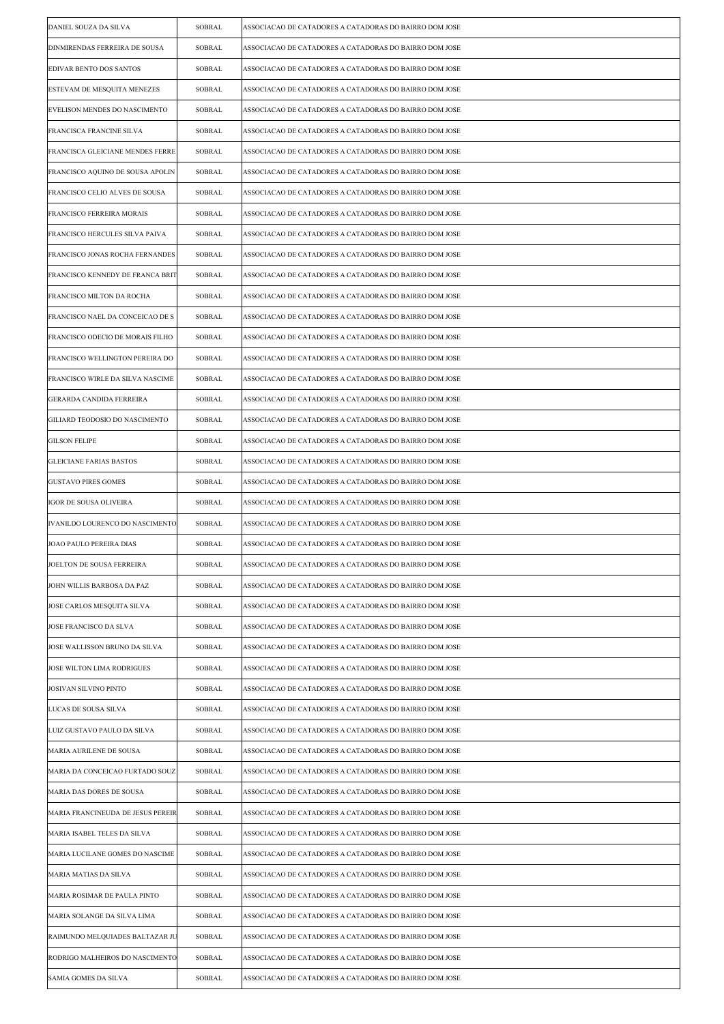| DANIEL SOUZA DA SILVA             | <b>SOBRAL</b> | ASSOCIACAO DE CATADORES A CATADORAS DO BAIRRO DOM JOSE |
|-----------------------------------|---------------|--------------------------------------------------------|
| DINMIRENDAS FERREIRA DE SOUSA     | SOBRAL        | ASSOCIACAO DE CATADORES A CATADORAS DO BAIRRO DOM JOSE |
| EDIVAR BENTO DOS SANTOS           | SOBRAL        | ASSOCIACAO DE CATADORES A CATADORAS DO BAIRRO DOM JOSE |
| ESTEVAM DE MESQUITA MENEZES       | SOBRAL        | ASSOCIACAO DE CATADORES A CATADORAS DO BAIRRO DOM JOSE |
| EVELISON MENDES DO NASCIMENTO     | SOBRAL        | ASSOCIACAO DE CATADORES A CATADORAS DO BAIRRO DOM JOSE |
| FRANCISCA FRANCINE SILVA          | SOBRAL        | ASSOCIACAO DE CATADORES A CATADORAS DO BAIRRO DOM JOSE |
| FRANCISCA GLEICIANE MENDES FERRE  | SOBRAL        | ASSOCIACAO DE CATADORES A CATADORAS DO BAIRRO DOM JOSE |
| FRANCISCO AQUINO DE SOUSA APOLIN  | SOBRAL        | ASSOCIACAO DE CATADORES A CATADORAS DO BAIRRO DOM JOSE |
| FRANCISCO CELIO ALVES DE SOUSA    | SOBRAL        | ASSOCIACAO DE CATADORES A CATADORAS DO BAIRRO DOM JOSE |
| FRANCISCO FERREIRA MORAIS         | SOBRAL        | ASSOCIACAO DE CATADORES A CATADORAS DO BAIRRO DOM JOSE |
| FRANCISCO HERCULES SILVA PAIVA    | SOBRAL        | ASSOCIACAO DE CATADORES A CATADORAS DO BAIRRO DOM JOSE |
| FRANCISCO JONAS ROCHA FERNANDES   | SOBRAL        | ASSOCIACAO DE CATADORES A CATADORAS DO BAIRRO DOM JOSE |
| FRANCISCO KENNEDY DE FRANCA BRIT  | SOBRAL        | ASSOCIACAO DE CATADORES A CATADORAS DO BAIRRO DOM JOSE |
| FRANCISCO MILTON DA ROCHA         | SOBRAL        | ASSOCIACAO DE CATADORES A CATADORAS DO BAIRRO DOM JOSE |
| FRANCISCO NAEL DA CONCEICAO DE S  | SOBRAL        | ASSOCIACAO DE CATADORES A CATADORAS DO BAIRRO DOM JOSE |
| FRANCISCO ODECIO DE MORAIS FILHO  | SOBRAL        | ASSOCIACAO DE CATADORES A CATADORAS DO BAIRRO DOM JOSE |
| FRANCISCO WELLINGTON PEREIRA DO   | SOBRAL        | ASSOCIACAO DE CATADORES A CATADORAS DO BAIRRO DOM JOSE |
| FRANCISCO WIRLE DA SILVA NASCIME  | SOBRAL        | ASSOCIACAO DE CATADORES A CATADORAS DO BAIRRO DOM JOSE |
| GERARDA CANDIDA FERREIRA          | SOBRAL        | ASSOCIACAO DE CATADORES A CATADORAS DO BAIRRO DOM JOSE |
| GILIARD TEODOSIO DO NASCIMENTO    | SOBRAL        | ASSOCIACAO DE CATADORES A CATADORAS DO BAIRRO DOM JOSE |
| <b>GILSON FELIPE</b>              | SOBRAL        | ASSOCIACAO DE CATADORES A CATADORAS DO BAIRRO DOM JOSE |
| <b>GLEICIANE FARIAS BASTOS</b>    | SOBRAL        | ASSOCIACAO DE CATADORES A CATADORAS DO BAIRRO DOM JOSE |
| <b>GUSTAVO PIRES GOMES</b>        | SOBRAL        | ASSOCIACAO DE CATADORES A CATADORAS DO BAIRRO DOM JOSE |
| IGOR DE SOUSA OLIVEIRA            | SOBRAL        | ASSOCIACAO DE CATADORES A CATADORAS DO BAIRRO DOM JOSE |
| IVANILDO LOURENCO DO NASCIMENTO   | SOBRAL        | ASSOCIACAO DE CATADORES A CATADORAS DO BAIRRO DOM JOSE |
| JOAO PAULO PEREIRA DIAS           | SOBRAL        | ASSOCIACAO DE CATADORES A CATADORAS DO BAIRRO DOM JOSE |
| JOELTON DE SOUSA FERREIRA         | SOBRAL        | ASSOCIACAO DE CATADORES A CATADORAS DO BAIRRO DOM JOSE |
| JOHN WILLIS BARBOSA DA PAZ        | SOBRAL        | ASSOCIACAO DE CATADORES A CATADORAS DO BAIRRO DOM JOSE |
| JOSE CARLOS MESQUITA SILVA        | SOBRAL        | ASSOCIACAO DE CATADORES A CATADORAS DO BAIRRO DOM JOSE |
| JOSE FRANCISCO DA SLVA            | SOBRAL        | ASSOCIACAO DE CATADORES A CATADORAS DO BAIRRO DOM JOSE |
| JOSE WALLISSON BRUNO DA SILVA     | SOBRAL        | ASSOCIACAO DE CATADORES A CATADORAS DO BAIRRO DOM JOSE |
| JOSE WILTON LIMA RODRIGUES        | SOBRAL        | ASSOCIACAO DE CATADORES A CATADORAS DO BAIRRO DOM JOSE |
| JOSIVAN SILVINO PINTO             | SOBRAL        | ASSOCIACAO DE CATADORES A CATADORAS DO BAIRRO DOM JOSE |
| LUCAS DE SOUSA SILVA              | SOBRAL        | ASSOCIACAO DE CATADORES A CATADORAS DO BAIRRO DOM JOSE |
| LUIZ GUSTAVO PAULO DA SILVA       | SOBRAL        | ASSOCIACAO DE CATADORES A CATADORAS DO BAIRRO DOM JOSE |
| MARIA AURILENE DE SOUSA           | SOBRAL        | ASSOCIACAO DE CATADORES A CATADORAS DO BAIRRO DOM JOSE |
| MARIA DA CONCEICAO FURTADO SOUZ   | SOBRAL        | ASSOCIACAO DE CATADORES A CATADORAS DO BAIRRO DOM JOSE |
| MARIA DAS DORES DE SOUSA          | SOBRAL        | ASSOCIACAO DE CATADORES A CATADORAS DO BAIRRO DOM JOSE |
| MARIA FRANCINEUDA DE JESUS PEREIR | SOBRAL        | ASSOCIACAO DE CATADORES A CATADORAS DO BAIRRO DOM JOSE |
| MARIA ISABEL TELES DA SILVA       | SOBRAL        | ASSOCIACAO DE CATADORES A CATADORAS DO BAIRRO DOM JOSE |
| MARIA LUCILANE GOMES DO NASCIME   | SOBRAL        | ASSOCIACAO DE CATADORES A CATADORAS DO BAIRRO DOM JOSE |
| MARIA MATIAS DA SILVA             | SOBRAL        | ASSOCIACAO DE CATADORES A CATADORAS DO BAIRRO DOM JOSE |
| MARIA ROSIMAR DE PAULA PINTO      | SOBRAL        | ASSOCIACAO DE CATADORES A CATADORAS DO BAIRRO DOM JOSE |
| MARIA SOLANGE DA SILVA LIMA       | SOBRAL        | ASSOCIACAO DE CATADORES A CATADORAS DO BAIRRO DOM JOSE |
| RAIMUNDO MELQUIADES BALTAZAR JU   | SOBRAL        | ASSOCIACAO DE CATADORES A CATADORAS DO BAIRRO DOM JOSE |
| RODRIGO MALHEIROS DO NASCIMENTO   | SOBRAL        | ASSOCIACAO DE CATADORES A CATADORAS DO BAIRRO DOM JOSE |
| SAMIA GOMES DA SILVA              | SOBRAL        | ASSOCIACAO DE CATADORES A CATADORAS DO BAIRRO DOM JOSE |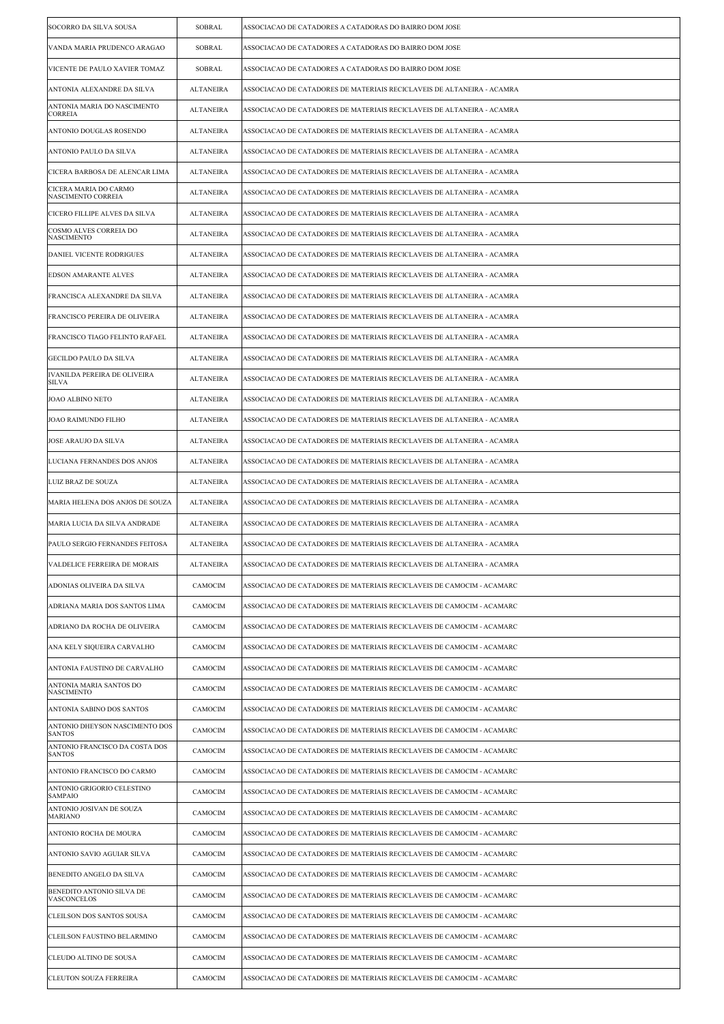| SOCORRO DA SILVA SOUSA                          | SOBRAL           | ASSOCIACAO DE CATADORES A CATADORAS DO BAIRRO DOM JOSE                 |
|-------------------------------------------------|------------------|------------------------------------------------------------------------|
| VANDA MARIA PRUDENCO ARAGAO                     | <b>SOBRAL</b>    | ASSOCIACAO DE CATADORES A CATADORAS DO BAIRRO DOM JOSE                 |
| VICENTE DE PAULO XAVIER TOMAZ                   | SOBRAL           | ASSOCIACAO DE CATADORES A CATADORAS DO BAIRRO DOM JOSE                 |
| ANTONIA ALEXANDRE DA SILVA                      | ALTANEIRA        | ASSOCIACAO DE CATADORES DE MATERIAIS RECICLAVEIS DE ALTANEIRA - ACAMRA |
| ANTONIA MARIA DO NASCIMENTO<br><b>CORREIA</b>   | <b>ALTANEIRA</b> | ASSOCIACAO DE CATADORES DE MATERIAIS RECICLAVEIS DE ALTANEIRA - ACAMRA |
| ANTONIO DOUGLAS ROSENDO                         | <b>ALTANEIRA</b> | ASSOCIACAO DE CATADORES DE MATERIAIS RECICLAVEIS DE ALTANEIRA - ACAMRA |
| ANTONIO PAULO DA SILVA                          | <b>ALTANEIRA</b> | ASSOCIACAO DE CATADORES DE MATERIAIS RECICLAVEIS DE ALTANEIRA - ACAMRA |
| CICERA BARBOSA DE ALENCAR LIMA                  | <b>ALTANEIRA</b> | ASSOCIACAO DE CATADORES DE MATERIAIS RECICLAVEIS DE ALTANEIRA - ACAMRA |
| CICERA MARIA DO CARMO<br>NASCIMENTO CORREIA     | <b>ALTANEIRA</b> | ASSOCIACAO DE CATADORES DE MATERIAIS RECICLAVEIS DE ALTANEIRA - ACAMRA |
| CICERO FILLIPE ALVES DA SILVA                   | ALTANEIRA        | ASSOCIACAO DE CATADORES DE MATERIAIS RECICLAVEIS DE ALTANEIRA - ACAMRA |
| COSMO ALVES CORREIA DO<br><b>NASCIMENTO</b>     | <b>ALTANEIRA</b> | ASSOCIACAO DE CATADORES DE MATERIAIS RECICLAVEIS DE ALTANEIRA - ACAMRA |
| DANIEL VICENTE RODRIGUES                        | <b>ALTANEIRA</b> | ASSOCIACAO DE CATADORES DE MATERIAIS RECICLAVEIS DE ALTANEIRA - ACAMRA |
| EDSON AMARANTE ALVES                            | <b>ALTANEIRA</b> | ASSOCIACAO DE CATADORES DE MATERIAIS RECICLAVEIS DE ALTANEIRA - ACAMRA |
| FRANCISCA ALEXANDRE DA SILVA                    | <b>ALTANEIRA</b> | ASSOCIACAO DE CATADORES DE MATERIAIS RECICLAVEIS DE ALTANEIRA - ACAMRA |
| FRANCISCO PEREIRA DE OLIVEIRA                   | <b>ALTANEIRA</b> | ASSOCIACAO DE CATADORES DE MATERIAIS RECICLAVEIS DE ALTANEIRA - ACAMRA |
| FRANCISCO TIAGO FELINTO RAFAEL                  | ALTANEIRA        | ASSOCIACAO DE CATADORES DE MATERIAIS RECICLAVEIS DE ALTANEIRA - ACAMRA |
| <b>GECILDO PAULO DA SILVA</b>                   | <b>ALTANEIRA</b> | ASSOCIACAO DE CATADORES DE MATERIAIS RECICLAVEIS DE ALTANEIRA - ACAMRA |
| IVANILDA PEREIRA DE OLIVEIRA<br>SILVA           | ALTANEIRA        | ASSOCIACAO DE CATADORES DE MATERIAIS RECICLAVEIS DE ALTANEIRA - ACAMRA |
| JOAO ALBINO NETO                                | <b>ALTANEIRA</b> | ASSOCIACAO DE CATADORES DE MATERIAIS RECICLAVEIS DE ALTANEIRA - ACAMRA |
| JOAO RAIMUNDO FILHO                             | <b>ALTANEIRA</b> | ASSOCIACAO DE CATADORES DE MATERIAIS RECICLAVEIS DE ALTANEIRA - ACAMRA |
| JOSE ARAUJO DA SILVA                            | <b>ALTANEIRA</b> | ASSOCIACAO DE CATADORES DE MATERIAIS RECICLAVEIS DE ALTANEIRA - ACAMRA |
| LUCIANA FERNANDES DOS ANJOS                     | <b>ALTANEIRA</b> | ASSOCIACAO DE CATADORES DE MATERIAIS RECICLAVEIS DE ALTANEIRA - ACAMRA |
| LUIZ BRAZ DE SOUZA                              | <b>ALTANEIRA</b> | ASSOCIACAO DE CATADORES DE MATERIAIS RECICLAVEIS DE ALTANEIRA - ACAMRA |
| MARIA HELENA DOS ANJOS DE SOUZA                 | <b>ALTANEIRA</b> | ASSOCIACAO DE CATADORES DE MATERIAIS RECICLAVEIS DE ALTANEIRA - ACAMRA |
| MARIA LUCIA DA SILVA ANDRADE                    | <b>ALTANEIRA</b> | ASSOCIACAO DE CATADORES DE MATERIAIS RECICLAVEIS DE ALTANEIRA - ACAMRA |
| PAULO SERGIO FERNANDES FEITOSA                  | <b>ALTANEIRA</b> | ASSOCIACAO DE CATADORES DE MATERIAIS RECICLAVEIS DE ALTANEIRA - ACAMRA |
| VALDELICE FERREIRA DE MORAIS                    | ALTANEIRA        | ASSOCIACAO DE CATADORES DE MATERIAIS RECICLAVEIS DE ALTANEIRA - ACAMRA |
| ADONIAS OLIVEIRA DA SILVA                       | CAMOCIM          | ASSOCIACAO DE CATADORES DE MATERIAIS RECICLAVEIS DE CAMOCIM - ACAMARC  |
| ADRIANA MARIA DOS SANTOS LIMA                   | CAMOCIM          | ASSOCIACAO DE CATADORES DE MATERIAIS RECICLAVEIS DE CAMOCIM - ACAMARC  |
| ADRIANO DA ROCHA DE OLIVEIRA                    | CAMOCIM          | ASSOCIACAO DE CATADORES DE MATERIAIS RECICLAVEIS DE CAMOCIM - ACAMARC  |
| ANA KELY SIQUEIRA CARVALHO                      | CAMOCIM          | ASSOCIACAO DE CATADORES DE MATERIAIS RECICLAVEIS DE CAMOCIM - ACAMARC  |
| ANTONIA FAUSTINO DE CARVALHO                    | CAMOCIM          | ASSOCIACAO DE CATADORES DE MATERIAIS RECICLAVEIS DE CAMOCIM - ACAMARC  |
| ANTONIA MARIA SANTOS DO<br>NASCIMENTO           | CAMOCIM          | ASSOCIACAO DE CATADORES DE MATERIAIS RECICLAVEIS DE CAMOCIM - ACAMARC  |
| ANTONIA SABINO DOS SANTOS                       | CAMOCIM          | ASSOCIACAO DE CATADORES DE MATERIAIS RECICLAVEIS DE CAMOCIM - ACAMARC  |
| ANTONIO DHEYSON NASCIMENTO DOS<br><b>SANTOS</b> | CAMOCIM          | ASSOCIACAO DE CATADORES DE MATERIAIS RECICLAVEIS DE CAMOCIM - ACAMARC  |
| ANTONIO FRANCISCO DA COSTA DOS<br><b>SANTOS</b> | CAMOCIM          | ASSOCIACAO DE CATADORES DE MATERIAIS RECICLAVEIS DE CAMOCIM - ACAMARC  |
| ANTONIO FRANCISCO DO CARMO                      | CAMOCIM          | ASSOCIACAO DE CATADORES DE MATERIAIS RECICLAVEIS DE CAMOCIM - ACAMARC  |
| ANTONIO GRIGORIO CELESTINO<br>SAMPAIO           | CAMOCIM          | ASSOCIACAO DE CATADORES DE MATERIAIS RECICLAVEIS DE CAMOCIM - ACAMARC  |
| ANTONIO JOSIVAN DE SOUZA<br>MARIANO             | CAMOCIM          | ASSOCIACAO DE CATADORES DE MATERIAIS RECICLAVEIS DE CAMOCIM - ACAMARC  |
| ANTONIO ROCHA DE MOURA                          | CAMOCIM          | ASSOCIACAO DE CATADORES DE MATERIAIS RECICLAVEIS DE CAMOCIM - ACAMARC  |
| ANTONIO SAVIO AGUIAR SILVA                      | CAMOCIM          | ASSOCIACAO DE CATADORES DE MATERIAIS RECICLAVEIS DE CAMOCIM - ACAMARC  |
| BENEDITO ANGELO DA SILVA                        | CAMOCIM          | ASSOCIACAO DE CATADORES DE MATERIAIS RECICLAVEIS DE CAMOCIM - ACAMARC  |
| BENEDITO ANTONIO SILVA DE<br>VASCONCELOS        | CAMOCIM          | ASSOCIACAO DE CATADORES DE MATERIAIS RECICLAVEIS DE CAMOCIM - ACAMARC  |
| CLEILSON DOS SANTOS SOUSA                       | CAMOCIM          | ASSOCIACAO DE CATADORES DE MATERIAIS RECICLAVEIS DE CAMOCIM - ACAMARC  |
| CLEILSON FAUSTINO BELARMINO                     | CAMOCIM          | ASSOCIACAO DE CATADORES DE MATERIAIS RECICLAVEIS DE CAMOCIM - ACAMARC  |
| CLEUDO ALTINO DE SOUSA                          | CAMOCIM          | ASSOCIACAO DE CATADORES DE MATERIAIS RECICLAVEIS DE CAMOCIM - ACAMARC  |
| <b>CLEUTON SOUZA FERREIRA</b>                   | CAMOCIM          | ASSOCIACAO DE CATADORES DE MATERIAIS RECICLAVEIS DE CAMOCIM - ACAMARC  |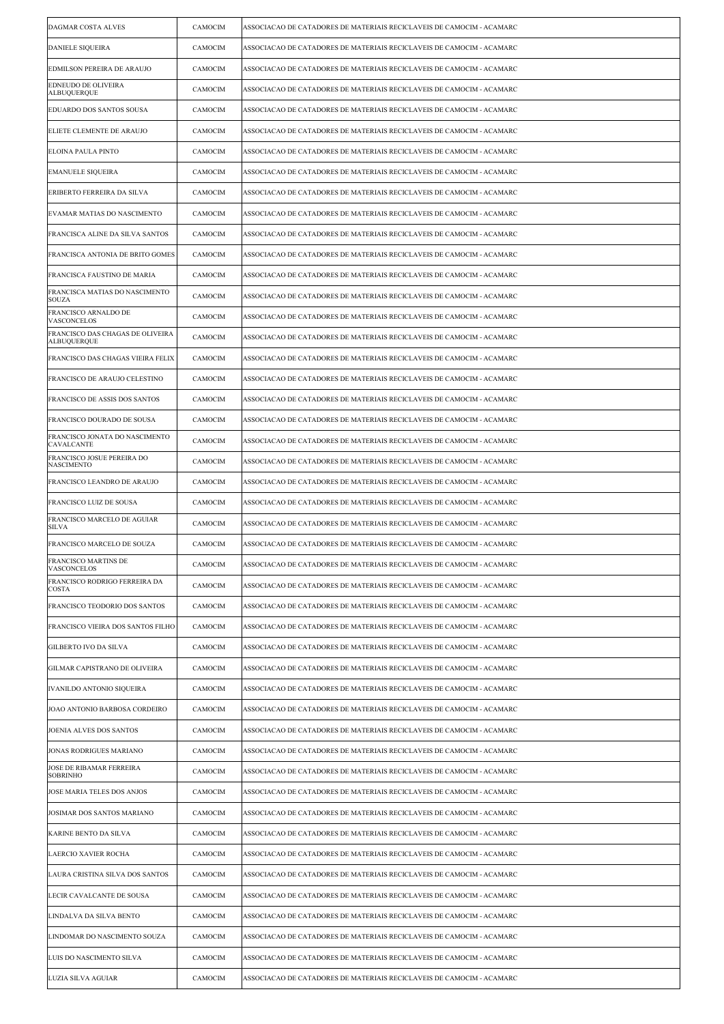| <b>DAGMAR COSTA ALVES</b>                              | CAMOCIM | ASSOCIACAO DE CATADORES DE MATERIAIS RECICLAVEIS DE CAMOCIM - ACAMARC |
|--------------------------------------------------------|---------|-----------------------------------------------------------------------|
| <b>DANIELE SIQUEIRA</b>                                | CAMOCIM | ASSOCIACAO DE CATADORES DE MATERIAIS RECICLAVEIS DE CAMOCIM - ACAMARC |
| EDMILSON PEREIRA DE ARAUJO                             | CAMOCIM | ASSOCIACAO DE CATADORES DE MATERIAIS RECICLAVEIS DE CAMOCIM - ACAMARC |
| EDNEUDO DE OLIVEIRA<br><b>ALBUQUERQUE</b>              | CAMOCIM | ASSOCIACAO DE CATADORES DE MATERIAIS RECICLAVEIS DE CAMOCIM - ACAMARC |
| EDUARDO DOS SANTOS SOUSA                               | CAMOCIM | ASSOCIACAO DE CATADORES DE MATERIAIS RECICLAVEIS DE CAMOCIM - ACAMARC |
| ELIETE CLEMENTE DE ARAUJO                              | CAMOCIM | ASSOCIACAO DE CATADORES DE MATERIAIS RECICLAVEIS DE CAMOCIM - ACAMARC |
| <b>ELOINA PAULA PINTO</b>                              | CAMOCIM | ASSOCIACAO DE CATADORES DE MATERIAIS RECICLAVEIS DE CAMOCIM - ACAMARC |
| <b>EMANUELE SIQUEIRA</b>                               | CAMOCIM | ASSOCIACAO DE CATADORES DE MATERIAIS RECICLAVEIS DE CAMOCIM - ACAMARC |
| ERIBERTO FERREIRA DA SILVA                             | CAMOCIM | ASSOCIACAO DE CATADORES DE MATERIAIS RECICLAVEIS DE CAMOCIM - ACAMARC |
| EVAMAR MATIAS DO NASCIMENTO                            | CAMOCIM | ASSOCIACAO DE CATADORES DE MATERIAIS RECICLAVEIS DE CAMOCIM - ACAMARC |
| FRANCISCA ALINE DA SILVA SANTOS                        | CAMOCIM | ASSOCIACAO DE CATADORES DE MATERIAIS RECICLAVEIS DE CAMOCIM - ACAMARC |
| FRANCISCA ANTONIA DE BRITO GOMES                       | CAMOCIM | ASSOCIACAO DE CATADORES DE MATERIAIS RECICLAVEIS DE CAMOCIM - ACAMARC |
| FRANCISCA FAUSTINO DE MARIA                            | CAMOCIM | ASSOCIACAO DE CATADORES DE MATERIAIS RECICLAVEIS DE CAMOCIM - ACAMARC |
| FRANCISCA MATIAS DO NASCIMENTO<br><b>SOUZA</b>         | CAMOCIM | ASSOCIACAO DE CATADORES DE MATERIAIS RECICLAVEIS DE CAMOCIM - ACAMARC |
| FRANCISCO ARNALDO DE<br>VASCONCELOS                    | CAMOCIM | ASSOCIACAO DE CATADORES DE MATERIAIS RECICLAVEIS DE CAMOCIM - ACAMARC |
| FRANCISCO DAS CHAGAS DE OLIVEIRA<br><b>ALBUQUERQUE</b> | CAMOCIM | ASSOCIACAO DE CATADORES DE MATERIAIS RECICLAVEIS DE CAMOCIM - ACAMARC |
| FRANCISCO DAS CHAGAS VIEIRA FELIX                      | CAMOCIM | ASSOCIACAO DE CATADORES DE MATERIAIS RECICLAVEIS DE CAMOCIM - ACAMARC |
| FRANCISCO DE ARAUJO CELESTINO                          | CAMOCIM | ASSOCIACAO DE CATADORES DE MATERIAIS RECICLAVEIS DE CAMOCIM - ACAMARC |
| FRANCISCO DE ASSIS DOS SANTOS                          | CAMOCIM | ASSOCIACAO DE CATADORES DE MATERIAIS RECICLAVEIS DE CAMOCIM - ACAMARC |
| FRANCISCO DOURADO DE SOUSA                             | CAMOCIM | ASSOCIACAO DE CATADORES DE MATERIAIS RECICLAVEIS DE CAMOCIM - ACAMARC |
| FRANCISCO JONATA DO NASCIMENTO<br>CAVALCANTE           | CAMOCIM | ASSOCIACAO DE CATADORES DE MATERIAIS RECICLAVEIS DE CAMOCIM - ACAMARC |
| FRANCISCO JOSUE PEREIRA DO<br><b>NASCIMENTO</b>        | CAMOCIM | ASSOCIACAO DE CATADORES DE MATERIAIS RECICLAVEIS DE CAMOCIM - ACAMARC |
| FRANCISCO LEANDRO DE ARAUJO                            | CAMOCIM | ASSOCIACAO DE CATADORES DE MATERIAIS RECICLAVEIS DE CAMOCIM - ACAMARC |
| FRANCISCO LUIZ DE SOUSA                                | CAMOCIM | ASSOCIACAO DE CATADORES DE MATERIAIS RECICLAVEIS DE CAMOCIM - ACAMARC |
| FRANCISCO MARCELO DE AGUIAR<br>SILVA                   | CAMOCIM | ASSOCIACAO DE CATADORES DE MATERIAIS RECICLAVEIS DE CAMOCIM - ACAMARC |
| FRANCISCO MARCELO DE SOUZA                             | CAMOCIM | ASSOCIACAO DE CATADORES DE MATERIAIS RECICLAVEIS DE CAMOCIM - ACAMARC |
| <b>FRANCISCO MARTINS DE</b><br>VASCONCELOS             | CAMOCIM | ASSOCIACAO DE CATADORES DE MATERIAIS RECICLAVEIS DE CAMOCIM - ACAMARC |
| FRANCISCO RODRIGO FERREIRA DA<br><b>COSTA</b>          | CAMOCIM | ASSOCIACAO DE CATADORES DE MATERIAIS RECICLAVEIS DE CAMOCIM - ACAMARC |
| FRANCISCO TEODORIO DOS SANTOS                          | CAMOCIM | ASSOCIACAO DE CATADORES DE MATERIAIS RECICLAVEIS DE CAMOCIM - ACAMARC |
| FRANCISCO VIEIRA DOS SANTOS FILHO                      | CAMOCIM | ASSOCIACAO DE CATADORES DE MATERIAIS RECICLAVEIS DE CAMOCIM - ACAMARC |
| <b>GILBERTO IVO DA SILVA</b>                           | CAMOCIM | ASSOCIACAO DE CATADORES DE MATERIAIS RECICLAVEIS DE CAMOCIM - ACAMARC |
| GILMAR CAPISTRANO DE OLIVEIRA                          | CAMOCIM | ASSOCIACAO DE CATADORES DE MATERIAIS RECICLAVEIS DE CAMOCIM - ACAMARC |
| IVANILDO ANTONIO SIQUEIRA                              | CAMOCIM | ASSOCIACAO DE CATADORES DE MATERIAIS RECICLAVEIS DE CAMOCIM - ACAMARC |
| JOAO ANTONIO BARBOSA CORDEIRO                          | CAMOCIM | ASSOCIACAO DE CATADORES DE MATERIAIS RECICLAVEIS DE CAMOCIM - ACAMARC |
| JOENIA ALVES DOS SANTOS                                | CAMOCIM | ASSOCIACAO DE CATADORES DE MATERIAIS RECICLAVEIS DE CAMOCIM - ACAMARC |
| JONAS RODRIGUES MARIANO                                | CAMOCIM | ASSOCIACAO DE CATADORES DE MATERIAIS RECICLAVEIS DE CAMOCIM - ACAMARC |
| JOSE DE RIBAMAR FERREIRA<br><b>SOBRINHO</b>            | CAMOCIM | ASSOCIACAO DE CATADORES DE MATERIAIS RECICLAVEIS DE CAMOCIM - ACAMARC |
| JOSE MARIA TELES DOS ANJOS                             | CAMOCIM | ASSOCIACAO DE CATADORES DE MATERIAIS RECICLAVEIS DE CAMOCIM - ACAMARC |
| JOSIMAR DOS SANTOS MARIANO                             | CAMOCIM | ASSOCIACAO DE CATADORES DE MATERIAIS RECICLAVEIS DE CAMOCIM - ACAMARC |
| KARINE BENTO DA SILVA                                  | CAMOCIM | ASSOCIACAO DE CATADORES DE MATERIAIS RECICLAVEIS DE CAMOCIM - ACAMARC |
| LAERCIO XAVIER ROCHA                                   | CAMOCIM | ASSOCIACAO DE CATADORES DE MATERIAIS RECICLAVEIS DE CAMOCIM - ACAMARC |
| LAURA CRISTINA SILVA DOS SANTOS                        | CAMOCIM | ASSOCIACAO DE CATADORES DE MATERIAIS RECICLAVEIS DE CAMOCIM - ACAMARC |
| LECIR CAVALCANTE DE SOUSA                              | CAMOCIM | ASSOCIACAO DE CATADORES DE MATERIAIS RECICLAVEIS DE CAMOCIM - ACAMARC |
| LINDALVA DA SILVA BENTO                                | CAMOCIM | ASSOCIACAO DE CATADORES DE MATERIAIS RECICLAVEIS DE CAMOCIM - ACAMARC |
| LINDOMAR DO NASCIMENTO SOUZA                           | CAMOCIM | ASSOCIACAO DE CATADORES DE MATERIAIS RECICLAVEIS DE CAMOCIM - ACAMARC |
| LUIS DO NASCIMENTO SILVA                               | CAMOCIM | ASSOCIACAO DE CATADORES DE MATERIAIS RECICLAVEIS DE CAMOCIM - ACAMARC |
| LUZIA SILVA AGUIAR                                     | CAMOCIM | ASSOCIACAO DE CATADORES DE MATERIAIS RECICLAVEIS DE CAMOCIM - ACAMARC |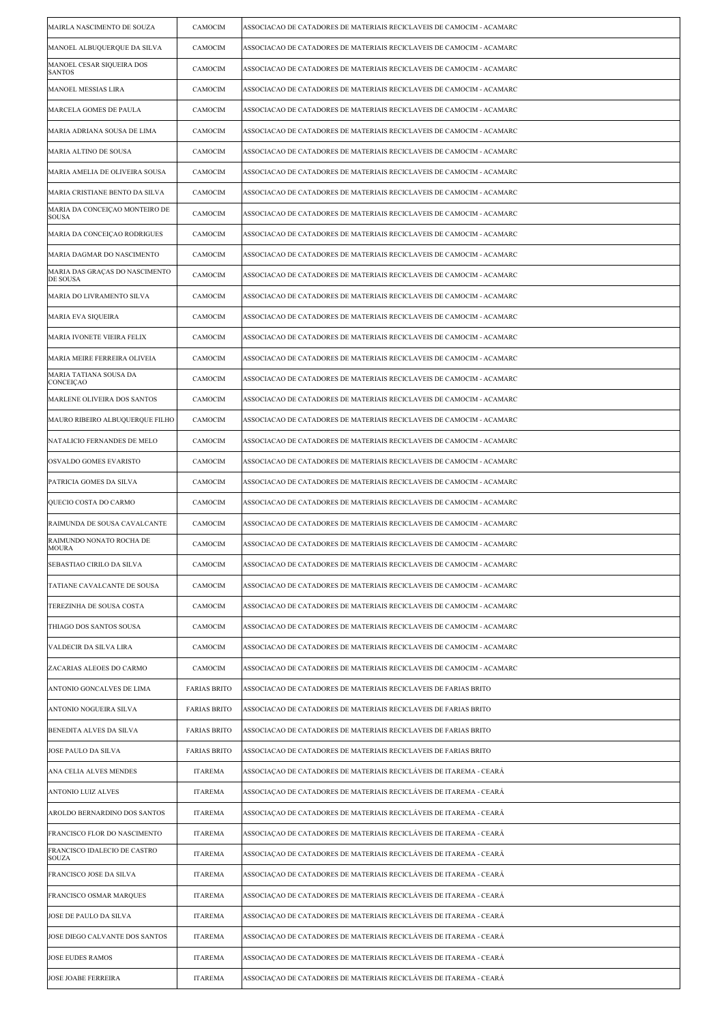| MAIRLA NASCIMENTO DE SOUZA                     | CAMOCIM             | ASSOCIACAO DE CATADORES DE MATERIAIS RECICLAVEIS DE CAMOCIM - ACAMARC |
|------------------------------------------------|---------------------|-----------------------------------------------------------------------|
| MANOEL ALBUQUERQUE DA SILVA                    | CAMOCIM             | ASSOCIACAO DE CATADORES DE MATERIAIS RECICLAVEIS DE CAMOCIM - ACAMARC |
| MANOEL CESAR SIQUEIRA DOS<br><b>SANTOS</b>     | CAMOCIM             | ASSOCIACAO DE CATADORES DE MATERIAIS RECICLAVEIS DE CAMOCIM - ACAMARC |
| <b>MANOEL MESSIAS LIRA</b>                     | CAMOCIM             | ASSOCIACAO DE CATADORES DE MATERIAIS RECICLAVEIS DE CAMOCIM - ACAMARC |
| MARCELA GOMES DE PAULA                         | CAMOCIM             | ASSOCIACAO DE CATADORES DE MATERIAIS RECICLAVEIS DE CAMOCIM - ACAMARC |
| MARIA ADRIANA SOUSA DE LIMA                    | CAMOCIM             | ASSOCIACAO DE CATADORES DE MATERIAIS RECICLAVEIS DE CAMOCIM - ACAMARC |
| MARIA ALTINO DE SOUSA                          | CAMOCIM             | ASSOCIACAO DE CATADORES DE MATERIAIS RECICLAVEIS DE CAMOCIM - ACAMARC |
| MARIA AMELIA DE OLIVEIRA SOUSA                 | CAMOCIM             | ASSOCIACAO DE CATADORES DE MATERIAIS RECICLAVEIS DE CAMOCIM - ACAMARC |
| MARIA CRISTIANE BENTO DA SILVA                 | CAMOCIM             | ASSOCIACAO DE CATADORES DE MATERIAIS RECICLAVEIS DE CAMOCIM - ACAMARC |
| MARIA DA CONCEIÇAO MONTEIRO DE<br><b>SOUSA</b> | CAMOCIM             | ASSOCIACAO DE CATADORES DE MATERIAIS RECICLAVEIS DE CAMOCIM - ACAMARC |
| MARIA DA CONCEIÇAO RODRIGUES                   | CAMOCIM             | ASSOCIACAO DE CATADORES DE MATERIAIS RECICLAVEIS DE CAMOCIM - ACAMARC |
| MARIA DAGMAR DO NASCIMENTO                     | CAMOCIM             | ASSOCIACAO DE CATADORES DE MATERIAIS RECICLAVEIS DE CAMOCIM - ACAMARC |
| MARIA DAS GRAÇAS DO NASCIMENTO<br>DE SOUSA     | CAMOCIM             | ASSOCIACAO DE CATADORES DE MATERIAIS RECICLAVEIS DE CAMOCIM - ACAMARC |
| MARIA DO LIVRAMENTO SILVA                      | CAMOCIM             | ASSOCIACAO DE CATADORES DE MATERIAIS RECICLAVEIS DE CAMOCIM - ACAMARC |
| <b>MARIA EVA SIQUEIRA</b>                      | CAMOCIM             | ASSOCIACAO DE CATADORES DE MATERIAIS RECICLAVEIS DE CAMOCIM - ACAMARC |
| MARIA IVONETE VIEIRA FELIX                     | CAMOCIM             | ASSOCIACAO DE CATADORES DE MATERIAIS RECICLAVEIS DE CAMOCIM - ACAMARC |
| MARIA MEIRE FERREIRA OLIVEIA                   | CAMOCIM             | ASSOCIACAO DE CATADORES DE MATERIAIS RECICLAVEIS DE CAMOCIM - ACAMARC |
| MARIA TATIANA SOUSA DA<br>CONCEIÇAO            | CAMOCIM             | ASSOCIACAO DE CATADORES DE MATERIAIS RECICLAVEIS DE CAMOCIM - ACAMARC |
| MARLENE OLIVEIRA DOS SANTOS                    | CAMOCIM             | ASSOCIACAO DE CATADORES DE MATERIAIS RECICLAVEIS DE CAMOCIM - ACAMARC |
| MAURO RIBEIRO ALBUQUERQUE FILHO                | CAMOCIM             | ASSOCIACAO DE CATADORES DE MATERIAIS RECICLAVEIS DE CAMOCIM - ACAMARC |
| NATALICIO FERNANDES DE MELO                    | CAMOCIM             | ASSOCIACAO DE CATADORES DE MATERIAIS RECICLAVEIS DE CAMOCIM - ACAMARC |
| OSVALDO GOMES EVARISTO                         | CAMOCIM             | ASSOCIACAO DE CATADORES DE MATERIAIS RECICLAVEIS DE CAMOCIM - ACAMARC |
| PATRICIA GOMES DA SILVA                        | CAMOCIM             | ASSOCIACAO DE CATADORES DE MATERIAIS RECICLAVEIS DE CAMOCIM - ACAMARC |
| QUECIO COSTA DO CARMO                          | CAMOCIM             | ASSOCIACAO DE CATADORES DE MATERIAIS RECICLAVEIS DE CAMOCIM - ACAMARC |
| RAIMUNDA DE SOUSA CAVALCANTE                   | CAMOCIM             | ASSOCIACAO DE CATADORES DE MATERIAIS RECICLAVEIS DE CAMOCIM - ACAMARC |
| RAIMUNDO NONATO ROCHA DE<br><b>MOURA</b>       | CAMOCIM             | ASSOCIACAO DE CATADORES DE MATERIAIS RECICLAVEIS DE CAMOCIM - ACAMARC |
| SEBASTIAO CIRILO DA SILVA                      | CAMOCIM             | ASSOCIACAO DE CATADORES DE MATERIAIS RECICLAVEIS DE CAMOCIM - ACAMARC |
| TATIANE CAVALCANTE DE SOUSA                    | CAMOCIM             | ASSOCIACAO DE CATADORES DE MATERIAIS RECICLAVEIS DE CAMOCIM - ACAMARC |
| TEREZINHA DE SOUSA COSTA                       | CAMOCIM             | ASSOCIACAO DE CATADORES DE MATERIAIS RECICLAVEIS DE CAMOCIM - ACAMARC |
| THIAGO DOS SANTOS SOUSA                        | CAMOCIM             | ASSOCIACAO DE CATADORES DE MATERIAIS RECICLAVEIS DE CAMOCIM - ACAMARC |
| VALDECIR DA SILVA LIRA                         | CAMOCIM             | ASSOCIACAO DE CATADORES DE MATERIAIS RECICLAVEIS DE CAMOCIM - ACAMARC |
| ZACARIAS ALEOES DO CARMO                       | CAMOCIM             | ASSOCIACAO DE CATADORES DE MATERIAIS RECICLAVEIS DE CAMOCIM - ACAMARC |
| ANTONIO GONCALVES DE LIMA                      | <b>FARIAS BRITO</b> | ASSOCIACAO DE CATADORES DE MATERIAIS RECICLAVEIS DE FARIAS BRITO      |
| ANTONIO NOGUEIRA SILVA                         | <b>FARIAS BRITO</b> | ASSOCIACAO DE CATADORES DE MATERIAIS RECICLAVEIS DE FARIAS BRITO      |
| <b>BENEDITA ALVES DA SILVA</b>                 | <b>FARIAS BRITO</b> | ASSOCIACAO DE CATADORES DE MATERIAIS RECICLAVEIS DE FARIAS BRITO      |
| JOSE PAULO DA SILVA                            | <b>FARIAS BRITO</b> | ASSOCIACAO DE CATADORES DE MATERIAIS RECICLAVEIS DE FARIAS BRITO      |
| ANA CELIA ALVES MENDES                         | <b>ITAREMA</b>      | ASSOCIAÇÃO DE CATADORES DE MATERIAIS RECICLÁVEIS DE ITAREMA - CEARÁ   |
| ANTONIO LUIZ ALVES                             | <b>ITAREMA</b>      | ASSOCIAÇÃO DE CATADORES DE MATERIAIS RECICLÁVEIS DE ITAREMA - CEARÁ   |
| AROLDO BERNARDINO DOS SANTOS                   | <b>ITAREMA</b>      | ASSOCIAÇÃO DE CATADORES DE MATERIAIS RECICLÁVEIS DE ITAREMA - CEARÁ   |
| FRANCISCO FLOR DO NASCIMENTO                   | ITAREMA             | ASSOCIAÇÃO DE CATADORES DE MATERIAIS RECICLÁVEIS DE ITAREMA - CEARÁ   |
| FRANCISCO IDALECIO DE CASTRO<br><b>SOUZA</b>   | <b>ITAREMA</b>      | ASSOCIAÇÃO DE CATADORES DE MATERIAIS RECICLÁVEIS DE ITAREMA - CEARÁ   |
| FRANCISCO JOSE DA SILVA                        | <b>ITAREMA</b>      | ASSOCIAÇÃO DE CATADORES DE MATERIAIS RECICLÁVEIS DE ITAREMA - CEARÁ   |
| FRANCISCO OSMAR MARQUES                        | <b>ITAREMA</b>      | ASSOCIAÇÃO DE CATADORES DE MATERIAIS RECICLÁVEIS DE ITAREMA - CEARÁ   |
| JOSE DE PAULO DA SILVA                         | <b>ITAREMA</b>      | ASSOCIAÇÃO DE CATADORES DE MATERIAIS RECICLÁVEIS DE ITAREMA - CEARÁ   |
| JOSE DIEGO CALVANTE DOS SANTOS                 | <b>ITAREMA</b>      | ASSOCIAÇÃO DE CATADORES DE MATERIAIS RECICLÁVEIS DE ITAREMA - CEARÁ   |
| <b>JOSE EUDES RAMOS</b>                        | ITAREMA             | ASSOCIAÇÃO DE CATADORES DE MATERIAIS RECICLÁVEIS DE ITAREMA - CEARÁ   |
| JOSE JOABE FERREIRA                            | <b>ITAREMA</b>      | ASSOCIAÇÃO DE CATADORES DE MATERIAIS RECICLÁVEIS DE ITAREMA - CEARÁ   |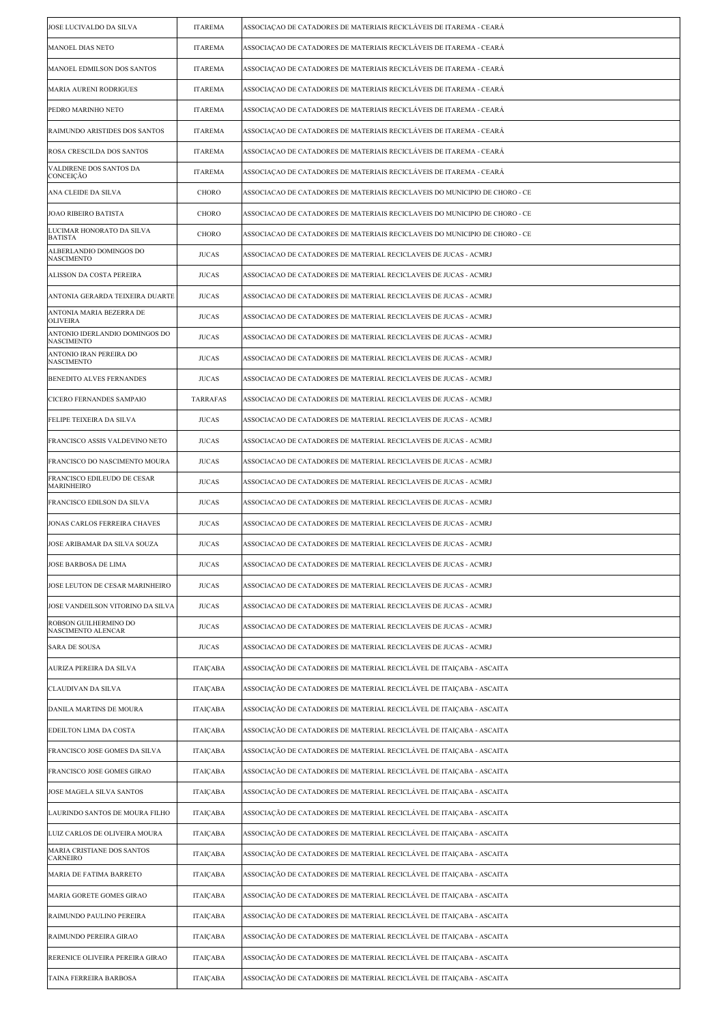| JOSE LUCIVALDO DA SILVA                             | <b>ITAREMA</b>  | ASSOCIAÇÃO DE CATADORES DE MATERIAIS RECICLÁVEIS DE ITAREMA - CEARÁ         |
|-----------------------------------------------------|-----------------|-----------------------------------------------------------------------------|
| <b>MANOEL DIAS NETO</b>                             | <b>ITAREMA</b>  | ASSOCIACAO DE CATADORES DE MATERIAIS RECICLÁVEIS DE ITAREMA - CEARÁ         |
| MANOEL EDMILSON DOS SANTOS                          | <b>ITAREMA</b>  | ASSOCIAÇÃO DE CATADORES DE MATERIAIS RECICLÁVEIS DE ITAREMA - CEARÁ         |
| MARIA AURENI RODRIGUES                              | <b>ITAREMA</b>  | ASSOCIAÇÃO DE CATADORES DE MATERIAIS RECICLÁVEIS DE ITAREMA - CEARÁ         |
| PEDRO MARINHO NETO                                  | <b>ITAREMA</b>  | ASSOCIAÇÃO DE CATADORES DE MATERIAIS RECICLÁVEIS DE ITAREMA - CEARÁ         |
| RAIMUNDO ARISTIDES DOS SANTOS                       | <b>ITAREMA</b>  | ASSOCIAÇÃO DE CATADORES DE MATERIAIS RECICLÁVEIS DE ITAREMA - CEARÁ         |
| ROSA CRESCILDA DOS SANTOS                           | <b>ITAREMA</b>  | ASSOCIAÇÃO DE CATADORES DE MATERIAIS RECICLÁVEIS DE ITAREMA - CEARÁ         |
| VALDIRENE DOS SANTOS DA<br>CONCEIÇÃO                | <b>ITAREMA</b>  | ASSOCIAÇÃO DE CATADORES DE MATERIAIS RECICLÁVEIS DE ITAREMA - CEARÁ         |
| ANA CLEIDE DA SILVA                                 | CHORO           | ASSOCIACAO DE CATADORES DE MATERIAIS RECICLAVEIS DO MUNICIPIO DE CHORO - CE |
| JOAO RIBEIRO BATISTA                                | CHORO           | ASSOCIACAO DE CATADORES DE MATERIAIS RECICLAVEIS DO MUNICIPIO DE CHORO - CE |
| LUCIMAR HONORATO DA SILVA<br><b>BATISTA</b>         | CHORO           | ASSOCIACAO DE CATADORES DE MATERIAIS RECICLAVEIS DO MUNICIPIO DE CHORO - CE |
| ALBERLANDIO DOMINGOS DO<br><b>NASCIMENTO</b>        | <b>JUCAS</b>    | ASSOCIACAO DE CATADORES DE MATERIAL RECICLAVEIS DE JUCAS - ACMRJ            |
| ALISSON DA COSTA PEREIRA                            | <b>JUCAS</b>    | ASSOCIACAO DE CATADORES DE MATERIAL RECICLAVEIS DE JUCAS - ACMRJ            |
| ANTONIA GERARDA TEIXEIRA DUARTE                     | <b>JUCAS</b>    | ASSOCIACAO DE CATADORES DE MATERIAL RECICLAVEIS DE JUCAS - ACMRJ            |
| ANTONIA MARIA BEZERRA DE<br><b>OLIVEIRA</b>         | <b>JUCAS</b>    | ASSOCIACAO DE CATADORES DE MATERIAL RECICLAVEIS DE JUCAS - ACMRJ            |
| ANTONIO IDERLANDIO DOMINGOS DO<br><b>NASCIMENTO</b> | <b>JUCAS</b>    | ASSOCIACAO DE CATADORES DE MATERIAL RECICLAVEIS DE JUCAS - ACMRJ            |
| ANTONIO IRAN PEREIRA DO<br><b>NASCIMENTO</b>        | <b>JUCAS</b>    | ASSOCIACAO DE CATADORES DE MATERIAL RECICLAVEIS DE JUCAS - ACMRJ            |
| BENEDITO ALVES FERNANDES                            | <b>JUCAS</b>    | ASSOCIACAO DE CATADORES DE MATERIAL RECICLAVEIS DE JUCAS - ACMRJ            |
| <b>CICERO FERNANDES SAMPAIO</b>                     | <b>TARRAFAS</b> | ASSOCIACAO DE CATADORES DE MATERIAL RECICLAVEIS DE JUCAS - ACMRJ            |
| FELIPE TEIXEIRA DA SILVA                            | <b>JUCAS</b>    | ASSOCIACAO DE CATADORES DE MATERIAL RECICLAVEIS DE JUCAS - ACMRJ            |
| FRANCISCO ASSIS VALDEVINO NETO                      | <b>JUCAS</b>    | ASSOCIACAO DE CATADORES DE MATERIAL RECICLAVEIS DE JUCAS - ACMRJ            |
| FRANCISCO DO NASCIMENTO MOURA                       | <b>JUCAS</b>    | ASSOCIACAO DE CATADORES DE MATERIAL RECICLAVEIS DE JUCAS - ACMRJ            |
| FRANCISCO EDILEUDO DE CESAR<br>MARINHEIRO           | <b>JUCAS</b>    | ASSOCIACAO DE CATADORES DE MATERIAL RECICLAVEIS DE JUCAS - ACMRJ            |
| FRANCISCO EDILSON DA SILVA                          | <b>JUCAS</b>    | ASSOCIACAO DE CATADORES DE MATERIAL RECICLAVEIS DE JUCAS - ACMRJ            |
| JONAS CARLOS FERREIRA CHAVES                        | <b>JUCAS</b>    | ASSOCIACAO DE CATADORES DE MATERIAL RECICLAVEIS DE JUCAS - ACMRJ            |
| JOSE ARIBAMAR DA SILVA SOUZA                        | <b>JUCAS</b>    | ASSOCIACAO DE CATADORES DE MATERIAL RECICLAVEIS DE JUCAS - ACMRJ            |
| JOSE BARBOSA DE LIMA                                | <b>JUCAS</b>    | ASSOCIACAO DE CATADORES DE MATERIAL RECICLAVEIS DE JUCAS - ACMRJ            |
| JOSE LEUTON DE CESAR MARINHEIRO                     | <b>JUCAS</b>    | ASSOCIACAO DE CATADORES DE MATERIAL RECICLAVEIS DE JUCAS - ACMRJ            |
| JOSE VANDEILSON VITORINO DA SILVA                   | <b>JUCAS</b>    | ASSOCIACAO DE CATADORES DE MATERIAL RECICLAVEIS DE JUCAS - ACMRJ            |
| ROBSON GUILHERMINO DO<br>NASCIMENTO ALENCAR         | <b>JUCAS</b>    | ASSOCIACAO DE CATADORES DE MATERIAL RECICLAVEIS DE JUCAS - ACMRJ            |
| <b>SARA DE SOUSA</b>                                | <b>JUCAS</b>    | ASSOCIACAO DE CATADORES DE MATERIAL RECICLAVEIS DE JUCAS - ACMRJ            |
| AURIZA PEREIRA DA SILVA                             | ITAIÇABA        | ASSOCIAÇÃO DE CATADORES DE MATERIAL RECICLÁVEL DE ITAIÇABA - ASCAITA        |
| CLAUDIVAN DA SILVA                                  | <b>ITAICABA</b> | ASSOCIAÇÃO DE CATADORES DE MATERIAL RECICLÁVEL DE ITAIÇABA - ASCAITA        |
| DANILA MARTINS DE MOURA                             | <b>ITAICABA</b> | ASSOCIAÇÃO DE CATADORES DE MATERIAL RECICLÁVEL DE ITAICABA - ASCAITA        |
| EDEILTON LIMA DA COSTA                              | <b>ITAICABA</b> | ASSOCIAÇÃO DE CATADORES DE MATERIAL RECICLÁVEL DE ITAIÇABA - ASCAITA        |
| FRANCISCO JOSE GOMES DA SILVA                       | ITAIÇABA        | ASSOCIAÇÃO DE CATADORES DE MATERIAL RECICLÁVEL DE ITAIÇABA - ASCAITA        |
| FRANCISCO JOSE GOMES GIRAO                          | <b>ITAICABA</b> | ASSOCIAÇÃO DE CATADORES DE MATERIAL RECICLÁVEL DE ITAIÇABA - ASCAITA        |
| JOSE MAGELA SILVA SANTOS                            | <b>ITAICABA</b> | ASSOCIAÇÃO DE CATADORES DE MATERIAL RECICLÁVEL DE ITAIÇABA - ASCAITA        |
| LAURINDO SANTOS DE MOURA FILHO                      | <b>ITAICABA</b> | ASSOCIAÇÃO DE CATADORES DE MATERIAL RECICLÁVEL DE ITAIÇABA - ASCAITA        |
| LUIZ CARLOS DE OLIVEIRA MOURA                       | <b>ITAICABA</b> | ASSOCIAÇÃO DE CATADORES DE MATERIAL RECICLÁVEL DE ITAIÇABA - ASCAITA        |
| MARIA CRISTIANE DOS SANTOS<br><b>CARNEIRO</b>       | <b>ITAICABA</b> | ASSOCIAÇÃO DE CATADORES DE MATERIAL RECICLÁVEL DE ITAIÇABA - ASCAITA        |
| MARIA DE FATIMA BARRETO                             | <b>ITAICABA</b> | ASSOCIAÇÃO DE CATADORES DE MATERIAL RECICLÁVEL DE ITAIÇABA - ASCAITA        |
| MARIA GORETE GOMES GIRAO                            | ITAIÇABA        | ASSOCIAÇÃO DE CATADORES DE MATERIAL RECICLÁVEL DE ITAIÇABA - ASCAITA        |
| RAIMUNDO PAULINO PEREIRA                            | <b>ITAICABA</b> | ASSOCIAÇÃO DE CATADORES DE MATERIAL RECICLÁVEL DE ITAIÇABA - ASCAITA        |
| RAIMUNDO PEREIRA GIRAO                              | <b>ITAICABA</b> | ASSOCIAÇÃO DE CATADORES DE MATERIAL RECICLÁVEL DE ITAIÇABA - ASCAITA        |
| RERENICE OLIVEIRA PEREIRA GIRAO                     | <b>ITAICABA</b> | ASSOCIAÇÃO DE CATADORES DE MATERIAL RECICLÁVEL DE ITAICABA - ASCAITA        |
| TAINA FERREIRA BARBOSA                              | <b>ITAICABA</b> | ASSOCIAÇÃO DE CATADORES DE MATERIAL RECICLÁVEL DE ITAIÇABA - ASCAITA        |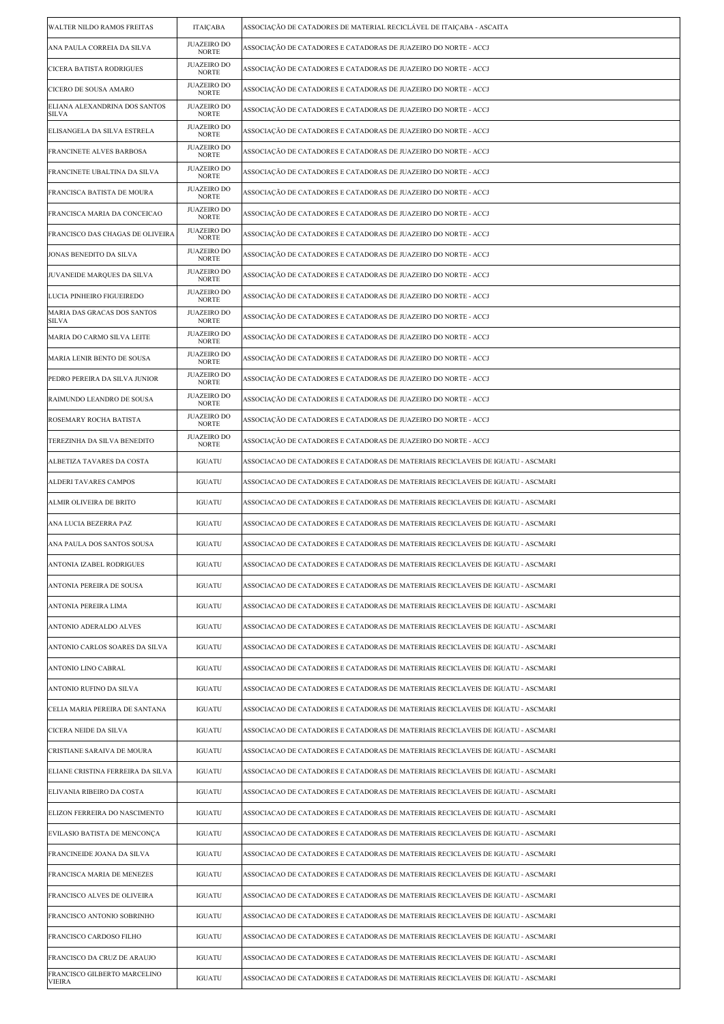| WALTER NILDO RAMOS FREITAS                    | ITAIÇABA                           | ASSOCIAÇÃO DE CATADORES DE MATERIAL RECICLÁVEL DE ITAIÇABA - ASCAITA             |
|-----------------------------------------------|------------------------------------|----------------------------------------------------------------------------------|
| ANA PAULA CORREIA DA SILVA                    | <b>JUAZEIRO DO</b><br><b>NORTE</b> | ASSOCIAÇÃO DE CATADORES E CATADORAS DE JUAZEIRO DO NORTE - ACCJ                  |
| CICERA BATISTA RODRIGUES                      | <b>JUAZEIRO DO</b><br><b>NORTE</b> | ASSOCIAÇÃO DE CATADORES E CATADORAS DE JUAZEIRO DO NORTE - ACCJ                  |
| CICERO DE SOUSA AMARO                         | <b>JUAZEIRO DO</b><br><b>NORTE</b> | ASSOCIAÇÃO DE CATADORES E CATADORAS DE JUAZEIRO DO NORTE - ACCJ                  |
| ELIANA ALEXANDRINA DOS SANTOS<br><b>SILVA</b> | <b>JUAZEIRO DO</b><br><b>NORTE</b> | ASSOCIAÇÃO DE CATADORES E CATADORAS DE JUAZEIRO DO NORTE - ACCJ                  |
| ELISANGELA DA SILVA ESTRELA                   | <b>JUAZEIRO DO</b><br><b>NORTE</b> | ASSOCIAÇÃO DE CATADORES E CATADORAS DE JUAZEIRO DO NORTE - ACCJ                  |
| FRANCINETE ALVES BARBOSA                      | <b>JUAZEIRO DO</b><br><b>NORTE</b> | ASSOCIAÇÃO DE CATADORES E CATADORAS DE JUAZEIRO DO NORTE - ACCJ                  |
| FRANCINETE UBALTINA DA SILVA                  | <b>JUAZEIRO DO</b><br><b>NORTE</b> | ASSOCIAÇÃO DE CATADORES E CATADORAS DE JUAZEIRO DO NORTE - ACCJ                  |
| FRANCISCA BATISTA DE MOURA                    | <b>JUAZEIRO DO</b><br><b>NORTE</b> | ASSOCIAÇÃO DE CATADORES E CATADORAS DE JUAZEIRO DO NORTE - ACCJ                  |
| FRANCISCA MARIA DA CONCEICAO                  | <b>JUAZEIRO DO</b><br><b>NORTE</b> | ASSOCIAÇÃO DE CATADORES E CATADORAS DE JUAZEIRO DO NORTE - ACCJ                  |
| FRANCISCO DAS CHAGAS DE OLIVEIRA              | <b>JUAZEIRO DO</b><br><b>NORTE</b> | ASSOCIAÇÃO DE CATADORES E CATADORAS DE JUAZEIRO DO NORTE - ACCJ                  |
| JONAS BENEDITO DA SILVA                       | <b>JUAZEIRO DO</b><br><b>NORTE</b> | ASSOCIAÇÃO DE CATADORES E CATADORAS DE JUAZEIRO DO NORTE - ACCJ                  |
| JUVANEIDE MARQUES DA SILVA                    | <b>JUAZEIRO DO</b><br><b>NORTE</b> | ASSOCIAÇÃO DE CATADORES E CATADORAS DE JUAZEIRO DO NORTE - ACCJ                  |
| LUCIA PINHEIRO FIGUEIREDO                     | <b>JUAZEIRO DO</b><br><b>NORTE</b> | ASSOCIAÇÃO DE CATADORES E CATADORAS DE JUAZEIRO DO NORTE - ACCJ                  |
| MARIA DAS GRACAS DOS SANTOS<br>SILVA          | <b>JUAZEIRO DO</b><br><b>NORTE</b> | ASSOCIAÇÃO DE CATADORES E CATADORAS DE JUAZEIRO DO NORTE - ACCJ                  |
| MARIA DO CARMO SILVA LEITE                    | <b>JUAZEIRO DO</b><br><b>NORTE</b> | ASSOCIAÇÃO DE CATADORES E CATADORAS DE JUAZEIRO DO NORTE - ACCJ                  |
| MARIA LENIR BENTO DE SOUSA                    | <b>JUAZEIRO DO</b><br><b>NORTE</b> | ASSOCIAÇÃO DE CATADORES E CATADORAS DE JUAZEIRO DO NORTE - ACCJ                  |
| PEDRO PEREIRA DA SILVA JUNIOR                 | <b>JUAZEIRO DO</b><br><b>NORTE</b> | ASSOCIAÇÃO DE CATADORES E CATADORAS DE JUAZEIRO DO NORTE - ACCJ                  |
| RAIMUNDO LEANDRO DE SOUSA                     | <b>JUAZEIRO DO</b><br><b>NORTE</b> | ASSOCIAÇÃO DE CATADORES E CATADORAS DE JUAZEIRO DO NORTE - ACCJ                  |
| ROSEMARY ROCHA BATISTA                        | <b>JUAZEIRO DO</b><br><b>NORTE</b> | ASSOCIAÇÃO DE CATADORES E CATADORAS DE JUAZEIRO DO NORTE - ACCJ                  |
| TEREZINHA DA SILVA BENEDITO                   | <b>JUAZEIRO DO</b><br><b>NORTE</b> | ASSOCIAÇÃO DE CATADORES E CATADORAS DE JUAZEIRO DO NORTE - ACCJ                  |
| ALBETIZA TAVARES DA COSTA                     | IGUATU                             | ASSOCIACAO DE CATADORES E CATADORAS DE MATERIAIS RECICLAVEIS DE IGUATU - ASCMARI |
| ALDERI TAVARES CAMPOS                         | IGUATU                             | ASSOCIACAO DE CATADORES E CATADORAS DE MATERIAIS RECICLAVEIS DE IGUATU - ASCMARI |
| ALMIR OLIVEIRA DE BRITO                       | IGUATU                             | ASSOCIACAO DE CATADORES E CATADORAS DE MATERIAIS RECICLAVEIS DE IGUATU - ASCMARI |
| ANA LUCIA BEZERRA PAZ                         | IGUATU                             | ASSOCIACAO DE CATADORES E CATADORAS DE MATERIAIS RECICLAVEIS DE IGUATU - ASCMARI |
| ANA PAULA DOS SANTOS SOUSA                    | <b>IGUATU</b>                      | ASSOCIACAO DE CATADORES E CATADORAS DE MATERIAIS RECICLAVEIS DE IGUATU - ASCMARI |
| ANTONIA IZABEL RODRIGUES                      | IGUATU                             | ASSOCIACAO DE CATADORES E CATADORAS DE MATERIAIS RECICLAVEIS DE IGUATU - ASCMARI |
| ANTONIA PEREIRA DE SOUSA                      | IGUATU                             | ASSOCIACAO DE CATADORES E CATADORAS DE MATERIAIS RECICLAVEIS DE IGUATU - ASCMARI |
| ANTONIA PEREIRA LIMA                          | IGUATU                             | ASSOCIACAO DE CATADORES E CATADORAS DE MATERIAIS RECICLAVEIS DE IGUATU - ASCMARI |
| ANTONIO ADERALDO ALVES                        | IGUATU                             | ASSOCIACAO DE CATADORES E CATADORAS DE MATERIAIS RECICLAVEIS DE IGUATU - ASCMARI |
| ANTONIO CARLOS SOARES DA SILVA                | IGUATU                             | ASSOCIACAO DE CATADORES E CATADORAS DE MATERIAIS RECICLAVEIS DE IGUATU - ASCMARI |
| ANTONIO LINO CABRAL                           | <b>IGUATU</b>                      | ASSOCIACAO DE CATADORES E CATADORAS DE MATERIAIS RECICLAVEIS DE IGUATU - ASCMARI |
| ANTONIO RUFINO DA SILVA                       | IGUATU                             | ASSOCIACAO DE CATADORES E CATADORAS DE MATERIAIS RECICLAVEIS DE IGUATU - ASCMARI |
| CELIA MARIA PEREIRA DE SANTANA                | IGUATU                             | ASSOCIACAO DE CATADORES E CATADORAS DE MATERIAIS RECICLAVEIS DE IGUATU - ASCMARI |
| CICERA NEIDE DA SILVA                         | IGUATU                             | ASSOCIACAO DE CATADORES E CATADORAS DE MATERIAIS RECICLAVEIS DE IGUATU - ASCMARI |
| CRISTIANE SARAIVA DE MOURA                    | IGUATU                             | ASSOCIACAO DE CATADORES E CATADORAS DE MATERIAIS RECICLAVEIS DE IGUATU - ASCMARI |
| ELIANE CRISTINA FERREIRA DA SILVA             | IGUATU                             | ASSOCIACAO DE CATADORES E CATADORAS DE MATERIAIS RECICLAVEIS DE IGUATU - ASCMARI |
| ELIVANIA RIBEIRO DA COSTA                     | IGUATU                             | ASSOCIACAO DE CATADORES E CATADORAS DE MATERIAIS RECICLAVEIS DE IGUATU - ASCMARI |
| ELIZON FERREIRA DO NASCIMENTO                 | IGUATU                             | ASSOCIACAO DE CATADORES E CATADORAS DE MATERIAIS RECICLAVEIS DE IGUATU - ASCMARI |
| EVILASIO BATISTA DE MENCONÇA                  | IGUATU                             | ASSOCIACAO DE CATADORES E CATADORAS DE MATERIAIS RECICLAVEIS DE IGUATU - ASCMARI |
| FRANCINEIDE JOANA DA SILVA                    | IGUATU                             | ASSOCIACAO DE CATADORES E CATADORAS DE MATERIAIS RECICLAVEIS DE IGUATU - ASCMARI |
| FRANCISCA MARIA DE MENEZES                    | IGUATU                             | ASSOCIACAO DE CATADORES E CATADORAS DE MATERIAIS RECICLAVEIS DE IGUATU - ASCMARI |
| FRANCISCO ALVES DE OLIVEIRA                   | IGUATU                             | ASSOCIACAO DE CATADORES E CATADORAS DE MATERIAIS RECICLAVEIS DE IGUATU - ASCMARI |
| FRANCISCO ANTONIO SOBRINHO                    | IGUATU                             | ASSOCIACAO DE CATADORES E CATADORAS DE MATERIAIS RECICLAVEIS DE IGUATU - ASCMARI |
| FRANCISCO CARDOSO FILHO                       | IGUATU                             | ASSOCIACAO DE CATADORES E CATADORAS DE MATERIAIS RECICLAVEIS DE IGUATU - ASCMARI |
| FRANCISCO DA CRUZ DE ARAUJO                   | <b>IGUATU</b>                      | ASSOCIACAO DE CATADORES E CATADORAS DE MATERIAIS RECICLAVEIS DE IGUATU - ASCMARI |
| FRANCISCO GILBERTO MARCELINO<br><b>VIEIRA</b> | IGUATU                             | ASSOCIACAO DE CATADORES E CATADORAS DE MATERIAIS RECICLAVEIS DE IGUATU - ASCMARI |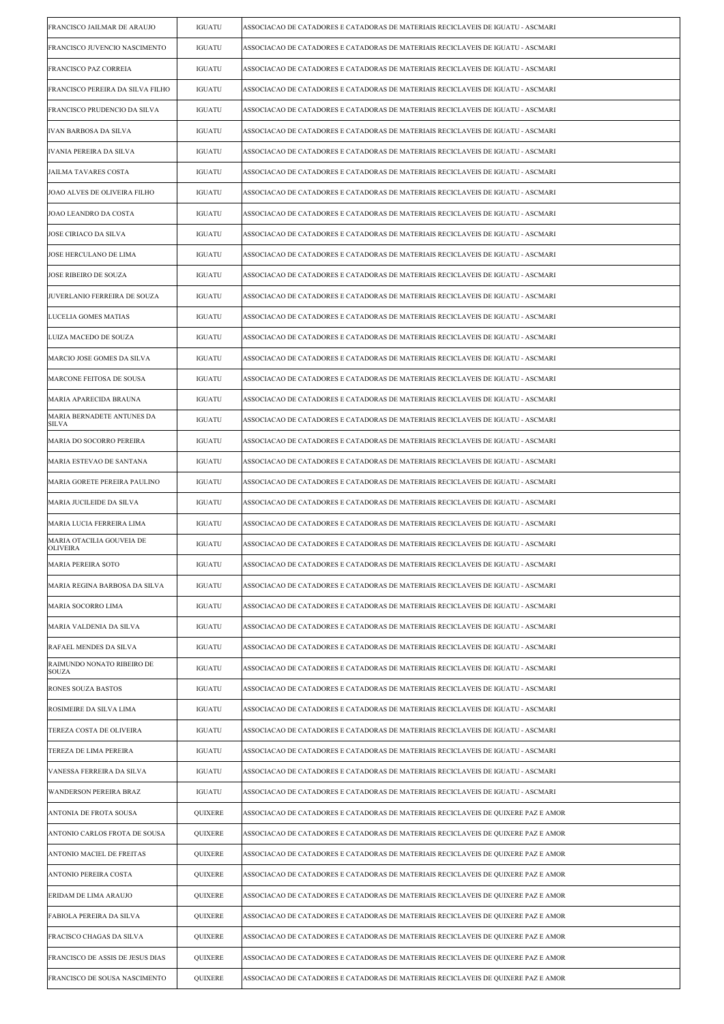| FRANCISCO JAILMAR DE ARAUJO                  | IGUATU        | ASSOCIACAO DE CATADORES E CATADORAS DE MATERIAIS RECICLAVEIS DE IGUATU - ASCMARI   |
|----------------------------------------------|---------------|------------------------------------------------------------------------------------|
| FRANCISCO JUVENCIO NASCIMENTO                | <b>IGUATU</b> | ASSOCIACAO DE CATADORES E CATADORAS DE MATERIAIS RECICLAVEIS DE IGUATU - ASCMARI   |
| FRANCISCO PAZ CORREIA                        | IGUATU        | ASSOCIACAO DE CATADORES E CATADORAS DE MATERIAIS RECICLAVEIS DE IGUATU - ASCMARI   |
| FRANCISCO PEREIRA DA SILVA FILHO             | IGUATU        | ASSOCIACAO DE CATADORES E CATADORAS DE MATERIAIS RECICLAVEIS DE IGUATU - ASCMARI   |
| FRANCISCO PRUDENCIO DA SILVA                 | <b>IGUATU</b> | ASSOCIACAO DE CATADORES E CATADORAS DE MATERIAIS RECICLAVEIS DE IGUATU - ASCMARI   |
| <b>IVAN BARBOSA DA SILVA</b>                 | IGUATU        | ASSOCIACAO DE CATADORES E CATADORAS DE MATERIAIS RECICLAVEIS DE IGUATU - ASCMARI   |
| <b>IVANIA PEREIRA DA SILVA</b>               | IGUATU        | ASSOCIACAO DE CATADORES E CATADORAS DE MATERIAIS RECICLAVEIS DE IGUATU - ASCMARI   |
| <b>JAILMA TAVARES COSTA</b>                  | <b>IGUATU</b> | ASSOCIACAO DE CATADORES E CATADORAS DE MATERIAIS RECICLAVEIS DE IGUATU - ASCMARI   |
| JOAO ALVES DE OLIVEIRA FILHO                 | IGUATU        | ASSOCIACAO DE CATADORES E CATADORAS DE MATERIAIS RECICLAVEIS DE IGUATU - ASCMARI   |
| JOAO LEANDRO DA COSTA                        | IGUATU        | ASSOCIACAO DE CATADORES E CATADORAS DE MATERIAIS RECICLAVEIS DE IGUATU - ASCMARI   |
| JOSE CIRIACO DA SILVA                        | <b>IGUATU</b> | ASSOCIACAO DE CATADORES E CATADORAS DE MATERIAIS RECICLAVEIS DE IGUATU - ASCMARI   |
| JOSE HERCULANO DE LIMA                       | IGUATU        | ASSOCIACAO DE CATADORES E CATADORAS DE MATERIAIS RECICLAVEIS DE IGUATU - ASCMARI   |
| <b>JOSE RIBEIRO DE SOUZA</b>                 | IGUATU        | ASSOCIACAO DE CATADORES E CATADORAS DE MATERIAIS RECICLAVEIS DE IGUATU - ASCMARI   |
| JUVERLANIO FERREIRA DE SOUZA                 | <b>IGUATU</b> | ASSOCIACAO DE CATADORES E CATADORAS DE MATERIAIS RECICLAVEIS DE IGUATU - ASCMARI   |
| LUCELIA GOMES MATIAS                         | IGUATU        | ASSOCIACAO DE CATADORES E CATADORAS DE MATERIAIS RECICLAVEIS DE IGUATU - ASCMARI   |
| LUIZA MACEDO DE SOUZA                        | IGUATU        | ASSOCIACAO DE CATADORES E CATADORAS DE MATERIAIS RECICLAVEIS DE IGUATU - ASCMARI   |
| MARCIO JOSE GOMES DA SILVA                   | <b>IGUATU</b> | ASSOCIACAO DE CATADORES E CATADORAS DE MATERIAIS RECICLAVEIS DE IGUATU - ASCMARI   |
| MARCONE FEITOSA DE SOUSA                     | IGUATU        | ASSOCIACAO DE CATADORES E CATADORAS DE MATERIAIS RECICLAVEIS DE IGUATU - ASCMARI   |
| MARIA APARECIDA BRAUNA                       | IGUATU        | ASSOCIACAO DE CATADORES E CATADORAS DE MATERIAIS RECICLAVEIS DE IGUATU - ASCMARI   |
| MARIA BERNADETE ANTUNES DA<br><b>SILVA</b>   | <b>IGUATU</b> | ASSOCIACAO DE CATADORES E CATADORAS DE MATERIAIS RECICLAVEIS DE IGUATU - ASCMARI   |
| MARIA DO SOCORRO PEREIRA                     | IGUATU        | ASSOCIACAO DE CATADORES E CATADORAS DE MATERIAIS RECICLAVEIS DE IGUATU - ASCMARI   |
| MARIA ESTEVAO DE SANTANA                     | IGUATU        | ASSOCIACAO DE CATADORES E CATADORAS DE MATERIAIS RECICLAVEIS DE IGUATU - ASCMARI   |
| MARIA GORETE PEREIRA PAULINO                 | <b>IGUATU</b> | ASSOCIACAO DE CATADORES E CATADORAS DE MATERIAIS RECICLAVEIS DE IGUATU - ASCMARI   |
| MARIA JUCILEIDE DA SILVA                     | IGUATU        | ASSOCIACAO DE CATADORES E CATADORAS DE MATERIAIS RECICLAVEIS DE IGUATU - ASCMARI   |
| MARIA LUCIA FERREIRA LIMA                    | IGUATU        | ASSOCIACAO DE CATADORES E CATADORAS DE MATERIAIS RECICLAVEIS DE IGUATU - ASCMARI   |
| MARIA OTACILIA GOUVEIA DE<br><b>OLIVEIRA</b> | <b>IGUATU</b> | ASSOCIACAO DE CATADORES E CATADORAS DE MATERIAIS RECICLAVEIS DE IGUATU - ASCMARI   |
| MARIA PEREIRA SOTO                           | IGUATU        | ASSOCIACAO DE CATADORES E CATADORAS DE MATERIAIS RECICLAVEIS DE IGUATU - ASCMARI   |
| MARIA REGINA BARBOSA DA SILVA                | IGUATU        | ASSOCIACAO DE CATADORES E CATADORAS DE MATERIAIS RECICLAVEIS DE IGUATU - ASCMARI   |
| MARIA SOCORRO LIMA                           | IGUATU        | ASSOCIACAO DE CATADORES E CATADORAS DE MATERIAIS RECICLAVEIS DE IGUATU - ASCMARI   |
| MARIA VALDENIA DA SILVA                      | IGUATU        | ASSOCIACAO DE CATADORES E CATADORAS DE MATERIAIS RECICLAVEIS DE IGUATU - ASCMARI   |
| RAFAEL MENDES DA SILVA                       | IGUATU        | ASSOCIACAO DE CATADORES E CATADORAS DE MATERIAIS RECICLAVEIS DE IGUATU - ASCMARI   |
| RAIMUNDO NONATO RIBEIRO DE<br>SOUZA          | IGUATU        | ASSOCIACAO DE CATADORES E CATADORAS DE MATERIAIS RECICLAVEIS DE IGUATU - ASCMARI   |
| RONES SOUZA BASTOS                           | IGUATU        | ASSOCIACAO DE CATADORES E CATADORAS DE MATERIAIS RECICLAVEIS DE IGUATU - ASCMARI   |
| ROSIMEIRE DA SILVA LIMA                      | IGUATU        | ASSOCIACAO DE CATADORES E CATADORAS DE MATERIAIS RECICLAVEIS DE IGUATU - ASCMARI   |
| TEREZA COSTA DE OLIVEIRA                     | IGUATU        | ASSOCIACAO DE CATADORES E CATADORAS DE MATERIAIS RECICLAVEIS DE IGUATU - ASCMARI   |
| TEREZA DE LIMA PEREIRA                       | IGUATU        | ASSOCIACAO DE CATADORES E CATADORAS DE MATERIAIS RECICLAVEIS DE IGUATU - ASCMARI   |
| VANESSA FERREIRA DA SILVA                    | IGUATU        | ASSOCIACAO DE CATADORES E CATADORAS DE MATERIAIS RECICLAVEIS DE IGUATU - ASCMARI   |
| WANDERSON PEREIRA BRAZ                       | IGUATU        | ASSOCIACAO DE CATADORES E CATADORAS DE MATERIAIS RECICLAVEIS DE IGUATU - ASCMARI   |
| ANTONIA DE FROTA SOUSA                       | QUIXERE       | ASSOCIACAO DE CATADORES E CATADORAS DE MATERIAIS RECICLAVEIS DE QUIXERE PAZ E AMOR |
| ANTONIO CARLOS FROTA DE SOUSA                | QUIXERE       | ASSOCIACAO DE CATADORES E CATADORAS DE MATERIAIS RECICLAVEIS DE QUIXERE PAZ E AMOR |
| ANTONIO MACIEL DE FREITAS                    | QUIXERE       | ASSOCIACAO DE CATADORES E CATADORAS DE MATERIAIS RECICLAVEIS DE QUIXERE PAZ E AMOR |
| ANTONIO PEREIRA COSTA                        | QUIXERE       | ASSOCIACAO DE CATADORES E CATADORAS DE MATERIAIS RECICLAVEIS DE QUIXERE PAZ E AMOR |
| ERIDAM DE LIMA ARAUJO                        | QUIXERE       | ASSOCIACAO DE CATADORES E CATADORAS DE MATERIAIS RECICLAVEIS DE QUIXERE PAZ E AMOR |
| FABIOLA PEREIRA DA SILVA                     | QUIXERE       | ASSOCIACAO DE CATADORES E CATADORAS DE MATERIAIS RECICLAVEIS DE QUIXERE PAZ E AMOR |
| FRACISCO CHAGAS DA SILVA                     | QUIXERE       | ASSOCIACAO DE CATADORES E CATADORAS DE MATERIAIS RECICLAVEIS DE QUIXERE PAZ E AMOR |
| FRANCISCO DE ASSIS DE JESUS DIAS             | QUIXERE       | ASSOCIACAO DE CATADORES E CATADORAS DE MATERIAIS RECICLAVEIS DE QUIXERE PAZ E AMOR |
| FRANCISCO DE SOUSA NASCIMENTO                | QUIXERE       | ASSOCIACAO DE CATADORES E CATADORAS DE MATERIAIS RECICLAVEIS DE QUIXERE PAZ E AMOR |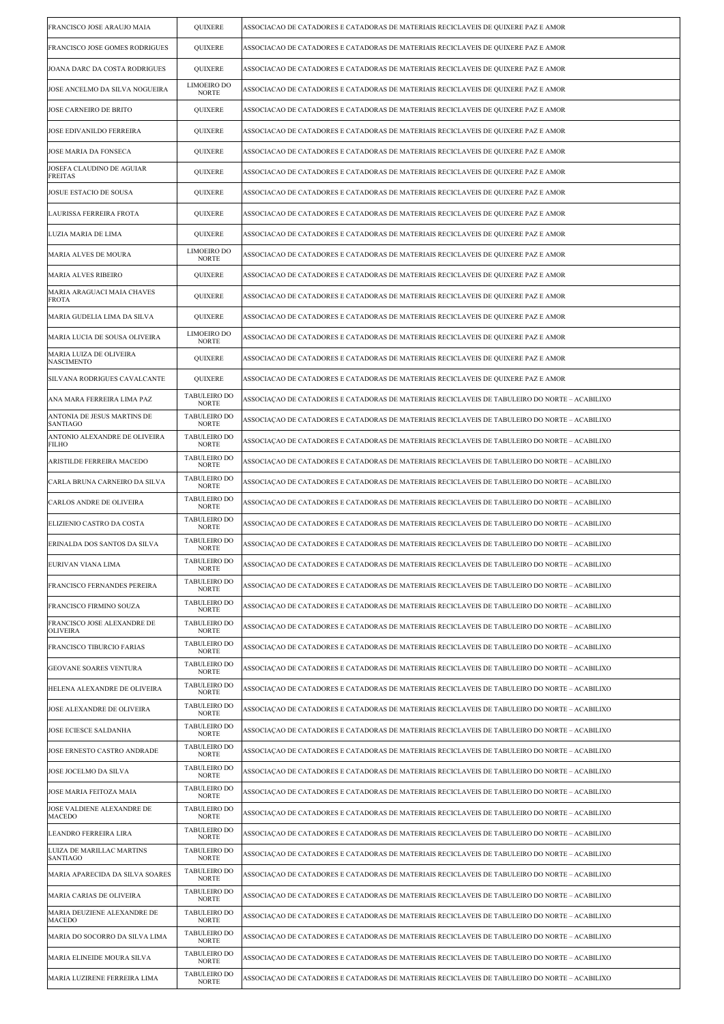| FRANCISCO JOSE ARAUJO MAIA                     | QUIXERE                             | ASSOCIACAO DE CATADORES E CATADORAS DE MATERIAIS RECICLAVEIS DE QUIXERE PAZ E AMOR             |
|------------------------------------------------|-------------------------------------|------------------------------------------------------------------------------------------------|
| FRANCISCO JOSE GOMES RODRIGUES                 | QUIXERE                             | ASSOCIACAO DE CATADORES E CATADORAS DE MATERIAIS RECICLAVEIS DE QUIXERE PAZ E AMOR             |
| JOANA DARC DA COSTA RODRIGUES                  | QUIXERE                             | ASSOCIACAO DE CATADORES E CATADORAS DE MATERIAIS RECICLAVEIS DE QUIXERE PAZ E AMOR             |
| JOSE ANCELMO DA SILVA NOGUEIRA                 | LIMOEIRO DO<br><b>NORTE</b>         | ASSOCIACAO DE CATADORES E CATADORAS DE MATERIAIS RECICLAVEIS DE QUIXERE PAZ E AMOR             |
| JOSE CARNEIRO DE BRITO                         | QUIXERE                             | ASSOCIACAO DE CATADORES E CATADORAS DE MATERIAIS RECICLAVEIS DE QUIXERE PAZ E AMOR             |
| JOSE EDIVANILDO FERREIRA                       | QUIXERE                             | ASSOCIACAO DE CATADORES E CATADORAS DE MATERIAIS RECICLAVEIS DE QUIXERE PAZ E AMOR             |
| JOSE MARIA DA FONSECA                          | QUIXERE                             | ASSOCIACAO DE CATADORES E CATADORAS DE MATERIAIS RECICLAVEIS DE QUIXERE PAZ E AMOR             |
| JOSEFA CLAUDINO DE AGUIAR<br><b>FREITAS</b>    | QUIXERE                             | ASSOCIACAO DE CATADORES E CATADORAS DE MATERIAIS RECICLAVEIS DE QUIXERE PAZ E AMOR             |
| JOSUE ESTACIO DE SOUSA                         | QUIXERE                             | ASSOCIACAO DE CATADORES E CATADORAS DE MATERIAIS RECICLAVEIS DE QUIXERE PAZ E AMOR             |
| LAURISSA FERREIRA FROTA                        | <b>QUIXERE</b>                      | ASSOCIACAO DE CATADORES E CATADORAS DE MATERIAIS RECICLAVEIS DE QUIXERE PAZ E AMOR             |
| LUZIA MARIA DE LIMA                            | QUIXERE                             | ASSOCIACAO DE CATADORES E CATADORAS DE MATERIAIS RECICLAVEIS DE QUIXERE PAZ E AMOR             |
| MARIA ALVES DE MOURA                           | LIMOEIRO DO<br><b>NORTE</b>         | ASSOCIACAO DE CATADORES E CATADORAS DE MATERIAIS RECICLAVEIS DE QUIXERE PAZ E AMOR             |
| <b>MARIA ALVES RIBEIRO</b>                     | QUIXERE                             | ASSOCIACAO DE CATADORES E CATADORAS DE MATERIAIS RECICLAVEIS DE QUIXERE PAZ E AMOR             |
| MARIA ARAGUACI MAIA CHAVES<br><b>FROTA</b>     | QUIXERE                             | ASSOCIACAO DE CATADORES E CATADORAS DE MATERIAIS RECICLAVEIS DE QUIXERE PAZ E AMOR             |
| MARIA GUDELIA LIMA DA SILVA                    | QUIXERE                             | ASSOCIACAO DE CATADORES E CATADORAS DE MATERIAIS RECICLAVEIS DE QUIXERE PAZ E AMOR             |
| MARIA LUCIA DE SOUSA OLIVEIRA                  | <b>LIMOEIRO DO</b><br><b>NORTE</b>  | ASSOCIACAO DE CATADORES E CATADORAS DE MATERIAIS RECICLAVEIS DE QUIXERE PAZ E AMOR             |
| MARIA LUIZA DE OLIVEIRA<br><b>NASCIMENTO</b>   | QUIXERE                             | ASSOCIACAO DE CATADORES E CATADORAS DE MATERIAIS RECICLAVEIS DE QUIXERE PAZ E AMOR             |
| SILVANA RODRIGUES CAVALCANTE                   | QUIXERE                             | ASSOCIACAO DE CATADORES E CATADORAS DE MATERIAIS RECICLAVEIS DE QUIXERE PAZ E AMOR             |
| ANA MARA FERREIRA LIMA PAZ                     | <b>TABULEIRO DO</b><br><b>NORTE</b> | ASSOCIAÇÃO DE CATADORES E CATADORAS DE MATERIAIS RECICLAVEIS DE TABULEIRO DO NORTE – ACABILIXO |
| ANTONIA DE JESUS MARTINS DE<br>SANTIAGO        | TABULEIRO DO<br><b>NORTE</b>        | ASSOCIAÇÃO DE CATADORES E CATADORAS DE MATERIAIS RECICLAVEIS DE TABULEIRO DO NORTE – ACABILIXO |
| ANTONIO ALEXANDRE DE OLIVEIRA<br>FILHO         | <b>TABULEIRO DO</b><br><b>NORTE</b> | ASSOCIAÇÃO DE CATADORES E CATADORAS DE MATERIAIS RECICLAVEIS DE TABULEIRO DO NORTE – ACABILIXO |
| ARISTILDE FERREIRA MACEDO                      | <b>TABULEIRO DO</b><br><b>NORTE</b> | ASSOCIAÇÃO DE CATADORES E CATADORAS DE MATERIAIS RECICLAVEIS DE TABULEIRO DO NORTE – ACABILIXO |
| CARLA BRUNA CARNEIRO DA SILVA                  | TABULEIRO DO<br><b>NORTE</b>        | ASSOCIAÇÃO DE CATADORES E CATADORAS DE MATERIAIS RECICLAVEIS DE TABULEIRO DO NORTE – ACABILIXO |
| CARLOS ANDRE DE OLIVEIRA                       | TABULEIRO DO<br><b>NORTE</b>        | ASSOCIAÇÃO DE CATADORES E CATADORAS DE MATERIAIS RECICLAVEIS DE TABULEIRO DO NORTE – ACABILIXO |
| ELIZIENIO CASTRO DA COSTA                      | <b>TABULEIRO DO</b><br><b>NORTE</b> | ASSOCIAÇÃO DE CATADORES E CATADORAS DE MATERIAIS RECICLAVEIS DE TABULEIRO DO NORTE – ACABILIXO |
| ERINALDA DOS SANTOS DA SILVA                   | TABULEIRO DO<br><b>NORTE</b>        | ASSOCIAÇÃO DE CATADORES E CATADORAS DE MATERIAIS RECICLAVEIS DE TABULEIRO DO NORTE – ACABILIXO |
| EURIVAN VIANA LIMA                             | <b>TABULEIRO DO</b><br><b>NORTE</b> | ASSOCIAÇÃO DE CATADORES E CATADORAS DE MATERIAIS RECICLAVEIS DE TABULEIRO DO NORTE – ACABILIXO |
| FRANCISCO FERNANDES PEREIRA                    | <b>TABULEIRO DO</b><br><b>NORTE</b> | ASSOCIAÇÃO DE CATADORES E CATADORAS DE MATERIAIS RECICLAVEIS DE TABULEIRO DO NORTE – ACABILIXO |
| FRANCISCO FIRMINO SOUZA                        | <b>TABULEIRO DO</b><br><b>NORTE</b> | ASSOCIAÇÃO DE CATADORES E CATADORAS DE MATERIAIS RECICLAVEIS DE TABULEIRO DO NORTE – ACABILIXO |
| FRANCISCO JOSE ALEXANDRE DE<br><b>OLIVEIRA</b> | TABULEIRO DO<br><b>NORTE</b>        | ASSOCIAÇÃO DE CATADORES E CATADORAS DE MATERIAIS RECICLAVEIS DE TABULEIRO DO NORTE – ACABILIXO |
| FRANCISCO TIBURCIO FARIAS                      | <b>TABULEIRO DO</b><br>NORTE        | ASSOCIAÇÃO DE CATADORES E CATADORAS DE MATERIAIS RECICLAVEIS DE TABULEIRO DO NORTE – ACABILIXO |
| GEOVANE SOARES VENTURA                         | TABULEIRO DO<br><b>NORTE</b>        | ASSOCIAÇÃO DE CATADORES E CATADORAS DE MATERIAIS RECICLAVEIS DE TABULEIRO DO NORTE – ACABILIXO |
| HELENA ALEXANDRE DE OLIVEIRA                   | <b>TABULEIRO DO</b><br><b>NORTE</b> | ASSOCIACAO DE CATADORES E CATADORAS DE MATERIAIS RECICLAVEIS DE TABULEIRO DO NORTE – ACABILIXO |
| JOSE ALEXANDRE DE OLIVEIRA                     | <b>TABULEIRO DO</b><br>NORTE        | ASSOCIAÇÃO DE CATADORES E CATADORAS DE MATERIAIS RECICLAVEIS DE TABULEIRO DO NORTE – ACABILIXO |
| JOSE ECIESCE SALDANHA                          | TABULEIRO DO<br><b>NORTE</b>        | ASSOCIAÇÃO DE CATADORES E CATADORAS DE MATERIAIS RECICLAVEIS DE TABULEIRO DO NORTE – ACABILIXO |
| JOSE ERNESTO CASTRO ANDRADE                    | <b>TABULEIRO DO</b><br><b>NORTE</b> | ASSOCIAÇÃO DE CATADORES E CATADORAS DE MATERIAIS RECICLAVEIS DE TABULEIRO DO NORTE – ACABILIXO |
| JOSE JOCELMO DA SILVA                          | <b>TABULEIRO DO</b><br><b>NORTE</b> | ASSOCIAÇÃO DE CATADORES E CATADORAS DE MATERIAIS RECICLAVEIS DE TABULEIRO DO NORTE – ACABILIXO |
| JOSE MARIA FEITOZA MAIA                        | TABULEIRO DO<br><b>NORTE</b>        | ASSOCIAÇÃO DE CATADORES E CATADORAS DE MATERIAIS RECICLAVEIS DE TABULEIRO DO NORTE – ACABILIXO |
| JOSE VALDIENE ALEXANDRE DE<br>MACEDO           | <b>TABULEIRO DO</b><br><b>NORTE</b> | ASSOCIAÇÃO DE CATADORES E CATADORAS DE MATERIAIS RECICLAVEIS DE TABULEIRO DO NORTE – ACABILIXO |
| LEANDRO FERREIRA LIRA                          | <b>TABULEIRO DO</b><br><b>NORTE</b> | ASSOCIAÇÃO DE CATADORES E CATADORAS DE MATERIAIS RECICLAVEIS DE TABULEIRO DO NORTE – ACABILIXO |
| LUIZA DE MARILLAC MARTINS<br><b>SANTIAGO</b>   | TABULEIRO DO<br><b>NORTE</b>        | ASSOCIAÇÃO DE CATADORES E CATADORAS DE MATERIAIS RECICLAVEIS DE TABULEIRO DO NORTE – ACABILIXO |
| MARIA APARECIDA DA SILVA SOARES                | TABULEIRO DO<br><b>NORTE</b>        | ASSOCIAÇÃO DE CATADORES E CATADORAS DE MATERIAIS RECICLAVEIS DE TABULEIRO DO NORTE – ACABILIXO |
| MARIA CARIAS DE OLIVEIRA                       | TABULEIRO DO<br><b>NORTE</b>        | ASSOCIAÇÃO DE CATADORES E CATADORAS DE MATERIAIS RECICLAVEIS DE TABULEIRO DO NORTE – ACABILIXO |
| MARIA DEUZIENE ALEXANDRE DE<br><b>MACEDO</b>   | TABULEIRO DO<br><b>NORTE</b>        | ASSOCIAÇÃO DE CATADORES E CATADORAS DE MATERIAIS RECICLAVEIS DE TABULEIRO DO NORTE – ACABILIXO |
| MARIA DO SOCORRO DA SILVA LIMA                 | <b>TABULEIRO DO</b><br><b>NORTE</b> | ASSOCIAÇÃO DE CATADORES E CATADORAS DE MATERIAIS RECICLAVEIS DE TABULEIRO DO NORTE – ACABILIXO |
| MARIA ELINEIDE MOURA SILVA                     | TABULEIRO DO<br><b>NORTE</b>        | ASSOCIAÇÃO DE CATADORES E CATADORAS DE MATERIAIS RECICLAVEIS DE TABULEIRO DO NORTE – ACABILIXO |
| MARIA LUZIRENE FERREIRA LIMA                   | TABULEIRO DO<br><b>NORTE</b>        | ASSOCIAÇÃO DE CATADORES E CATADORAS DE MATERIAIS RECICLAVEIS DE TABULEIRO DO NORTE – ACABILIXO |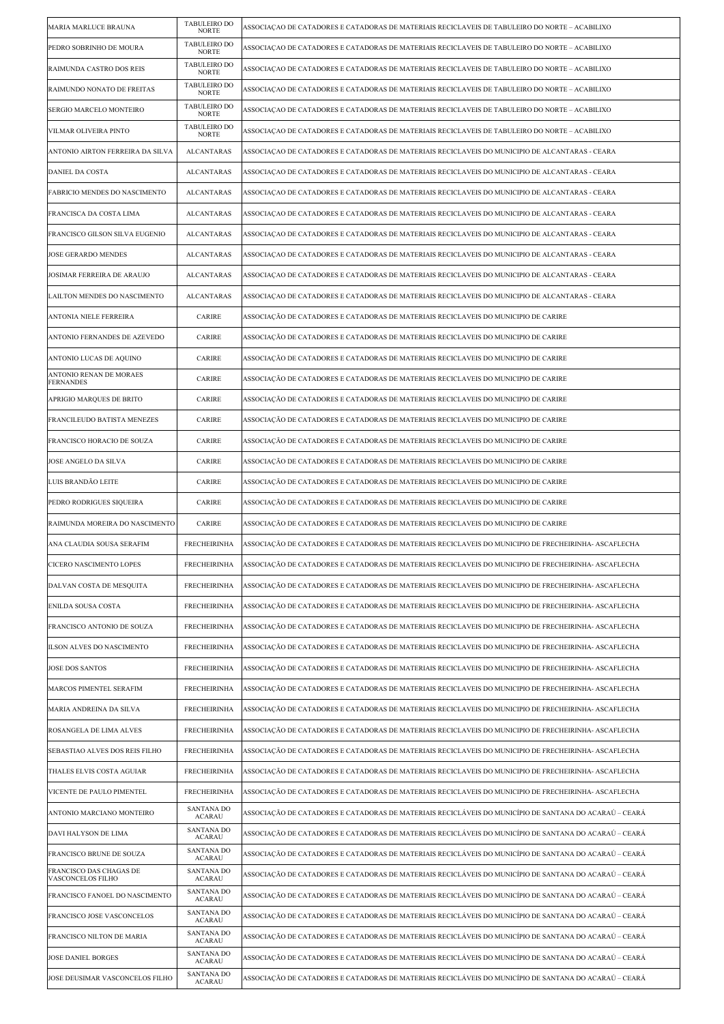| MARIA MARLUCE BRAUNA                         | TABULEIRO DO<br><b>NORTE</b>        | ASSOCIAÇÃO DE CATADORES E CATADORAS DE MATERIAIS RECICLAVEIS DE TABULEIRO DO NORTE – ACABILIXO         |
|----------------------------------------------|-------------------------------------|--------------------------------------------------------------------------------------------------------|
| PEDRO SOBRINHO DE MOURA                      | TABULEIRO DO<br><b>NORTE</b>        | ASSOCIAÇÃO DE CATADORES E CATADORAS DE MATERIAIS RECICLAVEIS DE TABULEIRO DO NORTE – ACABILIXO         |
| RAIMUNDA CASTRO DOS REIS                     | <b>TABULEIRO DO</b><br><b>NORTE</b> | ASSOCIAÇÃO DE CATADORES E CATADORAS DE MATERIAIS RECICLAVEIS DE TABULEIRO DO NORTE – ACABILIXO         |
| RAIMUNDO NONATO DE FREITAS                   | TABULEIRO DO<br><b>NORTE</b>        | ASSOCIAÇÃO DE CATADORES E CATADORAS DE MATERIAIS RECICLAVEIS DE TABULEIRO DO NORTE – ACABILIXO         |
| SERGIO MARCELO MONTEIRO                      | TABULEIRO DO<br><b>NORTE</b>        | ASSOCIAÇÃO DE CATADORES E CATADORAS DE MATERIAIS RECICLAVEIS DE TABULEIRO DO NORTE – ACABILIXO         |
| VILMAR OLIVEIRA PINTO                        | TABULEIRO DO<br><b>NORTE</b>        | ASSOCIAÇÃO DE CATADORES E CATADORAS DE MATERIAIS RECICLAVEIS DE TABULEIRO DO NORTE – ACABILIXO         |
| ANTONIO AIRTON FERREIRA DA SILVA             | <b>ALCANTARAS</b>                   | ASSOCIAÇÃO DE CATADORES E CATADORAS DE MATERIAIS RECICLAVEIS DO MUNICIPIO DE ALCANTARAS - CEARA        |
| <b>DANIEL DA COSTA</b>                       | ALCANTARAS                          | ASSOCIAÇÃO DE CATADORES E CATADORAS DE MATERIAIS RECICLAVEIS DO MUNICIPIO DE ALCANTARAS - CEARA        |
| FABRICIO MENDES DO NASCIMENTO                | <b>ALCANTARAS</b>                   | ASSOCIAÇÃO DE CATADORES E CATADORAS DE MATERIAIS RECICLAVEIS DO MUNICIPIO DE ALCANTARAS - CEARA        |
| FRANCISCA DA COSTA LIMA                      | <b>ALCANTARAS</b>                   | ASSOCIAÇÃO DE CATADORES E CATADORAS DE MATERIAIS RECICLAVEIS DO MUNICIPIO DE ALCANTARAS - CEARA        |
| FRANCISCO GILSON SILVA EUGENIO               | ALCANTARAS                          | ASSOCIAÇÃO DE CATADORES E CATADORAS DE MATERIAIS RECICLAVEIS DO MUNICIPIO DE ALCANTARAS - CEARA        |
| JOSE GERARDO MENDES                          | <b>ALCANTARAS</b>                   | ASSOCIACAO DE CATADORES E CATADORAS DE MATERIAIS RECICLAVEIS DO MUNICIPIO DE ALCANTARAS - CEARA        |
| JOSIMAR FERREIRA DE ARAUJO                   | <b>ALCANTARAS</b>                   | ASSOCIACAO DE CATADORES E CATADORAS DE MATERIAIS RECICLAVEIS DO MUNICIPIO DE ALCANTARAS - CEARA        |
| LAILTON MENDES DO NASCIMENTO                 | <b>ALCANTARAS</b>                   | ASSOCIAÇÃO DE CATADORES E CATADORAS DE MATERIAIS RECICLAVEIS DO MUNICIPIO DE ALCANTARAS - CEARA        |
| ANTONIA NIELE FERREIRA                       | <b>CARIRE</b>                       | ASSOCIAÇÃO DE CATADORES E CATADORAS DE MATERIAIS RECICLAVEIS DO MUNICIPIO DE CARIRE                    |
| ANTONIO FERNANDES DE AZEVEDO                 | CARIRE                              | ASSOCIAÇÃO DE CATADORES E CATADORAS DE MATERIAIS RECICLAVEIS DO MUNICIPIO DE CARIRE                    |
| ANTONIO LUCAS DE AQUINO                      | CARIRE                              | ASSOCIAÇÃO DE CATADORES E CATADORAS DE MATERIAIS RECICLAVEIS DO MUNICIPIO DE CARIRE                    |
| ANTONIO RENAN DE MORAES<br><b>FERNANDES</b>  | CARIRE                              | ASSOCIAÇÃO DE CATADORES E CATADORAS DE MATERIAIS RECICLAVEIS DO MUNICIPIO DE CARIRE                    |
| APRIGIO MARQUES DE BRITO                     | CARIRE                              | ASSOCIAÇÃO DE CATADORES E CATADORAS DE MATERIAIS RECICLAVEIS DO MUNICIPIO DE CARIRE                    |
| FRANCILEUDO BATISTA MENEZES                  | CARIRE                              | ASSOCIAÇÃO DE CATADORES E CATADORAS DE MATERIAIS RECICLAVEIS DO MUNICIPIO DE CARIRE                    |
| FRANCISCO HORACIO DE SOUZA                   | <b>CARIRE</b>                       | ASSOCIAÇÃO DE CATADORES E CATADORAS DE MATERIAIS RECICLAVEIS DO MUNICIPIO DE CARIRE                    |
| JOSE ANGELO DA SILVA                         | CARIRE                              | ASSOCIAÇÃO DE CATADORES E CATADORAS DE MATERIAIS RECICLAVEIS DO MUNICIPIO DE CARIRE                    |
| LUIS BRANDÃO LEITE                           | CARIRE                              | ASSOCIAÇÃO DE CATADORES E CATADORAS DE MATERIAIS RECICLAVEIS DO MUNICIPIO DE CARIRE                    |
| PEDRO RODRIGUES SIQUEIRA                     | <b>CARIRE</b>                       | ASSOCIAÇÃO DE CATADORES E CATADORAS DE MATERIAIS RECICLAVEIS DO MUNICIPIO DE CARIRE                    |
| RAIMUNDA MOREIRA DO NASCIMENTO               | CARIRE                              | ASSOCIAÇÃO DE CATADORES E CATADORAS DE MATERIAIS RECICLAVEIS DO MUNICIPIO DE CARIRE                    |
| ANA CLAUDIA SOUSA SERAFIM                    | <b>FRECHEIRINHA</b>                 | ASSOCIAÇÃO DE CATADORES E CATADORAS DE MATERIAIS RECICLAVEIS DO MUNICIPIO DE FRECHEIRINHA- ASCAFLECHA  |
| CICERO NASCIMENTO LOPES                      | <b>FRECHEIRINHA</b>                 | ASSOCIAÇÃO DE CATADORES E CATADORAS DE MATERIAIS RECICLAVEIS DO MUNICIPIO DE FRECHEIRINHA- ASCAFI      |
| DALVAN COSTA DE MESQUITA                     | <b>FRECHEIRINHA</b>                 | ASSOCIAÇÃO DE CATADORES E CATADORAS DE MATERIAIS RECICLAVEIS DO MUNICIPIO DE FRECHEIRINHA- ASCAFLECHA  |
| <b>ENILDA SOUSA COSTA</b>                    | <b>FRECHEIRINHA</b>                 | ASSOCIAÇÃO DE CATADORES E CATADORAS DE MATERIAIS RECICLAVEIS DO MUNICIPIO DE FRECHEIRINHA- ASCAFLECHA  |
| FRANCISCO ANTONIO DE SOUZA                   | <b>FRECHEIRINHA</b>                 | ASSOCIAÇÃO DE CATADORES E CATADORAS DE MATERIAIS RECICLAVEIS DO MUNICIPIO DE FRECHEIRINHA- ASCAFLECHA  |
| ILSON ALVES DO NASCIMENTO                    | <b>FRECHEIRINHA</b>                 |                                                                                                        |
| <b>JOSE DOS SANTOS</b>                       |                                     | ASSOCIAÇÃO DE CATADORES E CATADORAS DE MATERIAIS RECICLAVEIS DO MUNICIPIO DE FRECHEIRINHA- ASCAFLECHA  |
|                                              | <b>FRECHEIRINHA</b>                 | ASSOCIAÇÃO DE CATADORES E CATADORAS DE MATERIAIS RECICLAVEIS DO MUNICIPIO DE FRECHEIRINHA- ASCAFLECHA  |
| MARCOS PIMENTEL SERAFIM                      | <b>FRECHEIRINHA</b>                 | ASSOCIAÇÃO DE CATADORES E CATADORAS DE MATERIAIS RECICLAVEIS DO MUNICIPIO DE FRECHEIRINHA- ASCAFLECHA  |
| MARIA ANDREINA DA SILVA                      | <b>FRECHEIRINHA</b>                 | ASSOCIAÇÃO DE CATADORES E CATADORAS DE MATERIAIS RECICLAVEIS DO MUNICIPIO DE FRECHEIRINHA- ASCAFLECHA  |
| ROSANGELA DE LIMA ALVES                      | <b>FRECHEIRINHA</b>                 | ASSOCIAÇÃO DE CATADORES E CATADORAS DE MATERIAIS RECICLAVEIS DO MUNICIPIO DE FRECHEIRINHA- ASCAFLECHA  |
| SEBASTIAO ALVES DOS REIS FILHO               | <b>FRECHEIRINHA</b>                 | ASSOCIAÇÃO DE CATADORES E CATADORAS DE MATERIAIS RECICLAVEIS DO MUNICIPIO DE FRECHEIRINHA- ASCAFLECHA  |
| THALES ELVIS COSTA AGUIAR                    | <b>FRECHEIRINHA</b>                 | ASSOCIAÇÃO DE CATADORES E CATADORAS DE MATERIAIS RECICLAVEIS DO MUNICIPIO DE FRECHEIRINHA- ASCAFLECHA  |
| VICENTE DE PAULO PIMENTEL                    | <b>FRECHEIRINHA</b>                 | ASSOCIAÇÃO DE CATADORES E CATADORAS DE MATERIAIS RECICLAVEIS DO MUNICIPIO DE FRECHEIRINHA- ASCAFLECHA  |
| ANTONIO MARCIANO MONTEIRO                    | SANTANA DO<br><b>ACARAU</b>         | ASSOCIAÇÃO DE CATADORES E CATADORAS DE MATERIAIS RECICLÁVEIS DO MUNICÍPIO DE SANTANA DO ACARAÚ – CEARÁ |
| DAVI HALYSON DE LIMA                         | SANTANA DO<br>ACARAU                | ASSOCIAÇÃO DE CATADORES E CATADORAS DE MATERIAIS RECICLÁVEIS DO MUNICÍPIO DE SANTANA DO ACARAÚ – CEARÁ |
| FRANCISCO BRUNE DE SOUZA                     | SANTANA DO<br>ACARAU                | ASSOCIAÇÃO DE CATADORES E CATADORAS DE MATERIAIS RECICLÁVEIS DO MUNICÍPIO DE SANTANA DO ACARAÚ – CEARÁ |
| FRANCISCO DAS CHAGAS DE<br>VASCONCELOS FILHO | SANTANA DO<br>ACARAU                | ASSOCIACÃO DE CATADORES E CATADORAS DE MATERIAIS RECICLÁVEIS DO MUNICÍPIO DE SANTANA DO ACARAÚ – CEARÁ |
| FRANCISCO FANOEL DO NASCIMENTO               | <b>SANTANA DO</b><br><b>ACARAU</b>  | ASSOCIAÇÃO DE CATADORES E CATADORAS DE MATERIAIS RECICLÁVEIS DO MUNICÍPIO DE SANTANA DO ACARAÚ – CEARÁ |
| FRANCISCO JOSE VASCONCELOS                   | <b>SANTANA DO</b><br>ACARAU         | ASSOCIAÇÃO DE CATADORES E CATADORAS DE MATERIAIS RECICLÁVEIS DO MUNICÍPIO DE SANTANA DO ACARAÚ – CEARÁ |
| FRANCISCO NILTON DE MARIA                    | <b>SANTANA DO</b><br><b>ACARAU</b>  | ASSOCIAÇÃO DE CATADORES E CATADORAS DE MATERIAIS RECICLÁVEIS DO MUNICÍPIO DE SANTANA DO ACARAÚ – CEARÁ |
| <b>JOSE DANIEL BORGES</b>                    | SANTANA DO<br><b>ACARAU</b>         | ASSOCIAÇÃO DE CATADORES E CATADORAS DE MATERIAIS RECICLÁVEIS DO MUNICÍPIO DE SANTANA DO ACARAÚ – CEARÁ |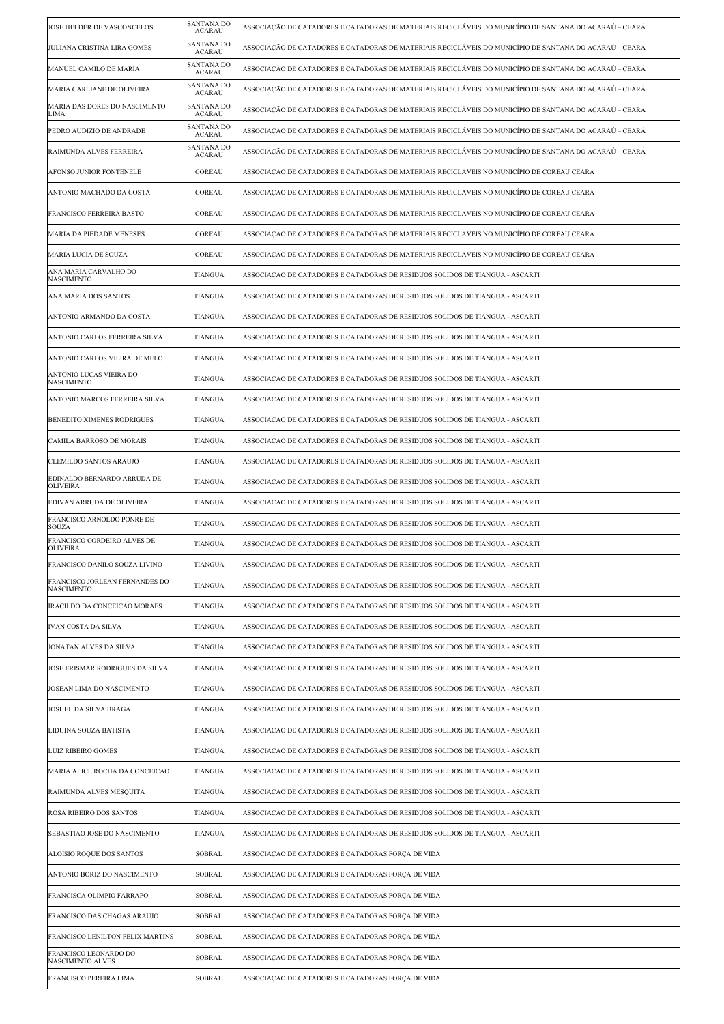| JOSE HELDER DE VASCONCELOS                          | SANTANA DO<br><b>ACARAU</b>        | ASSOCIAÇÃO DE CATADORES E CATADORAS DE MATERIAIS RECICLÁVEIS DO MUNICÍPIO DE SANTANA DO ACARAÚ – CEARÁ |
|-----------------------------------------------------|------------------------------------|--------------------------------------------------------------------------------------------------------|
| JULIANA CRISTINA LIRA GOMES                         | <b>SANTANA DO</b><br><b>ACARAU</b> | ASSOCIAÇÃO DE CATADORES E CATADORAS DE MATERIAIS RECICLÁVEIS DO MUNICÍPIO DE SANTANA DO ACARAÚ – CEARÁ |
| MANUEL CAMILO DE MARIA                              | SANTANA DO<br><b>ACARAU</b>        | ASSOCIAÇÃO DE CATADORES E CATADORAS DE MATERIAIS RECICLÁVEIS DO MUNICÍPIO DE SANTANA DO ACARAÚ – CEARÁ |
| MARIA CARLIANE DE OLIVEIRA                          | SANTANA DO<br><b>ACARAU</b>        | ASSOCIACÃO DE CATADORES E CATADORAS DE MATERIAIS RECICLÁVEIS DO MUNICÍPIO DE SANTANA DO ACARAÚ – CEARÁ |
| MARIA DAS DORES DO NASCIMENTO<br>LIMA               | <b>SANTANA DO</b><br><b>ACARAU</b> | ASSOCIAÇÃO DE CATADORES E CATADORAS DE MATERIAIS RECICLÁVEIS DO MUNICÍPIO DE SANTANA DO ACARAÚ – CEARÁ |
| PEDRO AUDIZIO DE ANDRADE                            | SANTANA DO<br><b>ACARAU</b>        | ASSOCIAÇÃO DE CATADORES E CATADORAS DE MATERIAIS RECICLÁVEIS DO MUNICÍPIO DE SANTANA DO ACARAÚ – CEARÁ |
| RAIMUNDA ALVES FERREIRA                             | <b>SANTANA DO</b><br><b>ACARAU</b> | ASSOCIAÇÃO DE CATADORES E CATADORAS DE MATERIAIS RECICLÁVEIS DO MUNICÍPIO DE SANTANA DO ACARAÚ – CEARÁ |
| AFONSO JUNIOR FONTENELE                             | COREAU                             | ASSOCIACAO DE CATADORES E CATADORAS DE MATERIAIS RECICLAVEIS NO MUNICÍPIO DE COREAU CEARA              |
| ANTONIO MACHADO DA COSTA                            | COREAU                             | ASSOCIAÇÃO DE CATADORES E CATADORAS DE MATERIAIS RECICLAVEIS NO MUNICÍPIO DE COREAU CEARA              |
| FRANCISCO FERREIRA BASTO                            | COREAU                             | ASSOCIAÇÃO DE CATADORES E CATADORAS DE MATERIAIS RECICLAVEIS NO MUNICÍPIO DE COREAU CEARA              |
| MARIA DA PIEDADE MENESES                            | COREAU                             | ASSOCIAÇÃO DE CATADORES E CATADORAS DE MATERIAIS RECICLAVEIS NO MUNICÍPIO DE COREAU CEARA              |
| MARIA LUCIA DE SOUZA                                | COREAU                             | ASSOCIACAO DE CATADORES E CATADORAS DE MATERIAIS RECICLAVEIS NO MUNICÍPIO DE COREAU CEARA              |
| ANA MARIA CARVALHO DO<br><b>NASCIMENTO</b>          | <b>TIANGUA</b>                     | ASSOCIACAO DE CATADORES E CATADORAS DE RESIDUOS SOLIDOS DE TIANGUA - ASCARTI                           |
| ANA MARIA DOS SANTOS                                | <b>TIANGUA</b>                     | ASSOCIACAO DE CATADORES E CATADORAS DE RESIDUOS SOLIDOS DE TIANGUA - ASCARTI                           |
| ANTONIO ARMANDO DA COSTA                            | <b>TIANGUA</b>                     | ASSOCIACAO DE CATADORES E CATADORAS DE RESIDUOS SOLIDOS DE TIANGUA - ASCARTI                           |
| ANTONIO CARLOS FERREIRA SILVA                       | <b>TIANGUA</b>                     | ASSOCIACAO DE CATADORES E CATADORAS DE RESIDUOS SOLIDOS DE TIANGUA - ASCARTI                           |
| ANTONIO CARLOS VIEIRA DE MELO                       | <b>TIANGUA</b>                     | ASSOCIACAO DE CATADORES E CATADORAS DE RESIDUOS SOLIDOS DE TIANGUA - ASCARTI                           |
| ANTONIO LUCAS VIEIRA DO<br>NASCIMENTO               | <b>TIANGUA</b>                     | ASSOCIACAO DE CATADORES E CATADORAS DE RESIDUOS SOLIDOS DE TIANGUA - ASCARTI                           |
| ANTONIO MARCOS FERREIRA SILVA                       | <b>TIANGUA</b>                     | ASSOCIACAO DE CATADORES E CATADORAS DE RESIDUOS SOLIDOS DE TIANGUA - ASCARTI                           |
| BENEDITO XIMENES RODRIGUES                          | <b>TIANGUA</b>                     | ASSOCIACAO DE CATADORES E CATADORAS DE RESIDUOS SOLIDOS DE TIANGUA - ASCARTI                           |
| CAMILA BARROSO DE MORAIS                            | <b>TIANGUA</b>                     | ASSOCIACAO DE CATADORES E CATADORAS DE RESIDUOS SOLIDOS DE TIANGUA - ASCARTI                           |
| <b>CLEMILDO SANTOS ARAUJO</b>                       | <b>TIANGUA</b>                     | ASSOCIACAO DE CATADORES E CATADORAS DE RESIDUOS SOLIDOS DE TIANGUA - ASCARTI                           |
| EDINALDO BERNARDO ARRUDA DE<br><b>OLIVEIRA</b>      | <b>TIANGUA</b>                     | ASSOCIACAO DE CATADORES E CATADORAS DE RESIDUOS SOLIDOS DE TIANGUA - ASCARTI                           |
| EDIVAN ARRUDA DE OLIVEIRA                           | <b>TIANGUA</b>                     | ASSOCIACAO DE CATADORES E CATADORAS DE RESIDUOS SOLIDOS DE TIANGUA - ASCARTI                           |
| FRANCISCO ARNOLDO PONRE DE<br>SOUZA                 | <b>TIANGUA</b>                     | ASSOCIACAO DE CATADORES E CATADORAS DE RESIDUOS SOLIDOS DE TIANGUA - ASCARTI                           |
| FRANCISCO CORDEIRO ALVES DE<br><b>OLIVEIRA</b>      | <b>TIANGUA</b>                     | ASSOCIACAO DE CATADORES E CATADORAS DE RESIDUOS SOLIDOS DE TIANGUA - ASCARTI                           |
| FRANCISCO DANILO SOUZA LIVINO                       | TIANGUA                            | ASSOCIACAO DE CATADORES E CATADORAS DE RESIDUOS SOLIDOS DE TIANGUA - ASCARTI                           |
| FRANCISCO JORLEAN FERNANDES DO<br><b>NASCIMENTO</b> | <b>TIANGUA</b>                     | ASSOCIACAO DE CATADORES E CATADORAS DE RESIDUOS SOLIDOS DE TIANGUA - ASCARTI                           |
| IRACILDO DA CONCEICAO MORAES                        | <b>TIANGUA</b>                     | ASSOCIACAO DE CATADORES E CATADORAS DE RESIDUOS SOLIDOS DE TIANGUA - ASCARTI                           |
| <b>IVAN COSTA DA SILVA</b>                          | <b>TIANGUA</b>                     | ASSOCIACAO DE CATADORES E CATADORAS DE RESIDUOS SOLIDOS DE TIANGUA - ASCARTI                           |
| JONATAN ALVES DA SILVA                              | <b>TIANGUA</b>                     | ASSOCIACAO DE CATADORES E CATADORAS DE RESIDUOS SOLIDOS DE TIANGUA - ASCARTI                           |
| JOSE ERISMAR RODRIGUES DA SILVA                     | <b>TIANGUA</b>                     | ASSOCIACAO DE CATADORES E CATADORAS DE RESIDUOS SOLIDOS DE TIANGUA - ASCARTI                           |
| JOSEAN LIMA DO NASCIMENTO                           | <b>TIANGUA</b>                     | ASSOCIACAO DE CATADORES E CATADORAS DE RESIDUOS SOLIDOS DE TIANGUA - ASCARTI                           |
| JOSUEL DA SILVA BRAGA                               | <b>TIANGUA</b>                     | ASSOCIACAO DE CATADORES E CATADORAS DE RESIDUOS SOLIDOS DE TIANGUA - ASCARTI                           |
| LIDUINA SOUZA BATISTA                               | <b>TIANGUA</b>                     | ASSOCIACAO DE CATADORES E CATADORAS DE RESIDUOS SOLIDOS DE TIANGUA - ASCARTI                           |
| LUIZ RIBEIRO GOMES                                  | <b>TIANGUA</b>                     | ASSOCIACAO DE CATADORES E CATADORAS DE RESIDUOS SOLIDOS DE TIANGUA - ASCARTI                           |
| MARIA ALICE ROCHA DA CONCEICAO                      | TIANGUA                            | ASSOCIACAO DE CATADORES E CATADORAS DE RESIDUOS SOLIDOS DE TIANGUA - ASCARTI                           |
| RAIMUNDA ALVES MESQUITA                             | <b>TIANGUA</b>                     | ASSOCIACAO DE CATADORES E CATADORAS DE RESIDUOS SOLIDOS DE TIANGUA - ASCARTI                           |
| ROSA RIBEIRO DOS SANTOS                             | <b>TIANGUA</b>                     | ASSOCIACAO DE CATADORES E CATADORAS DE RESIDUOS SOLIDOS DE TIANGUA - ASCARTI                           |
| SEBASTIAO JOSE DO NASCIMENTO                        | TIANGUA                            | ASSOCIACAO DE CATADORES E CATADORAS DE RESIDUOS SOLIDOS DE TIANGUA - ASCARTI                           |
| ALOISIO ROQUE DOS SANTOS                            | SOBRAL                             | ASSOCIAÇÃO DE CATADORES E CATADORAS FORÇÃ DE VIDA                                                      |
| ANTONIO BORIZ DO NASCIMENTO                         | SOBRAL                             | ASSOCIAÇÃO DE CATADORES E CATADORAS FORÇÃ DE VIDA                                                      |
| FRANCISCA OLIMPIO FARRAPO                           | SOBRAL                             | ASSOCIAÇÃO DE CATADORES E CATADORAS FORÇA DE VIDA                                                      |
| FRANCISCO DAS CHAGAS ARAUJO                         | SOBRAL                             | ASSOCIAÇÃO DE CATADORES E CATADORAS FORÇA DE VIDA                                                      |
| FRANCISCO LENILTON FELIX MARTINS                    | SOBRAL                             | ASSOCIAÇÃO DE CATADORES E CATADORAS FORÇÃ DE VIDA                                                      |
| FRANCISCO LEONARDO DO<br><b>NASCIMENTO ALVES</b>    | <b>SOBRAL</b>                      | ASSOCIAÇÃO DE CATADORES E CATADORAS FORÇA DE VIDA                                                      |
| FRANCISCO PEREIRA LIMA                              | SOBRAL                             | ASSOCIAÇÃO DE CATADORES E CATADORAS FORÇÃ DE VIDA                                                      |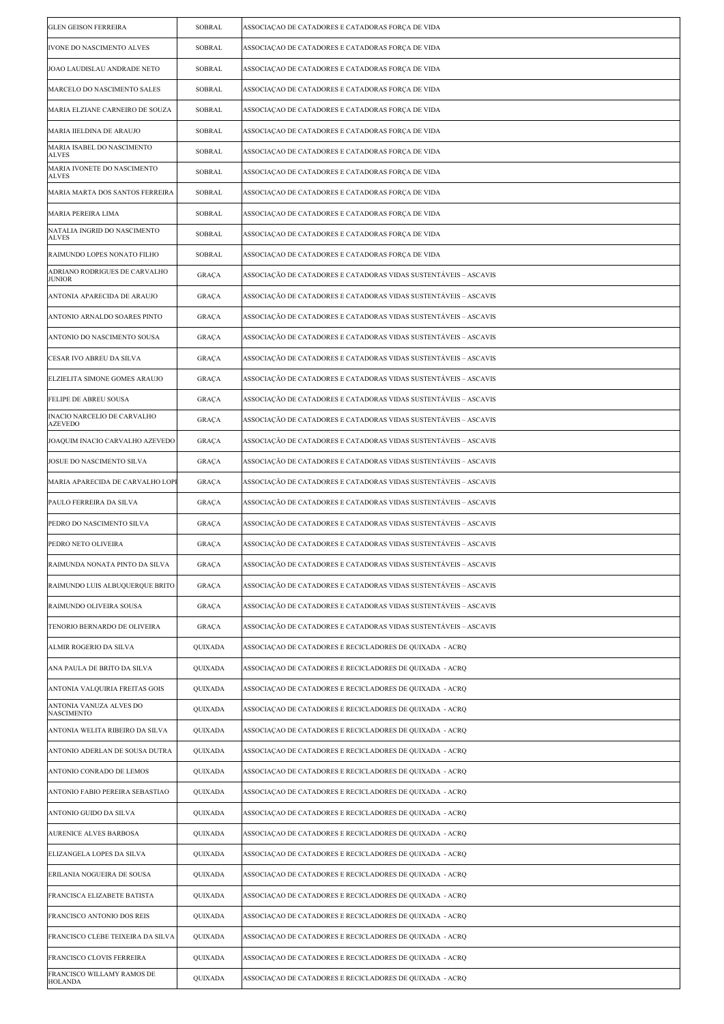| <b>GLEN GEISON FERREIRA</b>                    | SOBRAL         | ASSOCIAÇÃO DE CATADORES E CATADORAS FORÇA DE VIDA                |
|------------------------------------------------|----------------|------------------------------------------------------------------|
| IVONE DO NASCIMENTO ALVES                      | SOBRAL         | ASSOCIAÇÃO DE CATADORES E CATADORAS FORÇA DE VIDA                |
| JOAO LAUDISLAU ANDRADE NETO                    | SOBRAL         | ASSOCIAÇÃO DE CATADORES E CATADORAS FORÇÃ DE VIDA                |
| MARCELO DO NASCIMENTO SALES                    | SOBRAL         | ASSOCIAÇÃO DE CATADORES E CATADORAS FORÇÃ DE VIDA                |
| MARIA ELZIANE CARNEIRO DE SOUZA                | SOBRAL         | ASSOCIAÇÃO DE CATADORES E CATADORAS FORÇA DE VIDA                |
| MARIA IIELDINA DE ARAUJO                       | SOBRAL         | ASSOCIAÇÃO DE CATADORES E CATADORAS FORÇÃ DE VIDA                |
| MARIA ISABEL DO NASCIMENTO<br>ALVES            | SOBRAL         | ASSOCIAÇÃO DE CATADORES E CATADORAS FORÇÃ DE VIDA                |
| MARIA IVONETE DO NASCIMENTO<br><b>ALVES</b>    | SOBRAL         | ASSOCIAÇÃO DE CATADORES E CATADORAS FORÇA DE VIDA                |
| MARIA MARTA DOS SANTOS FERREIRA                | SOBRAL         | ASSOCIAÇÃO DE CATADORES E CATADORAS FORÇA DE VIDA                |
| MARIA PEREIRA LIMA                             | SOBRAL         | ASSOCIAÇÃO DE CATADORES E CATADORAS FORÇA DE VIDA                |
| NATALIA INGRID DO NASCIMENTO<br><b>ALVES</b>   | SOBRAL         | ASSOCIAÇÃO DE CATADORES E CATADORAS FORÇÃ DE VIDA                |
| RAIMUNDO LOPES NONATO FILHO                    | SOBRAL         | ASSOCIAÇÃO DE CATADORES E CATADORAS FORÇA DE VIDA                |
| ADRIANO RODRIGUES DE CARVALHO<br><b>JUNIOR</b> | GRAÇA          | ASSOCIAÇÃO DE CATADORES E CATADORAS VIDAS SUSTENTÁVEIS - ASCAVIS |
| ANTONIA APARECIDA DE ARAUJO                    | GRAÇA          | ASSOCIAÇÃO DE CATADORES E CATADORAS VIDAS SUSTENTÁVEIS – ASCAVIS |
| ANTONIO ARNALDO SOARES PINTO                   | GRAÇA          | ASSOCIAÇÃO DE CATADORES E CATADORAS VIDAS SUSTENTÁVEIS – ASCAVIS |
| ANTONIO DO NASCIMENTO SOUSA                    | GRAÇA          | ASSOCIAÇÃO DE CATADORES E CATADORAS VIDAS SUSTENTÁVEIS – ASCAVIS |
| CESAR IVO ABREU DA SILVA                       | <b>GRAÇA</b>   | ASSOCIAÇÃO DE CATADORES E CATADORAS VIDAS SUSTENTÁVEIS – ASCAVIS |
| ELZIELITA SIMONE GOMES ARAUJO                  | <b>GRAÇA</b>   | ASSOCIAÇÃO DE CATADORES E CATADORAS VIDAS SUSTENTÁVEIS – ASCAVIS |
| FELIPE DE ABREU SOUSA                          | GRAÇA          | ASSOCIAÇÃO DE CATADORES E CATADORAS VIDAS SUSTENTÁVEIS - ASCAVIS |
| INACIO NARCELIO DE CARVALHO<br><b>AZEVEDO</b>  | GRAÇA          | ASSOCIAÇÃO DE CATADORES E CATADORAS VIDAS SUSTENTÁVEIS – ASCAVIS |
| JOAQUIM INACIO CARVALHO AZEVEDO                | <b>GRAÇA</b>   | ASSOCIAÇÃO DE CATADORES E CATADORAS VIDAS SUSTENTÁVEIS – ASCAVIS |
| JOSUE DO NASCIMENTO SILVA                      | GRAÇA          | ASSOCIAÇÃO DE CATADORES E CATADORAS VIDAS SUSTENTÁVEIS – ASCAVIS |
| MARIA APARECIDA DE CARVALHO LOPI               | GRAÇA          | ASSOCIAÇÃO DE CATADORES E CATADORAS VIDAS SUSTENTÁVEIS – ASCAVIS |
| PAULO FERREIRA DA SILVA                        | GRAÇA          | ASSOCIAÇÃO DE CATADORES E CATADORAS VIDAS SUSTENTÁVEIS - ASCAVIS |
| PEDRO DO NASCIMENTO SILVA                      | GRAÇA          | ASSOCIAÇÃO DE CATADORES E CATADORAS VIDAS SUSTENTÁVEIS – ASCAVIS |
| PEDRO NETO OLIVEIRA                            | GRAÇA          | ASSOCIAÇÃO DE CATADORES E CATADORAS VIDAS SUSTENTÁVEIS – ASCAVIS |
| RAIMUNDA NONATA PINTO DA SILVA                 | GRAÇA          | ASSOCIAÇÃO DE CATADORES E CATADORAS VIDAS SUSTENTÁVEIS – ASCAVIS |
| RAIMUNDO LUIS ALBUQUERQUE BRITO                | GRAÇA          | ASSOCIAÇÃO DE CATADORES E CATADORAS VIDAS SUSTENTÁVEIS – ASCAVIS |
| RAIMUNDO OLIVEIRA SOUSA                        | GRAÇA          | ASSOCIAÇÃO DE CATADORES E CATADORAS VIDAS SUSTENTÁVEIS – ASCAVIS |
| TENORIO BERNARDO DE OLIVEIRA                   | GRAÇA          | ASSOCIAÇÃO DE CATADORES E CATADORAS VIDAS SUSTENTÁVEIS - ASCAVIS |
| ALMIR ROGERIO DA SILVA                         | QUIXADA        | ASSOCIAÇÃO DE CATADORES E RECICLADORES DE QUIXADA - ACRQ         |
| ANA PAULA DE BRITO DA SILVA                    | <b>QUIXADA</b> | ASSOCIAÇÃO DE CATADORES E RECICLADORES DE QUIXADA - ACRQ         |
| ANTONIA VALQUIRIA FREITAS GOIS                 | QUIXADA        | ASSOCIAÇÃO DE CATADORES E RECICLADORES DE QUIXADA - ACRO         |
| ANTONIA VANUZA ALVES DO<br><b>NASCIMENTO</b>   | QUIXADA        | ASSOCIAÇÃO DE CATADORES E RECICLADORES DE QUIXADA - ACRQ         |
| ANTONIA WELITA RIBEIRO DA SILVA                | QUIXADA        | ASSOCIAÇÃO DE CATADORES E RECICLADORES DE QUIXADA - ACRQ         |
| ANTONIO ADERLAN DE SOUSA DUTRA                 | QUIXADA        | ASSOCIAÇÃO DE CATADORES E RECICLADORES DE QUIXADA - ACRQ         |
| ANTONIO CONRADO DE LEMOS                       | QUIXADA        | ASSOCIAÇÃO DE CATADORES E RECICLADORES DE QUIXADA - ACRQ         |
| ANTONIO FABIO PEREIRA SEBASTIAO                | QUIXADA        | ASSOCIAÇÃO DE CATADORES E RECICLADORES DE QUIXADA - ACRQ         |
| ANTONIO GUIDO DA SILVA                         | QUIXADA        | ASSOCIAÇÃO DE CATADORES E RECICLADORES DE QUIXADA - ACRQ         |
| AURENICE ALVES BARBOSA                         | QUIXADA        | ASSOCIAÇÃO DE CATADORES E RECICLADORES DE QUIXADA - ACRQ         |
| ELIZANGELA LOPES DA SILVA                      | QUIXADA        | ASSOCIAÇÃO DE CATADORES E RECICLADORES DE QUIXADA - ACRQ         |
| ERILANIA NOGUEIRA DE SOUSA                     | QUIXADA        | ASSOCIAÇÃO DE CATADORES E RECICLADORES DE QUIXADA - ACRQ         |
| FRANCISCA ELIZABETE BATISTA                    | QUIXADA        | ASSOCIAÇÃO DE CATADORES E RECICLADORES DE QUIXADA - ACRQ         |
| FRANCISCO ANTONIO DOS REIS                     | QUIXADA        | ASSOCIAÇÃO DE CATADORES E RECICLADORES DE QUIXADA - ACRQ         |
| FRANCISCO CLEBE TEIXEIRA DA SILVA              | QUIXADA        | ASSOCIAÇÃO DE CATADORES E RECICLADORES DE QUIXADA - ACRQ         |
| FRANCISCO CLOVIS FERREIRA                      | QUIXADA        | ASSOCIAÇÃO DE CATADORES E RECICLADORES DE QUIXADA - ACRQ         |
| FRANCISCO WILLAMY RAMOS DE<br><b>HOLANDA</b>   | QUIXADA        | ASSOCIAÇÃO DE CATADORES E RECICLADORES DE QUIXADA - ACRQ         |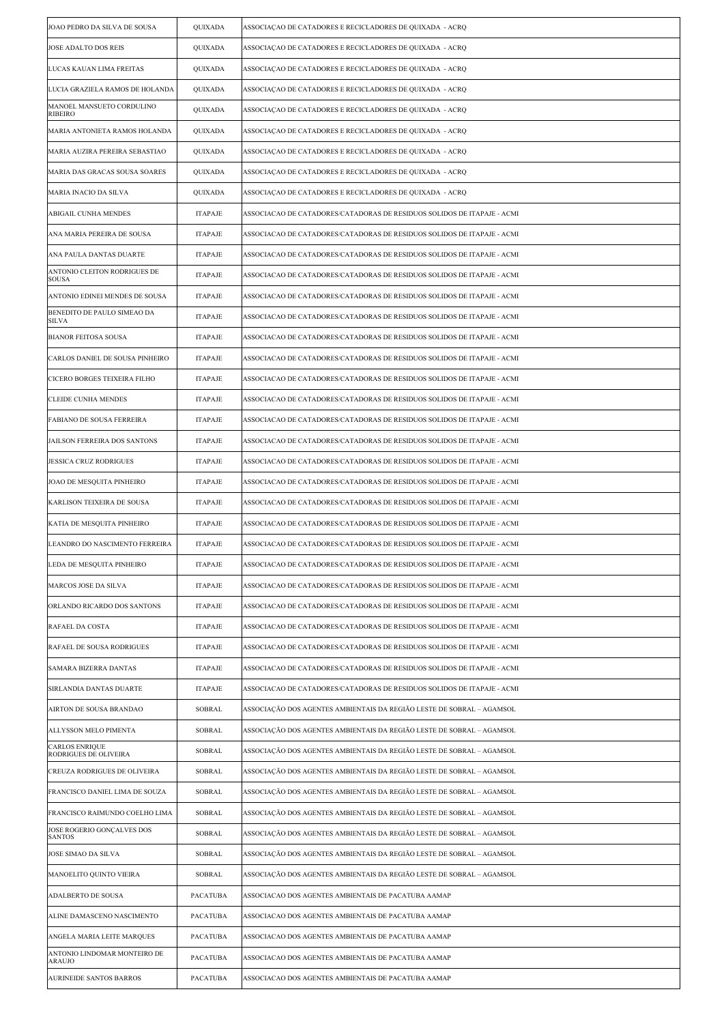| JOAO PEDRO DA SILVA DE SOUSA                   | QUIXADA         | ASSOCIAÇÃO DE CATADORES E RECICLADORES DE QUIXADA - ACRQ                |
|------------------------------------------------|-----------------|-------------------------------------------------------------------------|
| <b>JOSE ADALTO DOS REIS</b>                    | QUIXADA         | ASSOCIAÇÃO DE CATADORES E RECICLADORES DE QUIXADA - ACRQ                |
| LUCAS KAUAN LIMA FREITAS                       | QUIXADA         | ASSOCIAÇÃO DE CATADORES E RECICLADORES DE QUIXADA - ACRQ                |
| LUCIA GRAZIELA RAMOS DE HOLANDA                | QUIXADA         | ASSOCIAÇÃO DE CATADORES E RECICLADORES DE QUIXADA - ACRQ                |
| MANOEL MANSUETO CORDULINO<br><b>RIBEIRO</b>    | QUIXADA         | ASSOCIAÇÃO DE CATADORES E RECICLADORES DE QUIXADA - ACRQ                |
| MARIA ANTONIETA RAMOS HOLANDA                  | QUIXADA         | ASSOCIAÇÃO DE CATADORES E RECICLADORES DE QUIXADA - ACRQ                |
| MARIA AUZIRA PEREIRA SEBASTIAO                 | QUIXADA         | ASSOCIAÇÃO DE CATADORES E RECICLADORES DE QUIXADA - ACRQ                |
| MARIA DAS GRACAS SOUSA SOARES                  | QUIXADA         | ASSOCIAÇÃO DE CATADORES E RECICLADORES DE QUIXADA - ACRQ                |
| <b>MARIA INACIO DA SILVA</b>                   | QUIXADA         | ASSOCIAÇÃO DE CATADORES E RECICLADORES DE QUIXADA - ACRQ                |
| ABIGAIL CUNHA MENDES                           | <b>ITAPAJE</b>  | ASSOCIACAO DE CATADORES/CATADORAS DE RESIDUOS SOLIDOS DE ITAPAJE - ACMI |
| ANA MARIA PEREIRA DE SOUSA                     | <b>ITAPAJE</b>  | ASSOCIACAO DE CATADORES/CATADORAS DE RESIDUOS SOLIDOS DE ITAPAJE - ACMI |
| ANA PAULA DANTAS DUARTE                        | <b>ITAPAJE</b>  | ASSOCIACAO DE CATADORES/CATADORAS DE RESIDUOS SOLIDOS DE ITAPAJE - ACMI |
| ANTONIO CLEITON RODRIGUES DE<br>SOUSA          | <b>ITAPAJE</b>  | ASSOCIACAO DE CATADORES/CATADORAS DE RESIDUOS SOLIDOS DE ITAPAJE - ACMI |
| ANTONIO EDINEI MENDES DE SOUSA                 | <b>ITAPAJE</b>  | ASSOCIACAO DE CATADORES/CATADORAS DE RESIDUOS SOLIDOS DE ITAPAJE - ACMI |
| BENEDITO DE PAULO SIMEAO DA<br>SILVA           | <b>ITAPAJE</b>  | ASSOCIACAO DE CATADORES/CATADORAS DE RESIDUOS SOLIDOS DE ITAPAJE - ACMI |
| <b>BIANOR FEITOSA SOUSA</b>                    | <b>ITAPAJE</b>  | ASSOCIACAO DE CATADORES/CATADORAS DE RESIDUOS SOLIDOS DE ITAPAJE - ACMI |
| CARLOS DANIEL DE SOUSA PINHEIRO                | <b>ITAPAJE</b>  | ASSOCIACAO DE CATADORES/CATADORAS DE RESIDUOS SOLIDOS DE ITAPAJE - ACMI |
| CICERO BORGES TEIXEIRA FILHO                   | <b>ITAPAJE</b>  | ASSOCIACAO DE CATADORES/CATADORAS DE RESIDUOS SOLIDOS DE ITAPAJE - ACMI |
| <b>CLEIDE CUNHA MENDES</b>                     | <b>ITAPAJE</b>  | ASSOCIACAO DE CATADORES/CATADORAS DE RESIDUOS SOLIDOS DE ITAPAJE - ACMI |
| <b>FABIANO DE SOUSA FERREIRA</b>               | <b>ITAPAJE</b>  | ASSOCIACAO DE CATADORES/CATADORAS DE RESIDUOS SOLIDOS DE ITAPAJE - ACMI |
| JAILSON FERREIRA DOS SANTONS                   | <b>ITAPAJE</b>  | ASSOCIACAO DE CATADORES/CATADORAS DE RESIDUOS SOLIDOS DE ITAPAJE - ACMI |
| <b>JESSICA CRUZ RODRIGUES</b>                  | <b>ITAPAJE</b>  | ASSOCIACAO DE CATADORES/CATADORAS DE RESIDUOS SOLIDOS DE ITAPAJE - ACMI |
| JOAO DE MESQUITA PINHEIRO                      | <b>ITAPAJE</b>  | ASSOCIACAO DE CATADORES/CATADORAS DE RESIDUOS SOLIDOS DE ITAPAJE - ACMI |
| <b>KARLISON TEIXEIRA DE SOUSA</b>              | <b>ITAPAJE</b>  | ASSOCIACAO DE CATADORES/CATADORAS DE RESIDUOS SOLIDOS DE ITAPAJE - ACMI |
| KATIA DE MESQUITA PINHEIRO                     | <b>ITAPAJE</b>  | ASSOCIACAO DE CATADORES/CATADORAS DE RESIDUOS SOLIDOS DE ITAPAJE - ACMI |
| LEANDRO DO NASCIMENTO FERREIRA                 | <b>ITAPAJE</b>  | ASSOCIACAO DE CATADORES/CATADORAS DE RESIDUOS SOLIDOS DE ITAPAJE - ACMI |
| LEDA DE MESQUITA PINHEIRO                      | <b>ITAPAJE</b>  | ASSOCIACAO DE CATADORES/CATADORAS DE RESIDUOS SOLIDOS DE ITAPAJE - ACMI |
| MARCOS JOSE DA SILVA                           | <b>ITAPAJE</b>  | ASSOCIACAO DE CATADORES/CATADORAS DE RESIDUOS SOLIDOS DE ITAPAJE - ACMI |
| ORLANDO RICARDO DOS SANTONS                    | <b>ITAPAJE</b>  | ASSOCIACAO DE CATADORES/CATADORAS DE RESIDUOS SOLIDOS DE ITAPAJE - ACMI |
| RAFAEL DA COSTA                                | <b>ITAPAJE</b>  | ASSOCIACAO DE CATADORES/CATADORAS DE RESIDUOS SOLIDOS DE ITAPAJE - ACMI |
| RAFAEL DE SOUSA RODRIGUES                      | <b>ITAPAJE</b>  | ASSOCIACAO DE CATADORES/CATADORAS DE RESIDUOS SOLIDOS DE ITAPAJE - ACMI |
| <b>SAMARA BIZERRA DANTAS</b>                   | <b>ITAPAJE</b>  | ASSOCIACAO DE CATADORES/CATADORAS DE RESIDUOS SOLIDOS DE ITAPAJE - ACMI |
| SIRLANDIA DANTAS DUARTE                        | <b>ITAPAJE</b>  | ASSOCIACAO DE CATADORES/CATADORAS DE RESIDUOS SOLIDOS DE ITAPAJE - ACMI |
| AIRTON DE SOUSA BRANDAO                        | SOBRAL          | ASSOCIAÇÃO DOS AGENTES AMBIENTAIS DA REGIÃO LESTE DE SOBRAL – AGAMSOL   |
| ALLYSSON MELO PIMENTA                          | SOBRAL          | ASSOCIAÇÃO DOS AGENTES AMBIENTAIS DA REGIÃO LESTE DE SOBRAL – AGAMSOL   |
| <b>CARLOS ENRIQUE</b><br>RODRIGUES DE OLIVEIRA | SOBRAL          | ASSOCIAÇÃO DOS AGENTES AMBIENTAIS DA REGIÃO LESTE DE SOBRAL – AGAMSOL   |
| CREUZA RODRIGUES DE OLIVEIRA                   | SOBRAL          | ASSOCIAÇÃO DOS AGENTES AMBIENTAIS DA REGIÃO LESTE DE SOBRAL – AGAMSOL   |
| FRANCISCO DANIEL LIMA DE SOUZA                 | SOBRAL          | ASSOCIAÇÃO DOS AGENTES AMBIENTAIS DA REGIÃO LESTE DE SOBRAL – AGAMSOL   |
| FRANCISCO RAIMUNDO COELHO LIMA                 | SOBRAL          | ASSOCIAÇÃO DOS AGENTES AMBIENTAIS DA REGIÃO LESTE DE SOBRAL – AGAMSOL   |
| JOSE ROGERIO GONÇALVES DOS<br><b>SANTOS</b>    | SOBRAL          | ASSOCIAÇÃO DOS AGENTES AMBIENTAIS DA REGIÃO LESTE DE SOBRAL – AGAMSOL   |
| JOSE SIMAO DA SILVA                            | SOBRAL          | ASSOCIAÇÃO DOS AGENTES AMBIENTAIS DA REGIÃO LESTE DE SOBRAL – AGAMSOL   |
| MANOELITO QUINTO VIEIRA                        | SOBRAL          | ASSOCIAÇÃO DOS AGENTES AMBIENTAIS DA REGIÃO LESTE DE SOBRAL – AGAMSOL   |
| <b>ADALBERTO DE SOUSA</b>                      | PACATUBA        | ASSOCIACAO DOS AGENTES AMBIENTAIS DE PACATUBA AAMAP                     |
| ALINE DAMASCENO NASCIMENTO                     | PACATUBA        | ASSOCIACAO DOS AGENTES AMBIENTAIS DE PACATUBA AAMAP                     |
| ANGELA MARIA LEITE MARQUES                     | PACATUBA        | ASSOCIACAO DOS AGENTES AMBIENTAIS DE PACATUBA AAMAP                     |
| ANTONIO LINDOMAR MONTEIRO DE<br><b>ARAUJO</b>  | PACATUBA        | ASSOCIACAO DOS AGENTES AMBIENTAIS DE PACATUBA AAMAP                     |
| <b>AURINEIDE SANTOS BARROS</b>                 | <b>PACATUBA</b> | ASSOCIACAO DOS AGENTES AMBIENTAIS DE PACATUBA AAMAP                     |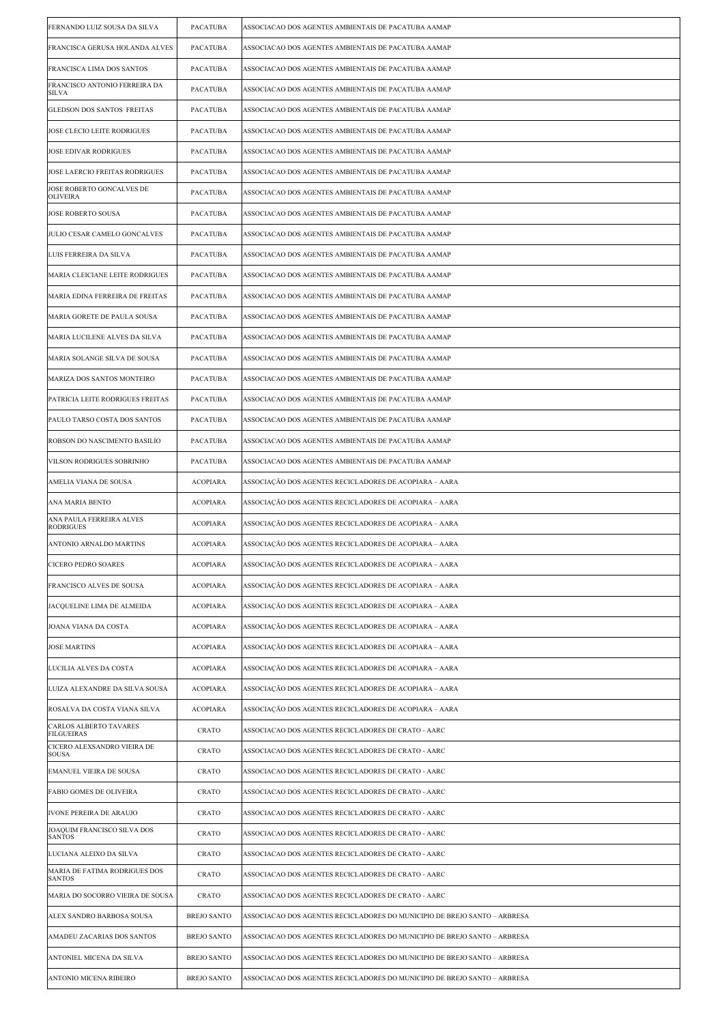| FERNANDO LUIZ SOUSA DA SILVA                   | PACATUBA           | ASSOCIACAO DOS AGENTES AMBIENTAIS DE PACATUBA AAMAP                       |
|------------------------------------------------|--------------------|---------------------------------------------------------------------------|
| FRANCISCA GERUSA HOLANDA ALVES                 | PACATUBA           | ASSOCIACAO DOS AGENTES AMBIENTAIS DE PACATUBA AAMAP                       |
| FRANCISCA LIMA DOS SANTOS                      | <b>PACATUBA</b>    | ASSOCIACAO DOS AGENTES AMBIENTAIS DE PACATUBA AAMAP                       |
| FRANCISCO ANTONIO FERREIRA DA<br><b>SILVA</b>  | PACATUBA           | ASSOCIACAO DOS AGENTES AMBIENTAIS DE PACATUBA AAMAP                       |
| GLEDSON DOS SANTOS FREITAS                     | PACATUBA           | ASSOCIACAO DOS AGENTES AMBIENTAIS DE PACATUBA AAMAP                       |
| JOSE CLECIO LEITE RODRIGUES                    | <b>PACATUBA</b>    | ASSOCIACAO DOS AGENTES AMBIENTAIS DE PACATUBA AAMAP                       |
| JOSE EDIVAR RODRIGUES                          | PACATUBA           | ASSOCIACAO DOS AGENTES AMBIENTAIS DE PACATUBA AAMAP                       |
| JOSE LAERCIO FREITAS RODRIGUES                 | <b>PACATUBA</b>    | ASSOCIACAO DOS AGENTES AMBIENTAIS DE PACATUBA AAMAP                       |
| JOSE ROBERTO GONCALVES DE<br><b>OLIVEIRA</b>   | <b>PACATUBA</b>    | ASSOCIACAO DOS AGENTES AMBIENTAIS DE PACATUBA AAMAP                       |
| JOSE ROBERTO SOUSA                             | PACATUBA           | ASSOCIACAO DOS AGENTES AMBIENTAIS DE PACATUBA AAMAP                       |
| JULIO CESAR CAMELO GONCALVES                   | PACATUBA           | ASSOCIACAO DOS AGENTES AMBIENTAIS DE PACATUBA AAMAP                       |
| LUIS FERREIRA DA SILVA                         | <b>PACATUBA</b>    | ASSOCIACAO DOS AGENTES AMBIENTAIS DE PACATUBA AAMAP                       |
| MARIA CLEICIANE LEITE RODRIGUES                | <b>PACATUBA</b>    | ASSOCIACAO DOS AGENTES AMBIENTAIS DE PACATUBA AAMAP                       |
| MARIA EDINA FERREIRA DE FREITAS                | PACATUBA           | ASSOCIACAO DOS AGENTES AMBIENTAIS DE PACATUBA AAMAP                       |
| MARIA GORETE DE PAULA SOUSA                    | <b>PACATUBA</b>    | ASSOCIACAO DOS AGENTES AMBIENTAIS DE PACATUBA AAMAP                       |
| MARIA LUCILENE ALVES DA SILVA                  | <b>PACATUBA</b>    | ASSOCIACAO DOS AGENTES AMBIENTAIS DE PACATUBA AAMAP                       |
| MARIA SOLANGE SILVA DE SOUSA                   | PACATUBA           | ASSOCIACAO DOS AGENTES AMBIENTAIS DE PACATUBA AAMAP                       |
| MARIZA DOS SANTOS MONTEIRO                     | <b>PACATUBA</b>    | ASSOCIACAO DOS AGENTES AMBIENTAIS DE PACATUBA AAMAP                       |
| PATRICIA LEITE RODRIGUES FREITAS               | <b>PACATUBA</b>    | ASSOCIACAO DOS AGENTES AMBIENTAIS DE PACATUBA AAMAP                       |
| PAULO TARSO COSTA DOS SANTOS                   | PACATUBA           | ASSOCIACAO DOS AGENTES AMBIENTAIS DE PACATUBA AAMAP                       |
| ROBSON DO NASCIMENTO BASILIO                   | <b>PACATUBA</b>    | ASSOCIACAO DOS AGENTES AMBIENTAIS DE PACATUBA AAMAP                       |
| VILSON RODRIGUES SOBRINHO                      | PACATUBA           | ASSOCIACAO DOS AGENTES AMBIENTAIS DE PACATUBA AAMAP                       |
| AMELIA VIANA DE SOUSA                          | <b>ACOPIARA</b>    | ASSOCIAÇÃO DOS AGENTES RECICLADORES DE ACOPIARA – AARA                    |
| ANA MARIA BENTO                                | <b>ACOPIARA</b>    | ASSOCIAÇÃO DOS AGENTES RECICLADORES DE ACOPIARA – AARA                    |
| ANA PAULA FERREIRA ALVES<br><b>RODRIGUES</b>   | <b>ACOPIARA</b>    | ASSOCIAÇÃO DOS AGENTES RECICLADORES DE ACOPIARA - AARA                    |
| ANTONIO ARNALDO MARTINS                        | <b>ACOPIARA</b>    | ASSOCIAÇÃO DOS AGENTES RECICLADORES DE ACOPIARA – AARA                    |
| CICERO PEDRO SOARES                            | ACOPIARA           | ASSOCIAÇÃO DOS AGENTES RECICLADORES DE ACOPIARA – AARA                    |
| FRANCISCO ALVES DE SOUSA                       | <b>ACOPIARA</b>    | ASSOCIAÇÃO DOS AGENTES RECICLADORES DE ACOPIARA – AARA                    |
| JACQUELINE LIMA DE ALMEIDA                     | <b>ACOPIARA</b>    | ASSOCIAÇÃO DOS AGENTES RECICLADORES DE ACOPIARA – AARA                    |
| JOANA VIANA DA COSTA                           | <b>ACOPIARA</b>    | ASSOCIAÇÃO DOS AGENTES RECICLADORES DE ACOPIARA – AARA                    |
| <b>JOSE MARTINS</b>                            | <b>ACOPIARA</b>    | ASSOCIAÇÃO DOS AGENTES RECICLADORES DE ACOPIARA – AARA                    |
| LUCILIA ALVES DA COSTA                         | <b>ACOPIARA</b>    | ASSOCIAÇÃO DOS AGENTES RECICLADORES DE ACOPIARA – AARA                    |
| LUIZA ALEXANDRE DA SILVA SOUSA                 | <b>ACOPIARA</b>    | ASSOCIAÇÃO DOS AGENTES RECICLADORES DE ACOPIARA – AARA                    |
| ROSALVA DA COSTA VIANA SILVA                   | <b>ACOPIARA</b>    | ASSOCIAÇÃO DOS AGENTES RECICLADORES DE ACOPIARA – AARA                    |
| CARLOS ALBERTO TAVARES<br>FILGUEIRAS           | CRATO              | ASSOCIACAO DOS AGENTES RECICLADORES DE CRATO - AARC                       |
| CICERO ALEXSANDRO VIEIRA DE<br><b>SOUSA</b>    | <b>CRATO</b>       | ASSOCIACAO DOS AGENTES RECICLADORES DE CRATO - AARC                       |
| EMANUEL VIEIRA DE SOUSA                        | CRATO              | ASSOCIACAO DOS AGENTES RECICLADORES DE CRATO - AARC                       |
| FABIO GOMES DE OLIVEIRA                        | CRATO              | ASSOCIACAO DOS AGENTES RECICLADORES DE CRATO - AARC                       |
| IVONE PEREIRA DE ARAUJO                        | <b>CRATO</b>       | ASSOCIACAO DOS AGENTES RECICLADORES DE CRATO - AARC                       |
| JOAQUIM FRANCISCO SILVA DOS<br><b>SANTOS</b>   | CRATO              | ASSOCIACAO DOS AGENTES RECICLADORES DE CRATO - AARC                       |
| LUCIANA ALEIXO DA SILVA                        | <b>CRATO</b>       | ASSOCIACAO DOS AGENTES RECICLADORES DE CRATO - AARC                       |
| MARIA DE FATIMA RODRIGUES DOS<br><b>SANTOS</b> | <b>CRATO</b>       | ASSOCIACAO DOS AGENTES RECICLADORES DE CRATO - AARC                       |
| MARIA DO SOCORRO VIEIRA DE SOUSA               | CRATO              | ASSOCIACAO DOS AGENTES RECICLADORES DE CRATO - AARC                       |
| ALEX SANDRO BARBOSA SOUSA                      | <b>BREJO SANTO</b> | ASSOCIACAO DOS AGENTES RECICLADORES DO MUNICIPIO DE BREJO SANTO – ARBRESA |
| AMADEU ZACARIAS DOS SANTOS                     | <b>BREJO SANTO</b> | ASSOCIACAO DOS AGENTES RECICLADORES DO MUNICIPIO DE BREJO SANTO – ARBRESA |
| ANTONIEL MICENA DA SILVA                       | <b>BREJO SANTO</b> | ASSOCIACAO DOS AGENTES RECICLADORES DO MUNICIPIO DE BREJO SANTO – ARBRESA |
| <b>ANTONIO MICENA RIBEIRO</b>                  | <b>BREJO SANTO</b> | ASSOCIACAO DOS AGENTES RECICLADORES DO MUNICIPIO DE BREJO SANTO - ARBRESA |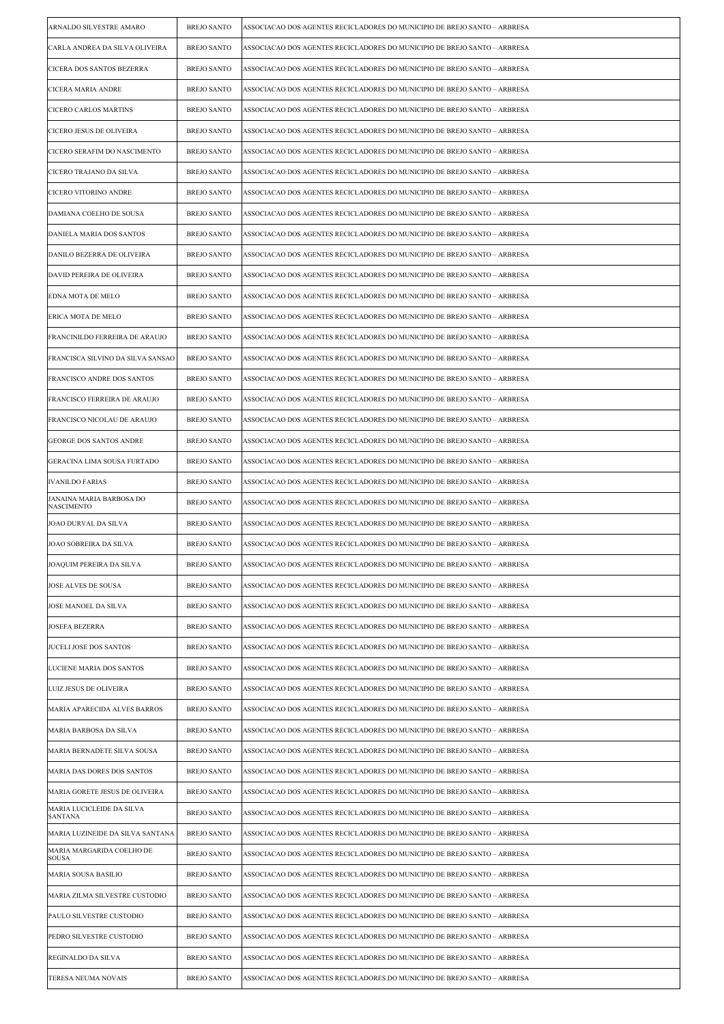| ARNALDO SILVESTRE AMARO                       | <b>BREJO SANTO</b> | ASSOCIACAO DOS AGENTES RECICLADORES DO MUNICIPIO DE BREJO SANTO – ARBRESA |
|-----------------------------------------------|--------------------|---------------------------------------------------------------------------|
| CARLA ANDREA DA SILVA OLIVEIRA                | <b>BREJO SANTO</b> | ASSOCIACAO DOS AGENTES RECICLADORES DO MUNICIPIO DE BREJO SANTO – ARBRESA |
| CICERA DOS SANTOS BEZERRA                     | <b>BREJO SANTO</b> | ASSOCIACAO DOS AGENTES RECICLADORES DO MUNICIPIO DE BREJO SANTO – ARBRESA |
| CICERA MARIA ANDRE                            | <b>BREJO SANTO</b> | ASSOCIACAO DOS AGENTES RECICLADORES DO MUNICIPIO DE BREJO SANTO – ARBRESA |
| <b>CICERO CARLOS MARTINS</b>                  | <b>BREJO SANTO</b> | ASSOCIACAO DOS AGENTES RECICLADORES DO MUNICIPIO DE BREJO SANTO - ARBRESA |
| CICERO JESUS DE OLIVEIRA                      | <b>BREJO SANTO</b> | ASSOCIACAO DOS AGENTES RECICLADORES DO MUNICIPIO DE BREJO SANTO – ARBRESA |
| CICERO SERAFIM DO NASCIMENTO                  | <b>BREJO SANTO</b> | ASSOCIACAO DOS AGENTES RECICLADORES DO MUNICIPIO DE BREJO SANTO – ARBRESA |
| CICERO TRAJANO DA SILVA                       | <b>BREJO SANTO</b> | ASSOCIACAO DOS AGENTES RECICLADORES DO MUNICIPIO DE BREJO SANTO – ARBRESA |
| CICERO VITORINO ANDRE                         | <b>BREJO SANTO</b> | ASSOCIACAO DOS AGENTES RECICLADORES DO MUNICIPIO DE BREJO SANTO – ARBRESA |
| DAMIANA COELHO DE SOUSA                       | <b>BREJO SANTO</b> | ASSOCIACAO DOS AGENTES RECICLADORES DO MUNICIPIO DE BREJO SANTO – ARBRESA |
| DANIELA MARIA DOS SANTOS                      | <b>BREJO SANTO</b> | ASSOCIACAO DOS AGENTES RECICLADORES DO MUNICIPIO DE BREJO SANTO – ARBRESA |
| DANILO BEZERRA DE OLIVEIRA                    | <b>BREJO SANTO</b> | ASSOCIACAO DOS AGENTES RECICLADORES DO MUNICIPIO DE BREJO SANTO - ARBRESA |
| DAVID PEREIRA DE OLIVEIRA                     | <b>BREJO SANTO</b> | ASSOCIACAO DOS AGENTES RECICLADORES DO MUNICIPIO DE BREJO SANTO – ARBRESA |
| EDNA MOTA DE MELO                             | <b>BREJO SANTO</b> | ASSOCIACAO DOS AGENTES RECICLADORES DO MUNICIPIO DE BREJO SANTO - ARBRESA |
| ERICA MOTA DE MELO                            | <b>BREJO SANTO</b> | ASSOCIACAO DOS AGENTES RECICLADORES DO MUNICIPIO DE BREJO SANTO – ARBRESA |
| FRANCINILDO FERREIRA DE ARAUJO                | <b>BREJO SANTO</b> | ASSOCIACAO DOS AGENTES RECICLADORES DO MUNICIPIO DE BREJO SANTO – ARBRESA |
| FRANCISCA SILVINO DA SILVA SANSAO             | <b>BREJO SANTO</b> | ASSOCIACAO DOS AGENTES RECICLADORES DO MUNICIPIO DE BREJO SANTO - ARBRESA |
| FRANCISCO ANDRE DOS SANTOS                    | <b>BREJO SANTO</b> | ASSOCIACAO DOS AGENTES RECICLADORES DO MUNICIPIO DE BREJO SANTO – ARBRESA |
| FRANCISCO FERREIRA DE ARAUJO                  | <b>BREJO SANTO</b> | ASSOCIACAO DOS AGENTES RECICLADORES DO MUNICIPIO DE BREJO SANTO – ARBRESA |
| FRANCISCO NICOLAU DE ARAUJO                   | <b>BREJO SANTO</b> | ASSOCIACAO DOS AGENTES RECICLADORES DO MUNICIPIO DE BREJO SANTO – ARBRESA |
| GEORGE DOS SANTOS ANDRE                       | <b>BREJO SANTO</b> | ASSOCIACAO DOS AGENTES RECICLADORES DO MUNICIPIO DE BREJO SANTO – ARBRESA |
| GERACINA LIMA SOUSA FURTADO                   | <b>BREJO SANTO</b> | ASSOCIACAO DOS AGENTES RECICLADORES DO MUNICIPIO DE BREJO SANTO - ARBRESA |
| <b>IVANILDO FARIAS</b>                        | <b>BREJO SANTO</b> | ASSOCIACAO DOS AGENTES RECICLADORES DO MUNICIPIO DE BREJO SANTO - ARBRESA |
| JANAINA MARIA BARBOSA DO<br><b>NASCIMENTO</b> | <b>BREJO SANTO</b> | ASSOCIACAO DOS AGENTES RECICLADORES DO MUNICIPIO DE BREJO SANTO - ARBRESA |
| <b>JOAO DURVAL DA SILVA</b>                   | <b>BREJO SANTO</b> | ASSOCIACAO DOS AGENTES RECICLADORES DO MUNICIPIO DE BREJO SANTO – ARBRESA |
| JOAO SOBREIRA DA SILVA                        | <b>BREJO SANTO</b> | ASSOCIACAO DOS AGENTES RECICLADORES DO MUNICIPIO DE BREJO SANTO – ARBRESA |
| JOAQUIM PEREIRA DA SILVA                      | BREJO SANTO        | ASSOCIACAO DOS AGENTES RECICLADORES DO MUNICIPIO DE BREJO SANTO – ARBRESA |
| <b>JOSE ALVES DE SOUSA</b>                    | <b>BREJO SANTO</b> | ASSOCIACAO DOS AGENTES RECICLADORES DO MUNICIPIO DE BREJO SANTO – ARBRESA |
| JOSE MANOEL DA SILVA                          | <b>BREJO SANTO</b> | ASSOCIACAO DOS AGENTES RECICLADORES DO MUNICIPIO DE BREJO SANTO - ARBRESA |
| <b>JOSEFA BEZERRA</b>                         | <b>BREJO SANTO</b> | ASSOCIACAO DOS AGENTES RECICLADORES DO MUNICIPIO DE BREJO SANTO - ARBRESA |
| JUCELI JOSE DOS SANTOS                        | <b>BREJO SANTO</b> | ASSOCIACAO DOS AGENTES RECICLADORES DO MUNICIPIO DE BREJO SANTO – ARBRESA |
| LUCIENE MARIA DOS SANTOS                      | <b>BREJO SANTO</b> | ASSOCIACAO DOS AGENTES RECICLADORES DO MUNICIPIO DE BREJO SANTO - ARBRESA |
| LUIZ JESUS DE OLIVEIRA                        | <b>BREJO SANTO</b> | ASSOCIACAO DOS AGENTES RECICLADORES DO MUNICIPIO DE BREJO SANTO – ARBRESA |
| MARIA APARECIDA ALVES BARROS                  | <b>BREJO SANTO</b> | ASSOCIACAO DOS AGENTES RECICLADORES DO MUNICIPIO DE BREJO SANTO – ARBRESA |
| MARIA BARBOSA DA SILVA                        | <b>BREJO SANTO</b> | ASSOCIACAO DOS AGENTES RECICLADORES DO MUNICIPIO DE BREJO SANTO - ARBRESA |
| MARIA BERNADETE SILVA SOUSA                   | <b>BREJO SANTO</b> | ASSOCIACAO DOS AGENTES RECICLADORES DO MUNICIPIO DE BREJO SANTO - ARBRESA |
| MARIA DAS DORES DOS SANTOS                    | <b>BREJO SANTO</b> | ASSOCIACAO DOS AGENTES RECICLADORES DO MUNICIPIO DE BREJO SANTO - ARBRESA |
| MARIA GORETE JESUS DE OLIVEIRA                | <b>BREJO SANTO</b> | ASSOCIACAO DOS AGENTES RECICLADORES DO MUNICIPIO DE BREJO SANTO – ARBRESA |
| MARIA LUCICLEIDE DA SILVA<br>SANTANA          | <b>BREJO SANTO</b> | ASSOCIACAO DOS AGENTES RECICLADORES DO MUNICIPIO DE BREJO SANTO – ARBRESA |
| MARIA LUZINEIDE DA SILVA SANTANA              | <b>BREJO SANTO</b> | ASSOCIACAO DOS AGENTES RECICLADORES DO MUNICIPIO DE BREJO SANTO – ARBRESA |
| MARIA MARGARIDA COELHO DE<br><b>SOUSA</b>     | <b>BREJO SANTO</b> | ASSOCIACAO DOS AGENTES RECICLADORES DO MUNICIPIO DE BREJO SANTO - ARBRESA |
| <b>MARIA SOUSA BASILIO</b>                    | <b>BREJO SANTO</b> | ASSOCIACAO DOS AGENTES RECICLADORES DO MUNICIPIO DE BREJO SANTO - ARBRESA |
| MARIA ZILMA SILVESTRE CUSTODIO                | <b>BREJO SANTO</b> | ASSOCIACAO DOS AGENTES RECICLADORES DO MUNICIPIO DE BREJO SANTO – ARBRESA |
| PAULO SILVESTRE CUSTODIO                      | <b>BREJO SANTO</b> | ASSOCIACAO DOS AGENTES RECICLADORES DO MUNICIPIO DE BREJO SANTO - ARBRESA |
| PEDRO SILVESTRE CUSTODIO                      | <b>BREJO SANTO</b> | ASSOCIACAO DOS AGENTES RECICLADORES DO MUNICIPIO DE BREJO SANTO – ARBRESA |
| REGINALDO DA SILVA                            | <b>BREJO SANTO</b> | ASSOCIACAO DOS AGENTES RECICLADORES DO MUNICIPIO DE BREJO SANTO – ARBRESA |
| TERESA NEUMA NOVAIS                           | <b>BREJO SANTO</b> | ASSOCIACAO DOS AGENTES RECICLADORES DO MUNICIPIO DE BREJO SANTO - ARBRESA |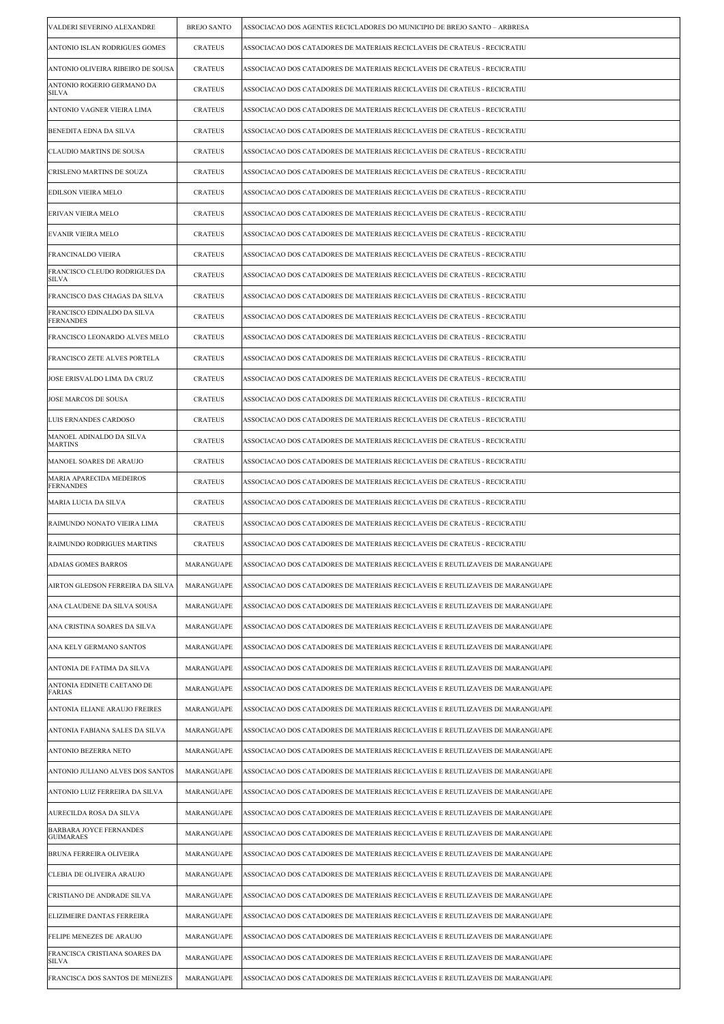| VALDERI SEVERINO ALEXANDRE                      | <b>BREJO SANTO</b> | ASSOCIACAO DOS AGENTES RECICLADORES DO MUNICIPIO DE BREJO SANTO – ARBRESA      |
|-------------------------------------------------|--------------------|--------------------------------------------------------------------------------|
| ANTONIO ISLAN RODRIGUES GOMES                   | <b>CRATEUS</b>     | ASSOCIACAO DOS CATADORES DE MATERIAIS RECICLAVEIS DE CRATEUS - RECICRATIU      |
| ANTONIO OLIVEIRA RIBEIRO DE SOUSA               | <b>CRATEUS</b>     | ASSOCIACAO DOS CATADORES DE MATERIAIS RECICLAVEIS DE CRATEUS - RECICRATIU      |
| ANTONIO ROGERIO GERMANO DA<br><b>SILVA</b>      | <b>CRATEUS</b>     | ASSOCIACAO DOS CATADORES DE MATERIAIS RECICLAVEIS DE CRATEUS - RECICRATIU      |
| ANTONIO VAGNER VIEIRA LIMA                      | <b>CRATEUS</b>     | ASSOCIACAO DOS CATADORES DE MATERIAIS RECICLAVEIS DE CRATEUS - RECICRATIU      |
| BENEDITA EDNA DA SILVA                          | <b>CRATEUS</b>     | ASSOCIACAO DOS CATADORES DE MATERIAIS RECICLAVEIS DE CRATEUS - RECICRATIU      |
| <b>CLAUDIO MARTINS DE SOUSA</b>                 | <b>CRATEUS</b>     | ASSOCIACAO DOS CATADORES DE MATERIAIS RECICLAVEIS DE CRATEUS - RECICRATIU      |
| CRISLENO MARTINS DE SOUZA                       | <b>CRATEUS</b>     | ASSOCIACAO DOS CATADORES DE MATERIAIS RECICLAVEIS DE CRATEUS - RECICRATIU      |
| EDILSON VIEIRA MELO                             | <b>CRATEUS</b>     | ASSOCIACAO DOS CATADORES DE MATERIAIS RECICLAVEIS DE CRATEUS - RECICRATIU      |
| ERIVAN VIEIRA MELO                              | <b>CRATEUS</b>     | ASSOCIACAO DOS CATADORES DE MATERIAIS RECICLAVEIS DE CRATEUS - RECICRATIU      |
| EVANIR VIEIRA MELO                              | <b>CRATEUS</b>     | ASSOCIACAO DOS CATADORES DE MATERIAIS RECICLAVEIS DE CRATEUS - RECICRATIU      |
| FRANCINALDO VIEIRA                              | <b>CRATEUS</b>     | ASSOCIACAO DOS CATADORES DE MATERIAIS RECICLAVEIS DE CRATEUS - RECICRATIU      |
| FRANCISCO CLEUDO RODRIGUES DA<br><b>SILVA</b>   | <b>CRATEUS</b>     | ASSOCIACAO DOS CATADORES DE MATERIAIS RECICLAVEIS DE CRATEUS - RECICRATIU      |
| FRANCISCO DAS CHAGAS DA SILVA                   | <b>CRATEUS</b>     | ASSOCIACAO DOS CATADORES DE MATERIAIS RECICLAVEIS DE CRATEUS - RECICRATIU      |
| FRANCISCO EDINALDO DA SILVA<br><b>FERNANDES</b> | <b>CRATEUS</b>     | ASSOCIACAO DOS CATADORES DE MATERIAIS RECICLAVEIS DE CRATEUS - RECICRATIU      |
| FRANCISCO LEONARDO ALVES MELO                   | <b>CRATEUS</b>     | ASSOCIACAO DOS CATADORES DE MATERIAIS RECICLAVEIS DE CRATEUS - RECICRATIU      |
| FRANCISCO ZETE ALVES PORTELA                    | <b>CRATEUS</b>     | ASSOCIACAO DOS CATADORES DE MATERIAIS RECICLAVEIS DE CRATEUS - RECICRATIU      |
| JOSE ERISVALDO LIMA DA CRUZ                     | <b>CRATEUS</b>     | ASSOCIACAO DOS CATADORES DE MATERIAIS RECICLAVEIS DE CRATEUS - RECICRATIU      |
| JOSE MARCOS DE SOUSA                            | <b>CRATEUS</b>     | ASSOCIACAO DOS CATADORES DE MATERIAIS RECICLAVEIS DE CRATEUS - RECICRATIU      |
| LUIS ERNANDES CARDOSO                           | <b>CRATEUS</b>     | ASSOCIACAO DOS CATADORES DE MATERIAIS RECICLAVEIS DE CRATEUS - RECICRATIU      |
| MANOEL ADINALDO DA SILVA<br><b>MARTINS</b>      | <b>CRATEUS</b>     | ASSOCIACAO DOS CATADORES DE MATERIAIS RECICLAVEIS DE CRATEUS - RECICRATIU      |
| MANOEL SOARES DE ARAUJO                         | <b>CRATEUS</b>     | ASSOCIACAO DOS CATADORES DE MATERIAIS RECICLAVEIS DE CRATEUS - RECICRATIU      |
| MARIA APARECIDA MEDEIROS<br><b>FERNANDES</b>    | <b>CRATEUS</b>     | ASSOCIACAO DOS CATADORES DE MATERIAIS RECICLAVEIS DE CRATEUS - RECICRATIU      |
| <b>MARIA LUCIA DA SILVA</b>                     | <b>CRATEUS</b>     | ASSOCIACAO DOS CATADORES DE MATERIAIS RECICLAVEIS DE CRATEUS - RECICRATIU      |
| RAIMUNDO NONATO VIEIRA LIMA                     | <b>CRATEUS</b>     | ASSOCIACAO DOS CATADORES DE MATERIAIS RECICLAVEIS DE CRATEUS - RECICRATIU      |
| RAIMUNDO RODRIGUES MARTINS                      | <b>CRATEUS</b>     | ASSOCIACAO DOS CATADORES DE MATERIAIS RECICLAVEIS DE CRATEUS - RECICRATIU      |
| ADAIAS GOMES BARROS                             | MARANGUAPE         | ASSOCIACAO DOS CATADORES DE MATERIAIS RECICLAVEIS E REUTLIZAVEIS DE MARANGUAPE |
| AIRTON GLEDSON FERREIRA DA SILVA                | MARANGUAPE         | ASSOCIACAO DOS CATADORES DE MATERIAIS RECICLAVEIS E REUTLIZAVEIS DE MARANGUAPE |
| ANA CLAUDENE DA SILVA SOUSA                     | MARANGUAPE         | ASSOCIACAO DOS CATADORES DE MATERIAIS RECICLAVEIS E REUTLIZAVEIS DE MARANGUAPE |
| ANA CRISTINA SOARES DA SILVA                    | MARANGUAPE         | ASSOCIACAO DOS CATADORES DE MATERIAIS RECICLAVEIS E REUTLIZAVEIS DE MARANGUAPE |
| ANA KELY GERMANO SANTOS                         | MARANGUAPE         | ASSOCIACAO DOS CATADORES DE MATERIAIS RECICLAVEIS E REUTLIZAVEIS DE MARANGUAPE |
| ANTONIA DE FATIMA DA SILVA                      | MARANGUAPE         | ASSOCIACAO DOS CATADORES DE MATERIAIS RECICLAVEIS E REUTLIZAVEIS DE MARANGUAPE |
| ANTONIA EDINETE CAETANO DE<br>FARIAS            | MARANGUAPE         | ASSOCIACAO DOS CATADORES DE MATERIAIS RECICLAVEIS E REUTLIZAVEIS DE MARANGUAPE |
| ANTONIA ELIANE ARAUJO FREIRES                   | MARANGUAPE         | ASSOCIACAO DOS CATADORES DE MATERIAIS RECICLAVEIS E REUTLIZAVEIS DE MARANGUAPE |
| ANTONIA FABIANA SALES DA SILVA                  | MARANGUAPE         | ASSOCIACAO DOS CATADORES DE MATERIAIS RECICLAVEIS E REUTLIZAVEIS DE MARANGUAPE |
| ANTONIO BEZERRA NETO                            | MARANGUAPE         | ASSOCIACAO DOS CATADORES DE MATERIAIS RECICLAVEIS E REUTLIZAVEIS DE MARANGUAPE |
| ANTONIO JULIANO ALVES DOS SANTOS                | MARANGUAPE         | ASSOCIACAO DOS CATADORES DE MATERIAIS RECICLAVEIS E REUTLIZAVEIS DE MARANGUAPE |
| ANTONIO LUIZ FERREIRA DA SILVA                  | MARANGUAPE         | ASSOCIACAO DOS CATADORES DE MATERIAIS RECICLAVEIS E REUTLIZAVEIS DE MARANGUAPE |
| AURECILDA ROSA DA SILVA                         | MARANGUAPE         | ASSOCIACAO DOS CATADORES DE MATERIAIS RECICLAVEIS E REUTLIZAVEIS DE MARANGUAPE |
| BARBARA JOYCE FERNANDES<br><b>GUIMARAES</b>     | MARANGUAPE         | ASSOCIACAO DOS CATADORES DE MATERIAIS RECICLAVEIS E REUTLIZAVEIS DE MARANGUAPE |
| BRUNA FERREIRA OLIVEIRA                         | MARANGUAPE         | ASSOCIACAO DOS CATADORES DE MATERIAIS RECICLAVEIS E REUTLIZAVEIS DE MARANGUAPE |
| CLEBIA DE OLIVEIRA ARAUJO                       | MARANGUAPE         | ASSOCIACAO DOS CATADORES DE MATERIAIS RECICLAVEIS E REUTLIZAVEIS DE MARANGUAPE |
| CRISTIANO DE ANDRADE SILVA                      | MARANGUAPE         | ASSOCIACAO DOS CATADORES DE MATERIAIS RECICLAVEIS E REUTLIZAVEIS DE MARANGUAPE |
| ELIZIMEIRE DANTAS FERREIRA                      | MARANGUAPE         | ASSOCIACAO DOS CATADORES DE MATERIAIS RECICLAVEIS E REUTLIZAVEIS DE MARANGUAPE |
| FELIPE MENEZES DE ARAUJO                        | MARANGUAPE         | ASSOCIACAO DOS CATADORES DE MATERIAIS RECICLAVEIS E REUTLIZAVEIS DE MARANGUAPE |
| FRANCISCA CRISTIANA SOARES DA<br><b>SILVA</b>   | MARANGUAPE         | ASSOCIACAO DOS CATADORES DE MATERIAIS RECICLAVEIS E REUTLIZAVEIS DE MARANGUAPE |
| FRANCISCA DOS SANTOS DE MENEZES                 | MARANGUAPE         | ASSOCIACAO DOS CATADORES DE MATERIAIS RECICLAVEIS E REUTLIZAVEIS DE MARANGUAPE |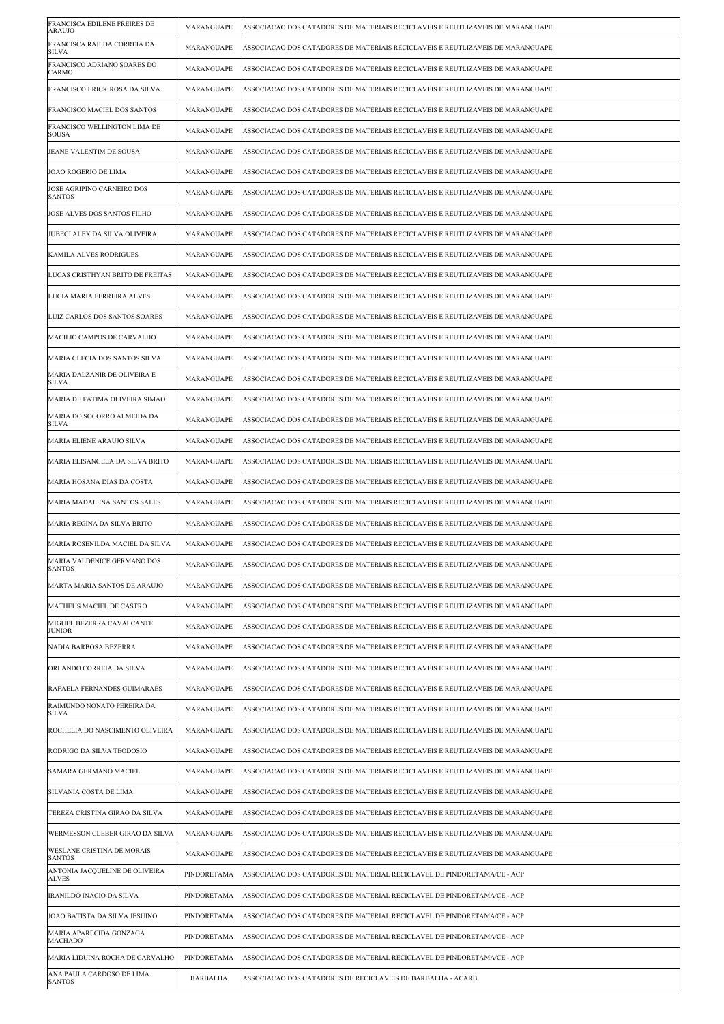| FRANCISCA EDILENE FREIRES DE<br>ARAUJO         | MARANGUAPE      | ASSOCIACAO DOS CATADORES DE MATERIAIS RECICLAVEIS E REUTLIZAVEIS DE MARANGUAPE |
|------------------------------------------------|-----------------|--------------------------------------------------------------------------------|
| FRANCISCA RAILDA CORREIA DA<br>SILVA           | MARANGUAPE      | ASSOCIACAO DOS CATADORES DE MATERIAIS RECICLAVEIS E REUTLIZAVEIS DE MARANGUAPE |
| FRANCISCO ADRIANO SOARES DO<br><b>CARMO</b>    | MARANGUAPE      | ASSOCIACAO DOS CATADORES DE MATERIAIS RECICLAVEIS E REUTLIZAVEIS DE MARANGUAPE |
| FRANCISCO ERICK ROSA DA SILVA                  | MARANGUAPE      | ASSOCIACAO DOS CATADORES DE MATERIAIS RECICLAVEIS E REUTLIZAVEIS DE MARANGUAPE |
| FRANCISCO MACIEL DOS SANTOS                    | MARANGUAPE      | ASSOCIACAO DOS CATADORES DE MATERIAIS RECICLAVEIS E REUTLIZAVEIS DE MARANGUAPE |
| FRANCISCO WELLINGTON LIMA DE<br><b>SOUSA</b>   | MARANGUAPE      | ASSOCIACAO DOS CATADORES DE MATERIAIS RECICLAVEIS E REUTLIZAVEIS DE MARANGUAPE |
| JEANE VALENTIM DE SOUSA                        | MARANGUAPE      | ASSOCIACAO DOS CATADORES DE MATERIAIS RECICLAVEIS E REUTLIZAVEIS DE MARANGUAPE |
| JOAO ROGERIO DE LIMA                           | MARANGUAPE      | ASSOCIACAO DOS CATADORES DE MATERIAIS RECICLAVEIS E REUTLIZAVEIS DE MARANGUAPE |
| JOSE AGRIPINO CARNEIRO DOS<br><b>SANTOS</b>    | MARANGUAPE      | ASSOCIACAO DOS CATADORES DE MATERIAIS RECICLAVEIS E REUTLIZAVEIS DE MARANGUAPE |
| JOSE ALVES DOS SANTOS FILHO                    | MARANGUAPE      | ASSOCIACAO DOS CATADORES DE MATERIAIS RECICLAVEIS E REUTLIZAVEIS DE MARANGUAPE |
| JUBECI ALEX DA SILVA OLIVEIRA                  | MARANGUAPE      | ASSOCIACAO DOS CATADORES DE MATERIAIS RECICLAVEIS E REUTLIZAVEIS DE MARANGUAPE |
| KAMILA ALVES RODRIGUES                         | MARANGUAPE      | ASSOCIACAO DOS CATADORES DE MATERIAIS RECICLAVEIS E REUTLIZAVEIS DE MARANGUAPE |
| LUCAS CRISTHYAN BRITO DE FREITAS               | MARANGUAPE      | ASSOCIACAO DOS CATADORES DE MATERIAIS RECICLAVEIS E REUTLIZAVEIS DE MARANGUAPE |
| LUCIA MARIA FERREIRA ALVES                     | MARANGUAPE      | ASSOCIACAO DOS CATADORES DE MATERIAIS RECICLAVEIS E REUTLIZAVEIS DE MARANGUAPE |
| LUIZ CARLOS DOS SANTOS SOARES                  | MARANGUAPE      | ASSOCIACAO DOS CATADORES DE MATERIAIS RECICLAVEIS E REUTLIZAVEIS DE MARANGUAPE |
| MACILIO CAMPOS DE CARVALHO                     | MARANGUAPE      | ASSOCIACAO DOS CATADORES DE MATERIAIS RECICLAVEIS E REUTLIZAVEIS DE MARANGUAPE |
| MARIA CLECIA DOS SANTOS SILVA                  | MARANGUAPE      | ASSOCIACAO DOS CATADORES DE MATERIAIS RECICLAVEIS E REUTLIZAVEIS DE MARANGUAPE |
| MARIA DALZANIR DE OLIVEIRA E<br>SILVA          | MARANGUAPE      | ASSOCIACAO DOS CATADORES DE MATERIAIS RECICLAVEIS E REUTLIZAVEIS DE MARANGUAPE |
| MARIA DE FATIMA OLIVEIRA SIMAO                 | MARANGUAPE      | ASSOCIACAO DOS CATADORES DE MATERIAIS RECICLAVEIS E REUTLIZAVEIS DE MARANGUAPE |
| MARIA DO SOCORRO ALMEIDA DA<br><b>SILVA</b>    | MARANGUAPE      | ASSOCIACAO DOS CATADORES DE MATERIAIS RECICLAVEIS E REUTLIZAVEIS DE MARANGUAPE |
| MARIA ELIENE ARAUJO SILVA                      | MARANGUAPE      | ASSOCIACAO DOS CATADORES DE MATERIAIS RECICLAVEIS E REUTLIZAVEIS DE MARANGUAPE |
| MARIA ELISANGELA DA SILVA BRITO                | MARANGUAPE      | ASSOCIACAO DOS CATADORES DE MATERIAIS RECICLAVEIS E REUTLIZAVEIS DE MARANGUAPE |
| MARIA HOSANA DIAS DA COSTA                     | MARANGUAPE      | ASSOCIACAO DOS CATADORES DE MATERIAIS RECICLAVEIS E REUTLIZAVEIS DE MARANGUAPE |
| MARIA MADALENA SANTOS SALES                    | MARANGUAPE      | ASSOCIACAO DOS CATADORES DE MATERIAIS RECICLAVEIS E REUTLIZAVEIS DE MARANGUAPE |
| MARIA REGINA DA SILVA BRITO                    | MARANGUAPE      | ASSOCIACAO DOS CATADORES DE MATERIAIS RECICLAVEIS E REUTLIZAVEIS DE MARANGUAPE |
| MARIA ROSENILDA MACIEL DA SILVA                | MARANGUAPE      | ASSOCIACAO DOS CATADORES DE MATERIAIS RECICLAVEIS E REUTLIZAVEIS DE MARANGUAPE |
| MARIA VALDENICE GERMANO DOS<br><b>SANTOS</b>   | MARANGUAPE      | ASSOCIACAO DOS CATADORES DE MATERIAIS RECICLAVEIS E REUTLIZAVEIS DE MARANGUAPE |
| MARTA MARIA SANTOS DE ARAUJO                   | MARANGUAPE      | ASSOCIACAO DOS CATADORES DE MATERIAIS RECICLAVEIS E REUTLIZAVEIS DE MARANGUAPE |
| MATHEUS MACIEL DE CASTRO                       | MARANGUAPE      | ASSOCIACAO DOS CATADORES DE MATERIAIS RECICLAVEIS E REUTLIZAVEIS DE MARANGUAPE |
| MIGUEL BEZERRA CAVALCANTE<br><b>JUNIOR</b>     | MARANGUAPE      | ASSOCIACAO DOS CATADORES DE MATERIAIS RECICLAVEIS E REUTLIZAVEIS DE MARANGUAPE |
| NADIA BARBOSA BEZERRA                          | MARANGUAPE      | ASSOCIACAO DOS CATADORES DE MATERIAIS RECICLAVEIS E REUTLIZAVEIS DE MARANGUAPE |
| ORLANDO CORREIA DA SILVA                       | MARANGUAPE      | ASSOCIACAO DOS CATADORES DE MATERIAIS RECICLAVEIS E REUTLIZAVEIS DE MARANGUAPE |
| RAFAELA FERNANDES GUIMARAES                    | MARANGUAPE      | ASSOCIACAO DOS CATADORES DE MATERIAIS RECICLAVEIS E REUTLIZAVEIS DE MARANGUAPE |
| RAIMUNDO NONATO PEREIRA DA<br><b>SILVA</b>     | MARANGUAPE      | ASSOCIACAO DOS CATADORES DE MATERIAIS RECICLAVEIS E REUTLIZAVEIS DE MARANGUAPE |
| ROCHELIA DO NASCIMENTO OLIVEIRA                | MARANGUAPE      | ASSOCIACAO DOS CATADORES DE MATERIAIS RECICLAVEIS E REUTLIZAVEIS DE MARANGUAPE |
| RODRIGO DA SILVA TEODOSIO                      | MARANGUAPE      | ASSOCIACAO DOS CATADORES DE MATERIAIS RECICLAVEIS E REUTLIZAVEIS DE MARANGUAPE |
| SAMARA GERMANO MACIEL                          | MARANGUAPE      | ASSOCIACAO DOS CATADORES DE MATERIAIS RECICLAVEIS E REUTLIZAVEIS DE MARANGUAPE |
| SILVANIA COSTA DE LIMA                         | MARANGUAPE      | ASSOCIACAO DOS CATADORES DE MATERIAIS RECICLAVEIS E REUTLIZAVEIS DE MARANGUAPE |
| TEREZA CRISTINA GIRAO DA SILVA                 | MARANGUAPE      | ASSOCIACAO DOS CATADORES DE MATERIAIS RECICLAVEIS E REUTLIZAVEIS DE MARANGUAPE |
| WERMESSON CLEBER GIRAO DA SILVA                | MARANGUAPE      | ASSOCIACAO DOS CATADORES DE MATERIAIS RECICLAVEIS E REUTLIZAVEIS DE MARANGUAPE |
| WESLANE CRISTINA DE MORAIS<br><b>SANTOS</b>    | MARANGUAPE      | ASSOCIACAO DOS CATADORES DE MATERIAIS RECICLAVEIS E REUTLIZAVEIS DE MARANGUAPE |
| ANTONIA JACQUELINE DE OLIVEIRA<br><b>ALVES</b> | PINDORETAMA     | ASSOCIACAO DOS CATADORES DE MATERIAL RECICLAVEL DE PINDORETAMA/CE - ACP        |
| IRANILDO INACIO DA SILVA                       | PINDORETAMA     | ASSOCIACAO DOS CATADORES DE MATERIAL RECICLAVEL DE PINDORETAMA/CE - ACP        |
| JOAO BATISTA DA SILVA JESUINO                  | PINDORETAMA     | ASSOCIACAO DOS CATADORES DE MATERIAL RECICLAVEL DE PINDORETAMA/CE - ACP        |
| MARIA APARECIDA GONZAGA<br><b>MACHADO</b>      | PINDORETAMA     | ASSOCIACAO DOS CATADORES DE MATERIAL RECICLAVEL DE PINDORETAMA/CE - ACP        |
| MARIA LIDUINA ROCHA DE CARVALHO                | PINDORETAMA     | ASSOCIACAO DOS CATADORES DE MATERIAL RECICLAVEL DE PINDORETAMA/CE - ACP        |
| ANA PAULA CARDOSO DE LIMA<br><b>SANTOS</b>     | <b>BARBALHA</b> | ASSOCIACAO DOS CATADORES DE RECICLAVEIS DE BARBALHA - ACARB                    |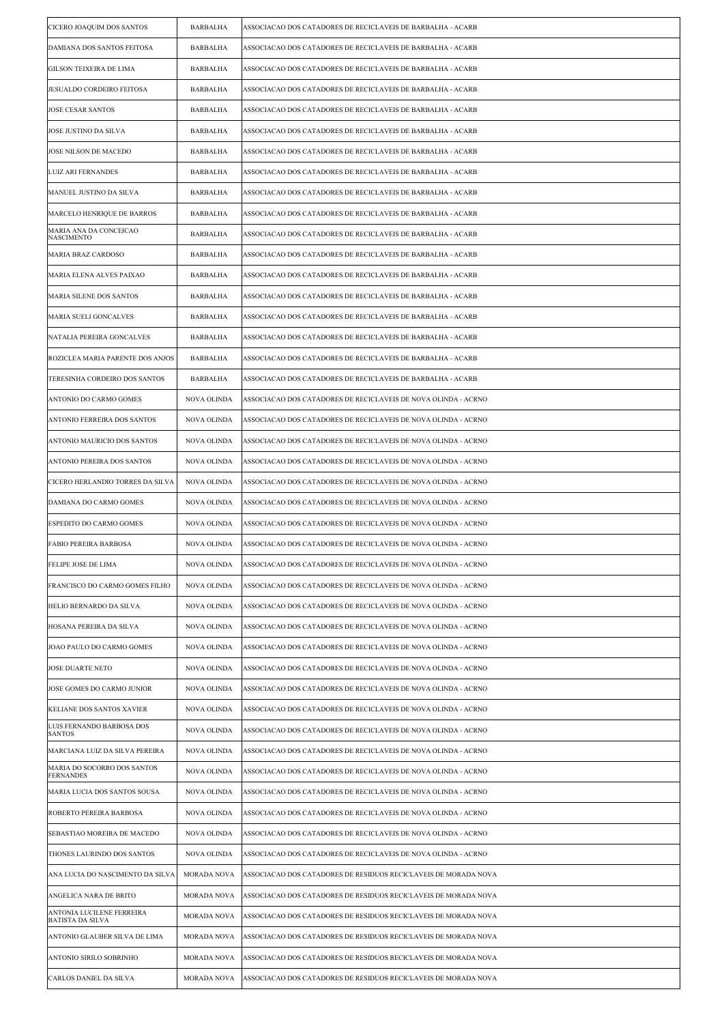| CICERO JOAQUIM DOS SANTOS                            | <b>BARBALHA</b>    | ASSOCIACAO DOS CATADORES DE RECICLAVEIS DE BARBALHA - ACARB     |
|------------------------------------------------------|--------------------|-----------------------------------------------------------------|
| DAMIANA DOS SANTOS FEITOSA                           | <b>BARBALHA</b>    | ASSOCIACAO DOS CATADORES DE RECICLAVEIS DE BARBALHA - ACARB     |
| GILSON TEIXEIRA DE LIMA                              | <b>BARBALHA</b>    | ASSOCIACAO DOS CATADORES DE RECICLAVEIS DE BARBALHA - ACARB     |
| JESUALDO CORDEIRO FEITOSA                            | BARBALHA           | ASSOCIACAO DOS CATADORES DE RECICLAVEIS DE BARBALHA - ACARB     |
| JOSE CESAR SANTOS                                    | <b>BARBALHA</b>    | ASSOCIACAO DOS CATADORES DE RECICLAVEIS DE BARBALHA - ACARB     |
| JOSE JUSTINO DA SILVA                                | <b>BARBALHA</b>    | ASSOCIACAO DOS CATADORES DE RECICLAVEIS DE BARBALHA - ACARB     |
| JOSE NILSON DE MACEDO                                | <b>BARBALHA</b>    | ASSOCIACAO DOS CATADORES DE RECICLAVEIS DE BARBALHA - ACARB     |
| <b>LUIZ ARI FERNANDES</b>                            | <b>BARBALHA</b>    | ASSOCIACAO DOS CATADORES DE RECICLAVEIS DE BARBALHA - ACARB     |
| MANUEL JUSTINO DA SILVA                              | <b>BARBALHA</b>    | ASSOCIACAO DOS CATADORES DE RECICLAVEIS DE BARBALHA - ACARB     |
| MARCELO HENRIQUE DE BARROS                           | BARBALHA           | ASSOCIACAO DOS CATADORES DE RECICLAVEIS DE BARBALHA - ACARB     |
| MARIA ANA DA CONCEICAO<br><b>NASCIMENTO</b>          | <b>BARBALHA</b>    | ASSOCIACAO DOS CATADORES DE RECICLAVEIS DE BARBALHA - ACARB     |
| <b>MARIA BRAZ CARDOSO</b>                            | <b>BARBALHA</b>    | ASSOCIACAO DOS CATADORES DE RECICLAVEIS DE BARBALHA - ACARB     |
| MARIA ELENA ALVES PAIXAO                             | <b>BARBALHA</b>    | ASSOCIACAO DOS CATADORES DE RECICLAVEIS DE BARBALHA - ACARB     |
| MARIA SILENE DOS SANTOS                              | <b>BARBALHA</b>    | ASSOCIACAO DOS CATADORES DE RECICLAVEIS DE BARBALHA - ACARB     |
| MARIA SUELI GONCALVES                                | <b>BARBALHA</b>    | ASSOCIACAO DOS CATADORES DE RECICLAVEIS DE BARBALHA - ACARB     |
| NATALIA PEREIRA GONCALVES                            | BARBALHA           | ASSOCIACAO DOS CATADORES DE RECICLAVEIS DE BARBALHA - ACARB     |
| ROZICLEA MARIA PARENTE DOS ANJOS                     | <b>BARBALHA</b>    | ASSOCIACAO DOS CATADORES DE RECICLAVEIS DE BARBALHA - ACARB     |
| TERESINHA CORDEIRO DOS SANTOS                        | <b>BARBALHA</b>    | ASSOCIACAO DOS CATADORES DE RECICLAVEIS DE BARBALHA - ACARB     |
| ANTONIO DO CARMO GOMES                               | NOVA OLINDA        | ASSOCIACAO DOS CATADORES DE RECICLAVEIS DE NOVA OLINDA - ACRNO  |
| ANTONIO FERREIRA DOS SANTOS                          | <b>NOVA OLINDA</b> | ASSOCIACAO DOS CATADORES DE RECICLAVEIS DE NOVA OLINDA - ACRNO  |
| ANTONIO MAURICIO DOS SANTOS                          | NOVA OLINDA        | ASSOCIACAO DOS CATADORES DE RECICLAVEIS DE NOVA OLINDA - ACRNO  |
| ANTONIO PEREIRA DOS SANTOS                           | NOVA OLINDA        | ASSOCIACAO DOS CATADORES DE RECICLAVEIS DE NOVA OLINDA - ACRNO  |
| CICERO HERLANDIO TORRES DA SILVA                     | <b>NOVA OLINDA</b> | ASSOCIACAO DOS CATADORES DE RECICLAVEIS DE NOVA OLINDA - ACRNO  |
| DAMIANA DO CARMO GOMES                               | NOVA OLINDA        | ASSOCIACAO DOS CATADORES DE RECICLAVEIS DE NOVA OLINDA - ACRNO  |
| ESPEDITO DO CARMO GOMES                              | NOVA OLINDA        | ASSOCIACAO DOS CATADORES DE RECICLAVEIS DE NOVA OLINDA - ACRNO  |
| FABIO PEREIRA BARBOSA                                | NOVA OLINDA        | ASSOCIACAO DOS CATADORES DE RECICLAVEIS DE NOVA OLINDA - ACRNO  |
| FELIPE JOSE DE LIMA                                  | <b>NOVA OLINDA</b> | ASSOCIACAO DOS CATADORES DE RECICLAVEIS DE NOVA OLINDA - ACRNO  |
| FRANCISCO DO CARMO GOMES FILHO                       | NOVA OLINDA        | ASSOCIACAO DOS CATADORES DE RECICLAVEIS DE NOVA OLINDA - ACRNO  |
| HELIO BERNARDO DA SILVA                              | <b>NOVA OLINDA</b> | ASSOCIACAO DOS CATADORES DE RECICLAVEIS DE NOVA OLINDA - ACRNO  |
| HOSANA PEREIRA DA SILVA                              | NOVA OLINDA        | ASSOCIACAO DOS CATADORES DE RECICLAVEIS DE NOVA OLINDA - ACRNO  |
| JOAO PAULO DO CARMO GOMES                            | NOVA OLINDA        | ASSOCIACAO DOS CATADORES DE RECICLAVEIS DE NOVA OLINDA - ACRNO  |
| <b>JOSE DUARTE NETO</b>                              | <b>NOVA OLINDA</b> | ASSOCIACAO DOS CATADORES DE RECICLAVEIS DE NOVA OLINDA - ACRNO  |
| JOSE GOMES DO CARMO JUNIOR                           | NOVA OLINDA        | ASSOCIACAO DOS CATADORES DE RECICLAVEIS DE NOVA OLINDA - ACRNO  |
| KELIANE DOS SANTOS XAVIER                            | NOVA OLINDA        | ASSOCIACAO DOS CATADORES DE RECICLAVEIS DE NOVA OLINDA - ACRNO  |
| LUIS FERNANDO BARBOSA DOS<br><b>SANTOS</b>           | <b>NOVA OLINDA</b> | ASSOCIACAO DOS CATADORES DE RECICLAVEIS DE NOVA OLINDA - ACRNO  |
| MARCIANA LUIZ DA SILVA PEREIRA                       | NOVA OLINDA        | ASSOCIACAO DOS CATADORES DE RECICLAVEIS DE NOVA OLINDA - ACRNO  |
| MARIA DO SOCORRO DOS SANTOS<br><b>FERNANDES</b>      | <b>NOVA OLINDA</b> | ASSOCIACAO DOS CATADORES DE RECICLAVEIS DE NOVA OLINDA - ACRNO  |
| MARIA LUCIA DOS SANTOS SOUSA                         | <b>NOVA OLINDA</b> | ASSOCIACAO DOS CATADORES DE RECICLAVEIS DE NOVA OLINDA - ACRNO  |
| ROBERTO PEREIRA BARBOSA                              | NOVA OLINDA        | ASSOCIACAO DOS CATADORES DE RECICLAVEIS DE NOVA OLINDA - ACRNO  |
| SEBASTIAO MOREIRA DE MACEDO                          | NOVA OLINDA        | ASSOCIACAO DOS CATADORES DE RECICLAVEIS DE NOVA OLINDA - ACRNO  |
| THONES LAURINDO DOS SANTOS                           | NOVA OLINDA        | ASSOCIACAO DOS CATADORES DE RECICLAVEIS DE NOVA OLINDA - ACRNO  |
| ANA LUCIA DO NASCIMENTO DA SILVA                     | <b>MORADA NOVA</b> | ASSOCIACAO DOS CATADORES DE RESIDUOS RECICLAVEIS DE MORADA NOVA |
| ANGELICA NARA DE BRITO                               | <b>MORADA NOVA</b> | ASSOCIACAO DOS CATADORES DE RESIDUOS RECICLAVEIS DE MORADA NOVA |
| ANTONIA LUCILENE FERREIRA<br><b>BATISTA DA SILVA</b> | <b>MORADA NOVA</b> | ASSOCIACAO DOS CATADORES DE RESIDUOS RECICLAVEIS DE MORADA NOVA |
| ANTONIO GLAUBER SILVA DE LIMA                        | <b>MORADA NOVA</b> | ASSOCIACAO DOS CATADORES DE RESIDUOS RECICLAVEIS DE MORADA NOVA |
| ANTONIO SIRILO SOBRINHO                              | <b>MORADA NOVA</b> | ASSOCIACAO DOS CATADORES DE RESIDUOS RECICLAVEIS DE MORADA NOVA |
| CARLOS DANIEL DA SILVA                               | <b>MORADA NOVA</b> | ASSOCIACAO DOS CATADORES DE RESIDUOS RECICLAVEIS DE MORADA NOVA |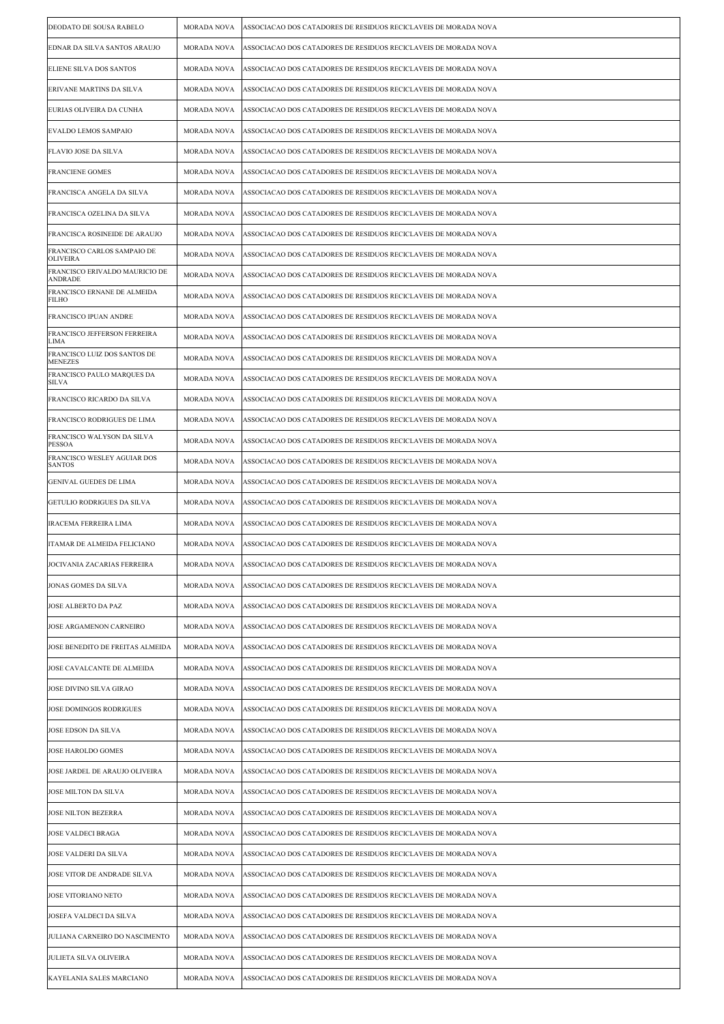| DEODATO DE SOUSA RABELO                        | MORADA NOVA        | ASSOCIACAO DOS CATADORES DE RESIDUOS RECICLAVEIS DE MORADA NOVA |
|------------------------------------------------|--------------------|-----------------------------------------------------------------|
| EDNAR DA SILVA SANTOS ARAUJO                   | <b>MORADA NOVA</b> | ASSOCIACAO DOS CATADORES DE RESIDUOS RECICLAVEIS DE MORADA NOVA |
| ELIENE SILVA DOS SANTOS                        | <b>MORADA NOVA</b> | ASSOCIACAO DOS CATADORES DE RESIDUOS RECICLAVEIS DE MORADA NOVA |
| ERIVANE MARTINS DA SILVA                       | MORADA NOVA        | ASSOCIACAO DOS CATADORES DE RESIDUOS RECICLAVEIS DE MORADA NOVA |
| EURIAS OLIVEIRA DA CUNHA                       | <b>MORADA NOVA</b> | ASSOCIACAO DOS CATADORES DE RESIDUOS RECICLAVEIS DE MORADA NOVA |
| EVALDO LEMOS SAMPAIO                           | <b>MORADA NOVA</b> | ASSOCIACAO DOS CATADORES DE RESIDUOS RECICLAVEIS DE MORADA NOVA |
| <b>FLAVIO JOSE DA SILVA</b>                    | <b>MORADA NOVA</b> | ASSOCIACAO DOS CATADORES DE RESIDUOS RECICLAVEIS DE MORADA NOVA |
| <b>FRANCIENE GOMES</b>                         | MORADA NOVA        | ASSOCIACAO DOS CATADORES DE RESIDUOS RECICLAVEIS DE MORADA NOVA |
| FRANCISCA ANGELA DA SILVA                      | <b>MORADA NOVA</b> | ASSOCIACAO DOS CATADORES DE RESIDUOS RECICLAVEIS DE MORADA NOVA |
| FRANCISCA OZELINA DA SILVA                     | <b>MORADA NOVA</b> | ASSOCIACAO DOS CATADORES DE RESIDUOS RECICLAVEIS DE MORADA NOVA |
| FRANCISCA ROSINEIDE DE ARAUJO                  | <b>MORADA NOVA</b> | ASSOCIACAO DOS CATADORES DE RESIDUOS RECICLAVEIS DE MORADA NOVA |
| FRANCISCO CARLOS SAMPAIO DE<br><b>OLIVEIRA</b> | <b>MORADA NOVA</b> | ASSOCIACAO DOS CATADORES DE RESIDUOS RECICLAVEIS DE MORADA NOVA |
| FRANCISCO ERIVALDO MAURICIO DE<br>ANDRADE      | MORADA NOVA        | ASSOCIACAO DOS CATADORES DE RESIDUOS RECICLAVEIS DE MORADA NOVA |
| FRANCISCO ERNANE DE ALMEIDA<br><b>FILHO</b>    | <b>MORADA NOVA</b> | ASSOCIACAO DOS CATADORES DE RESIDUOS RECICLAVEIS DE MORADA NOVA |
| FRANCISCO IPUAN ANDRE                          | <b>MORADA NOVA</b> | ASSOCIACAO DOS CATADORES DE RESIDUOS RECICLAVEIS DE MORADA NOVA |
| FRANCISCO JEFFERSON FERREIRA<br>LIMA           | <b>MORADA NOVA</b> | ASSOCIACAO DOS CATADORES DE RESIDUOS RECICLAVEIS DE MORADA NOVA |
| FRANCISCO LUIZ DOS SANTOS DE<br><b>MENEZES</b> | <b>MORADA NOVA</b> | ASSOCIACAO DOS CATADORES DE RESIDUOS RECICLAVEIS DE MORADA NOVA |
| FRANCISCO PAULO MARQUES DA<br>SILVA            | <b>MORADA NOVA</b> | ASSOCIACAO DOS CATADORES DE RESIDUOS RECICLAVEIS DE MORADA NOVA |
| FRANCISCO RICARDO DA SILVA                     | <b>MORADA NOVA</b> | ASSOCIACAO DOS CATADORES DE RESIDUOS RECICLAVEIS DE MORADA NOVA |
| FRANCISCO RODRIGUES DE LIMA                    | MORADA NOVA        | ASSOCIACAO DOS CATADORES DE RESIDUOS RECICLAVEIS DE MORADA NOVA |
| FRANCISCO WALYSON DA SILVA<br><b>PESSOA</b>    | <b>MORADA NOVA</b> | ASSOCIACAO DOS CATADORES DE RESIDUOS RECICLAVEIS DE MORADA NOVA |
| FRANCISCO WESLEY AGUIAR DOS<br><b>SANTOS</b>   | MORADA NOVA        | ASSOCIACAO DOS CATADORES DE RESIDUOS RECICLAVEIS DE MORADA NOVA |
| GENIVAL GUEDES DE LIMA                         | <b>MORADA NOVA</b> | ASSOCIACAO DOS CATADORES DE RESIDUOS RECICLAVEIS DE MORADA NOVA |
| GETULIO RODRIGUES DA SILVA                     | <b>MORADA NOVA</b> | ASSOCIACAO DOS CATADORES DE RESIDUOS RECICLAVEIS DE MORADA NOVA |
| <b>IRACEMA FERREIRA LIMA</b>                   | MORADA NOVA        | ASSOCIACAO DOS CATADORES DE RESIDUOS RECICLAVEIS DE MORADA NOVA |
| ITAMAR DE ALMEIDA FELICIANO                    | <b>MORADA NOVA</b> | ASSOCIACAO DOS CATADORES DE RESIDUOS RECICLAVEIS DE MORADA NOVA |
| JOCIVANIA ZACARIAS FERREIRA                    | MORADA NOVA        | ASSOCIACAO DOS CATADORES DE RESIDUOS RECICLAVEIS DE MORADA NOVA |
| JONAS GOMES DA SILVA                           | MORADA NOVA        | ASSOCIACAO DOS CATADORES DE RESIDUOS RECICLAVEIS DE MORADA NOVA |
| JOSE ALBERTO DA PAZ                            | MORADA NOVA        | ASSOCIACAO DOS CATADORES DE RESIDUOS RECICLAVEIS DE MORADA NOVA |
| JOSE ARGAMENON CARNEIRO                        | MORADA NOVA        | ASSOCIACAO DOS CATADORES DE RESIDUOS RECICLAVEIS DE MORADA NOVA |
| JOSE BENEDITO DE FREITAS ALMEIDA               | MORADA NOVA        | ASSOCIACAO DOS CATADORES DE RESIDUOS RECICLAVEIS DE MORADA NOVA |
| JOSE CAVALCANTE DE ALMEIDA                     | MORADA NOVA        | ASSOCIACAO DOS CATADORES DE RESIDUOS RECICLAVEIS DE MORADA NOVA |
| JOSE DIVINO SILVA GIRAO                        | MORADA NOVA        | ASSOCIACAO DOS CATADORES DE RESIDUOS RECICLAVEIS DE MORADA NOVA |
| JOSE DOMINGOS RODRIGUES                        | MORADA NOVA        | ASSOCIACAO DOS CATADORES DE RESIDUOS RECICLAVEIS DE MORADA NOVA |
| <b>JOSE EDSON DA SILVA</b>                     | MORADA NOVA        | ASSOCIACAO DOS CATADORES DE RESIDUOS RECICLAVEIS DE MORADA NOVA |
| JOSE HAROLDO GOMES                             | MORADA NOVA        | ASSOCIACAO DOS CATADORES DE RESIDUOS RECICLAVEIS DE MORADA NOVA |
| JOSE JARDEL DE ARAUJO OLIVEIRA                 | MORADA NOVA        | ASSOCIACAO DOS CATADORES DE RESIDUOS RECICLAVEIS DE MORADA NOVA |
| JOSE MILTON DA SILVA                           | MORADA NOVA        | ASSOCIACAO DOS CATADORES DE RESIDUOS RECICLAVEIS DE MORADA NOVA |
| JOSE NILTON BEZERRA                            | MORADA NOVA        | ASSOCIACAO DOS CATADORES DE RESIDUOS RECICLAVEIS DE MORADA NOVA |
| <b>JOSE VALDECI BRAGA</b>                      | MORADA NOVA        | ASSOCIACAO DOS CATADORES DE RESIDUOS RECICLAVEIS DE MORADA NOVA |
| JOSE VALDERI DA SILVA                          | MORADA NOVA        | ASSOCIACAO DOS CATADORES DE RESIDUOS RECICLAVEIS DE MORADA NOVA |
| JOSE VITOR DE ANDRADE SILVA                    | MORADA NOVA        | ASSOCIACAO DOS CATADORES DE RESIDUOS RECICLAVEIS DE MORADA NOVA |
| JOSE VITORIANO NETO                            | MORADA NOVA        | ASSOCIACAO DOS CATADORES DE RESIDUOS RECICLAVEIS DE MORADA NOVA |
| JOSEFA VALDECI DA SILVA                        | MORADA NOVA        | ASSOCIACAO DOS CATADORES DE RESIDUOS RECICLAVEIS DE MORADA NOVA |
| JULIANA CARNEIRO DO NASCIMENTO                 | MORADA NOVA        | ASSOCIACAO DOS CATADORES DE RESIDUOS RECICLAVEIS DE MORADA NOVA |
| JULIETA SILVA OLIVEIRA                         | MORADA NOVA        | ASSOCIACAO DOS CATADORES DE RESIDUOS RECICLAVEIS DE MORADA NOVA |
| KAYELANIA SALES MARCIANO                       | <b>MORADA NOVA</b> | ASSOCIACAO DOS CATADORES DE RESIDUOS RECICLAVEIS DE MORADA NOVA |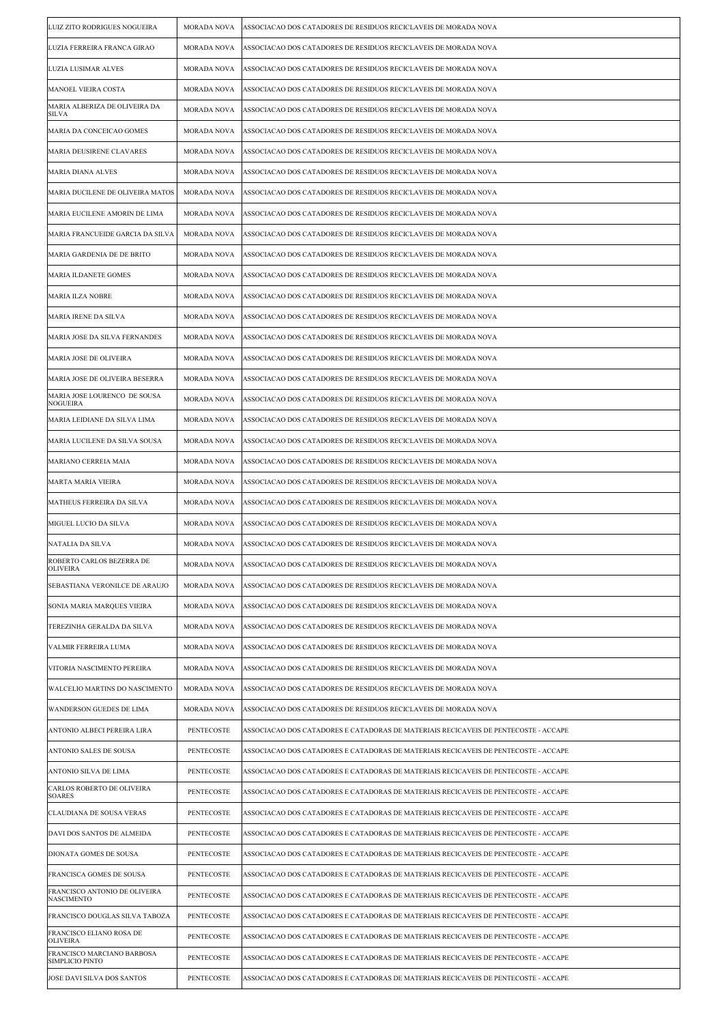| LUIZ ZITO RODRIGUES NOGUEIRA                       | <b>MORADA NOVA</b> | ASSOCIACAO DOS CATADORES DE RESIDUOS RECICLAVEIS DE MORADA NOVA                     |
|----------------------------------------------------|--------------------|-------------------------------------------------------------------------------------|
| LUZIA FERREIRA FRANCA GIRAO                        | MORADA NOVA        | ASSOCIACAO DOS CATADORES DE RESIDUOS RECICLAVEIS DE MORADA NOVA                     |
| LUZIA LUSIMAR ALVES                                | MORADA NOVA        | ASSOCIACAO DOS CATADORES DE RESIDUOS RECICLAVEIS DE MORADA NOVA                     |
| MANOEL VIEIRA COSTA                                | <b>MORADA NOVA</b> | ASSOCIACAO DOS CATADORES DE RESIDUOS RECICLAVEIS DE MORADA NOVA                     |
| MARIA ALBERIZA DE OLIVEIRA DA<br>SILVA             | MORADA NOVA        | ASSOCIACAO DOS CATADORES DE RESIDUOS RECICLAVEIS DE MORADA NOVA                     |
| MARIA DA CONCEICAO GOMES                           | MORADA NOVA        | ASSOCIACAO DOS CATADORES DE RESIDUOS RECICLAVEIS DE MORADA NOVA                     |
| MARIA DEUSIRENE CLAVARES                           | <b>MORADA NOVA</b> | ASSOCIACAO DOS CATADORES DE RESIDUOS RECICLAVEIS DE MORADA NOVA                     |
| MARIA DIANA ALVES                                  | MORADA NOVA        | ASSOCIACAO DOS CATADORES DE RESIDUOS RECICLAVEIS DE MORADA NOVA                     |
| MARIA DUCILENE DE OLIVEIRA MATOS                   | MORADA NOVA        | ASSOCIACAO DOS CATADORES DE RESIDUOS RECICLAVEIS DE MORADA NOVA                     |
| MARIA EUCILENE AMORIN DE LIMA                      | MORADA NOVA        | ASSOCIACAO DOS CATADORES DE RESIDUOS RECICLAVEIS DE MORADA NOVA                     |
| MARIA FRANCUEIDE GARCIA DA SILVA                   | MORADA NOVA        | ASSOCIACAO DOS CATADORES DE RESIDUOS RECICLAVEIS DE MORADA NOVA                     |
| MARIA GARDENIA DE DE BRITO                         | <b>MORADA NOVA</b> | ASSOCIACAO DOS CATADORES DE RESIDUOS RECICLAVEIS DE MORADA NOVA                     |
| MARIA ILDANETE GOMES                               | <b>MORADA NOVA</b> | ASSOCIACAO DOS CATADORES DE RESIDUOS RECICLAVEIS DE MORADA NOVA                     |
| MARIA ILZA NOBRE                                   | MORADA NOVA        | ASSOCIACAO DOS CATADORES DE RESIDUOS RECICLAVEIS DE MORADA NOVA                     |
| MARIA IRENE DA SILVA                               | MORADA NOVA        | ASSOCIACAO DOS CATADORES DE RESIDUOS RECICLAVEIS DE MORADA NOVA                     |
| MARIA JOSE DA SILVA FERNANDES                      | MORADA NOVA        | ASSOCIACAO DOS CATADORES DE RESIDUOS RECICLAVEIS DE MORADA NOVA                     |
| MARIA JOSE DE OLIVEIRA                             | MORADA NOVA        | ASSOCIACAO DOS CATADORES DE RESIDUOS RECICLAVEIS DE MORADA NOVA                     |
| MARIA JOSE DE OLIVEIRA BESERRA                     | MORADA NOVA        | ASSOCIACAO DOS CATADORES DE RESIDUOS RECICLAVEIS DE MORADA NOVA                     |
| MARIA JOSE LOURENCO DE SOUSA<br><b>NOGUEIRA</b>    | <b>MORADA NOVA</b> | ASSOCIACAO DOS CATADORES DE RESIDUOS RECICLAVEIS DE MORADA NOVA                     |
| MARIA LEIDIANE DA SILVA LIMA                       | MORADA NOVA        | ASSOCIACAO DOS CATADORES DE RESIDUOS RECICLAVEIS DE MORADA NOVA                     |
| MARIA LUCILENE DA SILVA SOUSA                      | MORADA NOVA        | ASSOCIACAO DOS CATADORES DE RESIDUOS RECICLAVEIS DE MORADA NOVA                     |
| MARIANO CERREIA MAIA                               | MORADA NOVA        | ASSOCIACAO DOS CATADORES DE RESIDUOS RECICLAVEIS DE MORADA NOVA                     |
| MARTA MARIA VIEIRA                                 | MORADA NOVA        | ASSOCIACAO DOS CATADORES DE RESIDUOS RECICLAVEIS DE MORADA NOVA                     |
| MATHEUS FERREIRA DA SILVA                          | MORADA NOVA        | ASSOCIACAO DOS CATADORES DE RESIDUOS RECICLAVEIS DE MORADA NOVA                     |
| MIGUEL LUCIO DA SILVA                              | <b>MORADA NOVA</b> | ASSOCIACAO DOS CATADORES DE RESIDUOS RECICLAVEIS DE MORADA NOVA                     |
| NATALIA DA SILVA                                   | MORADA NOVA        | ASSOCIACAO DOS CATADORES DE RESIDUOS RECICLAVEIS DE MORADA NOVA                     |
| ROBERTO CARLOS BEZERRA DE<br><b>OLIVEIRA</b>       | MORADA NOVA        | ASSOCIACAO DOS CATADORES DE RESIDUOS RECICLAVEIS DE MORADA NOVA                     |
| SEBASTIANA VERONILCE DE ARAUJO                     | MORADA NOVA        | ASSOCIACAO DOS CATADORES DE RESIDUOS RECICLAVEIS DE MORADA NOVA                     |
| SONIA MARIA MARQUES VIEIRA                         | MORADA NOVA        | ASSOCIACAO DOS CATADORES DE RESIDUOS RECICLAVEIS DE MORADA NOVA                     |
| TEREZINHA GERALDA DA SILVA                         | MORADA NOVA        | ASSOCIACAO DOS CATADORES DE RESIDUOS RECICLAVEIS DE MORADA NOVA                     |
| VALMIR FERREIRA LUMA                               | <b>MORADA NOVA</b> | ASSOCIACAO DOS CATADORES DE RESIDUOS RECICLAVEIS DE MORADA NOVA                     |
| VITORIA NASCIMENTO PEREIRA                         | MORADA NOVA        | ASSOCIACAO DOS CATADORES DE RESIDUOS RECICLAVEIS DE MORADA NOVA                     |
| <b>WALCELIO MARTINS DO NASCIMENTO</b>              | MORADA NOVA        | ASSOCIACAO DOS CATADORES DE RESIDUOS RECICLAVEIS DE MORADA NOVA                     |
| WANDERSON GUEDES DE LIMA                           | MORADA NOVA        | ASSOCIACAO DOS CATADORES DE RESIDUOS RECICLAVEIS DE MORADA NOVA                     |
| ANTONIO ALBECI PEREIRA LIRA                        | PENTECOSTE         | ASSOCIACAO DOS CATADORES E CATADORAS DE MATERIAIS RECICAVEIS DE PENTECOSTE - ACCAPE |
| ANTONIO SALES DE SOUSA                             | PENTECOSTE         | ASSOCIACAO DOS CATADORES E CATADORAS DE MATERIAIS RECICAVEIS DE PENTECOSTE - ACCAPE |
| ANTONIO SILVA DE LIMA                              | PENTECOSTE         | ASSOCIACAO DOS CATADORES E CATADORAS DE MATERIAIS RECICAVEIS DE PENTECOSTE - ACCAPE |
| CARLOS ROBERTO DE OLIVEIRA<br><b>SOARES</b>        | PENTECOSTE         | ASSOCIACAO DOS CATADORES E CATADORAS DE MATERIAIS RECICAVEIS DE PENTECOSTE - ACCAPE |
| CLAUDIANA DE SOUSA VERAS                           | PENTECOSTE         | ASSOCIACAO DOS CATADORES E CATADORAS DE MATERIAIS RECICAVEIS DE PENTECOSTE - ACCAPE |
| DAVI DOS SANTOS DE ALMEIDA                         | PENTECOSTE         | ASSOCIACAO DOS CATADORES E CATADORAS DE MATERIAIS RECICAVEIS DE PENTECOSTE - ACCAPE |
| DIONATA GOMES DE SOUSA                             | PENTECOSTE         | ASSOCIACAO DOS CATADORES E CATADORAS DE MATERIAIS RECICAVEIS DE PENTECOSTE - ACCAPE |
| FRANCISCA GOMES DE SOUSA                           | PENTECOSTE         | ASSOCIACAO DOS CATADORES E CATADORAS DE MATERIAIS RECICAVEIS DE PENTECOSTE - ACCAPE |
| FRANCISCO ANTONIO DE OLIVEIRA<br><b>NASCIMENTO</b> | PENTECOSTE         | ASSOCIACAO DOS CATADORES E CATADORAS DE MATERIAIS RECICAVEIS DE PENTECOSTE - ACCAPE |
| FRANCISCO DOUGLAS SILVA TABOZA                     | PENTECOSTE         | ASSOCIACAO DOS CATADORES E CATADORAS DE MATERIAIS RECICAVEIS DE PENTECOSTE - ACCAPE |
| FRANCISCO ELIANO ROSA DE<br><b>OLIVEIRA</b>        | PENTECOSTE         | ASSOCIACAO DOS CATADORES E CATADORAS DE MATERIAIS RECICAVEIS DE PENTECOSTE - ACCAPE |
| FRANCISCO MARCIANO BARBOSA<br>SIMPLICIO PINTO      | PENTECOSTE         | ASSOCIACAO DOS CATADORES E CATADORAS DE MATERIAIS RECICAVEIS DE PENTECOSTE - ACCAPE |
| JOSE DAVI SILVA DOS SANTOS                         | PENTECOSTE         | ASSOCIACAO DOS CATADORES E CATADORAS DE MATERIAIS RECICAVEIS DE PENTECOSTE - ACCAPE |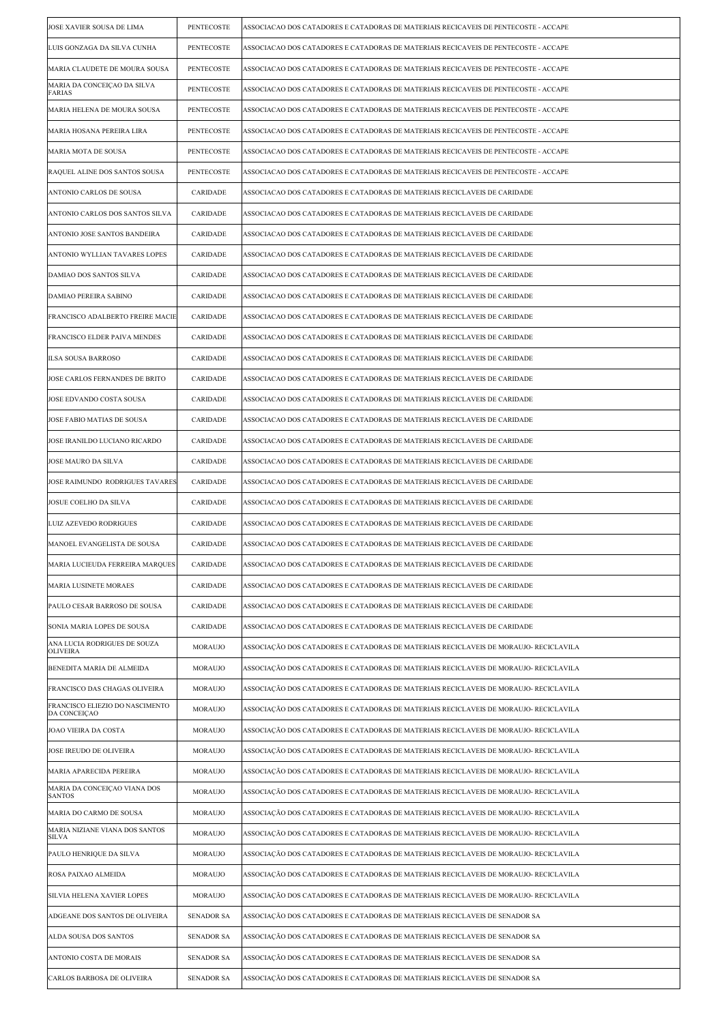| JOSE XAVIER SOUSA DE LIMA                       | PENTECOSTE        | ASSOCIACAO DOS CATADORES E CATADORAS DE MATERIAIS RECICAVEIS DE PENTECOSTE - ACCAPE   |
|-------------------------------------------------|-------------------|---------------------------------------------------------------------------------------|
| LUIS GONZAGA DA SILVA CUNHA                     | PENTECOSTE        | ASSOCIACAO DOS CATADORES E CATADORAS DE MATERIAIS RECICAVEIS DE PENTECOSTE - ACCAPE   |
| MARIA CLAUDETE DE MOURA SOUSA                   | PENTECOSTE        | ASSOCIACAO DOS CATADORES E CATADORAS DE MATERIAIS RECICAVEIS DE PENTECOSTE - ACCAPE   |
| MARIA DA CONCEIÇAO DA SILVA<br>FARIAS           | PENTECOSTE        | ASSOCIACAO DOS CATADORES E CATADORAS DE MATERIAIS RECICAVEIS DE PENTECOSTE - ACCAPE   |
| MARIA HELENA DE MOURA SOUSA                     | PENTECOSTE        | ASSOCIACAO DOS CATADORES E CATADORAS DE MATERIAIS RECICAVEIS DE PENTECOSTE - ACCAPE   |
| MARIA HOSANA PEREIRA LIRA                       | PENTECOSTE        | ASSOCIACAO DOS CATADORES E CATADORAS DE MATERIAIS RECICAVEIS DE PENTECOSTE - ACCAPE   |
| MARIA MOTA DE SOUSA                             | PENTECOSTE        | ASSOCIACAO DOS CATADORES E CATADORAS DE MATERIAIS RECICAVEIS DE PENTECOSTE - ACCAPE   |
| RAQUEL ALINE DOS SANTOS SOUSA                   | PENTECOSTE        | ASSOCIACAO DOS CATADORES E CATADORAS DE MATERIAIS RECICAVEIS DE PENTECOSTE - ACCAPE   |
| ANTONIO CARLOS DE SOUSA                         | CARIDADE          | ASSOCIACAO DOS CATADORES E CATADORAS DE MATERIAIS RECICLAVEIS DE CARIDADE             |
| ANTONIO CARLOS DOS SANTOS SILVA                 | CARIDADE          | ASSOCIACAO DOS CATADORES E CATADORAS DE MATERIAIS RECICLAVEIS DE CARIDADE             |
| ANTONIO JOSE SANTOS BANDEIRA                    | CARIDADE          | ASSOCIACAO DOS CATADORES E CATADORAS DE MATERIAIS RECICLAVEIS DE CARIDADE             |
| ANTONIO WYLLIAN TAVARES LOPES                   | CARIDADE          | ASSOCIACAO DOS CATADORES E CATADORAS DE MATERIAIS RECICLAVEIS DE CARIDADE             |
| DAMIAO DOS SANTOS SILVA                         | CARIDADE          | ASSOCIACAO DOS CATADORES E CATADORAS DE MATERIAIS RECICLAVEIS DE CARIDADE             |
| DAMIAO PEREIRA SABINO                           | CARIDADE          | ASSOCIACAO DOS CATADORES E CATADORAS DE MATERIAIS RECICLAVEIS DE CARIDADE             |
| FRANCISCO ADALBERTO FREIRE MACIE                | CARIDADE          | ASSOCIACAO DOS CATADORES E CATADORAS DE MATERIAIS RECICLAVEIS DE CARIDADE             |
| FRANCISCO ELDER PAIVA MENDES                    | CARIDADE          | ASSOCIACAO DOS CATADORES E CATADORAS DE MATERIAIS RECICLAVEIS DE CARIDADE             |
| ILSA SOUSA BARROSO                              | CARIDADE          | ASSOCIACAO DOS CATADORES E CATADORAS DE MATERIAIS RECICLAVEIS DE CARIDADE             |
| JOSE CARLOS FERNANDES DE BRITO                  | CARIDADE          | ASSOCIACAO DOS CATADORES E CATADORAS DE MATERIAIS RECICLAVEIS DE CARIDADE             |
| JOSE EDVANDO COSTA SOUSA                        | CARIDADE          | ASSOCIACAO DOS CATADORES E CATADORAS DE MATERIAIS RECICLAVEIS DE CARIDADE             |
| JOSE FABIO MATIAS DE SOUSA                      | CARIDADE          | ASSOCIACAO DOS CATADORES E CATADORAS DE MATERIAIS RECICLAVEIS DE CARIDADE             |
| JOSE IRANILDO LUCIANO RICARDO                   | CARIDADE          | ASSOCIACAO DOS CATADORES E CATADORAS DE MATERIAIS RECICLAVEIS DE CARIDADE             |
| JOSE MAURO DA SILVA                             | CARIDADE          | ASSOCIACAO DOS CATADORES E CATADORAS DE MATERIAIS RECICLAVEIS DE CARIDADE             |
| JOSE RAIMUNDO RODRIGUES TAVARES                 | CARIDADE          | ASSOCIACAO DOS CATADORES E CATADORAS DE MATERIAIS RECICLAVEIS DE CARIDADE             |
| JOSUE COELHO DA SILVA                           | CARIDADE          | ASSOCIACAO DOS CATADORES E CATADORAS DE MATERIAIS RECICLAVEIS DE CARIDADE             |
| LUIZ AZEVEDO RODRIGUES                          | CARIDADE          | ASSOCIACAO DOS CATADORES E CATADORAS DE MATERIAIS RECICLAVEIS DE CARIDADE             |
| MANOEL EVANGELISTA DE SOUSA                     | CARIDADE          | ASSOCIACAO DOS CATADORES E CATADORAS DE MATERIAIS RECICLAVEIS DE CARIDADE             |
| MARIA LUCIEUDA FERREIRA MARQUES                 | CARIDADE          | ASSOCIACAO DOS CATADORES E CATADORAS DE MATERIAIS RECICLAVEIS DE CARIDADE             |
| MARIA LUSINETE MORAES                           | CARIDADE          | ASSOCIACAO DOS CATADORES E CATADORAS DE MATERIAIS RECICLAVEIS DE CARIDADE             |
| PAULO CESAR BARROSO DE SOUSA                    | CARIDADE          | ASSOCIACAO DOS CATADORES E CATADORAS DE MATERIAIS RECICLAVEIS DE CARIDADE             |
| SONIA MARIA LOPES DE SOUSA                      | CARIDADE          | ASSOCIACAO DOS CATADORES E CATADORAS DE MATERIAIS RECICLAVEIS DE CARIDADE             |
| ANA LUCIA RODRIGUES DE SOUZA<br>OLIVEIRA        | MORAUJO           | ASSOCIAÇÃO DOS CATADORES E CATADORAS DE MATERIAIS RECICLAVEIS DE MORAUJO- RECICLAVILA |
| BENEDITA MARIA DE ALMEIDA                       | MORAUJO           | ASSOCIAÇÃO DOS CATADORES E CATADORAS DE MATERIAIS RECICLAVEIS DE MORAUJO- RECICLAVILA |
| FRANCISCO DAS CHAGAS OLIVEIRA                   | MORAUJO           | ASSOCIAÇÃO DOS CATADORES E CATADORAS DE MATERIAIS RECICLAVEIS DE MORAUJO- RECICLAVILA |
| FRANCISCO ELIEZIO DO NASCIMENTO<br>DA CONCEIÇAO | MORAUJO           | ASSOCIAÇÃO DOS CATADORES E CATADORAS DE MATERIAIS RECICLAVEIS DE MORAUJO- RECICLAVILA |
| JOAO VIEIRA DA COSTA                            | MORAUJO           | ASSOCIAÇÃO DOS CATADORES E CATADORAS DE MATERIAIS RECICLAVEIS DE MORAUJO- RECICLAVILA |
| JOSE IREUDO DE OLIVEIRA                         | MORAUJO           | ASSOCIAÇÃO DOS CATADORES E CATADORAS DE MATERIAIS RECICLAVEIS DE MORAUJO- RECICLAVILA |
| MARIA APARECIDA PEREIRA                         | MORAUJO           | ASSOCIAÇÃO DOS CATADORES E CATADORAS DE MATERIAIS RECICLAVEIS DE MORAUJO- RECICLAVILA |
| MARIA DA CONCEIÇÃO VIANA DOS<br><b>SANTOS</b>   | <b>MORAUJO</b>    | ASSOCIAÇÃO DOS CATADORES E CATADORAS DE MATERIAIS RECICLAVEIS DE MORAUJO- RECICLAVILA |
| MARIA DO CARMO DE SOUSA                         | MORAUJO           | ASSOCIAÇÃO DOS CATADORES E CATADORAS DE MATERIAIS RECICLAVEIS DE MORAUJO- RECICLAVILA |
| MARIA NIZIANE VIANA DOS SANTOS<br><b>SILVA</b>  | MORAUJO           | ASSOCIAÇÃO DOS CATADORES E CATADORAS DE MATERIAIS RECICLAVEIS DE MORAUJO- RECICLAVILA |
| PAULO HENRIQUE DA SILVA                         | MORAUJO           | ASSOCIAÇÃO DOS CATADORES E CATADORAS DE MATERIAIS RECICLAVEIS DE MORAUJO- RECICLAVILA |
| ROSA PAIXAO ALMEIDA                             | MORAUJO           | ASSOCIAÇÃO DOS CATADORES E CATADORAS DE MATERIAIS RECICLAVEIS DE MORAUJO- RECICLAVILA |
| SILVIA HELENA XAVIER LOPES                      | MORAUJO           | ASSOCIAÇÃO DOS CATADORES E CATADORAS DE MATERIAIS RECICLAVEIS DE MORAUJO- RECICLAVILA |
| ADGEANE DOS SANTOS DE OLIVEIRA                  | <b>SENADOR SA</b> | ASSOCIAÇÃO DOS CATADORES E CATADORAS DE MATERIAIS RECICLAVEIS DE SENADOR SA           |
| ALDA SOUSA DOS SANTOS                           | <b>SENADOR SA</b> | ASSOCIAÇÃO DOS CATADORES E CATADORAS DE MATERIAIS RECICLAVEIS DE SENADOR SA           |
| ANTONIO COSTA DE MORAIS                         | <b>SENADOR SA</b> | ASSOCIAÇÃO DOS CATADORES E CATADORAS DE MATERIAIS RECICLAVEIS DE SENADOR SA           |
| CARLOS BARBOSA DE OLIVEIRA                      | <b>SENADOR SA</b> | ASSOCIAÇÃO DOS CATADORES E CATADORAS DE MATERIAIS RECICLAVEIS DE SENADOR SA           |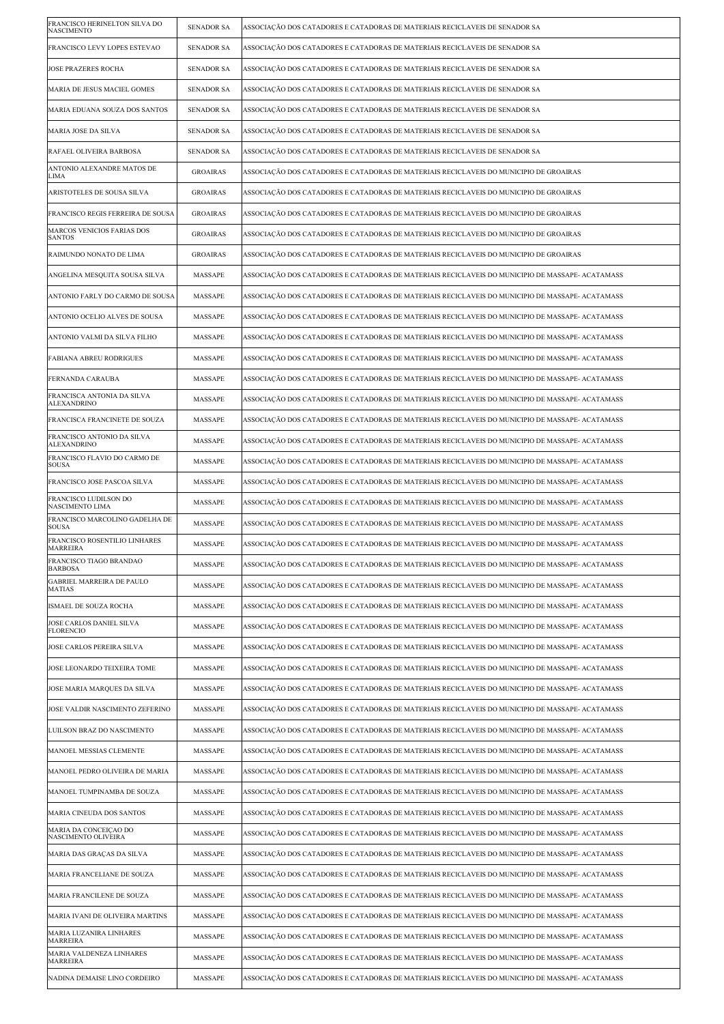| FRANCISCO HERINELTON SILVA DO<br><b>NASCIMENTO</b> | <b>SENADOR SA</b> | ASSOCIAÇÃO DOS CATADORES E CATADORAS DE MATERIAIS RECICLAVEIS DE SENADOR SA                      |
|----------------------------------------------------|-------------------|--------------------------------------------------------------------------------------------------|
| FRANCISCO LEVY LOPES ESTEVAO                       | <b>SENADOR SA</b> | ASSOCIAÇÃO DOS CATADORES E CATADORAS DE MATERIAIS RECICLAVEIS DE SENADOR SA                      |
| <b>JOSE PRAZERES ROCHA</b>                         | <b>SENADOR SA</b> | ASSOCIAÇÃO DOS CATADORES E CATADORAS DE MATERIAIS RECICLAVEIS DE SENADOR SA                      |
| MARIA DE JESUS MACIEL GOMES                        | <b>SENADOR SA</b> | ASSOCIAÇÃO DOS CATADORES E CATADORAS DE MATERIAIS RECICLAVEIS DE SENADOR SA                      |
| MARIA EDUANA SOUZA DOS SANTOS                      | <b>SENADOR SA</b> | ASSOCIAÇÃO DOS CATADORES E CATADORAS DE MATERIAIS RECICLAVEIS DE SENADOR SA                      |
| MARIA JOSE DA SILVA                                | <b>SENADOR SA</b> | ASSOCIAÇÃO DOS CATADORES E CATADORAS DE MATERIAIS RECICLAVEIS DE SENADOR SA                      |
| RAFAEL OLIVEIRA BARBOSA                            | <b>SENADOR SA</b> | ASSOCIAÇÃO DOS CATADORES E CATADORAS DE MATERIAIS RECICLAVEIS DE SENADOR SA                      |
| ANTONIO ALEXANDRE MATOS DE<br>LIMA                 | <b>GROAIRAS</b>   | ASSOCIAÇÃO DOS CATADORES E CATADORAS DE MATERIAIS RECICLAVEIS DO MUNICIPIO DE GROAIRAS           |
| ARISTOTELES DE SOUSA SILVA                         | <b>GROAIRAS</b>   | ASSOCIAÇÃO DOS CATADORES E CATADORAS DE MATERIAIS RECICLAVEIS DO MUNICIPIO DE GROAIRAS           |
| FRANCISCO REGIS FERREIRA DE SOUSA                  | <b>GROAIRAS</b>   | ASSOCIAÇÃO DOS CATADORES E CATADORAS DE MATERIAIS RECICLAVEIS DO MUNICIPIO DE GROAIRAS           |
| MARCOS VENICIOS FARIAS DOS<br><b>SANTOS</b>        | <b>GROAIRAS</b>   | ASSOCIAÇÃO DOS CATADORES E CATADORAS DE MATERIAIS RECICLAVEIS DO MUNICIPIO DE GROAIRAS           |
| RAIMUNDO NONATO DE LIMA                            | <b>GROAIRAS</b>   | ASSOCIAÇÃO DOS CATADORES E CATADORAS DE MATERIAIS RECICLAVEIS DO MUNICIPIO DE GROAIRAS           |
| ANGELINA MESQUITA SOUSA SILVA                      | MASSAPE           | ASSOCIAÇÃO DOS CATADORES E CATADORAS DE MATERIAIS RECICLAVEIS DO MUNICIPIO DE MASSAPE- ACATAMASS |
| ANTONIO FARLY DO CARMO DE SOUSA                    | MASSAPE           | ASSOCIAÇÃO DOS CATADORES E CATADORAS DE MATERIAIS RECICLAVEIS DO MUNICIPIO DE MASSAPE- ACATAMASS |
| ANTONIO OCELIO ALVES DE SOUSA                      | MASSAPE           | ASSOCIAÇÃO DOS CATADORES E CATADORAS DE MATERIAIS RECICLAVEIS DO MUNICIPIO DE MASSAPE- ACATAMASS |
| ANTONIO VALMI DA SILVA FILHO                       | MASSAPE           | ASSOCIAÇÃO DOS CATADORES E CATADORAS DE MATERIAIS RECICLAVEIS DO MUNICIPIO DE MASSAPE- ACATAMASS |
| FABIANA ABREU RODRIGUES                            | MASSAPE           | ASSOCIAÇÃO DOS CATADORES E CATADORAS DE MATERIAIS RECICLAVEIS DO MUNICIPIO DE MASSAPE- ACATAMASS |
| FERNANDA CARAUBA                                   | MASSAPE           | ASSOCIAÇÃO DOS CATADORES E CATADORAS DE MATERIAIS RECICLAVEIS DO MUNICIPIO DE MASSAPE- ACATAMASS |
| FRANCISCA ANTONIA DA SILVA<br><b>ALEXANDRINO</b>   | MASSAPE           | ASSOCIAÇÃO DOS CATADORES E CATADORAS DE MATERIAIS RECICLAVEIS DO MUNICIPIO DE MASSAPE- ACATAMASS |
| FRANCISCA FRANCINETE DE SOUZA                      | MASSAPE           | ASSOCIAÇÃO DOS CATADORES E CATADORAS DE MATERIAIS RECICLAVEIS DO MUNICIPIO DE MASSAPE- ACATAMASS |
| FRANCISCO ANTONIO DA SILVA<br><b>ALEXANDRINO</b>   | MASSAPE           | ASSOCIAÇÃO DOS CATADORES E CATADORAS DE MATERIAIS RECICLAVEIS DO MUNICIPIO DE MASSAPE- ACATAMASS |
| FRANCISCO FLAVIO DO CARMO DE<br><b>SOUSA</b>       | MASSAPE           | ASSOCIAÇÃO DOS CATADORES E CATADORAS DE MATERIAIS RECICLAVEIS DO MUNICIPIO DE MASSAPE- ACATAMASS |
| FRANCISCO JOSE PASCOA SILVA                        | MASSAPE           | ASSOCIAÇÃO DOS CATADORES E CATADORAS DE MATERIAIS RECICLAVEIS DO MUNICIPIO DE MASSAPE- ACATAMASS |
| FRANCISCO LUDILSON DO<br><b>NASCIMENTO LIMA</b>    | MASSAPE           | ASSOCIAÇÃO DOS CATADORES E CATADORAS DE MATERIAIS RECICLAVEIS DO MUNICIPIO DE MASSAPE- ACATAMASS |
| FRANCISCO MARCOLINO GADELHA DE<br><b>SOUSA</b>     | MASSAPE           | ASSOCIAÇÃO DOS CATADORES E CATADORAS DE MATERIAIS RECICLAVEIS DO MUNICIPIO DE MASSAPE- ACATAMASS |
| FRANCISCO ROSENTILIO LINHARES<br>MARREIRA          | MASSAPE           | ASSOCIAÇÃO DOS CATADORES E CATADORAS DE MATERIAIS RECICLAVEIS DO MUNICIPIO DE MASSAPE- ACATAMASS |
| FRANCISCO TIAGO BRANDAO<br><b>BARBOSA</b>          | MASSAPE           | ASSOCIAÇÃO DOS CATADORES E CATADORAS DE MATERIAIS RECICLAVEIS DO MUNICIPIO DE MASSAPE- ACATAMASS |
| <b>GABRIEL MARREIRA DE PAULO</b><br><b>MATIAS</b>  | MASSAPE           | ASSOCIAÇÃO DOS CATADORES E CATADORAS DE MATERIAIS RECICLAVEIS DO MUNICIPIO DE MASSAPE- ACATAMASS |
| ISMAEL DE SOUZA ROCHA                              | MASSAPE           | ASSOCIAÇÃO DOS CATADORES E CATADORAS DE MATERIAIS RECICLAVEIS DO MUNICIPIO DE MASSAPE- ACATAMASS |
| JOSE CARLOS DANIEL SILVA<br><b>FLORENCIO</b>       | MASSAPE           | ASSOCIAÇÃO DOS CATADORES E CATADORAS DE MATERIAIS RECICLAVEIS DO MUNICIPIO DE MASSAPE- ACATAMASS |
| JOSE CARLOS PEREIRA SILVA                          | MASSAPE           | ASSOCIAÇÃO DOS CATADORES E CATADORAS DE MATERIAIS RECICLAVEIS DO MUNICIPIO DE MASSAPE- ACATAMASS |
| JOSE LEONARDO TEIXEIRA TOME                        | MASSAPE           | ASSOCIAÇÃO DOS CATADORES E CATADORAS DE MATERIAIS RECICLAVEIS DO MUNICIPIO DE MASSAPE- ACATAMASS |
| JOSE MARIA MARQUES DA SILVA                        | MASSAPE           | ASSOCIAÇÃO DOS CATADORES E CATADORAS DE MATERIAIS RECICLAVEIS DO MUNICIPIO DE MASSAPE- ACATAMASS |
| JOSE VALDIR NASCIMENTO ZEFERINO                    | MASSAPE           | ASSOCIAÇÃO DOS CATADORES E CATADORAS DE MATERIAIS RECICLAVEIS DO MUNICIPIO DE MASSAPE- ACATAMASS |
| LUILSON BRAZ DO NASCIMENTO                         | MASSAPE           | ASSOCIAÇÃO DOS CATADORES E CATADORAS DE MATERIAIS RECICLAVEIS DO MUNICIPIO DE MASSAPE- ACATAMASS |
| MANOEL MESSIAS CLEMENTE                            | MASSAPE           | ASSOCIAÇÃO DOS CATADORES E CATADORAS DE MATERIAIS RECICLAVEIS DO MUNICIPIO DE MASSAPE- ACATAMASS |
| MANOEL PEDRO OLIVEIRA DE MARIA                     | MASSAPE           | ASSOCIAÇÃO DOS CATADORES E CATADORAS DE MATERIAIS RECICLAVEIS DO MUNICIPIO DE MASSAPE- ACATAMASS |
| MANOEL TUMPINAMBA DE SOUZA                         | MASSAPE           | ASSOCIAÇÃO DOS CATADORES E CATADORAS DE MATERIAIS RECICLAVEIS DO MUNICIPIO DE MASSAPE- ACATAMASS |
| MARIA CINEUDA DOS SANTOS                           | MASSAPE           | ASSOCIAÇÃO DOS CATADORES E CATADORAS DE MATERIAIS RECICLAVEIS DO MUNICIPIO DE MASSAPE- ACATAMASS |
| MARIA DA CONCEIÇÃO DO<br>NASCIMENTO OLIVEIRA       | MASSAPE           | ASSOCIAÇÃO DOS CATADORES E CATADORAS DE MATERIAIS RECICLAVEIS DO MUNICIPIO DE MASSAPE- ACATAMASS |
| MARIA DAS GRAÇAS DA SILVA                          | MASSAPE           | ASSOCIAÇÃO DOS CATADORES E CATADORAS DE MATERIAIS RECICLAVEIS DO MUNICIPIO DE MASSAPE- ACATAMASS |
| MARIA FRANCELIANE DE SOUZA                         | MASSAPE           | ASSOCIAÇÃO DOS CATADORES E CATADORAS DE MATERIAIS RECICLAVEIS DO MUNICIPIO DE MASSAPE- ACATAMASS |
| MARIA FRANCILENE DE SOUZA                          | MASSAPE           | ASSOCIAÇÃO DOS CATADORES E CATADORAS DE MATERIAIS RECICLAVEIS DO MUNICIPIO DE MASSAPE- ACATAMASS |
| MARIA IVANI DE OLIVEIRA MARTINS                    | MASSAPE           | ASSOCIAÇÃO DOS CATADORES E CATADORAS DE MATERIAIS RECICLAVEIS DO MUNICIPIO DE MASSAPE- ACATAMASS |
| MARIA LUZANIRA LINHARES<br><b>MARREIRA</b>         | MASSAPE           | ASSOCIAÇÃO DOS CATADORES E CATADORAS DE MATERIAIS RECICLAVEIS DO MUNICIPIO DE MASSAPE- ACATAMASS |
| MARIA VALDENEZA LINHARES<br><b>MARREIRA</b>        | MASSAPE           | ASSOCIAÇÃO DOS CATADORES E CATADORAS DE MATERIAIS RECICLAVEIS DO MUNICIPIO DE MASSAPE- ACATAMASS |
| NADINA DEMAISE LINO CORDEIRO                       | MASSAPE           | ASSOCIAÇÃO DOS CATADORES E CATADORAS DE MATERIAIS RECICLAVEIS DO MUNICIPIO DE MASSAPE- ACATAMASS |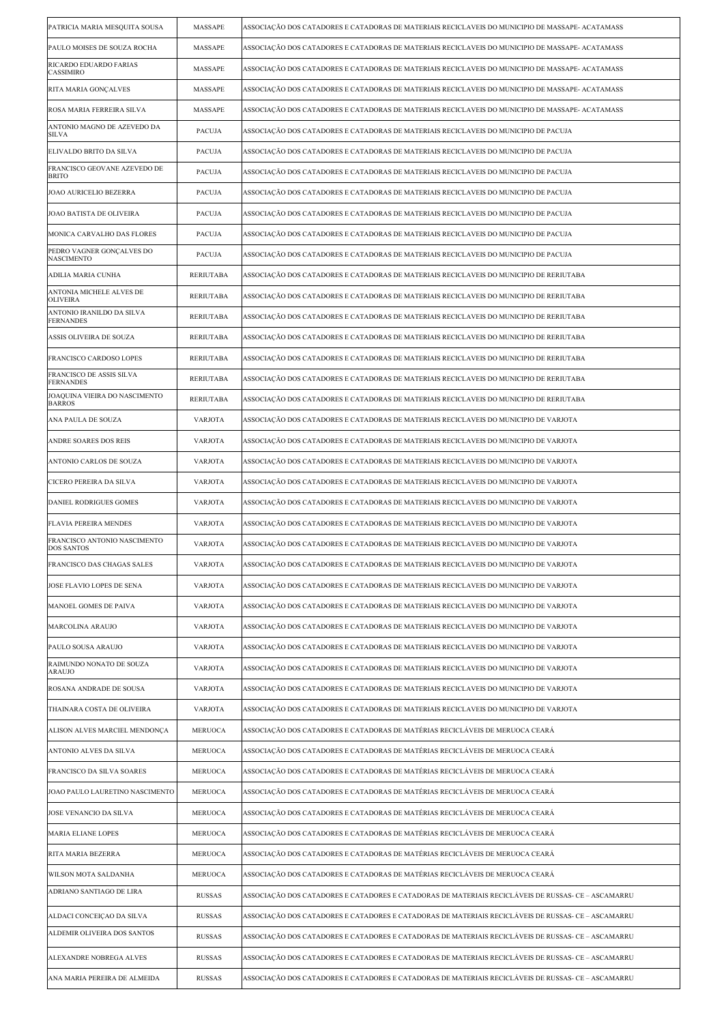| PATRICIA MARIA MESQUITA SOUSA                     | MASSAPE          | ASSOCIAÇÃO DOS CATADORES E CATADORAS DE MATERIAIS RECICLAVEIS DO MUNICIPIO DE MASSAPE- ACATAMASS    |
|---------------------------------------------------|------------------|-----------------------------------------------------------------------------------------------------|
| PAULO MOISES DE SOUZA ROCHA                       | MASSAPE          | ASSOCIAÇÃO DOS CATADORES E CATADORAS DE MATERIAIS RECICLAVEIS DO MUNICIPIO DE MASSAPE- ACATAMASS    |
| RICARDO EDUARDO FARIAS<br>CASSIMIRO               | MASSAPE          | ASSOCIAÇÃO DOS CATADORES E CATADORAS DE MATERIAIS RECICLAVEIS DO MUNICIPIO DE MASSAPE- ACATAMASS    |
| RITA MARIA GONCALVES                              | MASSAPE          | ASSOCIAÇÃO DOS CATADORES E CATADORAS DE MATERIAIS RECICLAVEIS DO MUNICIPIO DE MASSAPE- ACATAMASS    |
| ROSA MARIA FERREIRA SILVA                         | MASSAPE          | ASSOCIAÇÃO DOS CATADORES E CATADORAS DE MATERIAIS RECICLAVEIS DO MUNICIPIO DE MASSAPE- ACATAMASS    |
| ANTONIO MAGNO DE AZEVEDO DA<br><b>SILVA</b>       | PACUJA           | ASSOCIAÇÃO DOS CATADORES E CATADORAS DE MATERIAIS RECICLAVEIS DO MUNICIPIO DE PACUJA                |
| ELIVALDO BRITO DA SILVA                           | PACUJA           | ASSOCIAÇÃO DOS CATADORES E CATADORAS DE MATERIAIS RECICLAVEIS DO MUNICIPIO DE PACUJA                |
| FRANCISCO GEOVANE AZEVEDO DE<br><b>BRITO</b>      | <b>PACUJA</b>    | ASSOCIAÇÃO DOS CATADORES E CATADORAS DE MATERIAIS RECICLAVEIS DO MUNICIPIO DE PACUJA                |
| <b>JOAO AURICELIO BEZERRA</b>                     | PACUJA           | ASSOCIAÇÃO DOS CATADORES E CATADORAS DE MATERIAIS RECICLAVEIS DO MUNICIPIO DE PACUJA                |
| JOAO BATISTA DE OLIVEIRA                          | PACUJA           | ASSOCIAÇÃO DOS CATADORES E CATADORAS DE MATERIAIS RECICLAVEIS DO MUNICIPIO DE PACUJA                |
| MONICA CARVALHO DAS FLORES                        | PACUJA           | ASSOCIAÇÃO DOS CATADORES E CATADORAS DE MATERIAIS RECICLAVEIS DO MUNICIPIO DE PACUJA                |
| PEDRO VAGNER GONÇALVES DO<br><b>NASCIMENTO</b>    | <b>PACUJA</b>    | ASSOCIAÇÃO DOS CATADORES E CATADORAS DE MATERIAIS RECICLAVEIS DO MUNICIPIO DE PACUJA                |
| ADILIA MARIA CUNHA                                | <b>RERIUTABA</b> | ASSOCIAÇÃO DOS CATADORES E CATADORAS DE MATERIAIS RECICLAVEIS DO MUNICIPIO DE RERIUTABA             |
| ANTONIA MICHELE ALVES DE<br><b>OLIVEIRA</b>       | <b>RERIUTABA</b> | ASSOCIAÇÃO DOS CATADORES E CATADORAS DE MATERIAIS RECICLAVEIS DO MUNICIPIO DE RERIUTABA             |
| ANTONIO IRANILDO DA SILVA<br><b>FERNANDES</b>     | <b>RERIUTABA</b> | ASSOCIAÇÃO DOS CATADORES E CATADORAS DE MATERIAIS RECICLAVEIS DO MUNICIPIO DE RERIUTABA             |
| ASSIS OLIVEIRA DE SOUZA                           | <b>RERIUTABA</b> | ASSOCIAÇÃO DOS CATADORES E CATADORAS DE MATERIAIS RECICLAVEIS DO MUNICIPIO DE RERIUTABA             |
| FRANCISCO CARDOSO LOPES                           | <b>RERIUTABA</b> | ASSOCIAÇÃO DOS CATADORES E CATADORAS DE MATERIAIS RECICLAVEIS DO MUNICIPIO DE RERIUTABA             |
| FRANCISCO DE ASSIS SILVA<br><b>FERNANDES</b>      | <b>RERIUTABA</b> | ASSOCIAÇÃO DOS CATADORES E CATADORAS DE MATERIAIS RECICLAVEIS DO MUNICIPIO DE RERIUTABA             |
| JOAQUINA VIEIRA DO NASCIMENTO<br><b>BARROS</b>    | <b>RERIUTABA</b> | ASSOCIAÇÃO DOS CATADORES E CATADORAS DE MATERIAIS RECICLAVEIS DO MUNICIPIO DE RERIUTABA             |
| ANA PAULA DE SOUZA                                | <b>VARJOTA</b>   | ASSOCIAÇÃO DOS CATADORES E CATADORAS DE MATERIAIS RECICLAVEIS DO MUNICIPIO DE VARJOTA               |
| ANDRE SOARES DOS REIS                             | <b>VARJOTA</b>   | ASSOCIAÇÃO DOS CATADORES E CATADORAS DE MATERIAIS RECICLAVEIS DO MUNICIPIO DE VARJOTA               |
| ANTONIO CARLOS DE SOUZA                           | <b>VARJOTA</b>   | ASSOCIAÇÃO DOS CATADORES E CATADORAS DE MATERIAIS RECICLAVEIS DO MUNICIPIO DE VARJOTA               |
| CICERO PEREIRA DA SILVA                           | <b>VARJOTA</b>   | ASSOCIAÇÃO DOS CATADORES E CATADORAS DE MATERIAIS RECICLAVEIS DO MUNICIPIO DE VARJOTA               |
| <b>DANIEL RODRIGUES GOMES</b>                     | <b>VARJOTA</b>   | ASSOCIAÇÃO DOS CATADORES E CATADORAS DE MATERIAIS RECICLAVEIS DO MUNICIPIO DE VARJOTA               |
| <b>FLAVIA PEREIRA MENDES</b>                      | <b>VARJOTA</b>   | ASSOCIAÇÃO DOS CATADORES E CATADORAS DE MATERIAIS RECICLAVEIS DO MUNICIPIO DE VARJOTA               |
| FRANCISCO ANTONIO NASCIMENTO<br><b>DOS SANTOS</b> | <b>VARJOTA</b>   | ASSOCIAÇÃO DOS CATADORES E CATADORAS DE MATERIAIS RECICLAVEIS DO MUNICIPIO DE VARJOTA               |
| FRANCISCO DAS CHAGAS SALES                        | VARJOTA          | ASSOCIAÇÃO DOS CATADORES E CATADORAS DE MATERIAIS RECICLAVEIS DO MUNICIPIO DE VARJOTA               |
| JOSE FLAVIO LOPES DE SENA                         | <b>VARJOTA</b>   | ASSOCIAÇÃO DOS CATADORES E CATADORAS DE MATERIAIS RECICLAVEIS DO MUNICIPIO DE VARJOTA               |
| MANOEL GOMES DE PAIVA                             | VARJOTA          | ASSOCIAÇÃO DOS CATADORES E CATADORAS DE MATERIAIS RECICLAVEIS DO MUNICIPIO DE VARJOTA               |
| MARCOLINA ARAUJO                                  | <b>VARJOTA</b>   | ASSOCIAÇÃO DOS CATADORES E CATADORAS DE MATERIAIS RECICLAVEIS DO MUNICIPIO DE VARJOTA               |
| PAULO SOUSA ARAUJO                                | <b>VARJOTA</b>   | ASSOCIAÇÃO DOS CATADORES E CATADORAS DE MATERIAIS RECICLAVEIS DO MUNICIPIO DE VARJOTA               |
| RAIMUNDO NONATO DE SOUZA<br><b>ARAUJO</b>         | <b>VARJOTA</b>   | ASSOCIAÇÃO DOS CATADORES E CATADORAS DE MATERIAIS RECICLAVEIS DO MUNICIPIO DE VARJOTA               |
| ROSANA ANDRADE DE SOUSA                           | <b>VARJOTA</b>   | ASSOCIAÇÃO DOS CATADORES E CATADORAS DE MATERIAIS RECICLAVEIS DO MUNICIPIO DE VARJOTA               |
| THAINARA COSTA DE OLIVEIRA                        | VARJOTA          | ASSOCIAÇÃO DOS CATADORES E CATADORAS DE MATERIAIS RECICLAVEIS DO MUNICIPIO DE VARJOTA               |
| ALISON ALVES MARCIEL MENDONÇA                     | MERUOCA          | ASSOCIAÇÃO DOS CATADORES E CATADORAS DE MATÉRIAS RECICLÁVEIS DE MERUOCA CEARÁ                       |
| ANTONIO ALVES DA SILVA                            | MERUOCA          | ASSOCIAÇÃO DOS CATADORES E CATADORAS DE MATÉRIAS RECICLÁVEIS DE MERUOCA CEARÁ                       |
| FRANCISCO DA SILVA SOARES                         | MERUOCA          | ASSOCIAÇÃO DOS CATADORES E CATADORAS DE MATÉRIAS RECICLÁVEIS DE MERUOCA CEARÁ                       |
| JOAO PAULO LAURETINO NASCIMENTO                   | MERUOCA          | ASSOCIAÇÃO DOS CATADORES E CATADORAS DE MATÉRIAS RECICLÁVEIS DE MERUOCA CEARÁ                       |
| JOSE VENANCIO DA SILVA                            | MERUOCA          | ASSOCIAÇÃO DOS CATADORES E CATADORAS DE MATÉRIAS RECICLÁVEIS DE MERUOCA CEARÁ                       |
| <b>MARIA ELIANE LOPES</b>                         | MERUOCA          | ASSOCIAÇÃO DOS CATADORES E CATADORAS DE MATÉRIAS RECICLÁVEIS DE MERUOCA CEARÁ                       |
| RITA MARIA BEZERRA                                | MERUOCA          | ASSOCIAÇÃO DOS CATADORES E CATADORAS DE MATÉRIAS RECICLÁVEIS DE MERUOCA CEARÁ                       |
| WILSON MOTA SALDANHA                              | MERUOCA          | ASSOCIAÇÃO DOS CATADORES E CATADORAS DE MATÉRIAS RECICLÁVEIS DE MERUOCA CEARÁ                       |
| ADRIANO SANTIAGO DE LIRA                          | RUSSAS           | ASSOCIAÇÃO DOS CATADORES E CATADORES E CATADORAS DE MATERIAIS RECICLÁVEIS DE RUSSAS- CE – ASCAMARRU |
| ALDACI CONCEIÇAO DA SILVA                         | RUSSAS           | ASSOCIAÇÃO DOS CATADORES E CATADORES E CATADORAS DE MATERIAIS RECICLÁVEIS DE RUSSAS- CE – ASCAMARRU |
| ALDEMIR OLIVEIRA DOS SANTOS                       | RUSSAS           | ASSOCIAÇÃO DOS CATADORES E CATADORES E CATADORAS DE MATERIAIS RECICLÁVEIS DE RUSSAS- CE – ASCAMARRU |
| ALEXANDRE NOBREGA ALVES                           | RUSSAS           | ASSOCIAÇÃO DOS CATADORES E CATADORES E CATADORAS DE MATERIAIS RECICLÁVEIS DE RUSSAS- CE – ASCAMARRU |
| ANA MARIA PEREIRA DE ALMEIDA                      | <b>RUSSAS</b>    | ASSOCIAÇÃO DOS CATADORES E CATADORES E CATADORAS DE MATERIAIS RECICLÁVEIS DE RUSSAS- CE – ASCAMARRU |
|                                                   |                  |                                                                                                     |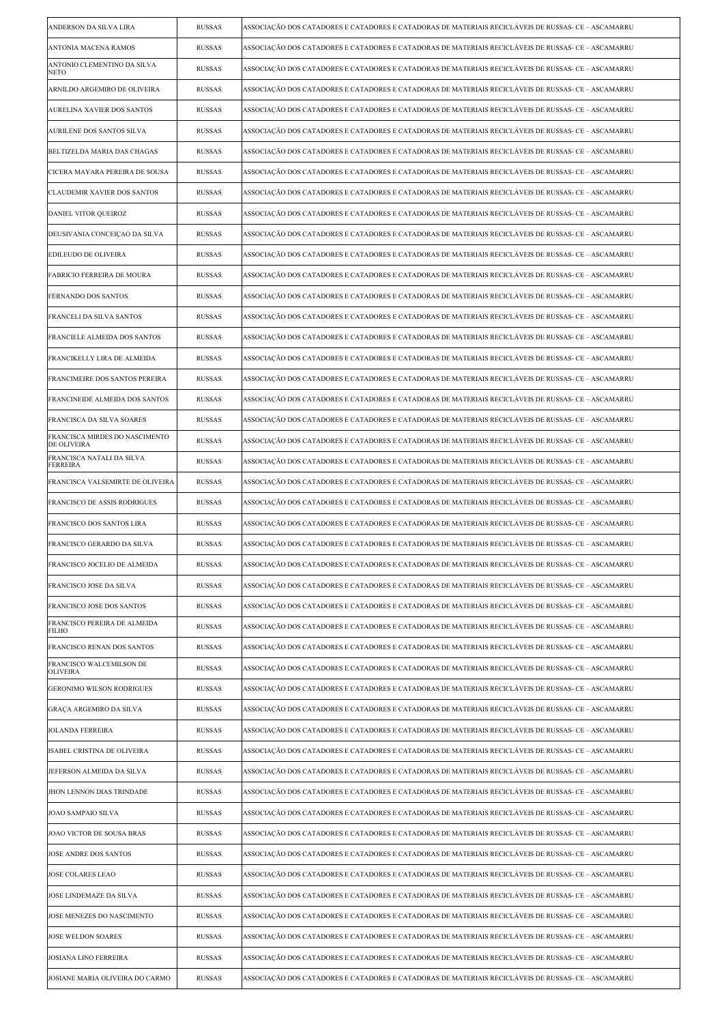| ANDERSON DA SILVA LIRA                        | <b>RUSSAS</b> | ASSOCIAÇÃO DOS CATADORES E CATADORES E CATADORAS DE MATERIAIS RECICLÁVEIS DE RUSSAS- CE – ASCAMARRU |
|-----------------------------------------------|---------------|-----------------------------------------------------------------------------------------------------|
| ANTONIA MACENA RAMOS                          | <b>RUSSAS</b> | ASSOCIAÇÃO DOS CATADORES E CATADORES E CATADORAS DE MATERIAIS RECICLÁVEIS DE RUSSAS- CE – ASCAMARRU |
| ANTONIO CLEMENTINO DA SILVA<br>NETO           | <b>RUSSAS</b> | ASSOCIAÇÃO DOS CATADORES E CATADORES E CATADORAS DE MATERIAIS RECICLÁVEIS DE RUSSAS- CE – ASCAMARRU |
| ARNILDO ARGEMIRO DE OLIVEIRA                  | <b>RUSSAS</b> | ASSOCIAÇÃO DOS CATADORES E CATADORES E CATADORAS DE MATERIAIS RECICLÁVEIS DE RUSSAS- CE – ASCAMARRU |
| AURELINA XAVIER DOS SANTOS                    | <b>RUSSAS</b> | ASSOCIAÇÃO DOS CATADORES E CATADORES E CATADORAS DE MATERIAIS RECICLÁVEIS DE RUSSAS- CE – ASCAMARRU |
| AURILENE DOS SANTOS SILVA                     | <b>RUSSAS</b> | ASSOCIAÇÃO DOS CATADORES E CATADORES E CATADORAS DE MATERIAIS RECICLÁVEIS DE RUSSAS- CE – ASCAMARRU |
| BELTIZELDA MARIA DAS CHAGAS                   | <b>RUSSAS</b> | ASSOCIAÇÃO DOS CATADORES E CATADORES E CATADORAS DE MATERIAIS RECICLÁVEIS DE RUSSAS- CE – ASCAMARRU |
| CICERA MAYARA PEREIRA DE SOUSA                | <b>RUSSAS</b> | ASSOCIAÇÃO DOS CATADORES E CATADORES E CATADORAS DE MATERIAIS RECICLÁVEIS DE RUSSAS- CE – ASCAMARRU |
| CLAUDEMIR XAVIER DOS SANTOS                   | <b>RUSSAS</b> | ASSOCIAÇÃO DOS CATADORES E CATADORES E CATADORAS DE MATERIAIS RECICLÁVEIS DE RUSSAS- CE – ASCAMARRU |
| DANIEL VITOR QUEIROZ                          | <b>RUSSAS</b> | ASSOCIAÇÃO DOS CATADORES E CATADORES E CATADORAS DE MATERIAIS RECICLÁVEIS DE RUSSAS- CE – ASCAMARRU |
| DEUSIVANIA CONCEIÇÃO DA SILVA                 | <b>RUSSAS</b> | ASSOCIAÇÃO DOS CATADORES E CATADORES E CATADORAS DE MATERIAIS RECICLÁVEIS DE RUSSAS- CE – ASCAMARRU |
| EDILEUDO DE OLIVEIRA                          | <b>RUSSAS</b> | ASSOCIAÇÃO DOS CATADORES E CATADORES E CATADORAS DE MATERIAIS RECICLÁVEIS DE RUSSAS- CE – ASCAMARRU |
| FABRICIO FERREIRA DE MOURA                    | <b>RUSSAS</b> | ASSOCIAÇÃO DOS CATADORES E CATADORES E CATADORAS DE MATERIAIS RECICLÁVEIS DE RUSSAS- CE – ASCAMARRU |
| FERNANDO DOS SANTOS                           | <b>RUSSAS</b> | ASSOCIAÇÃO DOS CATADORES E CATADORES E CATADORAS DE MATERIAIS RECICLÁVEIS DE RUSSAS- CE – ASCAMARRU |
| FRANCELI DA SILVA SANTOS                      | <b>RUSSAS</b> | ASSOCIAÇÃO DOS CATADORES E CATADORES E CATADORAS DE MATERIAIS RECICLÁVEIS DE RUSSAS- CE – ASCAMARRU |
| FRANCIELE ALMEIDA DOS SANTOS                  | <b>RUSSAS</b> | ASSOCIAÇÃO DOS CATADORES E CATADORES E CATADORAS DE MATERIAIS RECICLÁVEIS DE RUSSAS- CE – ASCAMARRU |
| FRANCIKELLY LIRA DE ALMEIDA                   | <b>RUSSAS</b> | ASSOCIAÇÃO DOS CATADORES E CATADORES E CATADORAS DE MATERIAIS RECICLÁVEIS DE RUSSAS- CE – ASCAMARRU |
| FRANCIMEIRE DOS SANTOS PEREIRA                | <b>RUSSAS</b> | ASSOCIAÇÃO DOS CATADORES E CATADORES E CATADORAS DE MATERIAIS RECICLÁVEIS DE RUSSAS- CE – ASCAMARRU |
| FRANCINEIDE ALMEIDA DOS SANTOS                | <b>RUSSAS</b> | ASSOCIAÇÃO DOS CATADORES E CATADORES E CATADORAS DE MATERIAIS RECICLÁVEIS DE RUSSAS- CE – ASCAMARRU |
| FRANCISCA DA SILVA SOARES                     | <b>RUSSAS</b> | ASSOCIAÇÃO DOS CATADORES E CATADORES E CATADORAS DE MATERIAIS RECICLÁVEIS DE RUSSAS- CE – ASCAMARRU |
| FRANCISCA MIRDES DO NASCIMENTO<br>DE OLIVEIRA | <b>RUSSAS</b> | ASSOCIAÇÃO DOS CATADORES E CATADORES E CATADORAS DE MATERIAIS RECICLÁVEIS DE RUSSAS- CE – ASCAMARRU |
| FRANCISCA NATALI DA SILVA<br>FERREIRA         | <b>RUSSAS</b> | ASSOCIAÇÃO DOS CATADORES E CATADORES E CATADORAS DE MATERIAIS RECICLÁVEIS DE RUSSAS- CE – ASCAMARRU |
| FRANCISCA VALSEMIRTE DE OLIVEIRA              | <b>RUSSAS</b> | ASSOCIAÇÃO DOS CATADORES E CATADORES E CATADORAS DE MATERIAIS RECICLÁVEIS DE RUSSAS- CE – ASCAMARRU |
| FRANCISCO DE ASSIS RODRIGUES                  | <b>RUSSAS</b> | ASSOCIAÇÃO DOS CATADORES E CATADORES E CATADORAS DE MATERIAIS RECICLÁVEIS DE RUSSAS- CE – ASCAMARRU |
| FRANCISCO DOS SANTOS LIRA                     | <b>RUSSAS</b> | ASSOCIAÇÃO DOS CATADORES E CATADORES E CATADORAS DE MATERIAIS RECICLÁVEIS DE RUSSAS- CE – ASCAMARRU |
| FRANCISCO GERARDO DA SILVA                    | <b>RUSSAS</b> | ASSOCIAÇÃO DOS CATADORES E CATADORES E CATADORAS DE MATERIAIS RECICLÁVEIS DE RUSSAS- CE – ASCAMARRU |
| FRANCISCO JOCELIO DE ALMEIDA                  | <b>RUSSAS</b> | ASSOCIAÇÃO DOS CATADORES E CATADORES E CATADORAS DE MATERIAIS RECICLÁVEIS DE RUSSAS- CE – ASCAMARRU |
| FRANCISCO JOSE DA SILVA                       | <b>RUSSAS</b> | ASSOCIAÇÃO DOS CATADORES E CATADORES E CATADORAS DE MATERIAIS RECICLÁVEIS DE RUSSAS- CE – ASCAMARRU |
| FRANCISCO JOSE DOS SANTOS                     | <b>RUSSAS</b> | ASSOCIAÇÃO DOS CATADORES E CATADORES E CATADORAS DE MATERIAIS RECICLÁVEIS DE RUSSAS- CE – ASCAMARRU |
| FRANCISCO PEREIRA DE ALMEIDA<br>FILHO         | <b>RUSSAS</b> | ASSOCIAÇÃO DOS CATADORES E CATADORES E CATADORAS DE MATERIAIS RECICLÁVEIS DE RUSSAS- CE – ASCAMARRU |
| FRANCISCO RENAN DOS SANTOS                    | <b>RUSSAS</b> | ASSOCIACÃO DOS CATADORES E CATADORES E CATADORAS DE MATERIAIS RECICLÁVEIS DE RUSSAS- CE – ASCAMARRU |
| FRANCISCO WALCEMILSON DE<br><b>OLIVEIRA</b>   | <b>RUSSAS</b> | ASSOCIAÇÃO DOS CATADORES E CATADORES E CATADORAS DE MATERIAIS RECICLÁVEIS DE RUSSAS- CE – ASCAMARRU |
| <b>GERONIMO WILSON RODRIGUES</b>              | <b>RUSSAS</b> | ASSOCIAÇÃO DOS CATADORES E CATADORES E CATADORAS DE MATERIAIS RECICLÁVEIS DE RUSSAS- CE – ASCAMARRU |
| GRAÇA ARGEMIRO DA SILVA                       | <b>RUSSAS</b> | ASSOCIAÇÃO DOS CATADORES E CATADORES E CATADORAS DE MATERIAIS RECICLÁVEIS DE RUSSAS- CE – ASCAMARRU |
| <b>IOLANDA FERREIRA</b>                       | <b>RUSSAS</b> | ASSOCIAÇÃO DOS CATADORES E CATADORES E CATADORAS DE MATERIAIS RECICLÁVEIS DE RUSSAS- CE – ASCAMARRU |
| ISABEL CRISTINA DE OLIVEIRA                   | <b>RUSSAS</b> | ASSOCIAÇÃO DOS CATADORES E CATADORES E CATADORAS DE MATERIAIS RECICLÁVEIS DE RUSSAS- CE – ASCAMARRU |
| JEFERSON ALMEIDA DA SILVA                     | RUSSAS        | ASSOCIAÇÃO DOS CATADORES E CATADORES E CATADORAS DE MATERIAIS RECICLÁVEIS DE RUSSAS- CE – ASCAMARRU |
| JHON LENNON DIAS TRINDADE                     | <b>RUSSAS</b> | ASSOCIAÇÃO DOS CATADORES E CATADORES E CATADORAS DE MATERIAIS RECICLÁVEIS DE RUSSAS- CE – ASCAMARRU |
| JOAO SAMPAIO SILVA                            | <b>RUSSAS</b> | ASSOCIAÇÃO DOS CATADORES E CATADORES E CATADORAS DE MATERIAIS RECICLÁVEIS DE RUSSAS- CE – ASCAMARRU |
| JOAO VICTOR DE SOUSA BRAS                     | <b>RUSSAS</b> | ASSOCIAÇÃO DOS CATADORES E CATADORES E CATADORAS DE MATERIAIS RECICLÁVEIS DE RUSSAS- CE – ASCAMARRU |
| JOSE ANDRE DOS SANTOS                         | <b>RUSSAS</b> | ASSOCIAÇÃO DOS CATADORES E CATADORES E CATADORAS DE MATERIAIS RECICLÁVEIS DE RUSSAS- CE – ASCAMARRU |
| JOSE COLARES LEAO                             | <b>RUSSAS</b> | ASSOCIAÇÃO DOS CATADORES E CATADORES E CATADORAS DE MATERIAIS RECICLÁVEIS DE RUSSAS- CE – ASCAMARRU |
| JOSE LINDEMAZE DA SILVA                       | <b>RUSSAS</b> | ASSOCIAÇÃO DOS CATADORES E CATADORES E CATADORAS DE MATERIAIS RECICLÁVEIS DE RUSSAS- CE – ASCAMARRU |
| JOSE MENEZES DO NASCIMENTO                    | <b>RUSSAS</b> | ASSOCIAÇÃO DOS CATADORES E CATADORES E CATADORAS DE MATERIAIS RECICLÁVEIS DE RUSSAS- CE – ASCAMARRU |
| JOSE WELDON SOARES                            | <b>RUSSAS</b> | ASSOCIAÇÃO DOS CATADORES E CATADORES E CATADORAS DE MATERIAIS RECICLÁVEIS DE RUSSAS- CE – ASCAMARRU |
| JOSIANA LINO FERREIRA                         | <b>RUSSAS</b> | ASSOCIAÇÃO DOS CATADORES E CATADORES E CATADORAS DE MATERIAIS RECICLÁVEIS DE RUSSAS- CE – ASCAMARRU |
| JOSIANE MARIA OLIVEIRA DO CARMO               | <b>RUSSAS</b> | ASSOCIAÇÃO DOS CATADORES E CATADORES E CATADORAS DE MATERIAIS RECICLÁVEIS DE RUSSAS- CE – ASCAMARRU |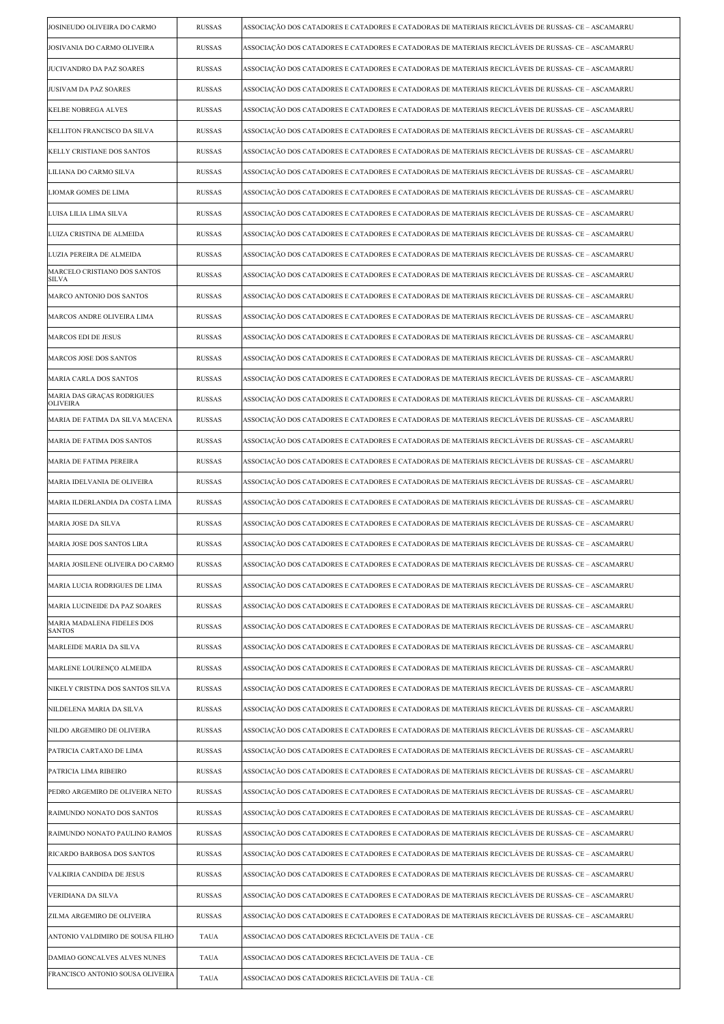| JOSINEUDO OLIVEIRA DO CARMO                   | <b>RUSSAS</b> | ASSOCIAÇÃO DOS CATADORES E CATADORES E CATADORAS DE MATERIAIS RECICLÁVEIS DE RUSSAS- CE – ASCAMARRU |
|-----------------------------------------------|---------------|-----------------------------------------------------------------------------------------------------|
| JOSIVANIA DO CARMO OLIVEIRA                   | <b>RUSSAS</b> | ASSOCIAÇÃO DOS CATADORES E CATADORES E CATADORAS DE MATERIAIS RECICLÁVEIS DE RUSSAS- CE – ASCAMARRU |
| JUCIVANDRO DA PAZ SOARES                      | <b>RUSSAS</b> | ASSOCIAÇÃO DOS CATADORES E CATADORES E CATADORAS DE MATERIAIS RECICLÁVEIS DE RUSSAS- CE – ASCAMARRU |
| JUSIVAM DA PAZ SOARES                         | <b>RUSSAS</b> | ASSOCIAÇÃO DOS CATADORES E CATADORES E CATADORAS DE MATERIAIS RECICLÁVEIS DE RUSSAS- CE – ASCAMARRU |
| KELBE NOBREGA ALVES                           | <b>RUSSAS</b> | ASSOCIAÇÃO DOS CATADORES E CATADORES E CATADORAS DE MATERIAIS RECICLÁVEIS DE RUSSAS- CE – ASCAMARRU |
| KELLITON FRANCISCO DA SILVA                   | <b>RUSSAS</b> | ASSOCIAÇÃO DOS CATADORES E CATADORES E CATADORAS DE MATERIAIS RECICLÁVEIS DE RUSSAS- CE – ASCAMARRU |
| KELLY CRISTIANE DOS SANTOS                    | <b>RUSSAS</b> | ASSOCIAÇÃO DOS CATADORES E CATADORES E CATADORAS DE MATERIAIS RECICLÁVEIS DE RUSSAS- CE – ASCAMARRU |
| LILIANA DO CARMO SILVA                        | <b>RUSSAS</b> | ASSOCIAÇÃO DOS CATADORES E CATADORES E CATADORAS DE MATERIAIS RECICLÁVEIS DE RUSSAS- CE – ASCAMARRU |
| LIOMAR GOMES DE LIMA                          | <b>RUSSAS</b> | ASSOCIAÇÃO DOS CATADORES E CATADORES E CATADORAS DE MATERIAIS RECICLÁVEIS DE RUSSAS- CE – ASCAMARRU |
| LUISA LILIA LIMA SILVA                        | <b>RUSSAS</b> | ASSOCIAÇÃO DOS CATADORES E CATADORES E CATADORAS DE MATERIAIS RECICLÁVEIS DE RUSSAS- CE – ASCAMARRU |
| LUIZA CRISTINA DE ALMEIDA                     | <b>RUSSAS</b> | ASSOCIAÇÃO DOS CATADORES E CATADORES E CATADORAS DE MATERIAIS RECICLÁVEIS DE RUSSAS- CE – ASCAMARRU |
| LUZIA PEREIRA DE ALMEIDA                      | <b>RUSSAS</b> | ASSOCIAÇÃO DOS CATADORES E CATADORES E CATADORAS DE MATERIAIS RECICLÁVEIS DE RUSSAS- CE – ASCAMARRU |
| MARCELO CRISTIANO DOS SANTOS<br>SILVA         | <b>RUSSAS</b> | ASSOCIAÇÃO DOS CATADORES E CATADORES E CATADORAS DE MATERIAIS RECICLÁVEIS DE RUSSAS- CE – ASCAMARRU |
| MARCO ANTONIO DOS SANTOS                      | <b>RUSSAS</b> | ASSOCIAÇÃO DOS CATADORES E CATADORES E CATADORAS DE MATERIAIS RECICLÁVEIS DE RUSSAS- CE – ASCAMARRU |
| MARCOS ANDRE OLIVEIRA LIMA                    | <b>RUSSAS</b> | ASSOCIAÇÃO DOS CATADORES E CATADORES E CATADORAS DE MATERIAIS RECICLÁVEIS DE RUSSAS- CE – ASCAMARRU |
| <b>MARCOS EDI DE JESUS</b>                    | <b>RUSSAS</b> | ASSOCIAÇÃO DOS CATADORES E CATADORES E CATADORAS DE MATERIAIS RECICLÁVEIS DE RUSSAS- CE – ASCAMARRU |
| MARCOS JOSE DOS SANTOS                        | <b>RUSSAS</b> | ASSOCIAÇÃO DOS CATADORES E CATADORES E CATADORAS DE MATERIAIS RECICLÁVEIS DE RUSSAS- CE – ASCAMARRU |
| MARIA CARLA DOS SANTOS                        | <b>RUSSAS</b> | ASSOCIAÇÃO DOS CATADORES E CATADORES E CATADORAS DE MATERIAIS RECICLÁVEIS DE RUSSAS- CE – ASCAMARRU |
| MARIA DAS GRAÇAS RODRIGUES<br><b>OLIVEIRA</b> | <b>RUSSAS</b> | ASSOCIAÇÃO DOS CATADORES E CATADORES E CATADORAS DE MATERIAIS RECICLÁVEIS DE RUSSAS- CE – ASCAMARRU |
| MARIA DE FATIMA DA SILVA MACENA               | <b>RUSSAS</b> | ASSOCIAÇÃO DOS CATADORES E CATADORES E CATADORAS DE MATERIAIS RECICLÁVEIS DE RUSSAS- CE – ASCAMARRU |
| MARIA DE FATIMA DOS SANTOS                    | <b>RUSSAS</b> | ASSOCIAÇÃO DOS CATADORES E CATADORES E CATADORAS DE MATERIAIS RECICLÁVEIS DE RUSSAS- CE – ASCAMARRU |
| MARIA DE FATIMA PEREIRA                       | <b>RUSSAS</b> | ASSOCIAÇÃO DOS CATADORES E CATADORES E CATADORAS DE MATERIAIS RECICLÁVEIS DE RUSSAS- CE – ASCAMARRU |
| MARIA IDELVANIA DE OLIVEIRA                   | <b>RUSSAS</b> | ASSOCIAÇÃO DOS CATADORES E CATADORES E CATADORAS DE MATERIAIS RECICLÁVEIS DE RUSSAS- CE – ASCAMARRU |
| MARIA ILDERLANDIA DA COSTA LIMA               | <b>RUSSAS</b> | ASSOCIAÇÃO DOS CATADORES E CATADORES E CATADORAS DE MATERIAIS RECICLÁVEIS DE RUSSAS- CE – ASCAMARRU |
| MARIA JOSE DA SILVA                           | <b>RUSSAS</b> | ASSOCIAÇÃO DOS CATADORES E CATADORES E CATADORAS DE MATERIAIS RECICLÁVEIS DE RUSSAS- CE – ASCAMARRU |
| MARIA JOSE DOS SANTOS LIRA                    | <b>RUSSAS</b> | ASSOCIAÇÃO DOS CATADORES E CATADORES E CATADORAS DE MATERIAIS RECICLÁVEIS DE RUSSAS- CE – ASCAMARRU |
| MARIA JOSILENE OLIVEIRA DO CARMO              | RUSSAS        | ASSOCIAÇÃO DOS CATADORES E CATADORES E CATADORAS DE MATERIAIS RECICLÁVEIS DE RUSSAS- CE – ASCAMARRU |
| MARIA LUCIA RODRIGUES DE LIMA                 | <b>RUSSAS</b> | ASSOCIAÇÃO DOS CATADORES E CATADORES E CATADORAS DE MATERIAIS RECICLÁVEIS DE RUSSAS- CE – ASCAMARRU |
| MARIA LUCINEIDE DA PAZ SOARES                 | <b>RUSSAS</b> | ASSOCIAÇÃO DOS CATADORES E CATADORES E CATADORAS DE MATERIAIS RECICLÁVEIS DE RUSSAS- CE – ASCAMARRU |
| MARIA MADALENA FIDELES DOS<br><b>SANTOS</b>   | <b>RUSSAS</b> | ASSOCIAÇÃO DOS CATADORES E CATADORES E CATADORAS DE MATERIAIS RECICLÁVEIS DE RUSSAS- CE – ASCAMARRU |
| MARLEIDE MARIA DA SILVA                       | <b>RUSSAS</b> | ASSOCIAÇÃO DOS CATADORES E CATADORES E CATADORAS DE MATERIAIS RECICLÁVEIS DE RUSSAS- CE – ASCAMARRU |
| MARLENE LOURENÇO ALMEIDA                      | <b>RUSSAS</b> | ASSOCIACÃO DOS CATADORES E CATADORES E CATADORAS DE MATERIAIS RECICLÁVEIS DE RUSSAS- CE – ASCAMARRU |
| NIKELY CRISTINA DOS SANTOS SILVA              | <b>RUSSAS</b> | ASSOCIAÇÃO DOS CATADORES E CATADORES E CATADORAS DE MATERIAIS RECICLÁVEIS DE RUSSAS- CE – ASCAMARRU |
| NILDELENA MARIA DA SILVA                      | <b>RUSSAS</b> | ASSOCIAÇÃO DOS CATADORES E CATADORES E CATADORAS DE MATERIAIS RECICLÁVEIS DE RUSSAS- CE – ASCAMARRU |
| NILDO ARGEMIRO DE OLIVEIRA                    | <b>RUSSAS</b> | ASSOCIAÇÃO DOS CATADORES E CATADORES E CATADORAS DE MATERIAIS RECICLÁVEIS DE RUSSAS- CE – ASCAMARRU |
| PATRICIA CARTAXO DE LIMA                      | <b>RUSSAS</b> | ASSOCIAÇÃO DOS CATADORES E CATADORES E CATADORAS DE MATERIAIS RECICLÁVEIS DE RUSSAS- CE – ASCAMARRU |
| PATRICIA LIMA RIBEIRO                         | <b>RUSSAS</b> | ASSOCIAÇÃO DOS CATADORES E CATADORES E CATADORAS DE MATERIAIS RECICLÁVEIS DE RUSSAS- CE – ASCAMARRU |
| PEDRO ARGEMIRO DE OLIVEIRA NETO               | <b>RUSSAS</b> | ASSOCIAÇÃO DOS CATADORES E CATADORES E CATADORAS DE MATERIAIS RECICLÁVEIS DE RUSSAS- CE – ASCAMARRU |
| RAIMUNDO NONATO DOS SANTOS                    | <b>RUSSAS</b> | ASSOCIAÇÃO DOS CATADORES E CATADORES E CATADORAS DE MATERIAIS RECICLÁVEIS DE RUSSAS- CE – ASCAMARRU |
| RAIMUNDO NONATO PAULINO RAMOS                 | <b>RUSSAS</b> | ASSOCIAÇÃO DOS CATADORES E CATADORES E CATADORAS DE MATERIAIS RECICLÁVEIS DE RUSSAS- CE – ASCAMARRU |
| RICARDO BARBOSA DOS SANTOS                    | <b>RUSSAS</b> | ASSOCIAÇÃO DOS CATADORES E CATADORES E CATADORAS DE MATERIAIS RECICLÁVEIS DE RUSSAS- CE – ASCAMARRU |
| VALKIRIA CANDIDA DE JESUS                     | <b>RUSSAS</b> | ASSOCIAÇÃO DOS CATADORES E CATADORES E CATADORAS DE MATERIAIS RECICLÁVEIS DE RUSSAS- CE – ASCAMARRU |
| VERIDIANA DA SILVA                            | RUSSAS        | ASSOCIAÇÃO DOS CATADORES E CATADORES E CATADORAS DE MATERIAIS RECICLÁVEIS DE RUSSAS- CE – ASCAMARRU |
| ZILMA ARGEMIRO DE OLIVEIRA                    | <b>RUSSAS</b> | ASSOCIAÇÃO DOS CATADORES E CATADORES E CATADORAS DE MATERIAIS RECICLÁVEIS DE RUSSAS- CE – ASCAMARRU |
| ANTONIO VALDIMIRO DE SOUSA FILHO              | <b>TAUA</b>   | ASSOCIACAO DOS CATADORES RECICLAVEIS DE TAUA - CE                                                   |
| DAMIAO GONCALVES ALVES NUNES                  | <b>TAUA</b>   | ASSOCIACAO DOS CATADORES RECICLAVEIS DE TAUA - CE                                                   |
| FRANCISCO ANTONIO SOUSA OLIVEIRA              | TAUA          | ASSOCIACAO DOS CATADORES RECICLAVEIS DE TAUA - CE                                                   |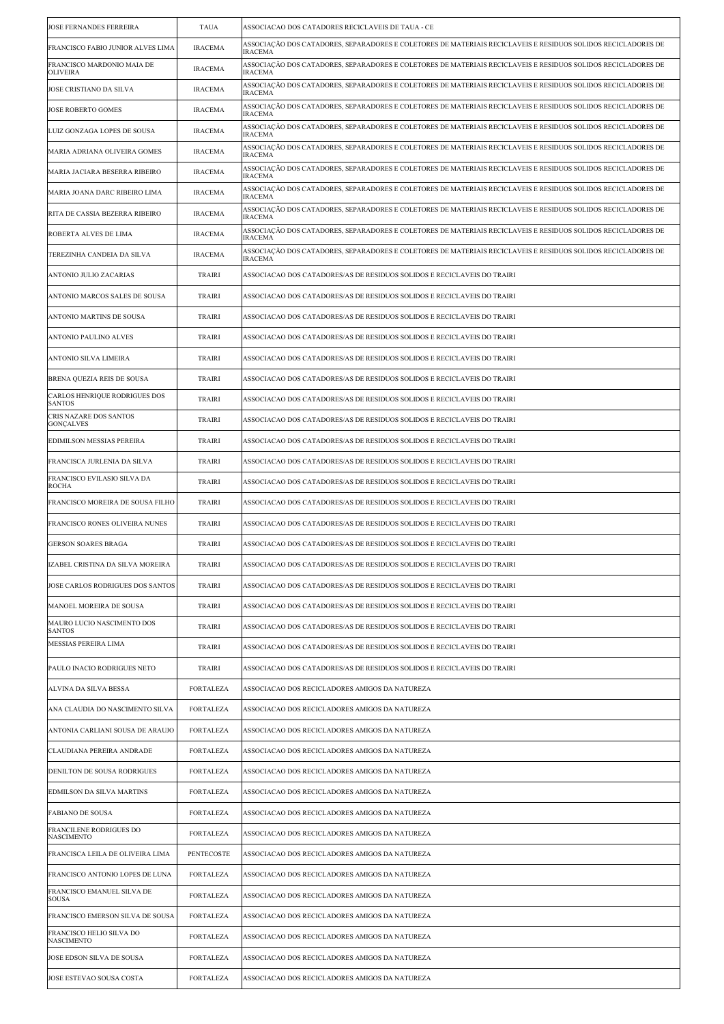| <b>JOSE FERNANDES FERREIRA</b>                 | <b>TAUA</b>      | ASSOCIACAO DOS CATADORES RECICLAVEIS DE TAUA - CE                                                                               |
|------------------------------------------------|------------------|---------------------------------------------------------------------------------------------------------------------------------|
| FRANCISCO FABIO JUNIOR ALVES LIMA              | <b>IRACEMA</b>   | ASSOCIAÇÃO DOS CATADORES, SEPARADORES E COLETORES DE MATERIAIS RECICLAVEIS E RESIDUOS SOLIDOS RECICLADORES DE<br><b>IRACEMA</b> |
| FRANCISCO MARDONIO MAIA DE<br><b>OLIVEIRA</b>  | <b>IRACEMA</b>   | ASSOCIAÇÃO DOS CATADORES, SEPARADORES E COLETORES DE MATERIAIS RECICLAVEIS E RESIDUOS SOLIDOS RECICLADORES DE<br><b>IRACEMA</b> |
| JOSE CRISTIANO DA SILVA                        | <b>IRACEMA</b>   | ASSOCIAÇÃO DOS CATADORES, SEPARADORES E COLETORES DE MATERIAIS RECICLAVEIS E RESIDUOS SOLIDOS RECICLADORES DE<br><b>IRACEMA</b> |
| <b>JOSE ROBERTO GOMES</b>                      | <b>IRACEMA</b>   | ASSOCIAÇÃO DOS CATADORES, SEPARADORES E COLETORES DE MATERIAIS RECICLAVEIS E RESIDUOS SOLIDOS RECICLADORES DE<br><b>IRACEMA</b> |
| LUIZ GONZAGA LOPES DE SOUSA                    | <b>IRACEMA</b>   | ASSOCIAÇÃO DOS CATADORES, SEPARADORES E COLETORES DE MATERIAIS RECICLAVEIS E RESIDUOS SOLIDOS RECICLADORES DE<br><b>IRACEMA</b> |
| MARIA ADRIANA OLIVEIRA GOMES                   | <b>IRACEMA</b>   | ASSOCIAÇÃO DOS CATADORES, SEPARADORES E COLETORES DE MATERIAIS RECICLAVEIS E RESIDUOS SOLIDOS RECICLADORES DE<br><b>IRACEMA</b> |
| MARIA JACIARA BESERRA RIBEIRO                  | <b>IRACEMA</b>   | ASSOCIAÇÃO DOS CATADORES, SEPARADORES E COLETORES DE MATERIAIS RECICLAVEIS E RESIDUOS SOLIDOS RECICLADORES DE<br><b>IRACEMA</b> |
| MARIA JOANA DARC RIBEIRO LIMA                  | <b>IRACEMA</b>   | ASSOCIAÇÃO DOS CATADORES, SEPARADORES E COLETORES DE MATERIAIS RECICLAVEIS E RESIDUOS SOLIDOS RECICLADORES DE<br><b>IRACEMA</b> |
| RITA DE CASSIA BEZERRA RIBEIRO                 | <b>IRACEMA</b>   | ASSOCIAÇÃO DOS CATADORES, SEPARADORES E COLETORES DE MATERIAIS RECICLAVEIS E RESIDUOS SOLIDOS RECICLADORES DE<br><b>IRACEMA</b> |
| ROBERTA ALVES DE LIMA                          | <b>IRACEMA</b>   | ASSOCIAÇÃO DOS CATADORES, SEPARADORES E COLETORES DE MATERIAIS RECICLAVEIS E RESIDUOS SOLIDOS RECICLADORES DE<br><b>IRACEMA</b> |
| TEREZINHA CANDEIA DA SILVA                     | <b>IRACEMA</b>   | ASSOCIAÇÃO DOS CATADORES, SEPARADORES E COLETORES DE MATERIAIS RECICLAVEIS E RESIDUOS SOLIDOS RECICLADORES DE<br><b>IRACEMA</b> |
| ANTONIO JULIO ZACARIAS                         | <b>TRAIRI</b>    | ASSOCIACAO DOS CATADORES/AS DE RESIDUOS SOLIDOS E RECICLAVEIS DO TRAIRI                                                         |
| ANTONIO MARCOS SALES DE SOUSA                  | <b>TRAIRI</b>    | ASSOCIACAO DOS CATADORES/AS DE RESIDUOS SOLIDOS E RECICLAVEIS DO TRAIRI                                                         |
| ANTONIO MARTINS DE SOUSA                       | <b>TRAIRI</b>    | ASSOCIACAO DOS CATADORES/AS DE RESIDUOS SOLIDOS E RECICLAVEIS DO TRAIRI                                                         |
| ANTONIO PAULINO ALVES                          | <b>TRAIRI</b>    | ASSOCIACAO DOS CATADORES/AS DE RESIDUOS SOLIDOS E RECICLAVEIS DO TRAIRI                                                         |
| ANTONIO SILVA LIMEIRA                          | <b>TRAIRI</b>    | ASSOCIACAO DOS CATADORES/AS DE RESIDUOS SOLIDOS E RECICLAVEIS DO TRAIRI                                                         |
| BRENA QUEZIA REIS DE SOUSA                     | <b>TRAIRI</b>    | ASSOCIACAO DOS CATADORES/AS DE RESIDUOS SOLIDOS E RECICLAVEIS DO TRAIRI                                                         |
| CARLOS HENRIQUE RODRIGUES DOS<br><b>SANTOS</b> | <b>TRAIRI</b>    | ASSOCIACAO DOS CATADORES/AS DE RESIDUOS SOLIDOS E RECICLAVEIS DO TRAIRI                                                         |
| CRIS NAZARE DOS SANTOS<br><b>GONÇALVES</b>     | TRAIRI           | ASSOCIACAO DOS CATADORES/AS DE RESIDUOS SOLIDOS E RECICLAVEIS DO TRAIRI                                                         |
| EDIMILSON MESSIAS PEREIRA                      | <b>TRAIRI</b>    | ASSOCIACAO DOS CATADORES/AS DE RESIDUOS SOLIDOS E RECICLAVEIS DO TRAIRI                                                         |
| FRANCISCA JURLENIA DA SILVA                    | TRAIRI           | ASSOCIACAO DOS CATADORES/AS DE RESIDUOS SOLIDOS E RECICLAVEIS DO TRAIRI                                                         |
| FRANCISCO EVILASIO SILVA DA<br><b>ROCHA</b>    | TRAIRI           | ASSOCIACAO DOS CATADORES/AS DE RESIDUOS SOLIDOS E RECICLAVEIS DO TRAIRI                                                         |
| FRANCISCO MOREIRA DE SOUSA FILHO               | <b>TRAIRI</b>    | ASSOCIACAO DOS CATADORES/AS DE RESIDUOS SOLIDOS E RECICLAVEIS DO TRAIRI                                                         |
| FRANCISCO RONES OLIVEIRA NUNES                 | <b>TRAIRI</b>    | ASSOCIACAO DOS CATADORES/AS DE RESIDUOS SOLIDOS E RECICLAVEIS DO TRAIRI                                                         |
| <b>GERSON SOARES BRAGA</b>                     | <b>TRAIRI</b>    | ASSOCIACAO DOS CATADORES/AS DE RESIDUOS SOLIDOS E RECICLAVEIS DO TRAIRI                                                         |
| IZABEL CRISTINA DA SILVA MOREIRA               | TRAIRI           | ASSOCIACAO DOS CATADORES/AS DE RESIDUOS SOLIDOS E RECICLAVEIS DO TRAIRI                                                         |
| JOSE CARLOS RODRIGUES DOS SANTOS               | <b>TRAIRI</b>    | ASSOCIACAO DOS CATADORES/AS DE RESIDUOS SOLIDOS E RECICLAVEIS DO TRAIRI                                                         |
| MANOEL MOREIRA DE SOUSA                        | TRAIRI           | ASSOCIACAO DOS CATADORES/AS DE RESIDUOS SOLIDOS E RECICLAVEIS DO TRAIRI                                                         |
| MAURO LUCIO NASCIMENTO DOS<br><b>SANTOS</b>    | TRAIRI           | ASSOCIACAO DOS CATADORES/AS DE RESIDUOS SOLIDOS E RECICLAVEIS DO TRAIRI                                                         |
| <b>MESSIAS PEREIRA LIMA</b>                    | <b>TRAIRI</b>    | ASSOCIACAO DOS CATADORES/AS DE RESIDUOS SOLIDOS E RECICLAVEIS DO TRAIRI                                                         |
| PAULO INACIO RODRIGUES NETO                    | <b>TRAIRI</b>    | ASSOCIACAO DOS CATADORES/AS DE RESIDUOS SOLIDOS E RECICLAVEIS DO TRAIRI                                                         |
| ALVINA DA SILVA BESSA                          | <b>FORTALEZA</b> | ASSOCIACAO DOS RECICLADORES AMIGOS DA NATUREZA                                                                                  |
| ANA CLAUDIA DO NASCIMENTO SILVA                | <b>FORTALEZA</b> | ASSOCIACAO DOS RECICLADORES AMIGOS DA NATUREZA                                                                                  |
| ANTONIA CARLIANI SOUSA DE ARAUJO               | FORTALEZA        | ASSOCIACAO DOS RECICLADORES AMIGOS DA NATUREZA                                                                                  |
| CLAUDIANA PEREIRA ANDRADE                      | <b>FORTALEZA</b> | ASSOCIACAO DOS RECICLADORES AMIGOS DA NATUREZA                                                                                  |
| DENILTON DE SOUSA RODRIGUES                    | <b>FORTALEZA</b> | ASSOCIACAO DOS RECICLADORES AMIGOS DA NATUREZA                                                                                  |
| EDMILSON DA SILVA MARTINS                      | <b>FORTALEZA</b> | ASSOCIACAO DOS RECICLADORES AMIGOS DA NATUREZA                                                                                  |
| <b>FABIANO DE SOUSA</b>                        | <b>FORTALEZA</b> | ASSOCIACAO DOS RECICLADORES AMIGOS DA NATUREZA                                                                                  |
| FRANCILENE RODRIGUES DO<br><b>NASCIMENTO</b>   | <b>FORTALEZA</b> | ASSOCIACAO DOS RECICLADORES AMIGOS DA NATUREZA                                                                                  |
| FRANCISCA LEILA DE OLIVEIRA LIMA               | PENTECOSTE       | ASSOCIACAO DOS RECICLADORES AMIGOS DA NATUREZA                                                                                  |
| FRANCISCO ANTONIO LOPES DE LUNA                | <b>FORTALEZA</b> | ASSOCIACAO DOS RECICLADORES AMIGOS DA NATUREZA                                                                                  |
| FRANCISCO EMANUEL SILVA DE<br>SOUSA            | <b>FORTALEZA</b> | ASSOCIACAO DOS RECICLADORES AMIGOS DA NATUREZA                                                                                  |
| FRANCISCO EMERSON SILVA DE SOUSA               | FORTALEZA        | ASSOCIACAO DOS RECICLADORES AMIGOS DA NATUREZA                                                                                  |
| FRANCISCO HELIO SILVA DO<br><b>NASCIMENTO</b>  | <b>FORTALEZA</b> | ASSOCIACAO DOS RECICLADORES AMIGOS DA NATUREZA                                                                                  |
| JOSE EDSON SILVA DE SOUSA                      | <b>FORTALEZA</b> | ASSOCIACAO DOS RECICLADORES AMIGOS DA NATUREZA                                                                                  |
| JOSE ESTEVAO SOUSA COSTA                       | <b>FORTALEZA</b> | ASSOCIACAO DOS RECICLADORES AMIGOS DA NATUREZA                                                                                  |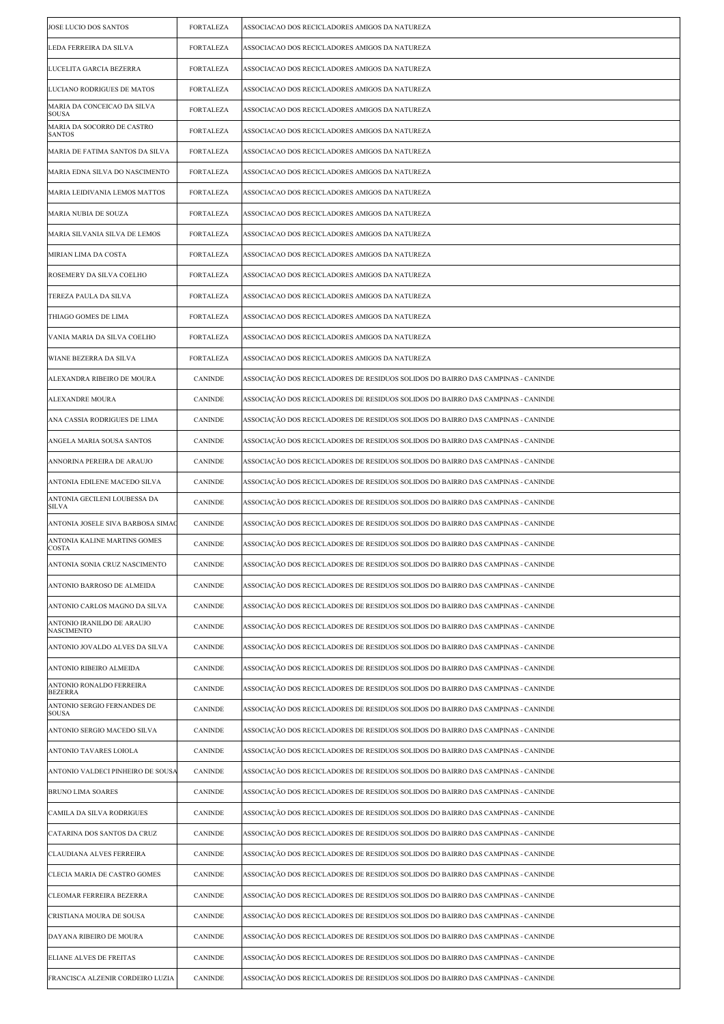| JOSE LUCIO DOS SANTOS                           | <b>FORTALEZA</b> | ASSOCIACAO DOS RECICLADORES AMIGOS DA NATUREZA                                   |
|-------------------------------------------------|------------------|----------------------------------------------------------------------------------|
| LEDA FERREIRA DA SILVA                          | <b>FORTALEZA</b> | ASSOCIACAO DOS RECICLADORES AMIGOS DA NATUREZA                                   |
| LUCELITA GARCIA BEZERRA                         | <b>FORTALEZA</b> | ASSOCIACAO DOS RECICLADORES AMIGOS DA NATUREZA                                   |
| LUCIANO RODRIGUES DE MATOS                      | <b>FORTALEZA</b> | ASSOCIACAO DOS RECICLADORES AMIGOS DA NATUREZA                                   |
| MARIA DA CONCEICAO DA SILVA<br><b>SOUSA</b>     | <b>FORTALEZA</b> | ASSOCIACAO DOS RECICLADORES AMIGOS DA NATUREZA                                   |
| MARIA DA SOCORRO DE CASTRO<br><b>SANTOS</b>     | <b>FORTALEZA</b> | ASSOCIACAO DOS RECICLADORES AMIGOS DA NATUREZA                                   |
| MARIA DE FATIMA SANTOS DA SILVA                 | <b>FORTALEZA</b> | ASSOCIACAO DOS RECICLADORES AMIGOS DA NATUREZA                                   |
| MARIA EDNA SILVA DO NASCIMENTO                  | <b>FORTALEZA</b> | ASSOCIACAO DOS RECICLADORES AMIGOS DA NATUREZA                                   |
| MARIA LEIDIVANIA LEMOS MATTOS                   | <b>FORTALEZA</b> | ASSOCIACAO DOS RECICLADORES AMIGOS DA NATUREZA                                   |
| MARIA NUBIA DE SOUZA                            | <b>FORTALEZA</b> | ASSOCIACAO DOS RECICLADORES AMIGOS DA NATUREZA                                   |
| MARIA SILVANIA SILVA DE LEMOS                   | <b>FORTALEZA</b> | ASSOCIACAO DOS RECICLADORES AMIGOS DA NATUREZA                                   |
| MIRIAN LIMA DA COSTA                            | <b>FORTALEZA</b> | ASSOCIACAO DOS RECICLADORES AMIGOS DA NATUREZA                                   |
| ROSEMERY DA SILVA COELHO                        | <b>FORTALEZA</b> | ASSOCIACAO DOS RECICLADORES AMIGOS DA NATUREZA                                   |
| TEREZA PAULA DA SILVA                           | <b>FORTALEZA</b> | ASSOCIACAO DOS RECICLADORES AMIGOS DA NATUREZA                                   |
| THIAGO GOMES DE LIMA                            | <b>FORTALEZA</b> | ASSOCIACAO DOS RECICLADORES AMIGOS DA NATUREZA                                   |
| VANIA MARIA DA SILVA COELHO                     | <b>FORTALEZA</b> | ASSOCIACAO DOS RECICLADORES AMIGOS DA NATUREZA                                   |
| WIANE BEZERRA DA SILVA                          | <b>FORTALEZA</b> | ASSOCIACAO DOS RECICLADORES AMIGOS DA NATUREZA                                   |
| ALEXANDRA RIBEIRO DE MOURA                      | <b>CANINDE</b>   | ASSOCIAÇÃO DOS RECICLADORES DE RESIDUOS SOLIDOS DO BAIRRO DAS CAMPINAS - CANINDE |
| <b>ALEXANDRE MOURA</b>                          | <b>CANINDE</b>   | ASSOCIAÇÃO DOS RECICLADORES DE RESIDUOS SOLIDOS DO BAIRRO DAS CAMPINAS - CANINDE |
| ANA CASSIA RODRIGUES DE LIMA                    | <b>CANINDE</b>   | ASSOCIAÇÃO DOS RECICLADORES DE RESIDUOS SOLIDOS DO BAIRRO DAS CAMPINAS - CANINDE |
| ANGELA MARIA SOUSA SANTOS                       | <b>CANINDE</b>   | ASSOCIAÇÃO DOS RECICLADORES DE RESIDUOS SOLIDOS DO BAIRRO DAS CAMPINAS - CANINDE |
| ANNORINA PEREIRA DE ARAUJO                      | CANINDE          | ASSOCIAÇÃO DOS RECICLADORES DE RESIDUOS SOLIDOS DO BAIRRO DAS CAMPINAS - CANINDE |
| ANTONIA EDILENE MACEDO SILVA                    | <b>CANINDE</b>   | ASSOCIAÇÃO DOS RECICLADORES DE RESIDUOS SOLIDOS DO BAIRRO DAS CAMPINAS - CANINDE |
| ANTONIA GECILENI LOUBESSA DA<br>SILVA           | <b>CANINDE</b>   | ASSOCIAÇÃO DOS RECICLADORES DE RESIDUOS SOLIDOS DO BAIRRO DAS CAMPINAS - CANINDE |
| ANTONIA JOSELE SIVA BARBOSA SIMAC               | <b>CANINDE</b>   | ASSOCIAÇÃO DOS RECICLADORES DE RESIDUOS SOLIDOS DO BAIRRO DAS CAMPINAS - CANINDE |
| ANTONIA KALINE MARTINS GOMES<br><b>COSTA</b>    | <b>CANINDE</b>   | ASSOCIAÇÃO DOS RECICLADORES DE RESIDUOS SOLIDOS DO BAIRRO DAS CAMPINAS - CANINDE |
| ANTONIA SONIA CRUZ NASCIMENTO                   | CANINDE          | ASSOCIAÇÃO DOS RECICLADORES DE RESIDUOS SOLIDOS DO BAIRRO DAS CAMPINAS - CANINDE |
| ANTONIO BARROSO DE ALMEIDA                      | <b>CANINDE</b>   | ASSOCIAÇÃO DOS RECICLADORES DE RESIDUOS SOLIDOS DO BAIRRO DAS CAMPINAS - CANINDE |
| ANTONIO CARLOS MAGNO DA SILVA                   | <b>CANINDE</b>   | ASSOCIAÇÃO DOS RECICLADORES DE RESIDUOS SOLIDOS DO BAIRRO DAS CAMPINAS - CANINDE |
| ANTONIO IRANILDO DE ARAUJO<br><b>NASCIMENTO</b> | <b>CANINDE</b>   | ASSOCIAÇÃO DOS RECICLADORES DE RESIDUOS SOLIDOS DO BAIRRO DAS CAMPINAS - CANINDE |
| ANTONIO JOVALDO ALVES DA SILVA                  | <b>CANINDE</b>   | ASSOCIAÇÃO DOS RECICLADORES DE RESIDUOS SOLIDOS DO BAIRRO DAS CAMPINAS - CANINDE |
| ANTONIO RIBEIRO ALMEIDA                         | <b>CANINDE</b>   | ASSOCIAÇÃO DOS RECICLADORES DE RESIDUOS SOLIDOS DO BAIRRO DAS CAMPINAS - CANINDE |
| ANTONIO RONALDO FERREIRA<br><b>BEZERRA</b>      | <b>CANINDE</b>   | ASSOCIAÇÃO DOS RECICLADORES DE RESIDUOS SOLIDOS DO BAIRRO DAS CAMPINAS - CANINDE |
| ANTONIO SERGIO FERNANDES DE<br><b>SOUSA</b>     | <b>CANINDE</b>   | ASSOCIAÇÃO DOS RECICLADORES DE RESIDUOS SOLIDOS DO BAIRRO DAS CAMPINAS - CANINDE |
| ANTONIO SERGIO MACEDO SILVA                     | <b>CANINDE</b>   | ASSOCIAÇÃO DOS RECICLADORES DE RESIDUOS SOLIDOS DO BAIRRO DAS CAMPINAS - CANINDE |
| ANTONIO TAVARES LOIOLA                          | <b>CANINDE</b>   | ASSOCIAÇÃO DOS RECICLADORES DE RESIDUOS SOLIDOS DO BAIRRO DAS CAMPINAS - CANINDE |
| ANTONIO VALDECI PINHEIRO DE SOUSA               | <b>CANINDE</b>   | ASSOCIAÇÃO DOS RECICLADORES DE RESIDUOS SOLIDOS DO BAIRRO DAS CAMPINAS - CANINDE |
| <b>BRUNO LIMA SOARES</b>                        | <b>CANINDE</b>   | ASSOCIAÇÃO DOS RECICLADORES DE RESIDUOS SOLIDOS DO BAIRRO DAS CAMPINAS - CANINDE |
| CAMILA DA SILVA RODRIGUES                       | <b>CANINDE</b>   | ASSOCIAÇÃO DOS RECICLADORES DE RESIDUOS SOLIDOS DO BAIRRO DAS CAMPINAS - CANINDE |
| CATARINA DOS SANTOS DA CRUZ                     | <b>CANINDE</b>   | ASSOCIAÇÃO DOS RECICLADORES DE RESIDUOS SOLIDOS DO BAIRRO DAS CAMPINAS - CANINDE |
| CLAUDIANA ALVES FERREIRA                        | <b>CANINDE</b>   | ASSOCIAÇÃO DOS RECICLADORES DE RESIDUOS SOLIDOS DO BAIRRO DAS CAMPINAS - CANINDE |
| CLECIA MARIA DE CASTRO GOMES                    | <b>CANINDE</b>   | ASSOCIAÇÃO DOS RECICLADORES DE RESIDUOS SOLIDOS DO BAIRRO DAS CAMPINAS - CANINDE |
| CLEOMAR FERREIRA BEZERRA                        | <b>CANINDE</b>   | ASSOCIAÇÃO DOS RECICLADORES DE RESIDUOS SOLIDOS DO BAIRRO DAS CAMPINAS - CANINDE |
| CRISTIANA MOURA DE SOUSA                        | <b>CANINDE</b>   | ASSOCIAÇÃO DOS RECICLADORES DE RESIDUOS SOLIDOS DO BAIRRO DAS CAMPINAS - CANINDE |
| DAYANA RIBEIRO DE MOURA                         | <b>CANINDE</b>   | ASSOCIAÇÃO DOS RECICLADORES DE RESIDUOS SOLIDOS DO BAIRRO DAS CAMPINAS - CANINDE |
| ELIANE ALVES DE FREITAS                         | <b>CANINDE</b>   | ASSOCIAÇÃO DOS RECICLADORES DE RESIDUOS SOLIDOS DO BAIRRO DAS CAMPINAS - CANINDE |
| FRANCISCA ALZENIR CORDEIRO LUZIA                | <b>CANINDE</b>   | ASSOCIAÇÃO DOS RECICLADORES DE RESIDUOS SOLIDOS DO BAIRRO DAS CAMPINAS - CANINDE |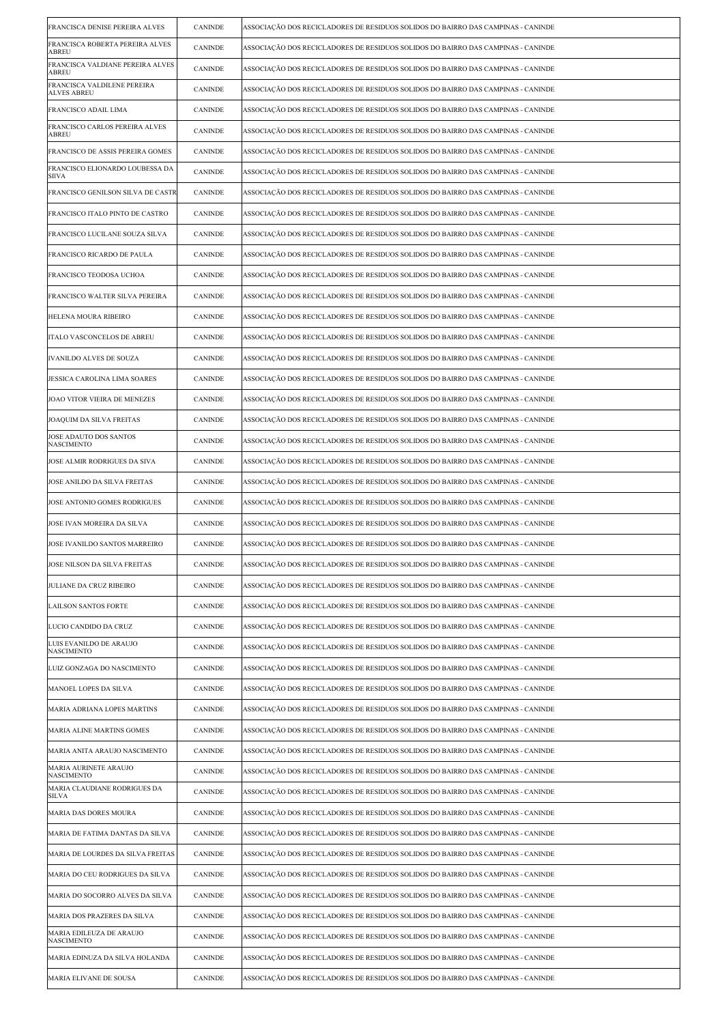| FRANCISCA DENISE PEREIRA ALVES                    | <b>CANINDE</b> | ASSOCIAÇÃO DOS RECICLADORES DE RESIDUOS SOLIDOS DO BAIRRO DAS CAMPINAS - CANINDE |
|---------------------------------------------------|----------------|----------------------------------------------------------------------------------|
| FRANCISCA ROBERTA PEREIRA ALVES<br>ABREU          | <b>CANINDE</b> | ASSOCIAÇÃO DOS RECICLADORES DE RESIDUOS SOLIDOS DO BAIRRO DAS CAMPINAS - CANINDE |
| FRANCISCA VALDIANE PEREIRA ALVES<br>ABREU         | CANINDE        | ASSOCIAÇÃO DOS RECICLADORES DE RESIDUOS SOLIDOS DO BAIRRO DAS CAMPINAS - CANINDE |
| FRANCISCA VALDILENE PEREIRA<br><b>ALVES ABREU</b> | <b>CANINDE</b> | ASSOCIAÇÃO DOS RECICLADORES DE RESIDUOS SOLIDOS DO BAIRRO DAS CAMPINAS - CANINDE |
| FRANCISCO ADAIL LIMA                              | CANINDE        | ASSOCIAÇÃO DOS RECICLADORES DE RESIDUOS SOLIDOS DO BAIRRO DAS CAMPINAS - CANINDE |
| FRANCISCO CARLOS PEREIRA ALVES<br>ABREU           | <b>CANINDE</b> | ASSOCIAÇÃO DOS RECICLADORES DE RESIDUOS SOLIDOS DO BAIRRO DAS CAMPINAS - CANINDE |
| FRANCISCO DE ASSIS PEREIRA GOMES                  | <b>CANINDE</b> | ASSOCIAÇÃO DOS RECICLADORES DE RESIDUOS SOLIDOS DO BAIRRO DAS CAMPINAS - CANINDE |
| FRANCISCO ELIONARDO LOUBESSA DA<br>SIIVA          | <b>CANINDE</b> | ASSOCIAÇÃO DOS RECICLADORES DE RESIDUOS SOLIDOS DO BAIRRO DAS CAMPINAS - CANINDE |
| FRANCISCO GENILSON SILVA DE CASTR                 | CANINDE        | ASSOCIAÇÃO DOS RECICLADORES DE RESIDUOS SOLIDOS DO BAIRRO DAS CAMPINAS - CANINDE |
| FRANCISCO ITALO PINTO DE CASTRO                   | CANINDE        | ASSOCIAÇÃO DOS RECICLADORES DE RESIDUOS SOLIDOS DO BAIRRO DAS CAMPINAS - CANINDE |
| FRANCISCO LUCILANE SOUZA SILVA                    | <b>CANINDE</b> | ASSOCIAÇÃO DOS RECICLADORES DE RESIDUOS SOLIDOS DO BAIRRO DAS CAMPINAS - CANINDE |
| FRANCISCO RICARDO DE PAULA                        | <b>CANINDE</b> | ASSOCIAÇÃO DOS RECICLADORES DE RESIDUOS SOLIDOS DO BAIRRO DAS CAMPINAS - CANINDE |
| FRANCISCO TEODOSA UCHOA                           | <b>CANINDE</b> | ASSOCIAÇÃO DOS RECICLADORES DE RESIDUOS SOLIDOS DO BAIRRO DAS CAMPINAS - CANINDE |
| FRANCISCO WALTER SILVA PEREIRA                    | <b>CANINDE</b> | ASSOCIAÇÃO DOS RECICLADORES DE RESIDUOS SOLIDOS DO BAIRRO DAS CAMPINAS - CANINDE |
| HELENA MOURA RIBEIRO                              | CANINDE        | ASSOCIAÇÃO DOS RECICLADORES DE RESIDUOS SOLIDOS DO BAIRRO DAS CAMPINAS - CANINDE |
| ITALO VASCONCELOS DE ABREU                        | <b>CANINDE</b> | ASSOCIAÇÃO DOS RECICLADORES DE RESIDUOS SOLIDOS DO BAIRRO DAS CAMPINAS - CANINDE |
| <b>IVANILDO ALVES DE SOUZA</b>                    | CANINDE        | ASSOCIAÇÃO DOS RECICLADORES DE RESIDUOS SOLIDOS DO BAIRRO DAS CAMPINAS - CANINDE |
| JESSICA CAROLINA LIMA SOARES                      | <b>CANINDE</b> | ASSOCIAÇÃO DOS RECICLADORES DE RESIDUOS SOLIDOS DO BAIRRO DAS CAMPINAS - CANINDE |
| JOAO VITOR VIEIRA DE MENEZES                      | <b>CANINDE</b> | ASSOCIAÇÃO DOS RECICLADORES DE RESIDUOS SOLIDOS DO BAIRRO DAS CAMPINAS - CANINDE |
| JOAQUIM DA SILVA FREITAS                          | CANINDE        | ASSOCIAÇÃO DOS RECICLADORES DE RESIDUOS SOLIDOS DO BAIRRO DAS CAMPINAS - CANINDE |
| JOSE ADAUTO DOS SANTOS<br><b>NASCIMENTO</b>       | <b>CANINDE</b> | ASSOCIAÇÃO DOS RECICLADORES DE RESIDUOS SOLIDOS DO BAIRRO DAS CAMPINAS - CANINDE |
| JOSE ALMIR RODRIGUES DA SIVA                      | <b>CANINDE</b> | ASSOCIAÇÃO DOS RECICLADORES DE RESIDUOS SOLIDOS DO BAIRRO DAS CAMPINAS - CANINDE |
| JOSE ANILDO DA SILVA FREITAS                      | <b>CANINDE</b> | ASSOCIAÇÃO DOS RECICLADORES DE RESIDUOS SOLIDOS DO BAIRRO DAS CAMPINAS - CANINDE |
| JOSE ANTONIO GOMES RODRIGUES                      | <b>CANINDE</b> | ASSOCIAÇÃO DOS RECICLADORES DE RESIDUOS SOLIDOS DO BAIRRO DAS CAMPINAS - CANINDE |
| JOSE IVAN MOREIRA DA SILVA                        | CANINDE        | ASSOCIAÇÃO DOS RECICLADORES DE RESIDUOS SOLIDOS DO BAIRRO DAS CAMPINAS - CANINDE |
| JOSE IVANILDO SANTOS MARREIRO                     | <b>CANINDE</b> | ASSOCIAÇÃO DOS RECICLADORES DE RESIDUOS SOLIDOS DO BAIRRO DAS CAMPINAS - CANINDE |
| JOSE NILSON DA SILVA FREITAS                      | CANINDE        | ASSOCIAÇÃO DOS RECICLADORES DE RESIDUOS SOLIDOS DO BAIRRO DAS CAMPINAS - CANINDE |
| JULIANE DA CRUZ RIBEIRO                           | <b>CANINDE</b> | ASSOCIAÇÃO DOS RECICLADORES DE RESIDUOS SOLIDOS DO BAIRRO DAS CAMPINAS - CANINDE |
| <b>LAILSON SANTOS FORTE</b>                       | <b>CANINDE</b> | ASSOCIAÇÃO DOS RECICLADORES DE RESIDUOS SOLIDOS DO BAIRRO DAS CAMPINAS - CANINDE |
| LUCIO CANDIDO DA CRUZ                             | <b>CANINDE</b> | ASSOCIAÇÃO DOS RECICLADORES DE RESIDUOS SOLIDOS DO BAIRRO DAS CAMPINAS - CANINDE |
| LUIS EVANILDO DE ARAUJO<br><b>NASCIMENTO</b>      | <b>CANINDE</b> | ASSOCIAÇÃO DOS RECICLADORES DE RESIDUOS SOLIDOS DO BAIRRO DAS CAMPINAS - CANINDE |
| LUIZ GONZAGA DO NASCIMENTO                        | <b>CANINDE</b> | ASSOCIAÇÃO DOS RECICLADORES DE RESIDUOS SOLIDOS DO BAIRRO DAS CAMPINAS - CANINDE |
| MANOEL LOPES DA SILVA                             | <b>CANINDE</b> | ASSOCIAÇÃO DOS RECICLADORES DE RESIDUOS SOLIDOS DO BAIRRO DAS CAMPINAS - CANINDE |
| MARIA ADRIANA LOPES MARTINS                       | CANINDE        | ASSOCIAÇÃO DOS RECICLADORES DE RESIDUOS SOLIDOS DO BAIRRO DAS CAMPINAS - CANINDE |
| MARIA ALINE MARTINS GOMES                         | <b>CANINDE</b> | ASSOCIAÇÃO DOS RECICLADORES DE RESIDUOS SOLIDOS DO BAIRRO DAS CAMPINAS - CANINDE |
| MARIA ANITA ARAUJO NASCIMENTO                     | <b>CANINDE</b> | ASSOCIAÇÃO DOS RECICLADORES DE RESIDUOS SOLIDOS DO BAIRRO DAS CAMPINAS - CANINDE |
| MARIA AURINETE ARAUJO<br><b>NASCIMENTO</b>        | <b>CANINDE</b> | ASSOCIAÇÃO DOS RECICLADORES DE RESIDUOS SOLIDOS DO BAIRRO DAS CAMPINAS - CANINDE |
| MARIA CLAUDIANE RODRIGUES DA<br>SILVA             | <b>CANINDE</b> | ASSOCIAÇÃO DOS RECICLADORES DE RESIDUOS SOLIDOS DO BAIRRO DAS CAMPINAS - CANINDE |
| MARIA DAS DORES MOURA                             | <b>CANINDE</b> | ASSOCIAÇÃO DOS RECICLADORES DE RESIDUOS SOLIDOS DO BAIRRO DAS CAMPINAS - CANINDE |
| MARIA DE FATIMA DANTAS DA SILVA                   | CANINDE        | ASSOCIAÇÃO DOS RECICLADORES DE RESIDUOS SOLIDOS DO BAIRRO DAS CAMPINAS - CANINDE |
| MARIA DE LOURDES DA SILVA FREITAS                 | <b>CANINDE</b> | ASSOCIAÇÃO DOS RECICLADORES DE RESIDUOS SOLIDOS DO BAIRRO DAS CAMPINAS - CANINDE |
| MARIA DO CEU RODRIGUES DA SILVA                   | <b>CANINDE</b> | ASSOCIAÇÃO DOS RECICLADORES DE RESIDUOS SOLIDOS DO BAIRRO DAS CAMPINAS - CANINDE |
| MARIA DO SOCORRO ALVES DA SILVA                   | <b>CANINDE</b> | ASSOCIAÇÃO DOS RECICLADORES DE RESIDUOS SOLIDOS DO BAIRRO DAS CAMPINAS - CANINDE |
| MARIA DOS PRAZERES DA SILVA                       | <b>CANINDE</b> | ASSOCIAÇÃO DOS RECICLADORES DE RESIDUOS SOLIDOS DO BAIRRO DAS CAMPINAS - CANINDE |
| MARIA EDILEUZA DE ARAUJO<br>NASCIMENTO            | <b>CANINDE</b> | ASSOCIAÇÃO DOS RECICLADORES DE RESIDUOS SOLIDOS DO BAIRRO DAS CAMPINAS - CANINDE |
| MARIA EDINUZA DA SILVA HOLANDA                    | CANINDE        | ASSOCIAÇÃO DOS RECICLADORES DE RESIDUOS SOLIDOS DO BAIRRO DAS CAMPINAS - CANINDE |
| MARIA ELIVANE DE SOUSA                            | CANINDE        | ASSOCIAÇÃO DOS RECICLADORES DE RESIDUOS SOLIDOS DO BAIRRO DAS CAMPINAS - CANINDE |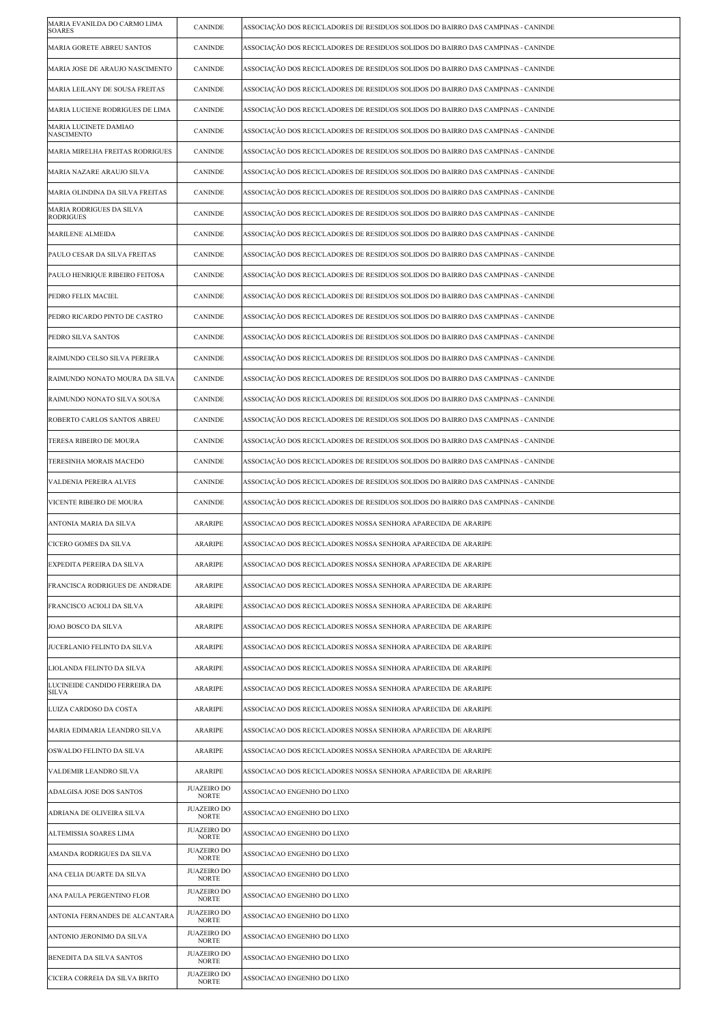| MARIA EVANILDA DO CARMO LIMA<br><b>SOARES</b> | <b>CANINDE</b>                                           | ASSOCIAÇÃO DOS RECICLADORES DE RESIDUOS SOLIDOS DO BAIRRO DAS CAMPINAS - CANINDE |
|-----------------------------------------------|----------------------------------------------------------|----------------------------------------------------------------------------------|
| MARIA GORETE ABREU SANTOS                     | <b>CANINDE</b>                                           | ASSOCIAÇÃO DOS RECICLADORES DE RESIDUOS SOLIDOS DO BAIRRO DAS CAMPINAS - CANINDE |
| MARIA JOSE DE ARAUJO NASCIMENTO               | <b>CANINDE</b>                                           | ASSOCIAÇÃO DOS RECICLADORES DE RESIDUOS SOLIDOS DO BAIRRO DAS CAMPINAS - CANINDE |
| MARIA LEILANY DE SOUSA FREITAS                | <b>CANINDE</b>                                           | ASSOCIAÇÃO DOS RECICLADORES DE RESIDUOS SOLIDOS DO BAIRRO DAS CAMPINAS - CANINDE |
| MARIA LUCIENE RODRIGUES DE LIMA               | <b>CANINDE</b>                                           | ASSOCIAÇÃO DOS RECICLADORES DE RESIDUOS SOLIDOS DO BAIRRO DAS CAMPINAS - CANINDE |
| MARIA LUCINETE DAMIAO<br><b>NASCIMENTO</b>    | <b>CANINDE</b>                                           | ASSOCIAÇÃO DOS RECICLADORES DE RESIDUOS SOLIDOS DO BAIRRO DAS CAMPINAS - CANINDE |
| MARIA MIRELHA FREITAS RODRIGUES               | <b>CANINDE</b>                                           | ASSOCIAÇÃO DOS RECICLADORES DE RESIDUOS SOLIDOS DO BAIRRO DAS CAMPINAS - CANINDE |
| MARIA NAZARE ARAUJO SILVA                     | <b>CANINDE</b>                                           | ASSOCIAÇÃO DOS RECICLADORES DE RESIDUOS SOLIDOS DO BAIRRO DAS CAMPINAS - CANINDE |
| MARIA OLINDINA DA SILVA FREITAS               | <b>CANINDE</b>                                           | ASSOCIAÇÃO DOS RECICLADORES DE RESIDUOS SOLIDOS DO BAIRRO DAS CAMPINAS - CANINDE |
| MARIA RODRIGUES DA SILVA<br><b>RODRIGUES</b>  | <b>CANINDE</b>                                           | ASSOCIAÇÃO DOS RECICLADORES DE RESIDUOS SOLIDOS DO BAIRRO DAS CAMPINAS - CANINDE |
| MARILENE ALMEIDA                              | <b>CANINDE</b>                                           | ASSOCIAÇÃO DOS RECICLADORES DE RESIDUOS SOLIDOS DO BAIRRO DAS CAMPINAS - CANINDE |
| PAULO CESAR DA SILVA FREITAS                  | <b>CANINDE</b>                                           | ASSOCIAÇÃO DOS RECICLADORES DE RESIDUOS SOLIDOS DO BAIRRO DAS CAMPINAS - CANINDE |
| PAULO HENRIQUE RIBEIRO FEITOSA                | <b>CANINDE</b>                                           | ASSOCIAÇÃO DOS RECICLADORES DE RESIDUOS SOLIDOS DO BAIRRO DAS CAMPINAS - CANINDE |
| PEDRO FELIX MACIEL                            | <b>CANINDE</b>                                           | ASSOCIAÇÃO DOS RECICLADORES DE RESIDUOS SOLIDOS DO BAIRRO DAS CAMPINAS - CANINDE |
| PEDRO RICARDO PINTO DE CASTRO                 | <b>CANINDE</b>                                           | ASSOCIAÇÃO DOS RECICLADORES DE RESIDUOS SOLIDOS DO BAIRRO DAS CAMPINAS - CANINDE |
| PEDRO SILVA SANTOS                            | <b>CANINDE</b>                                           | ASSOCIAÇÃO DOS RECICLADORES DE RESIDUOS SOLIDOS DO BAIRRO DAS CAMPINAS - CANINDE |
| RAIMUNDO CELSO SILVA PEREIRA                  | <b>CANINDE</b>                                           | ASSOCIAÇÃO DOS RECICLADORES DE RESIDUOS SOLIDOS DO BAIRRO DAS CAMPINAS - CANINDE |
| RAIMUNDO NONATO MOURA DA SILVA                | <b>CANINDE</b>                                           | ASSOCIAÇÃO DOS RECICLADORES DE RESIDUOS SOLIDOS DO BAIRRO DAS CAMPINAS - CANINDE |
| RAIMUNDO NONATO SILVA SOUSA                   | <b>CANINDE</b>                                           | ASSOCIAÇÃO DOS RECICLADORES DE RESIDUOS SOLIDOS DO BAIRRO DAS CAMPINAS - CANINDE |
| ROBERTO CARLOS SANTOS ABREU                   | <b>CANINDE</b>                                           | ASSOCIAÇÃO DOS RECICLADORES DE RESIDUOS SOLIDOS DO BAIRRO DAS CAMPINAS - CANINDE |
| TERESA RIBEIRO DE MOURA                       | <b>CANINDE</b>                                           | ASSOCIAÇÃO DOS RECICLADORES DE RESIDUOS SOLIDOS DO BAIRRO DAS CAMPINAS - CANINDE |
| TERESINHA MORAIS MACEDO                       | CANINDE                                                  | ASSOCIAÇÃO DOS RECICLADORES DE RESIDUOS SOLIDOS DO BAIRRO DAS CAMPINAS - CANINDE |
| VALDENIA PEREIRA ALVES                        | <b>CANINDE</b>                                           | ASSOCIAÇÃO DOS RECICLADORES DE RESIDUOS SOLIDOS DO BAIRRO DAS CAMPINAS - CANINDE |
| VICENTE RIBEIRO DE MOURA                      | <b>CANINDE</b>                                           | ASSOCIAÇÃO DOS RECICLADORES DE RESIDUOS SOLIDOS DO BAIRRO DAS CAMPINAS - CANINDE |
| ANTONIA MARIA DA SILVA                        | <b>ARARIPE</b>                                           | ASSOCIACAO DOS RECICLADORES NOSSA SENHORA APARECIDA DE ARARIPE                   |
|                                               |                                                          |                                                                                  |
| CICERO GOMES DA SILVA                         | <b>ARARIPE</b>                                           | ASSOCIACAO DOS RECICLADORES NOSSA SENHORA APARECIDA DE ARARIPE                   |
| EXPEDITA PEREIRA DA SILVA                     | ARARIPE                                                  | ASSOCIACAO DOS RECICLADORES NOSSA SENHORA APARECIDA DE ARARIPE                   |
| FRANCISCA RODRIGUES DE ANDRADE                | ARARIPE                                                  | ASSOCIACAO DOS RECICLADORES NOSSA SENHORA APARECIDA DE ARARIPE                   |
| FRANCISCO ACIOLI DA SILVA                     | <b>ARARIPE</b>                                           | ASSOCIACAO DOS RECICLADORES NOSSA SENHORA APARECIDA DE ARARIPE                   |
| JOAO BOSCO DA SILVA                           | ARARIPE                                                  | ASSOCIACAO DOS RECICLADORES NOSSA SENHORA APARECIDA DE ARARIPE                   |
| JUCERLANIO FELINTO DA SILVA                   | <b>ARARIPE</b>                                           | ASSOCIACAO DOS RECICLADORES NOSSA SENHORA APARECIDA DE ARARIPE                   |
| LIOLANDA FELINTO DA SILVA                     | ARARIPE                                                  | ASSOCIACAO DOS RECICLADORES NOSSA SENHORA APARECIDA DE ARARIPE                   |
| LUCINEIDE CANDIDO FERREIRA DA<br>SILVA        | <b>ARARIPE</b>                                           | ASSOCIACAO DOS RECICLADORES NOSSA SENHORA APARECIDA DE ARARIPE                   |
| LUIZA CARDOSO DA COSTA                        | ARARIPE                                                  | ASSOCIACAO DOS RECICLADORES NOSSA SENHORA APARECIDA DE ARARIPE                   |
| MARIA EDIMARIA LEANDRO SILVA                  | <b>ARARIPE</b>                                           | ASSOCIACAO DOS RECICLADORES NOSSA SENHORA APARECIDA DE ARARIPE                   |
| OSWALDO FELINTO DA SILVA                      | ARARIPE                                                  | ASSOCIACAO DOS RECICLADORES NOSSA SENHORA APARECIDA DE ARARIPE                   |
| VALDEMIR LEANDRO SILVA                        | ARARIPE                                                  | ASSOCIACAO DOS RECICLADORES NOSSA SENHORA APARECIDA DE ARARIPE                   |
| ADALGISA JOSE DOS SANTOS                      | <b>JUAZEIRO DO</b><br><b>NORTE</b>                       | ASSOCIACAO ENGENHO DO LIXO                                                       |
| ADRIANA DE OLIVEIRA SILVA                     | <b>JUAZEIRO DO</b><br><b>NORTE</b>                       | ASSOCIACAO ENGENHO DO LIXO                                                       |
| ALTEMISSIA SOARES LIMA                        | <b>JUAZEIRO DO</b><br><b>NORTE</b>                       | ASSOCIACAO ENGENHO DO LIXO                                                       |
| AMANDA RODRIGUES DA SILVA                     | <b>JUAZEIRO DO</b><br><b>NORTE</b>                       | ASSOCIACAO ENGENHO DO LIXO                                                       |
| ANA CELIA DUARTE DA SILVA                     | <b>JUAZEIRO DO</b><br><b>NORTE</b>                       | ASSOCIACAO ENGENHO DO LIXO                                                       |
| ANA PAULA PERGENTINO FLOR                     | <b>JUAZEIRO DO</b><br><b>NORTE</b>                       | ASSOCIACAO ENGENHO DO LIXO                                                       |
| ANTONIA FERNANDES DE ALCANTARA                | <b>JUAZEIRO DO</b><br><b>NORTE</b>                       | ASSOCIACAO ENGENHO DO LIXO                                                       |
| ANTONIO JERONIMO DA SILVA                     | <b>JUAZEIRO DO</b><br><b>NORTE</b>                       | ASSOCIACAO ENGENHO DO LIXO                                                       |
| BENEDITA DA SILVA SANTOS                      | <b>JUAZEIRO DO</b><br><b>NORTE</b><br><b>JUAZEIRO DO</b> | ASSOCIACAO ENGENHO DO LIXO                                                       |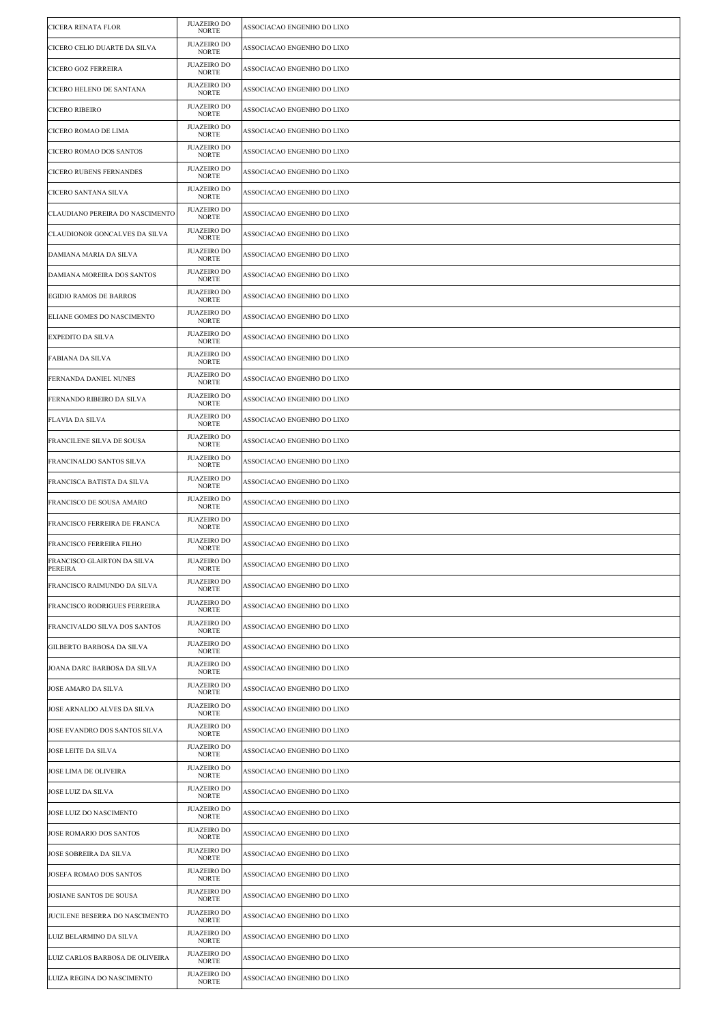| CICERA RENATA FLOR                     | <b>JUAZEIRO DO</b><br><b>NORTE</b> | ASSOCIACAO ENGENHO DO LIXO |
|----------------------------------------|------------------------------------|----------------------------|
| CICERO CELIO DUARTE DA SILVA           | <b>JUAZEIRO DO</b><br><b>NORTE</b> | ASSOCIACAO ENGENHO DO LIXO |
| CICERO GOZ FERREIRA                    | <b>JUAZEIRO DO</b><br><b>NORTE</b> | ASSOCIACAO ENGENHO DO LIXO |
| CICERO HELENO DE SANTANA               | <b>JUAZEIRO DO</b><br><b>NORTE</b> | ASSOCIACAO ENGENHO DO LIXO |
| <b>CICERO RIBEIRO</b>                  | <b>JUAZEIRO DO</b><br><b>NORTE</b> | ASSOCIACAO ENGENHO DO LIXO |
| CICERO ROMAO DE LIMA                   | <b>JUAZEIRO DO</b><br><b>NORTE</b> | ASSOCIACAO ENGENHO DO LIXO |
| CICERO ROMAO DOS SANTOS                | <b>JUAZEIRO DO</b><br>NORTE        | ASSOCIACAO ENGENHO DO LIXO |
| <b>CICERO RUBENS FERNANDES</b>         | <b>JUAZEIRO DO</b><br><b>NORTE</b> | ASSOCIACAO ENGENHO DO LIXO |
| CICERO SANTANA SILVA                   | <b>JUAZEIRO DO</b><br>NORTE        | ASSOCIACAO ENGENHO DO LIXO |
| CLAUDIANO PEREIRA DO NASCIMENTO        | <b>JUAZEIRO DO</b><br><b>NORTE</b> | ASSOCIACAO ENGENHO DO LIXO |
| CLAUDIONOR GONCALVES DA SILVA          | <b>JUAZEIRO DO</b><br><b>NORTE</b> | ASSOCIACAO ENGENHO DO LIXO |
| DAMIANA MARIA DA SILVA                 | <b>JUAZEIRO DO</b><br><b>NORTE</b> | ASSOCIACAO ENGENHO DO LIXO |
| DAMIANA MOREIRA DOS SANTOS             | <b>JUAZEIRO DO</b><br><b>NORTE</b> | ASSOCIACAO ENGENHO DO LIXO |
| <b>EGIDIO RAMOS DE BARROS</b>          | <b>JUAZEIRO DO</b><br><b>NORTE</b> | ASSOCIACAO ENGENHO DO LIXO |
| ELIANE GOMES DO NASCIMENTO             | <b>JUAZEIRO DO</b><br><b>NORTE</b> | ASSOCIACAO ENGENHO DO LIXO |
| <b>EXPEDITO DA SILVA</b>               | <b>JUAZEIRO DO</b><br>NORTE        | ASSOCIACAO ENGENHO DO LIXO |
| <b>FABIANA DA SILVA</b>                | <b>JUAZEIRO DO</b><br><b>NORTE</b> | ASSOCIACAO ENGENHO DO LIXO |
| <b>FERNANDA DANIEL NUNES</b>           | <b>JUAZEIRO DO</b><br><b>NORTE</b> | ASSOCIACAO ENGENHO DO LIXO |
| FERNANDO RIBEIRO DA SILVA              | <b>JUAZEIRO DO</b><br><b>NORTE</b> | ASSOCIACAO ENGENHO DO LIXO |
| <b>FLAVIA DA SILVA</b>                 | <b>JUAZEIRO DO</b><br><b>NORTE</b> | ASSOCIACAO ENGENHO DO LIXO |
| FRANCILENE SILVA DE SOUSA              | <b>JUAZEIRO DO</b><br><b>NORTE</b> | ASSOCIACAO ENGENHO DO LIXO |
| FRANCINALDO SANTOS SILVA               | <b>JUAZEIRO DO</b><br><b>NORTE</b> | ASSOCIACAO ENGENHO DO LIXO |
| FRANCISCA BATISTA DA SILVA             | <b>JUAZEIRO DO</b><br><b>NORTE</b> | ASSOCIACAO ENGENHO DO LIXO |
| FRANCISCO DE SOUSA AMARO               | <b>JUAZEIRO DO</b><br>NORTE        | ASSOCIACAO ENGENHO DO LIXO |
| FRANCISCO FERREIRA DE FRANCA           | <b>JUAZEIRO DO</b><br><b>NORTE</b> | ASSOCIACAO ENGENHO DO LIXO |
| FRANCISCO FERREIRA FILHO               | <b>JUAZEIRO DO</b><br><b>NORTE</b> | ASSOCIACAO ENGENHO DO LIXO |
| FRANCISCO GLAIRTON DA SILVA<br>PEREIRA | <b>JUAZEIRO DO</b><br><b>NORTE</b> | ASSOCIACAO ENGENHO DO LIXO |
| FRANCISCO RAIMUNDO DA SILVA            | <b>JUAZEIRO DO</b><br><b>NORTE</b> | ASSOCIACAO ENGENHO DO LIXO |
| FRANCISCO RODRIGUES FERREIRA           | <b>JUAZEIRO DO</b><br><b>NORTE</b> | ASSOCIACAO ENGENHO DO LIXO |
| FRANCIVALDO SILVA DOS SANTOS           | <b>JUAZEIRO DO</b><br><b>NORTE</b> | ASSOCIACAO ENGENHO DO LIXO |
| GILBERTO BARBOSA DA SILVA              | <b>JUAZEIRO DO</b><br><b>NORTE</b> | ASSOCIACAO ENGENHO DO LIXO |
| JOANA DARC BARBOSA DA SILVA            | <b>JUAZEIRO DO</b><br><b>NORTE</b> | ASSOCIACAO ENGENHO DO LIXO |
| <b>JOSE AMARO DA SILVA</b>             | <b>JUAZEIRO DO</b><br><b>NORTE</b> | ASSOCIACAO ENGENHO DO LIXO |
| JOSE ARNALDO ALVES DA SILVA            | <b>JUAZEIRO DO</b><br><b>NORTE</b> | ASSOCIACAO ENGENHO DO LIXO |
| JOSE EVANDRO DOS SANTOS SILVA          | <b>JUAZEIRO DO</b><br><b>NORTE</b> | ASSOCIACAO ENGENHO DO LIXO |
| <b>JOSE LEITE DA SILVA</b>             | <b>JUAZEIRO DO</b><br><b>NORTE</b> | ASSOCIACAO ENGENHO DO LIXO |
| JOSE LIMA DE OLIVEIRA                  | <b>JUAZEIRO DO</b><br><b>NORTE</b> | ASSOCIACAO ENGENHO DO LIXO |
| JOSE LUIZ DA SILVA                     | <b>JUAZEIRO DO</b><br><b>NORTE</b> | ASSOCIACAO ENGENHO DO LIXO |
| JOSE LUIZ DO NASCIMENTO                | <b>JUAZEIRO DO</b><br><b>NORTE</b> | ASSOCIACAO ENGENHO DO LIXO |
| JOSE ROMARIO DOS SANTOS                | <b>JUAZEIRO DO</b><br><b>NORTE</b> | ASSOCIACAO ENGENHO DO LIXO |
| JOSE SOBREIRA DA SILVA                 | <b>JUAZEIRO DO</b><br><b>NORTE</b> | ASSOCIACAO ENGENHO DO LIXO |
| JOSEFA ROMAO DOS SANTOS                | <b>JUAZEIRO DO</b><br>NORTE        | ASSOCIACAO ENGENHO DO LIXO |
| JOSIANE SANTOS DE SOUSA                | <b>JUAZEIRO DO</b><br><b>NORTE</b> | ASSOCIACAO ENGENHO DO LIXO |
| JUCILENE BESERRA DO NASCIMENTO         | <b>JUAZEIRO DO</b><br><b>NORTE</b> | ASSOCIACAO ENGENHO DO LIXO |
| LUIZ BELARMINO DA SILVA                | <b>JUAZEIRO DO</b><br><b>NORTE</b> | ASSOCIACAO ENGENHO DO LIXO |
| LUIZ CARLOS BARBOSA DE OLIVEIRA        | <b>JUAZEIRO DO</b><br><b>NORTE</b> | ASSOCIACAO ENGENHO DO LIXO |
| LUIZA REGINA DO NASCIMENTO             | <b>JUAZEIRO DO</b><br><b>NORTE</b> | ASSOCIACAO ENGENHO DO LIXO |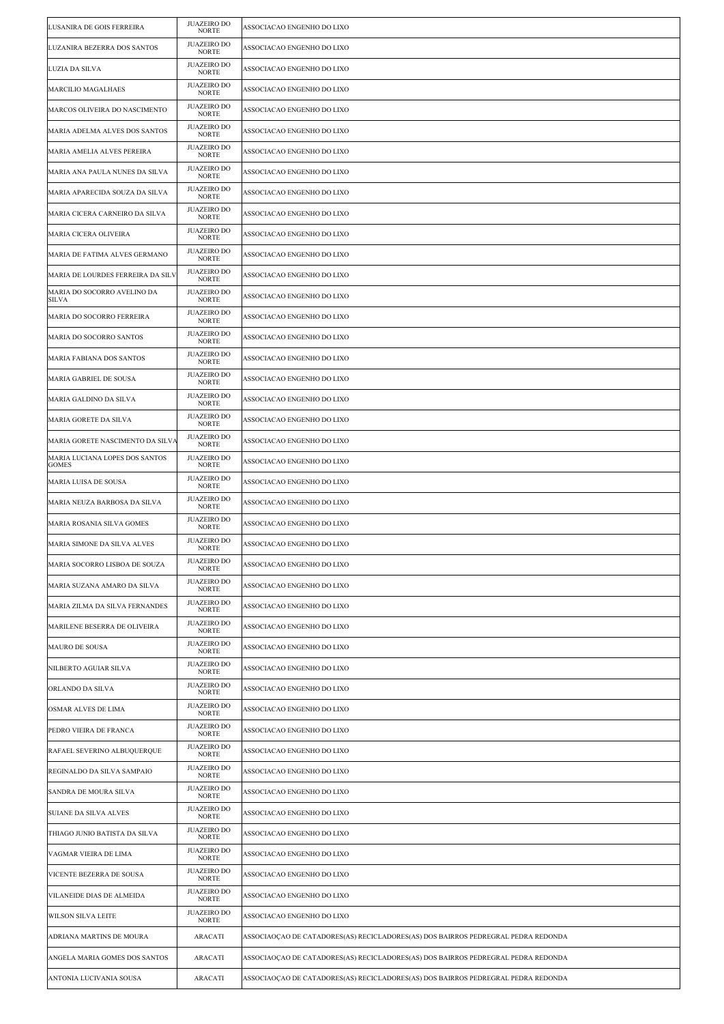| LUSANIRA DE GOIS FERREIRA                      | <b>JUAZEIRO DO</b><br><b>NORTE</b> | ASSOCIACAO ENGENHO DO LIXO                                                        |
|------------------------------------------------|------------------------------------|-----------------------------------------------------------------------------------|
| LUZANIRA BEZERRA DOS SANTOS                    | <b>JUAZEIRO DO</b><br><b>NORTE</b> | ASSOCIACAO ENGENHO DO LIXO                                                        |
| LUZIA DA SILVA                                 | <b>JUAZEIRO DO</b><br><b>NORTE</b> | ASSOCIACAO ENGENHO DO LIXO                                                        |
| <b>MARCILIO MAGALHAES</b>                      | JUAZEIRO DO<br><b>NORTE</b>        | ASSOCIACAO ENGENHO DO LIXO                                                        |
| MARCOS OLIVEIRA DO NASCIMENTO                  | <b>JUAZEIRO DO</b><br><b>NORTE</b> | ASSOCIACAO ENGENHO DO LIXO                                                        |
| MARIA ADELMA ALVES DOS SANTOS                  | <b>JUAZEIRO DO</b><br><b>NORTE</b> | ASSOCIACAO ENGENHO DO LIXO                                                        |
| MARIA AMELIA ALVES PEREIRA                     | <b>JUAZEIRO DO</b><br><b>NORTE</b> | ASSOCIACAO ENGENHO DO LIXO                                                        |
| MARIA ANA PAULA NUNES DA SILVA                 | <b>JUAZEIRO DO</b><br><b>NORTE</b> | ASSOCIACAO ENGENHO DO LIXO                                                        |
| MARIA APARECIDA SOUZA DA SILVA                 | <b>JUAZEIRO DO</b><br><b>NORTE</b> | ASSOCIACAO ENGENHO DO LIXO                                                        |
| MARIA CICERA CARNEIRO DA SILVA                 | <b>JUAZEIRO DO</b><br><b>NORTE</b> | ASSOCIACAO ENGENHO DO LIXO                                                        |
| MARIA CICERA OLIVEIRA                          | <b>JUAZEIRO DO</b><br><b>NORTE</b> | ASSOCIACAO ENGENHO DO LIXO                                                        |
| MARIA DE FATIMA ALVES GERMANO                  | <b>JUAZEIRO DO</b><br><b>NORTE</b> | ASSOCIACAO ENGENHO DO LIXO                                                        |
| MARIA DE LOURDES FERREIRA DA SILV              | <b>JUAZEIRO DO</b><br><b>NORTE</b> | ASSOCIACAO ENGENHO DO LIXO                                                        |
| MARIA DO SOCORRO AVELINO DA<br>SILVA           | <b>JUAZEIRO DO</b><br>NORTE        | ASSOCIACAO ENGENHO DO LIXO                                                        |
| MARIA DO SOCORRO FERREIRA                      | <b>JUAZEIRO DO</b><br><b>NORTE</b> | ASSOCIACAO ENGENHO DO LIXO                                                        |
| MARIA DO SOCORRO SANTOS                        | <b>JUAZEIRO DO</b><br><b>NORTE</b> | ASSOCIACAO ENGENHO DO LIXO                                                        |
| MARIA FABIANA DOS SANTOS                       | <b>JUAZEIRO DO</b><br><b>NORTE</b> | ASSOCIACAO ENGENHO DO LIXO                                                        |
| MARIA GABRIEL DE SOUSA                         | <b>JUAZEIRO DO</b><br><b>NORTE</b> | ASSOCIACAO ENGENHO DO LIXO                                                        |
| MARIA GALDINO DA SILVA                         | <b>JUAZEIRO DO</b><br><b>NORTE</b> | ASSOCIACAO ENGENHO DO LIXO                                                        |
| MARIA GORETE DA SILVA                          | <b>JUAZEIRO DO</b><br><b>NORTE</b> | ASSOCIACAO ENGENHO DO LIXO                                                        |
| MARIA GORETE NASCIMENTO DA SILVA               | <b>JUAZEIRO DO</b><br><b>NORTE</b> | ASSOCIACAO ENGENHO DO LIXO                                                        |
| MARIA LUCIANA LOPES DOS SANTOS<br><b>GOMES</b> | <b>JUAZEIRO DO</b><br><b>NORTE</b> | ASSOCIACAO ENGENHO DO LIXO                                                        |
| MARIA LUISA DE SOUSA                           | <b>JUAZEIRO DO</b><br>NORTE        | ASSOCIACAO ENGENHO DO LIXO                                                        |
| MARIA NEUZA BARBOSA DA SILVA                   | <b>JUAZEIRO DO</b><br><b>NORTE</b> | ASSOCIACAO ENGENHO DO LIXO                                                        |
| MARIA ROSANIA SILVA GOMES                      | <b>JUAZEIRO DO</b><br><b>NORTE</b> | ASSOCIACAO ENGENHO DO LIXO                                                        |
| MARIA SIMONE DA SILVA ALVES                    | <b>JUAZEIRO DO</b><br><b>NORTE</b> | ASSOCIACAO ENGENHO DO LIXO                                                        |
| MARIA SOCORRO LISBOA DE SOUZA                  | <b>JUAZEIRO DO</b><br><b>NORTE</b> | ASSOCIACAO ENGENHO DO LIXO                                                        |
| MARIA SUZANA AMARO DA SILVA                    | <b>JUAZEIRO DO</b><br><b>NORTE</b> | ASSOCIACAO ENGENHO DO LIXO                                                        |
| MARIA ZILMA DA SILVA FERNANDES                 | <b>JUAZEIRO DO</b><br>NORTE        | ASSOCIACAO ENGENHO DO LIXO                                                        |
| MARILENE BESERRA DE OLIVEIRA                   | <b>JUAZEIRO DO</b><br><b>NORTE</b> | ASSOCIACAO ENGENHO DO LIXO                                                        |
| MAURO DE SOUSA                                 | <b>JUAZEIRO DO</b><br><b>NORTE</b> | ASSOCIACAO ENGENHO DO LIXO                                                        |
| NILBERTO AGUIAR SILVA                          | <b>JUAZEIRO DO</b><br><b>NORTE</b> | ASSOCIACAO ENGENHO DO LIXO                                                        |
| ORLANDO DA SILVA                               | <b>JUAZEIRO DO</b><br><b>NORTE</b> | ASSOCIACAO ENGENHO DO LIXO                                                        |
| OSMAR ALVES DE LIMA                            | <b>JUAZEIRO DO</b><br><b>NORTE</b> | ASSOCIACAO ENGENHO DO LIXO                                                        |
| PEDRO VIEIRA DE FRANCA                         | <b>JUAZEIRO DO</b><br>NORTE        | ASSOCIACAO ENGENHO DO LIXO                                                        |
| RAFAEL SEVERINO ALBUQUERQUE                    | <b>JUAZEIRO DO</b><br><b>NORTE</b> | ASSOCIACAO ENGENHO DO LIXO                                                        |
| REGINALDO DA SILVA SAMPAIO                     | <b>JUAZEIRO DO</b><br><b>NORTE</b> | ASSOCIACAO ENGENHO DO LIXO                                                        |
| SANDRA DE MOURA SILVA                          | <b>JUAZEIRO DO</b><br>NORTE        | ASSOCIACAO ENGENHO DO LIXO                                                        |
| SUIANE DA SILVA ALVES                          | <b>JUAZEIRO DO</b><br><b>NORTE</b> | ASSOCIACAO ENGENHO DO LIXO                                                        |
| THIAGO JUNIO BATISTA DA SILVA                  | <b>JUAZEIRO DO</b><br><b>NORTE</b> | ASSOCIACAO ENGENHO DO LIXO                                                        |
| VAGMAR VIEIRA DE LIMA                          | <b>JUAZEIRO DO</b><br><b>NORTE</b> | ASSOCIACAO ENGENHO DO LIXO                                                        |
| VICENTE BEZERRA DE SOUSA                       | <b>JUAZEIRO DO</b><br><b>NORTE</b> | ASSOCIACAO ENGENHO DO LIXO                                                        |
| VILANEIDE DIAS DE ALMEIDA                      | <b>JUAZEIRO DO</b><br><b>NORTE</b> | ASSOCIACAO ENGENHO DO LIXO                                                        |
| WILSON SILVA LEITE                             | <b>JUAZEIRO DO</b><br>NORTE        | ASSOCIACAO ENGENHO DO LIXO                                                        |
| ADRIANA MARTINS DE MOURA                       | ARACATI                            | ASSOCIAOÇAO DE CATADORES(AS) RECICLADORES(AS) DOS BAIRROS PEDREGRAL PEDRA REDONDA |
| ANGELA MARIA GOMES DOS SANTOS                  | <b>ARACATI</b>                     | ASSOCIAOÇAO DE CATADORES(AS) RECICLADORES(AS) DOS BAIRROS PEDREGRAL PEDRA REDONDA |
| ANTONIA LUCIVANIA SOUSA                        | <b>ARACATI</b>                     | ASSOCIAOCAO DE CATADORES(AS) RECICLADORES(AS) DOS BAIRROS PEDREGRAL PEDRA REDONDA |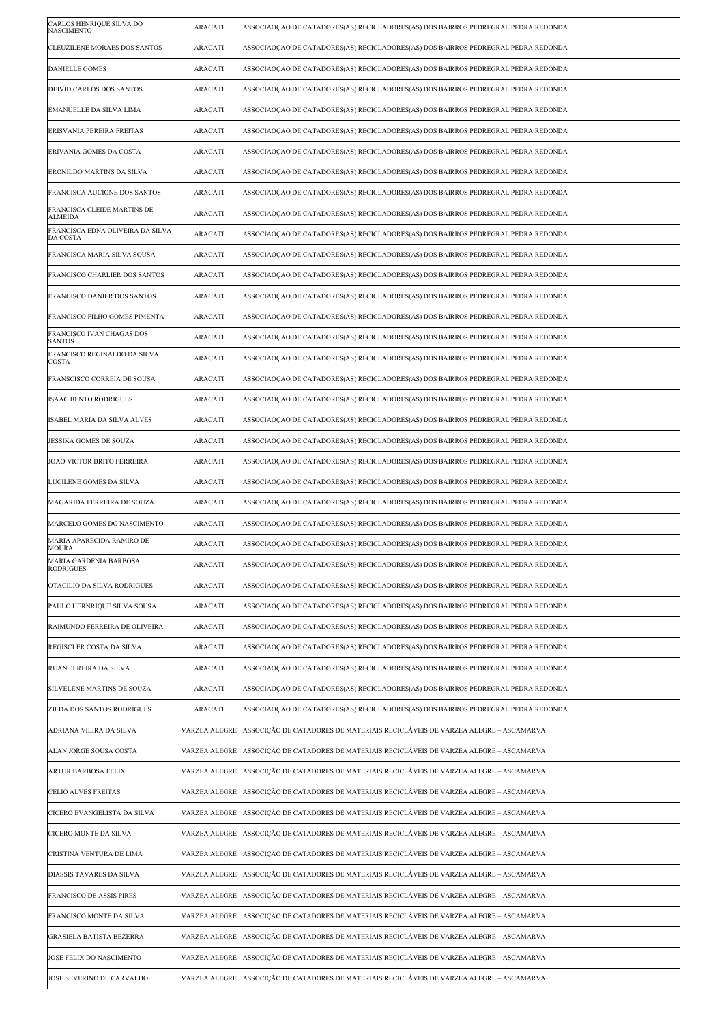| CARLOS HENRIQUE SILVA DO<br><b>NASCIMENTO</b> | ARACATI        | ASSOCIAOCAO DE CATADORES(AS) RECICLADORES(AS) DOS BAIRROS PEDREGRAL PEDRA REDONDA |
|-----------------------------------------------|----------------|-----------------------------------------------------------------------------------|
| CLEUZILENE MORAES DOS SANTOS                  | <b>ARACATI</b> | ASSOCIAOÇAO DE CATADORES(AS) RECICLADORES(AS) DOS BAIRROS PEDREGRAL PEDRA REDONDA |
| <b>DANIELLE GOMES</b>                         | ARACATI        | ASSOCIAOÇAO DE CATADORES(AS) RECICLADORES(AS) DOS BAIRROS PEDREGRAL PEDRA REDONDA |
| DEIVID CARLOS DOS SANTOS                      | <b>ARACATI</b> | ASSOCIAOÇAO DE CATADORES(AS) RECICLADORES(AS) DOS BAIRROS PEDREGRAL PEDRA REDONDA |
| EMANUELLE DA SILVA LIMA                       | ARACATI        | ASSOCIAOÇÃO DE CATADORES(AS) RECICLADORES(AS) DOS BAIRROS PEDREGRAL PEDRA REDONDA |
| ERISVANIA PEREIRA FREITAS                     | ARACATI        | ASSOCIAOÇAO DE CATADORES(AS) RECICLADORES(AS) DOS BAIRROS PEDREGRAL PEDRA REDONDA |
| ERIVANIA GOMES DA COSTA                       | ARACATI        | ASSOCIAOCAO DE CATADORES(AS) RECICLADORES(AS) DOS BAIRROS PEDREGRAL PEDRA REDONDA |
| ERONILDO MARTINS DA SILVA                     | <b>ARACATI</b> | ASSOCIAOÇAO DE CATADORES(AS) RECICLADORES(AS) DOS BAIRROS PEDREGRAL PEDRA REDONDA |
| FRANCISCA AUCIONE DOS SANTOS                  | ARACATI        | ASSOCIAOÇAO DE CATADORES(AS) RECICLADORES(AS) DOS BAIRROS PEDREGRAL PEDRA REDONDA |
| FRANCISCA CLEIDE MARTINS DE<br><b>ALMEIDA</b> | ARACATI        | ASSOCIAOÇAO DE CATADORES(AS) RECICLADORES(AS) DOS BAIRROS PEDREGRAL PEDRA REDONDA |
| FRANCISCA EDNA OLIVEIRA DA SILVA<br>DA COSTA  | <b>ARACATI</b> | ASSOCIAOÇAO DE CATADORES(AS) RECICLADORES(AS) DOS BAIRROS PEDREGRAL PEDRA REDONDA |
| FRANCISCA MARIA SILVA SOUSA                   | ARACATI        | ASSOCIAOCAO DE CATADORES(AS) RECICLADORES(AS) DOS BAIRROS PEDREGRAL PEDRA REDONDA |
| FRANCISCO CHARLIER DOS SANTOS                 | ARACATI        | ASSOCIAOÇAO DE CATADORES(AS) RECICLADORES(AS) DOS BAIRROS PEDREGRAL PEDRA REDONDA |
| FRANCISCO DANIER DOS SANTOS                   | <b>ARACATI</b> | ASSOCIAOÇAO DE CATADORES(AS) RECICLADORES(AS) DOS BAIRROS PEDREGRAL PEDRA REDONDA |
| FRANCISCO FILHO GOMES PIMENTA                 | ARACATI        | ASSOCIAOÇAO DE CATADORES(AS) RECICLADORES(AS) DOS BAIRROS PEDREGRAL PEDRA REDONDA |
| FRANCISCO IVAN CHAGAS DOS<br><b>SANTOS</b>    | <b>ARACATI</b> | ASSOCIAOÇAO DE CATADORES(AS) RECICLADORES(AS) DOS BAIRROS PEDREGRAL PEDRA REDONDA |
| FRANCISCO REGINALDO DA SILVA<br>COSTA         | <b>ARACATI</b> | ASSOCIAOÇÃO DE CATADORES(AS) RECICLADORES(AS) DOS BAIRROS PEDREGRAL PEDRA REDONDA |
| FRANSCISCO CORREIA DE SOUSA                   | ARACATI        | ASSOCIAOÇAO DE CATADORES(AS) RECICLADORES(AS) DOS BAIRROS PEDREGRAL PEDRA REDONDA |
| ISAAC BENTO RODRIGUES                         | ARACATI        | ASSOCIAOÇAO DE CATADORES(AS) RECICLADORES(AS) DOS BAIRROS PEDREGRAL PEDRA REDONDA |
| ISABEL MARIA DA SILVA ALVES                   | <b>ARACATI</b> | ASSOCIAOÇAO DE CATADORES(AS) RECICLADORES(AS) DOS BAIRROS PEDREGRAL PEDRA REDONDA |
| JESSIKA GOMES DE SOUZA                        | ARACATI        | ASSOCIAOÇAO DE CATADORES(AS) RECICLADORES(AS) DOS BAIRROS PEDREGRAL PEDRA REDONDA |
| JOAO VICTOR BRITO FERREIRA                    | ARACATI        | ASSOCIAOÇAO DE CATADORES(AS) RECICLADORES(AS) DOS BAIRROS PEDREGRAL PEDRA REDONDA |
| LUCILENE GOMES DA SILVA                       | <b>ARACATI</b> | ASSOCIAOÇAO DE CATADORES(AS) RECICLADORES(AS) DOS BAIRROS PEDREGRAL PEDRA REDONDA |
| MAGARIDA FERREIRA DE SOUZA                    | ARACATI        | ASSOCIAOÇAO DE CATADORES(AS) RECICLADORES(AS) DOS BAIRROS PEDREGRAL PEDRA REDONDA |
| MARCELO GOMES DO NASCIMENTO                   | ARACATI        | ASSOCIAOÇAO DE CATADORES(AS) RECICLADORES(AS) DOS BAIRROS PEDREGRAL PEDRA REDONDA |
| MARIA APARECIDA RAMIRO DE<br>MOURA            | <b>ARACATI</b> | ASSOCIAOÇÃO DE CATADORES(AS) RECICLADORES(AS) DOS BAIRROS PEDREGRAL PEDRA REDONDA |
| MARIA GARDENIA BARBOSA<br><b>RODRIGUES</b>    | ARACATI        | ASSOCIAOÇAO DE CATADORES(AS) RECICLADORES(AS) DOS BAIRROS PEDREGRAL PEDRA REDONDA |
| OTACILIO DA SILVA RODRIGUES                   | <b>ARACATI</b> | ASSOCIAOÇAO DE CATADORES(AS) RECICLADORES(AS) DOS BAIRROS PEDREGRAL PEDRA REDONDA |
| PAULO HERNRIQUE SILVA SOUSA                   | <b>ARACATI</b> | ASSOCIAOÇÃO DE CATADORES(AS) RECICLADORES(AS) DOS BAIRROS PEDREGRAL PEDRA REDONDA |
| RAIMUNDO FERREIRA DE OLIVEIRA                 | ARACATI        | ASSOCIAOÇÃO DE CATADORES(AS) RECICLADORES(AS) DOS BAIRROS PEDREGRAL PEDRA REDONDA |
| REGISCLER COSTA DA SILVA                      | ARACATI        | ASSOCIAOÇAO DE CATADORES(AS) RECICLADORES(AS) DOS BAIRROS PEDREGRAL PEDRA REDONDA |
| RUAN PEREIRA DA SILVA                         | ARACATI        | ASSOCIAOÇÃO DE CATADORES(AS) RECICLADORES(AS) DOS BAIRROS PEDREGRAL PEDRA REDONDA |
| SILVELENE MARTINS DE SOUZA                    | <b>ARACATI</b> | ASSOCIAOÇÃO DE CATADORES(AS) RECICLADORES(AS) DOS BAIRROS PEDREGRAL PEDRA REDONDA |
| ZILDA DOS SANTOS RODRIGUES                    | ARACATI        | ASSOCIAOÇAO DE CATADORES(AS) RECICLADORES(AS) DOS BAIRROS PEDREGRAL PEDRA REDONDA |
| ADRIANA VIEIRA DA SILVA                       | VARZEA ALEGRE  | ASSOCIÇÃO DE CATADORES DE MATERIAIS RECICLÁVEIS DE VARZEA ALEGRE – ASCAMARVA      |
| ALAN JORGE SOUSA COSTA                        | VARZEA ALEGRE  | ASSOCIÇÃO DE CATADORES DE MATERIAIS RECICLÁVEIS DE VARZEA ALEGRE – ASCAMARVA      |
| ARTUR BARBOSA FELIX                           | VARZEA ALEGRE  | ASSOCIÇÃO DE CATADORES DE MATERIAIS RECICLÁVEIS DE VARZEA ALEGRE – ASCAMARVA      |
| <b>CELIO ALVES FREITAS</b>                    | VARZEA ALEGRE  | ASSOCIÇÃO DE CATADORES DE MATERIAIS RECICLÁVEIS DE VARZEA ALEGRE – ASCAMARVA      |
| CICERO EVANGELISTA DA SILVA                   | VARZEA ALEGRE  | ASSOCIÇÃO DE CATADORES DE MATERIAIS RECICLÁVEIS DE VARZEA ALEGRE – ASCAMARVA      |
| CICERO MONTE DA SILVA                         | VARZEA ALEGRE  | ASSOCIÇÃO DE CATADORES DE MATERIAIS RECICLÁVEIS DE VARZEA ALEGRE – ASCAMARVA      |
| CRISTINA VENTURA DE LIMA                      | VARZEA ALEGRE  | ASSOCIÇÃO DE CATADORES DE MATERIAIS RECICLÁVEIS DE VARZEA ALEGRE – ASCAMARVA      |
| DIASSIS TAVARES DA SILVA                      | VARZEA ALEGRE  | ASSOCIÇÃO DE CATADORES DE MATERIAIS RECICLÁVEIS DE VARZEA ALEGRE – ASCAMARVA      |
| FRANCISCO DE ASSIS PIRES                      | VARZEA ALEGRE  | ASSOCIÇÃO DE CATADORES DE MATERIAIS RECICLÁVEIS DE VARZEA ALEGRE – ASCAMARVA      |
| FRANCISCO MONTE DA SILVA                      | VARZEA ALEGRE  | ASSOCIÇÃO DE CATADORES DE MATERIAIS RECICLÁVEIS DE VARZEA ALEGRE – ASCAMARVA      |
| <b>GRASIELA BATISTA BEZERRA</b>               | VARZEA ALEGRE  | ASSOCIÇÃO DE CATADORES DE MATERIAIS RECICLÁVEIS DE VARZEA ALEGRE – ASCAMARVA      |
| JOSE FELIX DO NASCIMENTO                      | VARZEA ALEGRE  | ASSOCIÇÃO DE CATADORES DE MATERIAIS RECICLÁVEIS DE VARZEA ALEGRE – ASCAMARVA      |
| JOSE SEVERINO DE CARVALHO                     | VARZEA ALEGRE  | ASSOCIÇÃO DE CATADORES DE MATERIAIS RECICLÁVEIS DE VARZEA ALEGRE – ASCAMARVA      |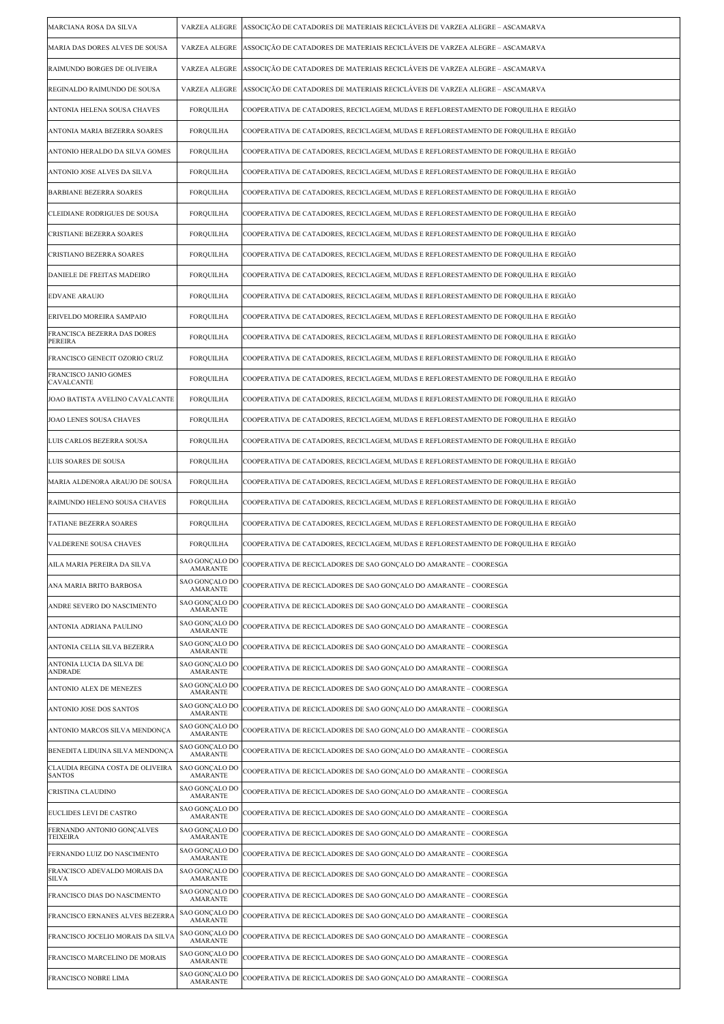| MARCIANA ROSA DA SILVA                            | VARZEA ALEGRE                     | ASSOCIÇÃO DE CATADORES DE MATERIAIS RECICLÁVEIS DE VARZEA ALEGRE – ASCAMARVA        |
|---------------------------------------------------|-----------------------------------|-------------------------------------------------------------------------------------|
| MARIA DAS DORES ALVES DE SOUSA                    | <b>VARZEA ALEGRE</b>              | ASSOCIÇÃO DE CATADORES DE MATERIAIS RECICLÁVEIS DE VARZEA ALEGRE – ASCAMARVA        |
| RAIMUNDO BORGES DE OLIVEIRA                       | VARZEA ALEGRE                     | ASSOCIÇÃO DE CATADORES DE MATERIAIS RECICLÁVEIS DE VARZEA ALEGRE – ASCAMARVA        |
| REGINALDO RAIMUNDO DE SOUSA                       | VARZEA ALEGRE                     | ASSOCIÇÃO DE CATADORES DE MATERIAIS RECICLÁVEIS DE VARZEA ALEGRE – ASCAMARVA        |
| ANTONIA HELENA SOUSA CHAVES                       | <b>FORQUILHA</b>                  | COOPERATIVA DE CATADORES, RECICLAGEM, MUDAS E REFLORESTAMENTO DE FORQUILHA E REGIÃO |
| ANTONIA MARIA BEZERRA SOARES                      | <b>FORQUILHA</b>                  | COOPERATIVA DE CATADORES, RECICLAGEM, MUDAS E REFLORESTAMENTO DE FORQUILHA E REGIÃO |
| ANTONIO HERALDO DA SILVA GOMES                    | <b>FORQUILHA</b>                  | COOPERATIVA DE CATADORES, RECICLAGEM, MUDAS E REFLORESTAMENTO DE FORQUILHA E REGIÃO |
| ANTONIO JOSE ALVES DA SILVA                       | <b>FORQUILHA</b>                  | COOPERATIVA DE CATADORES, RECICLAGEM, MUDAS E REFLORESTAMENTO DE FORQUILHA E REGIÃO |
| <b>BARBIANE BEZERRA SOARES</b>                    | <b>FORQUILHA</b>                  | COOPERATIVA DE CATADORES, RECICLAGEM, MUDAS E REFLORESTAMENTO DE FORQUILHA E REGIÃO |
| CLEIDIANE RODRIGUES DE SOUSA                      | FORQUILHA                         | COOPERATIVA DE CATADORES, RECICLAGEM, MUDAS E REFLORESTAMENTO DE FORQUILHA E REGIÃO |
| CRISTIANE BEZERRA SOARES                          | <b>FORQUILHA</b>                  | COOPERATIVA DE CATADORES, RECICLAGEM, MUDAS E REFLORESTAMENTO DE FORQUILHA E REGIÃO |
| CRISTIANO BEZERRA SOARES                          | <b>FORQUILHA</b>                  | COOPERATIVA DE CATADORES, RECICLAGEM, MUDAS E REFLORESTAMENTO DE FORQUILHA E REGIÃO |
| DANIELE DE FREITAS MADEIRO                        | <b>FORQUILHA</b>                  | COOPERATIVA DE CATADORES, RECICLAGEM, MUDAS E REFLORESTAMENTO DE FORQUILHA E REGIÃO |
| <b>EDVANE ARAUJO</b>                              | <b>FORQUILHA</b>                  | COOPERATIVA DE CATADORES, RECICLAGEM, MUDAS E REFLORESTAMENTO DE FORQUILHA E REGIÃO |
| ERIVELDO MOREIRA SAMPAIO                          | <b>FORQUILHA</b>                  | COOPERATIVA DE CATADORES, RECICLAGEM, MUDAS E REFLORESTAMENTO DE FORQUILHA E REGIÃO |
| FRANCISCA BEZERRA DAS DORES<br><b>PEREIRA</b>     | <b>FORQUILHA</b>                  | COOPERATIVA DE CATADORES, RECICLAGEM, MUDAS E REFLORESTAMENTO DE FORQUILHA E REGIÃO |
| FRANCISCO GENECIT OZORIO CRUZ                     | <b>FORQUILHA</b>                  | COOPERATIVA DE CATADORES, RECICLAGEM, MUDAS E REFLORESTAMENTO DE FORQUILHA E REGIÃO |
| FRANCISCO JANIO GOMES<br>CAVALCANTE               | <b>FORQUILHA</b>                  | COOPERATIVA DE CATADORES, RECICLAGEM, MUDAS E REFLORESTAMENTO DE FORQUILHA E REGIÃO |
| JOAO BATISTA AVELINO CAVALCANTE                   | <b>FORQUILHA</b>                  | COOPERATIVA DE CATADORES, RECICLAGEM, MUDAS E REFLORESTAMENTO DE FORQUILHA E REGIÃO |
| JOAO LENES SOUSA CHAVES                           | <b>FORQUILHA</b>                  | COOPERATIVA DE CATADORES, RECICLAGEM, MUDAS E REFLORESTAMENTO DE FORQUILHA E REGIÃO |
| LUIS CARLOS BEZERRA SOUSA                         | <b>FORQUILHA</b>                  | COOPERATIVA DE CATADORES, RECICLAGEM, MUDAS E REFLORESTAMENTO DE FORQUILHA E REGIÃO |
| LUIS SOARES DE SOUSA                              | <b>FORQUILHA</b>                  | COOPERATIVA DE CATADORES, RECICLAGEM, MUDAS E REFLORESTAMENTO DE FORQUILHA E REGIÃO |
| MARIA ALDENORA ARAUJO DE SOUSA                    | FORQUILHA                         | COOPERATIVA DE CATADORES, RECICLAGEM, MUDAS E REFLORESTAMENTO DE FORQUILHA E REGIÃO |
| RAIMUNDO HELENO SOUSA CHAVES                      | <b>FORQUILHA</b>                  | COOPERATIVA DE CATADORES, RECICLAGEM, MUDAS E REFLORESTAMENTO DE FORQUILHA E REGIÃO |
| <b>TATIANE BEZERRA SOARES</b>                     | <b>FORQUILHA</b>                  | COOPERATIVA DE CATADORES, RECICLAGEM, MUDAS E REFLORESTAMENTO DE FORQUILHA E REGIÃO |
| VALDERENE SOUSA CHAVES                            | <b>FORQUILHA</b>                  | COOPERATIVA DE CATADORES, RECICLAGEM, MUDAS E REFLORESTAMENTO DE FORQUILHA E REGIÃO |
| AILA MARIA PEREIRA DA SILVA                       | SAO GONÇALO DO<br>AMARANTE        | COOPERATIVA DE RECICLADORES DE SAO GONÇALO DO AMARANTE – COORESGA                   |
| ANA MARIA BRITO BARBOSA                           | SAO GONÇALO DO<br><b>AMARANTE</b> | COOPERATIVA DE RECICLADORES DE SAO GONÇALO DO AMARANTE – COORESGA                   |
| ANDRE SEVERO DO NASCIMENTO                        | SAO GONÇALO DO<br><b>AMARANTE</b> | COOPERATIVA DE RECICLADORES DE SAO GONÇALO DO AMARANTE – COORESGA                   |
| ANTONIA ADRIANA PAULINO                           | SAO GONÇALO DO<br><b>AMARANTE</b> | COOPERATIVA DE RECICLADORES DE SAO GONÇALO DO AMARANTE – COORESGA                   |
| ANTONIA CELIA SILVA BEZERRA                       | SAO GONÇALO DO<br><b>AMARANTE</b> | COOPERATIVA DE RECICLADORES DE SAO GONÇALO DO AMARANTE – COORESGA                   |
| ANTONIA LUCIA DA SILVA DE<br>ANDRADE              | SAO GONÇALO DO<br><b>AMARANTE</b> | COOPERATIVA DE RECICLADORES DE SAO GONÇALO DO AMARANTE – COORESGA                   |
| ANTONIO ALEX DE MENEZES                           | SAO GONÇALO DO<br><b>AMARANTE</b> | COOPERATIVA DE RECICLADORES DE SAO GONÇALO DO AMARANTE – COORESGA                   |
| ANTONIO JOSE DOS SANTOS                           | SAO GONÇALO DO<br><b>AMARANTE</b> | COOPERATIVA DE RECICLADORES DE SAO GONÇALO DO AMARANTE – COORESGA                   |
| ANTONIO MARCOS SILVA MENDONÇA                     | SAO GONÇALO DO<br><b>AMARANTE</b> | COOPERATIVA DE RECICLADORES DE SAO GONÇALO DO AMARANTE – COORESGA                   |
| BENEDITA LIDUINA SILVA MENDONÇA                   | SAO GONÇALO DO<br><b>AMARANTE</b> | COOPERATIVA DE RECICLADORES DE SAO GONÇALO DO AMARANTE – COORESGA                   |
| CLAUDIA REGINA COSTA DE OLIVEIRA<br><b>SANTOS</b> | SAO GONÇALO DO<br><b>AMARANTE</b> | COOPERATIVA DE RECICLADORES DE SAO GONÇALO DO AMARANTE – COORESGA                   |
| CRISTINA CLAUDINO                                 | SAO GONÇALO DO<br><b>AMARANTE</b> | COOPERATIVA DE RECICLADORES DE SAO GONÇALO DO AMARANTE – COORESGA                   |
| EUCLIDES LEVI DE CASTRO                           | SAO GONÇALO DO<br><b>AMARANTE</b> | COOPERATIVA DE RECICLADORES DE SAO GONÇALO DO AMARANTE – COORESGA                   |
| FERNANDO ANTONIO GONÇALVES<br><b>TEIXEIRA</b>     | SAO GONÇALO DO<br><b>AMARANTE</b> | COOPERATIVA DE RECICLADORES DE SAO GONÇALO DO AMARANTE - COORESGA                   |
| FERNANDO LUIZ DO NASCIMENTO                       | SAO GONÇALO DO<br><b>AMARANTE</b> | COOPERATIVA DE RECICLADORES DE SAO GONÇALO DO AMARANTE – COORESGA                   |
| FRANCISCO ADEVALDO MORAIS DA<br>SILVA             | SAO GONÇALO DO<br><b>AMARANTE</b> | COOPERATIVA DE RECICLADORES DE SAO GONÇALO DO AMARANTE – COORESGA                   |
| FRANCISCO DIAS DO NASCIMENTO                      | SAO GONÇALO DO<br><b>AMARANTE</b> | COOPERATIVA DE RECICLADORES DE SAO GONÇALO DO AMARANTE – COORESGA                   |
| FRANCISCO ERNANES ALVES BEZERRA                   | SAO GONÇALO DO<br><b>AMARANTE</b> | COOPERATIVA DE RECICLADORES DE SAO GONÇALO DO AMARANTE – COORESGA                   |
| FRANCISCO JOCELIO MORAIS DA SILVA                 | SAO GONÇALO DO<br>AMARANTE        | COOPERATIVA DE RECICLADORES DE SAO GONÇALO DO AMARANTE – COORESGA                   |
| FRANCISCO MARCELINO DE MORAIS                     | SAO GONÇALO DO<br><b>AMARANTE</b> | COOPERATIVA DE RECICLADORES DE SAO GONÇALO DO AMARANTE – COORESGA                   |
| FRANCISCO NOBRE LIMA                              | SAO GONÇALO DO<br><b>AMARANTE</b> | COOPERATIVA DE RECICLADORES DE SAO GONÇALO DO AMARANTE – COORESGA                   |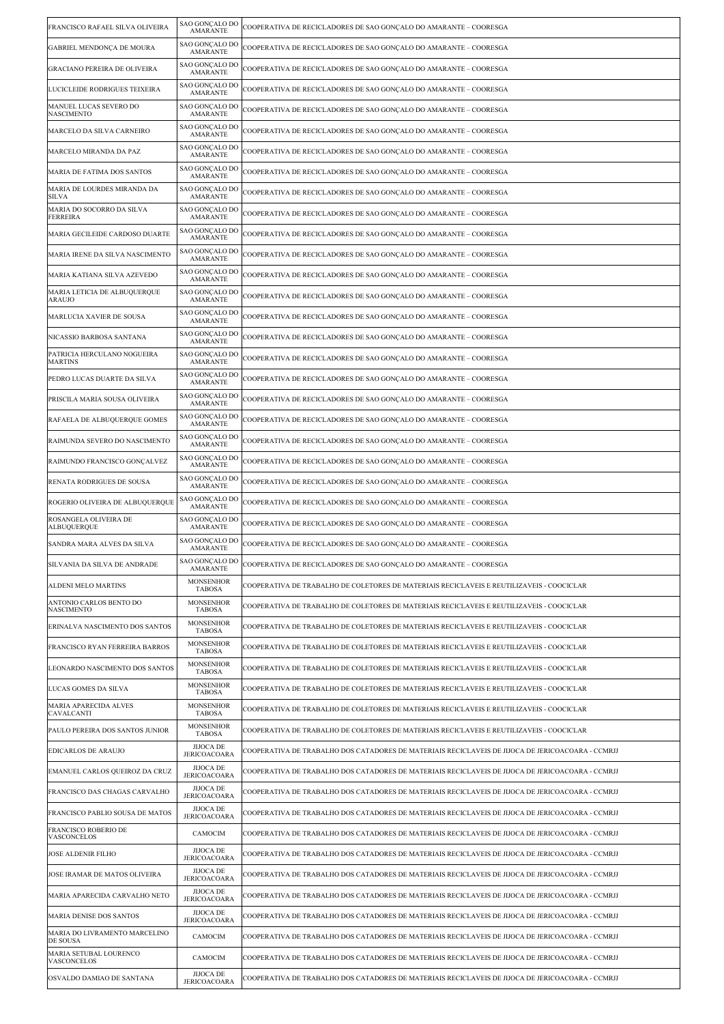| FRANCISCO RAFAEL SILVA OLIVEIRA               | SAO GONÇALO DO<br><b>AMARANTE</b>       | COOPERATIVA DE RECICLADORES DE SAO GONÇALO DO AMARANTE – COORESGA                                 |
|-----------------------------------------------|-----------------------------------------|---------------------------------------------------------------------------------------------------|
| GABRIEL MENDONÇA DE MOURA                     | SAO GONÇALO DO<br><b>AMARANTE</b>       | COOPERATIVA DE RECICLADORES DE SAO GONÇALO DO AMARANTE – COORESGA                                 |
| GRACIANO PEREIRA DE OLIVEIRA                  | SAO GONÇALO DO<br><b>AMARANTE</b>       | COOPERATIVA DE RECICLADORES DE SAO GONÇALO DO AMARANTE – COORESGA                                 |
| LUCICLEIDE RODRIGUES TEIXEIRA                 | SAO GONÇALO DO<br><b>AMARANTE</b>       | COOPERATIVA DE RECICLADORES DE SAO GONÇALO DO AMARANTE – COORESGA                                 |
| MANUEL LUCAS SEVERO DO<br><b>NASCIMENTO</b>   | SAO GONCALO DO<br><b>AMARANTE</b>       | COOPERATIVA DE RECICLADORES DE SAO GONÇALO DO AMARANTE – COORESGA                                 |
| MARCELO DA SILVA CARNEIRO                     | SAO GONÇALO DO<br><b>AMARANTE</b>       | COOPERATIVA DE RECICLADORES DE SAO GONÇALO DO AMARANTE – COORESGA                                 |
| MARCELO MIRANDA DA PAZ                        | SAO GONCALO DO<br><b>AMARANTE</b>       | COOPERATIVA DE RECICLADORES DE SAO GONÇALO DO AMARANTE – COORESGA                                 |
| MARIA DE FATIMA DOS SANTOS                    | SAO GONÇALO DO<br><b>AMARANTE</b>       | COOPERATIVA DE RECICLADORES DE SAO GONÇALO DO AMARANTE – COORESGA                                 |
| MARIA DE LOURDES MIRANDA DA<br>SILVA          | SAO GONÇALO DO<br><b>AMARANTE</b>       | COOPERATIVA DE RECICLADORES DE SAO GONÇALO DO AMARANTE – COORESGA                                 |
| MARIA DO SOCORRO DA SILVA<br>FERREIRA         | SAO GONÇALO DO<br><b>AMARANTE</b>       | COOPERATIVA DE RECICLADORES DE SAO GONÇALO DO AMARANTE – COORESGA                                 |
| MARIA GECILEIDE CARDOSO DUARTE                | SAO GONÇALO DO<br><b>AMARANTE</b>       | COOPERATIVA DE RECICLADORES DE SAO GONÇALO DO AMARANTE – COORESGA                                 |
| MARIA IRENE DA SILVA NASCIMENTO               | SAO GONÇALO DO<br><b>AMARANTE</b>       | COOPERATIVA DE RECICLADORES DE SAO GONÇALO DO AMARANTE – COORESGA                                 |
| MARIA KATIANA SILVA AZEVEDO                   | SAO GONÇALO DO<br><b>AMARANTE</b>       | COOPERATIVA DE RECICLADORES DE SAO GONÇALO DO AMARANTE – COORESGA                                 |
| MARIA LETICIA DE ALBUQUERQUE<br><b>ARAUJO</b> | SAO GONCALO DO<br><b>AMARANTE</b>       | COOPERATIVA DE RECICLADORES DE SAO GONÇALO DO AMARANTE – COORESGA                                 |
| MARLUCIA XAVIER DE SOUSA                      | SAO GONÇALO DO<br><b>AMARANTE</b>       | COOPERATIVA DE RECICLADORES DE SAO GONÇALO DO AMARANTE – COORESGA                                 |
| NICASSIO BARBOSA SANTANA                      | SAO GONÇALO DO<br><b>AMARANTE</b>       | COOPERATIVA DE RECICLADORES DE SAO GONÇALO DO AMARANTE – COORESGA                                 |
| PATRICIA HERCULANO NOGUEIRA<br><b>MARTINS</b> | SAO GONÇALO DO<br><b>AMARANTE</b>       | COOPERATIVA DE RECICLADORES DE SAO GONÇALO DO AMARANTE – COORESGA                                 |
| PEDRO LUCAS DUARTE DA SILVA                   | SAO GONÇALO DO<br><b>AMARANTE</b>       | COOPERATIVA DE RECICLADORES DE SAO GONÇALO DO AMARANTE – COORESGA                                 |
| PRISCILA MARIA SOUSA OLIVEIRA                 | SAO GONÇALO DO<br><b>AMARANTE</b>       | COOPERATIVA DE RECICLADORES DE SAO GONÇALO DO AMARANTE – COORESGA                                 |
| RAFAELA DE ALBUQUERQUE GOMES                  | SAO GONÇALO DO<br><b>AMARANTE</b>       | COOPERATIVA DE RECICLADORES DE SAO GONÇALO DO AMARANTE – COORESGA                                 |
| RAIMUNDA SEVERO DO NASCIMENTO                 | SAO GONÇALO DO<br><b>AMARANTE</b>       | COOPERATIVA DE RECICLADORES DE SAO GONÇALO DO AMARANTE – COORESGA                                 |
| RAIMUNDO FRANCISCO GONÇALVEZ                  | SAO GONÇALO DO<br><b>AMARANTE</b>       | COOPERATIVA DE RECICLADORES DE SAO GONÇALO DO AMARANTE – COORESGA                                 |
| RENATA RODRIGUES DE SOUSA                     | SAO GONÇALO DO<br><b>AMARANTE</b>       | COOPERATIVA DE RECICLADORES DE SAO GONÇALO DO AMARANTE – COORESGA                                 |
| ROGERIO OLIVEIRA DE ALBUQUERQUE               | SAO GONCALO DO<br><b>AMARANTE</b>       | COOPERATIVA DE RECICLADORES DE SAO GONÇALO DO AMARANTE – COORESGA                                 |
| ROSANGELA OLIVEIRA DE<br>ALBUQUERQUE          | SAO GONÇALO DO<br><b>AMARANTE</b>       | COOPERATIVA DE RECICLADORES DE SAO GONÇALO DO AMARANTE – COORESGA                                 |
| SANDRA MARA ALVES DA SILVA                    | SAO GONÇALO DO<br><b>AMARANTE</b>       | COOPERATIVA DE RECICLADORES DE SAO GONÇALO DO AMARANTE – COORESGA                                 |
| SILVANIA DA SILVA DE ANDRADE                  | SAO GONCALO DO<br><b>AMARANTE</b>       | COOPERATIVA DE RECICLADORES DE SAO GONÇALO DO AMARANTE – COORESGA                                 |
| ALDENI MELO MARTINS                           | <b>MONSENHOR</b><br>TABOSA              | COOPERATIVA DE TRABALHO DE COLETORES DE MATERIAIS RECICLAVEIS E REUTILIZAVEIS - COOCICLAR         |
| ANTONIO CARLOS BENTO DO<br><b>NASCIMENTO</b>  | <b>MONSENHOR</b><br><b>TABOSA</b>       | COOPERATIVA DE TRABALHO DE COLETORES DE MATERIAIS RECICLAVEIS E REUTILIZAVEIS - COOCICLAR         |
| ERINALVA NASCIMENTO DOS SANTOS                | <b>MONSENHOR</b><br><b>TABOSA</b>       | COOPERATIVA DE TRABALHO DE COLETORES DE MATERIAIS RECICLAVEIS E REUTILIZAVEIS - COOCICLAR         |
| FRANCISCO RYAN FERREIRA BARROS                | <b>MONSENHOR</b><br>TABOSA              | COOPERATIVA DE TRABALHO DE COLETORES DE MATERIAIS RECICLAVEIS E REUTILIZAVEIS - COOCICLAR         |
| LEONARDO NASCIMENTO DOS SANTOS                | <b>MONSENHOR</b><br><b>TABOSA</b>       | COOPERATIVA DE TRABALHO DE COLETORES DE MATERIAIS RECICLAVEIS E REUTILIZAVEIS - COOCICLAR         |
| LUCAS GOMES DA SILVA                          | <b>MONSENHOR</b><br><b>TABOSA</b>       | COOPERATIVA DE TRABALHO DE COLETORES DE MATERIAIS RECICLAVEIS E REUTILIZAVEIS - COOCICLAR         |
| MARIA APARECIDA ALVES<br>CAVALCANTI           | <b>MONSENHOR</b><br><b>TABOSA</b>       | COOPERATIVA DE TRABALHO DE COLETORES DE MATERIAIS RECICLAVEIS E REUTILIZAVEIS - COOCICLAR         |
| PAULO PEREIRA DOS SANTOS JUNIOR               | <b>MONSENHOR</b><br><b>TABOSA</b>       | COOPERATIVA DE TRABALHO DE COLETORES DE MATERIAIS RECICLAVEIS E REUTILIZAVEIS - COOCICLAR         |
| <b>EDICARLOS DE ARAUJO</b>                    | <b>JIJOCA DE</b><br><b>JERICOACOARA</b> | COOPERATIVA DE TRABALHO DOS CATADORES DE MATERIAIS RECICLAVEIS DE JIJOCA DE JERICOACOARA - CCMRJJ |
| EMANUEL CARLOS QUEIROZ DA CRUZ                | <b>JIJOCA DE</b><br><b>JERICOACOARA</b> | COOPERATIVA DE TRABALHO DOS CATADORES DE MATERIAIS RECICLAVEIS DE JIJOCA DE JERICOACOARA - CCMRJJ |
| FRANCISCO DAS CHAGAS CARVALHO                 | <b>JIJOCA DE</b><br><b>JERICOACOARA</b> | COOPERATIVA DE TRABALHO DOS CATADORES DE MATERIAIS RECICLAVEIS DE JIJOCA DE JERICOACOARA - CCMRJJ |
| FRANCISCO PABLIO SOUSA DE MATOS               | <b>JIJOCA DE</b><br><b>JERICOACOARA</b> | COOPERATIVA DE TRABALHO DOS CATADORES DE MATERIAIS RECICLAVEIS DE JIJOCA DE JERICOACOARA - CCMRJJ |
| <b>FRANCISCO ROBERIO DE</b><br>VASCONCELOS    | CAMOCIM                                 | COOPERATIVA DE TRABALHO DOS CATADORES DE MATERIAIS RECICLAVEIS DE JIJOCA DE JERICOACOARA - CCMRJJ |
| <b>JOSE ALDENIR FILHO</b>                     | <b>JIJOCA DE</b><br><b>JERICOACOARA</b> | COOPERATIVA DE TRABALHO DOS CATADORES DE MATERIAIS RECICLAVEIS DE JIJOCA DE JERICOACOARA - CCMRJJ |
| JOSE IRAMAR DE MATOS OLIVEIRA                 | <b>JIJOCA DE</b><br><b>JERICOACOARA</b> | COOPERATIVA DE TRABALHO DOS CATADORES DE MATERIAIS RECICLAVEIS DE JIJOCA DE JERICOACOARA - CCMRJJ |
| MARIA APARECIDA CARVALHO NETO                 | <b>JIJOCA DE</b><br><b>JERICOACOARA</b> | COOPERATIVA DE TRABALHO DOS CATADORES DE MATERIAIS RECICLAVEIS DE JIJOCA DE JERICOACOARA - CCMRJJ |
| MARIA DENISE DOS SANTOS                       | <b>JIJOCA DE</b><br><b>JERICOACOARA</b> | COOPERATIVA DE TRABALHO DOS CATADORES DE MATERIAIS RECICLAVEIS DE JIJOCA DE JERICOACOARA - CCMRJJ |
| MARIA DO LIVRAMENTO MARCELINO<br>DE SOUSA     | CAMOCIM                                 | COOPERATIVA DE TRABALHO DOS CATADORES DE MATERIAIS RECICLAVEIS DE JIJOCA DE JERICOACOARA - CCMRJJ |
| MARIA SETUBAL LOURENCO<br>VASCONCELOS         | CAMOCIM                                 | COOPERATIVA DE TRABALHO DOS CATADORES DE MATERIAIS RECICLAVEIS DE JIJOCA DE JERICOACOARA - CCMRJJ |
| OSVALDO DAMIAO DE SANTANA                     | <b>JIJOCA DE</b><br><b>JERICOACOARA</b> | COOPERATIVA DE TRABALHO DOS CATADORES DE MATERIAIS RECICLAVEIS DE JIJOCA DE JERICOACOARA - CCMRJJ |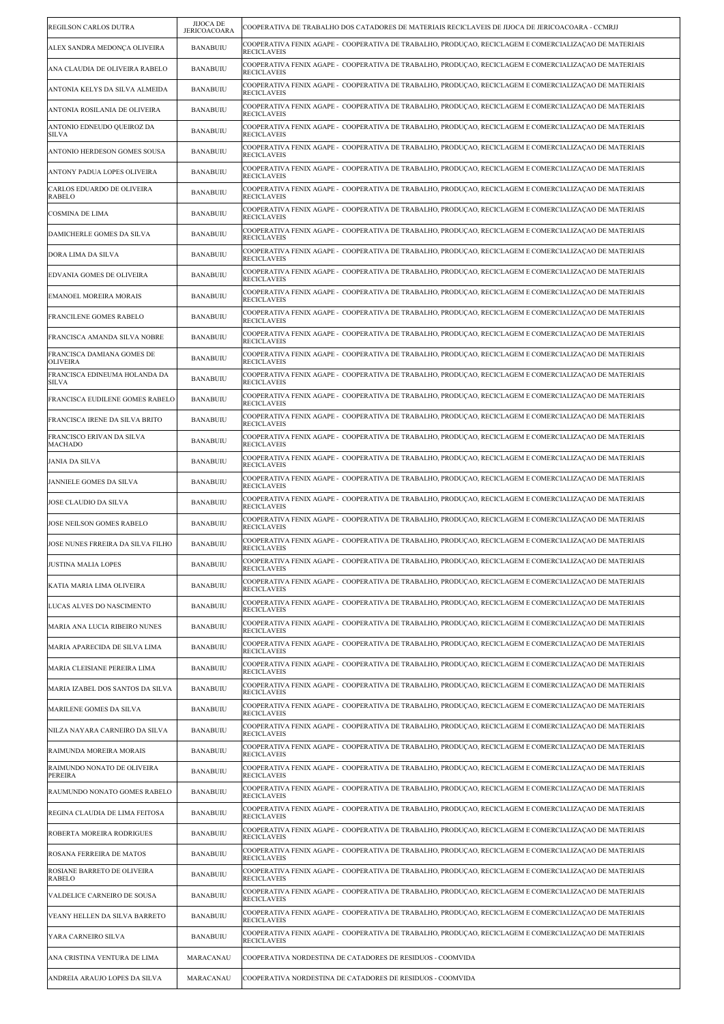| REGILSON CARLOS DUTRA                         | <b>JIJOCA DE</b><br><b>JERICOACOARA</b> | COOPERATIVA DE TRABALHO DOS CATADORES DE MATERIAIS RECICLAVEIS DE JIJOCA DE JERICOACOARA - CCMRJJ                             |
|-----------------------------------------------|-----------------------------------------|-------------------------------------------------------------------------------------------------------------------------------|
| ALEX SANDRA MEDONÇA OLIVEIRA                  | <b>BANABUIU</b>                         | COOPERATIVA FENIX AGAPE -  COOPERATIVA DE TRABALHO, PRODUÇAO, RECICLAGEM E COMERCIALIZAÇAO DE MATERIAIS<br><b>RECICLAVEIS</b> |
| ANA CLAUDIA DE OLIVEIRA RABELO                | <b>BANABUIU</b>                         | COOPERATIVA FENIX AGAPE - COOPERATIVA DE TRABALHO, PRODUÇAO, RECICLAGEM E COMERCIALIZAÇAO DE MATERIAIS<br><b>RECICLAVEIS</b>  |
| ANTONIA KELYS DA SILVA ALMEIDA                | <b>BANABUIU</b>                         | COOPERATIVA FENIX AGAPE - COOPERATIVA DE TRABALHO, PRODUCAO, RECICLAGEM E COMERCIALIZACAO DE MATERIAIS<br><b>RECICLAVEIS</b>  |
| ANTONIA ROSILANIA DE OLIVEIRA                 | <b>BANABUIU</b>                         | COOPERATIVA FENIX AGAPE -  COOPERATIVA DE TRABALHO, PRODUÇAO, RECICLAGEM E COMERCIALIZAÇAO DE MATERIAIS<br><b>RECICLAVEIS</b> |
| ANTONIO EDNEUDO QUEIROZ DA<br><b>SILVA</b>    | <b>BANABUIU</b>                         | COOPERATIVA FENIX AGAPE -  COOPERATIVA DE TRABALHO, PRODUCAO, RECICLAGEM E COMERCIALIZACAO DE MATERIAIS<br><b>RECICLAVEIS</b> |
| ANTONIO HERDESON GOMES SOUSA                  | <b>BANABUIU</b>                         | COOPERATIVA FENIX AGAPE - COOPERATIVA DE TRABALHO, PRODUÇAO, RECICLAGEM E COMERCIALIZAÇAO DE MATERIAIS<br><b>RECICLAVEIS</b>  |
| ANTONY PADUA LOPES OLIVEIRA                   | <b>BANABUIU</b>                         | COOPERATIVA FENIX AGAPE - COOPERATIVA DE TRABALHO, PRODUCAO, RECICLAGEM E COMERCIALIZACAO DE MATERIAIS<br><b>RECICLAVEIS</b>  |
| CARLOS EDUARDO DE OLIVEIRA<br>RABELO          | <b>BANABUIU</b>                         | COOPERATIVA FENIX AGAPE -  COOPERATIVA DE TRABALHO, PRODUÇAO, RECICLAGEM E COMERCIALIZAÇAO DE MATERIAIS<br><b>RECICLAVEIS</b> |
| <b>COSMINA DE LIMA</b>                        | <b>BANABUIU</b>                         | COOPERATIVA FENIX AGAPE - COOPERATIVA DE TRABALHO, PRODUÇAO, RECICLAGEM E COMERCIALIZAÇAO DE MATERIAIS<br><b>RECICLAVEIS</b>  |
| DAMICHERLE GOMES DA SILVA                     | <b>BANABUIU</b>                         | COOPERATIVA FENIX AGAPE -  COOPERATIVA DE TRABALHO, PRODUÇAO, RECICLAGEM E COMERCIALIZAÇAO DE MATERIAIS<br><b>RECICLAVEIS</b> |
| DORA LIMA DA SILVA                            | <b>BANABUIU</b>                         | COOPERATIVA FENIX AGAPE - COOPERATIVA DE TRABALHO, PRODUCAO, RECICLAGEM E COMERCIALIZACAO DE MATERIAIS<br><b>RECICLAVEIS</b>  |
| EDVANIA GOMES DE OLIVEIRA                     | <b>BANABUIU</b>                         | COOPERATIVA FENIX AGAPE - COOPERATIVA DE TRABALHO, PRODUÇAO, RECICLAGEM E COMERCIALIZAÇAO DE MATERIAIS<br><b>RECICLAVEIS</b>  |
| EMANOEL MOREIRA MORAIS                        | <b>BANABUIU</b>                         | COOPERATIVA FENIX AGAPE -  COOPERATIVA DE TRABALHO, PRODUÇAO, RECICLAGEM E COMERCIALIZAÇAO DE MATERIAIS<br><b>RECICLAVEIS</b> |
| FRANCILENE GOMES RABELO                       | <b>BANABUIU</b>                         | COOPERATIVA FENIX AGAPE -  COOPERATIVA DE TRABALHO, PRODUCAO, RECICLAGEM E COMERCIALIZACAO DE MATERIAIS<br><b>RECICLAVEIS</b> |
| FRANCISCA AMANDA SILVA NOBRE                  | <b>BANABUIU</b>                         | COOPERATIVA FENIX AGAPE -  COOPERATIVA DE TRABALHO, PRODUÇAO, RECICLAGEM E COMERCIALIZAÇAO DE MATERIAIS<br><b>RECICLAVEIS</b> |
| FRANCISCA DAMIANA GOMES DE<br><b>OLIVEIRA</b> | <b>BANABUIU</b>                         | COOPERATIVA FENIX AGAPE - COOPERATIVA DE TRABALHO, PRODUCAO, RECICLAGEM E COMERCIALIZACAO DE MATERIAIS<br><b>RECICLAVEIS</b>  |
| FRANCISCA EDINEUMA HOLANDA DA<br><b>SILVA</b> | <b>BANABUIU</b>                         | COOPERATIVA FENIX AGAPE -  COOPERATIVA DE TRABALHO, PRODUCAO, RECICLAGEM E COMERCIALIZACAO DE MATERIAIS<br><b>RECICLAVEIS</b> |
| FRANCISCA EUDILENE GOMES RABELO               | <b>BANABUIU</b>                         | COOPERATIVA FENIX AGAPE - COOPERATIVA DE TRABALHO, PRODUÇAO, RECICLAGEM E COMERCIALIZAÇAO DE MATERIAIS<br><b>RECICLAVEIS</b>  |
| FRANCISCA IRENE DA SILVA BRITO                | <b>BANABUIU</b>                         | COOPERATIVA FENIX AGAPE -  COOPERATIVA DE TRABALHO, PRODUÇAO, RECICLAGEM E COMERCIALIZAÇAO DE MATERIAIS<br><b>RECICLAVEIS</b> |
| FRANCISCO ERIVAN DA SILVA<br>MACHADO          | <b>BANABUIU</b>                         | COOPERATIVA FENIX AGAPE - COOPERATIVA DE TRABALHO, PRODUÇAO, RECICLAGEM E COMERCIALIZAÇAO DE MATERIAIS<br><b>RECICLAVEIS</b>  |
| <b>JANIA DA SILVA</b>                         | <b>BANABUIU</b>                         | COOPERATIVA FENIX AGAPE -  COOPERATIVA DE TRABALHO, PRODUÇAO, RECICLAGEM E COMERCIALIZAÇAO DE MATERIAIS<br><b>RECICLAVEIS</b> |
| JANNIELE GOMES DA SILVA                       | <b>BANABUIU</b>                         | COOPERATIVA FENIX AGAPE -  COOPERATIVA DE TRABALHO, PRODUÇAO, RECICLAGEM E COMERCIALIZAÇAO DE MATERIAIS<br><b>RECICLAVEIS</b> |
| <b>JOSE CLAUDIO DA SILVA</b>                  | <b>BANABUIU</b>                         | COOPERATIVA FENIX AGAPE - COOPERATIVA DE TRABALHO, PRODUCAO, RECICLAGEM E COMERCIALIZACAO DE MATERIAIS<br><b>RECICLAVEIS</b>  |
| JOSE NEILSON GOMES RABELO                     | <b>BANABUIU</b>                         | COOPERATIVA FENIX AGAPE - COOPERATIVA DE TRABALHO, PRODUCAO, RECICLAGEM E COMERCIALIZACAO DE MATERIAIS<br><b>RECICLAVEIS</b>  |
| JOSE NUNES FRREIRA DA SILVA FILHO             | <b>BANABUIU</b>                         | COOPERATIVA FENIX AGAPE -  COOPERATIVA DE TRABALHO, PRODUÇAO, RECICLAGEM E COMERCIALIZAÇAO DE MATERIAIS<br><b>RECICLAVEIS</b> |
| JUSTINA MALIA LOPES                           | <b>BANABUIU</b>                         | COOPERATIVA FENIX AGAPE -  COOPERATIVA DE TRABALHO, PRODUCAO, RECICLAGEM E COMERCIALIZACAO DE MATERIAIS<br><b>RECICLAVEIS</b> |
| KATIA MARIA LIMA OLIVEIRA                     | <b>BANABUIU</b>                         | COOPERATIVA FENIX AGAPE -  COOPERATIVA DE TRABALHO, PRODUÇAO, RECICLAGEM E COMERCIALIZAÇAO DE MATERIAIS<br><b>RECICLAVEIS</b> |
| LUCAS ALVES DO NASCIMENTO                     | <b>BANABUIU</b>                         | COOPERATIVA FENIX AGAPE -  COOPERATIVA DE TRABALHO, PRODUÇAO, RECICLAGEM E COMERCIALIZAÇAO DE MATERIAIS<br><b>RECICLAVEIS</b> |
| MARIA ANA LUCIA RIBEIRO NUNES                 | <b>BANABUIU</b>                         | COOPERATIVA FENIX AGAPE - COOPERATIVA DE TRABALHO, PRODUCAO, RECICLAGEM E COMERCIALIZACAO DE MATERIAIS<br><b>RECICLAVEIS</b>  |
| MARIA APARECIDA DE SILVA LIMA                 | <b>BANABUIU</b>                         | COOPERATIVA FENIX AGAPE - COOPERATIVA DE TRABALHO, PRODUÇAO, RECICLAGEM E COMERCIALIZAÇAO DE MATERIAIS<br><b>RECICLAVEIS</b>  |
| MARIA CLEISIANE PEREIRA LIMA                  | <b>BANABUIU</b>                         | COOPERATIVA FENIX AGAPE -  COOPERATIVA DE TRABALHO, PRODUÇAO, RECICLAGEM E COMERCIALIZAÇAO DE MATERIAIS<br><b>RECICLAVEIS</b> |
| MARIA IZABEL DOS SANTOS DA SILVA              | <b>BANABUIU</b>                         | COOPERATIVA FENIX AGAPE -  COOPERATIVA DE TRABALHO, PRODUÇAO, RECICLAGEM E COMERCIALIZAÇAO DE MATERIAIS<br><b>RECICLAVEIS</b> |
| MARILENE GOMES DA SILVA                       | <b>BANABUIU</b>                         | COOPERATIVA FENIX AGAPE - COOPERATIVA DE TRABALHO, PRODUCAO, RECICLAGEM E COMERCIALIZACAO DE MATERIAIS<br><b>RECICLAVEIS</b>  |
| NILZA NAYARA CARNEIRO DA SILVA                | <b>BANABUIU</b>                         | COOPERATIVA FENIX AGAPE - COOPERATIVA DE TRABALHO, PRODUÇAO, RECICLAGEM E COMERCIALIZAÇAO DE MATERIAIS<br><b>RECICLAVEIS</b>  |
| RAIMUNDA MOREIRA MORAIS                       | <b>BANABUIU</b>                         | COOPERATIVA FENIX AGAPE -  COOPERATIVA DE TRABALHO, PRODUCAO, RECICLAGEM E COMERCIALIZACAO DE MATERIAIS<br><b>RECICLAVEIS</b> |
| RAIMUNDO NONATO DE OLIVEIRA<br>PEREIRA        | <b>BANABUIU</b>                         | COOPERATIVA FENIX AGAPE - COOPERATIVA DE TRABALHO, PRODUCAO, RECICLAGEM E COMERCIALIZACAO DE MATERIAIS<br><b>RECICLAVEIS</b>  |
| RAUMUNDO NONATO GOMES RABELO                  | <b>BANABUIU</b>                         | COOPERATIVA FENIX AGAPE -  COOPERATIVA DE TRABALHO, PRODUÇAO, RECICLAGEM E COMERCIALIZAÇAO DE MATERIAIS<br><b>RECICLAVEIS</b> |
| REGINA CLAUDIA DE LIMA FEITOSA                | <b>BANABUIU</b>                         | COOPERATIVA FENIX AGAPE - COOPERATIVA DE TRABALHO, PRODUÇAO, RECICLAGEM E COMERCIALIZAÇAO DE MATERIAIS<br><b>RECICLAVEIS</b>  |
| ROBERTA MOREIRA RODRIGUES                     | <b>BANABUIU</b>                         | COOPERATIVA FENIX AGAPE -  COOPERATIVA DE TRABALHO, PRODUÇAO, RECICLAGEM E COMERCIALIZAÇAO DE MATERIAIS<br><b>RECICLAVEIS</b> |
| ROSANA FERREIRA DE MATOS                      | <b>BANABUIU</b>                         | COOPERATIVA FENIX AGAPE -  COOPERATIVA DE TRABALHO, PRODUÇAO, RECICLAGEM E COMERCIALIZAÇAO DE MATERIAIS<br><b>RECICLAVEIS</b> |
| ROSIANE BARRETO DE OLIVEIRA<br>RABELO         | <b>BANABUIU</b>                         | COOPERATIVA FENIX AGAPE - COOPERATIVA DE TRABALHO, PRODUCAO, RECICLAGEM E COMERCIALIZACAO DE MATERIAIS<br><b>RECICLAVEIS</b>  |
| VALDELICE CARNEIRO DE SOUSA                   | <b>BANABUIU</b>                         | COOPERATIVA FENIX AGAPE - COOPERATIVA DE TRABALHO, PRODUÇAO, RECICLAGEM E COMERCIALIZAÇAO DE MATERIAIS<br><b>RECICLAVEIS</b>  |
| VEANY HELLEN DA SILVA BARRETO                 | <b>BANABUIU</b>                         | COOPERATIVA FENIX AGAPE -  COOPERATIVA DE TRABALHO, PRODUÇAO, RECICLAGEM E COMERCIALIZAÇAO DE MATERIAIS<br><b>RECICLAVEIS</b> |
| YARA CARNEIRO SILVA                           | <b>BANABUIU</b>                         | COOPERATIVA FENIX AGAPE -  COOPERATIVA DE TRABALHO, PRODUÇAO, RECICLAGEM E COMERCIALIZAÇAO DE MATERIAIS<br><b>RECICLAVEIS</b> |
| ANA CRISTINA VENTURA DE LIMA                  | MARACANAU                               | COOPERATIVA NORDESTINA DE CATADORES DE RESIDUOS - COOMVIDA                                                                    |
| ANDREIA ARAUJO LOPES DA SILVA                 | MARACANAU                               | COOPERATIVA NORDESTINA DE CATADORES DE RESIDUOS - COOMVIDA                                                                    |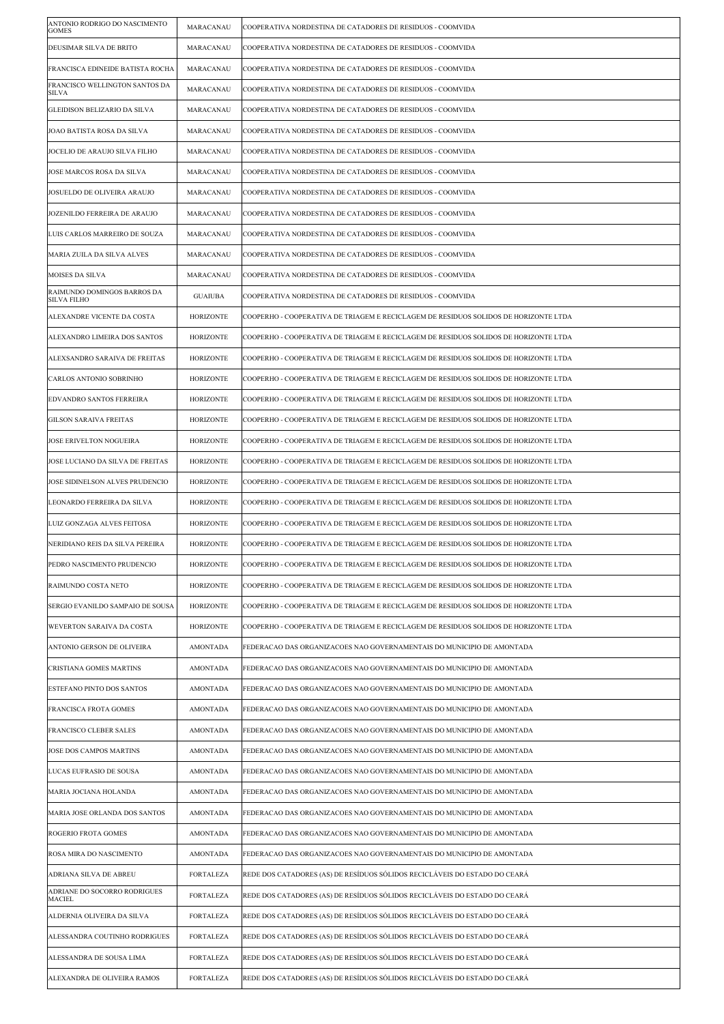| ANTONIO RODRIGO DO NASCIMENTO<br><b>GOMES</b>     | MARACANAU        | COOPERATIVA NORDESTINA DE CATADORES DE RESIDUOS - COOMVIDA                           |
|---------------------------------------------------|------------------|--------------------------------------------------------------------------------------|
| DEUSIMAR SILVA DE BRITO                           | MARACANAU        | COOPERATIVA NORDESTINA DE CATADORES DE RESIDUOS - COOMVIDA                           |
| FRANCISCA EDINEIDE BATISTA ROCHA                  | MARACANAU        | COOPERATIVA NORDESTINA DE CATADORES DE RESIDUOS - COOMVIDA                           |
| FRANCISCO WELLINGTON SANTOS DA<br>SILVA           | MARACANAU        | COOPERATIVA NORDESTINA DE CATADORES DE RESIDUOS - COOMVIDA                           |
| GLEIDISON BELIZARIO DA SILVA                      | MARACANAU        | COOPERATIVA NORDESTINA DE CATADORES DE RESIDUOS - COOMVIDA                           |
| JOAO BATISTA ROSA DA SILVA                        | MARACANAU        | COOPERATIVA NORDESTINA DE CATADORES DE RESIDUOS - COOMVIDA                           |
| JOCELIO DE ARAUJO SILVA FILHO                     | MARACANAU        | COOPERATIVA NORDESTINA DE CATADORES DE RESIDUOS - COOMVIDA                           |
| JOSE MARCOS ROSA DA SILVA                         | MARACANAU        | COOPERATIVA NORDESTINA DE CATADORES DE RESIDUOS - COOMVIDA                           |
| JOSUELDO DE OLIVEIRA ARAUJO                       | MARACANAU        | COOPERATIVA NORDESTINA DE CATADORES DE RESIDUOS - COOMVIDA                           |
| JOZENILDO FERREIRA DE ARAUJO                      | MARACANAU        | COOPERATIVA NORDESTINA DE CATADORES DE RESIDUOS - COOMVIDA                           |
| LUIS CARLOS MARREIRO DE SOUZA                     | MARACANAU        | COOPERATIVA NORDESTINA DE CATADORES DE RESIDUOS - COOMVIDA                           |
| MARIA ZUILA DA SILVA ALVES                        | MARACANAU        | COOPERATIVA NORDESTINA DE CATADORES DE RESIDUOS - COOMVIDA                           |
| MOISES DA SILVA                                   | MARACANAU        | COOPERATIVA NORDESTINA DE CATADORES DE RESIDUOS - COOMVIDA                           |
| RAIMUNDO DOMINGOS BARROS DA<br><b>SILVA FILHO</b> | <b>GUAIUBA</b>   | COOPERATIVA NORDESTINA DE CATADORES DE RESIDUOS - COOMVIDA                           |
| ALEXANDRE VICENTE DA COSTA                        | <b>HORIZONTE</b> | COOPERHO - COOPERATIVA DE TRIAGEM E RECICLAGEM DE RESIDUOS SOLIDOS DE HORIZONTE LTDA |
| ALEXANDRO LIMEIRA DOS SANTOS                      | <b>HORIZONTE</b> | COOPERHO - COOPERATIVA DE TRIAGEM E RECICLAGEM DE RESIDUOS SOLIDOS DE HORIZONTE LTDA |
| ALEXSANDRO SARAIVA DE FREITAS                     | <b>HORIZONTE</b> | COOPERHO - COOPERATIVA DE TRIAGEM E RECICLAGEM DE RESIDUOS SOLIDOS DE HORIZONTE LTDA |
| CARLOS ANTONIO SOBRINHO                           | <b>HORIZONTE</b> | COOPERHO - COOPERATIVA DE TRIAGEM E RECICLAGEM DE RESIDUOS SOLIDOS DE HORIZONTE LTDA |
| EDVANDRO SANTOS FERREIRA                          | <b>HORIZONTE</b> | COOPERHO - COOPERATIVA DE TRIAGEM E RECICLAGEM DE RESIDUOS SOLIDOS DE HORIZONTE LTDA |
| <b>GILSON SARAIVA FREITAS</b>                     | <b>HORIZONTE</b> | COOPERHO - COOPERATIVA DE TRIAGEM E RECICLAGEM DE RESIDUOS SOLIDOS DE HORIZONTE LTDA |
| JOSE ERIVELTON NOGUEIRA                           | <b>HORIZONTE</b> | COOPERHO - COOPERATIVA DE TRIAGEM E RECICLAGEM DE RESIDUOS SOLIDOS DE HORIZONTE LTDA |
| JOSE LUCIANO DA SILVA DE FREITAS                  | <b>HORIZONTE</b> | COOPERHO - COOPERATIVA DE TRIAGEM E RECICLAGEM DE RESIDUOS SOLIDOS DE HORIZONTE LTDA |
| JOSE SIDINELSON ALVES PRUDENCIO                   | <b>HORIZONTE</b> | COOPERHO - COOPERATIVA DE TRIAGEM E RECICLAGEM DE RESIDUOS SOLIDOS DE HORIZONTE LTDA |
| LEONARDO FERREIRA DA SILVA                        | <b>HORIZONTE</b> | COOPERHO - COOPERATIVA DE TRIAGEM E RECICLAGEM DE RESIDUOS SOLIDOS DE HORIZONTE LTDA |
| LUIZ GONZAGA ALVES FEITOSA                        | <b>HORIZONTE</b> | COOPERHO - COOPERATIVA DE TRIAGEM E RECICLAGEM DE RESIDUOS SOLIDOS DE HORIZONTE LTDA |
| NERIDIANO REIS DA SILVA PEREIRA                   | <b>HORIZONTE</b> | COOPERHO - COOPERATIVA DE TRIAGEM E RECICLAGEM DE RESIDUOS SOLIDOS DE HORIZONTE LTDA |
| PEDRO NASCIMENTO PRUDENCIO                        | HORIZONTE        | COOPERHO - COOPERATIVA DE TRIAGEM E RECICLAGEM DE RESIDUOS SOLIDOS DE HORIZONTE LTDA |
| RAIMUNDO COSTA NETO                               | <b>HORIZONTE</b> | COOPERHO - COOPERATIVA DE TRIAGEM E RECICLAGEM DE RESIDUOS SOLIDOS DE HORIZONTE LTDA |
| SERGIO EVANILDO SAMPAIO DE SOUSA                  | <b>HORIZONTE</b> | COOPERHO - COOPERATIVA DE TRIAGEM E RECICLAGEM DE RESIDUOS SOLIDOS DE HORIZONTE LTDA |
| WEVERTON SARAIVA DA COSTA                         | <b>HORIZONTE</b> | COOPERHO - COOPERATIVA DE TRIAGEM E RECICLAGEM DE RESIDUOS SOLIDOS DE HORIZONTE LTDA |
| ANTONIO GERSON DE OLIVEIRA                        | <b>AMONTADA</b>  | FEDERACAO DAS ORGANIZACOES NAO GOVERNAMENTAIS DO MUNICIPIO DE AMONTADA               |
| CRISTIANA GOMES MARTINS                           | <b>AMONTADA</b>  | FEDERACAO DAS ORGANIZACOES NAO GOVERNAMENTAIS DO MUNICIPIO DE AMONTADA               |
| ESTEFANO PINTO DOS SANTOS                         | <b>AMONTADA</b>  | FEDERACAO DAS ORGANIZACOES NAO GOVERNAMENTAIS DO MUNICIPIO DE AMONTADA               |
| FRANCISCA FROTA GOMES                             | <b>AMONTADA</b>  | FEDERACAO DAS ORGANIZACOES NAO GOVERNAMENTAIS DO MUNICIPIO DE AMONTADA               |
| FRANCISCO CLEBER SALES                            | <b>AMONTADA</b>  | FEDERACAO DAS ORGANIZACOES NAO GOVERNAMENTAIS DO MUNICIPIO DE AMONTADA               |
| JOSE DOS CAMPOS MARTINS                           | <b>AMONTADA</b>  | FEDERACAO DAS ORGANIZACOES NAO GOVERNAMENTAIS DO MUNICIPIO DE AMONTADA               |
| LUCAS EUFRASIO DE SOUSA                           | <b>AMONTADA</b>  | FEDERACAO DAS ORGANIZACOES NAO GOVERNAMENTAIS DO MUNICIPIO DE AMONTADA               |
| MARIA JOCIANA HOLANDA                             | <b>AMONTADA</b>  | FEDERACAO DAS ORGANIZACOES NAO GOVERNAMENTAIS DO MUNICIPIO DE AMONTADA               |
| MARIA JOSE ORLANDA DOS SANTOS                     | <b>AMONTADA</b>  | FEDERACAO DAS ORGANIZACOES NAO GOVERNAMENTAIS DO MUNICIPIO DE AMONTADA               |
| ROGERIO FROTA GOMES                               | <b>AMONTADA</b>  | FEDERACAO DAS ORGANIZACOES NAO GOVERNAMENTAIS DO MUNICIPIO DE AMONTADA               |
| ROSA MIRA DO NASCIMENTO                           | <b>AMONTADA</b>  | FEDERACAO DAS ORGANIZACOES NAO GOVERNAMENTAIS DO MUNICIPIO DE AMONTADA               |
| ADRIANA SILVA DE ABREU                            | <b>FORTALEZA</b> | REDE DOS CATADORES (AS) DE RESÍDUOS SÓLIDOS RECICLÁVEIS DO ESTADO DO CEARÁ           |
| ADRIANE DO SOCORRO RODRIGUES<br>MACIEL            | <b>FORTALEZA</b> | REDE DOS CATADORES (AS) DE RESÍDUOS SÓLIDOS RECICLÁVEIS DO ESTADO DO CEARÁ           |
| ALDERNIA OLIVEIRA DA SILVA                        | <b>FORTALEZA</b> | REDE DOS CATADORES (AS) DE RESÍDUOS SÓLIDOS RECICLÁVEIS DO ESTADO DO CEARÁ           |
| ALESSANDRA COUTINHO RODRIGUES                     | <b>FORTALEZA</b> | REDE DOS CATADORES (AS) DE RESÍDUOS SÓLIDOS RECICLÁVEIS DO ESTADO DO CEARÁ           |
| ALESSANDRA DE SOUSA LIMA                          | <b>FORTALEZA</b> | REDE DOS CATADORES (AS) DE RESÍDUOS SÓLIDOS RECICLÁVEIS DO ESTADO DO CEARÁ           |
| ALEXANDRA DE OLIVEIRA RAMOS                       | <b>FORTALEZA</b> | REDE DOS CATADORES (AS) DE RESÍDUOS SÓLIDOS RECICLÁVEIS DO ESTADO DO CEARÁ           |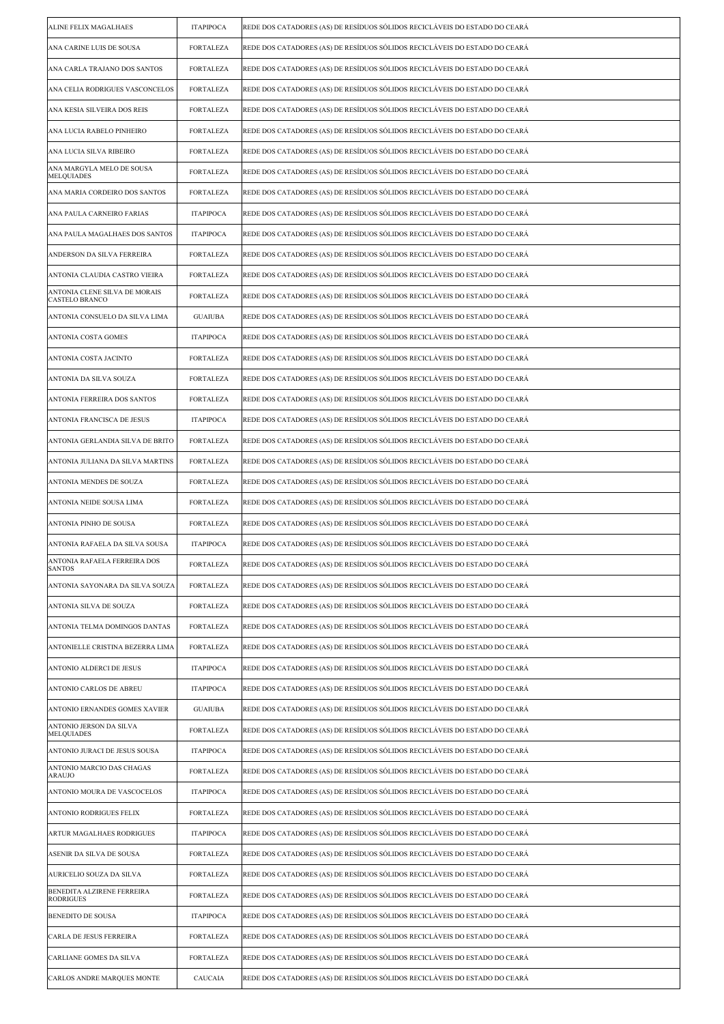| ALINE FELIX MAGALHAES                                  | <b>ITAPIPOCA</b> | REDE DOS CATADORES (AS) DE RESÍDUOS SÓLIDOS RECICLÁVEIS DO ESTADO DO CEARÁ |
|--------------------------------------------------------|------------------|----------------------------------------------------------------------------|
| ANA CARINE LUIS DE SOUSA                               | <b>FORTALEZA</b> | REDE DOS CATADORES (AS) DE RESÍDUOS SÓLIDOS RECICLÁVEIS DO ESTADO DO CEARÁ |
| ANA CARLA TRAJANO DOS SANTOS                           | <b>FORTALEZA</b> | REDE DOS CATADORES (AS) DE RESÍDUOS SÓLIDOS RECICLÁVEIS DO ESTADO DO CEARÁ |
| ANA CELIA RODRIGUES VASCONCELOS                        | <b>FORTALEZA</b> | REDE DOS CATADORES (AS) DE RESÍDUOS SÓLIDOS RECICLÁVEIS DO ESTADO DO CEARÁ |
| ANA KESIA SILVEIRA DOS REIS                            | <b>FORTALEZA</b> | REDE DOS CATADORES (AS) DE RESÍDUOS SÓLIDOS RECICLÁVEIS DO ESTADO DO CEARÁ |
| ANA LUCIA RABELO PINHEIRO                              | <b>FORTALEZA</b> | REDE DOS CATADORES (AS) DE RESÍDUOS SÓLIDOS RECICLÁVEIS DO ESTADO DO CEARÁ |
| ANA LUCIA SILVA RIBEIRO                                | <b>FORTALEZA</b> | REDE DOS CATADORES (AS) DE RESÍDUOS SÓLIDOS RECICLÁVEIS DO ESTADO DO CEARÁ |
| ANA MARGYLA MELO DE SOUSA<br>MELQUIADES                | <b>FORTALEZA</b> | REDE DOS CATADORES (AS) DE RESÍDUOS SÓLIDOS RECICLÁVEIS DO ESTADO DO CEARÁ |
| ANA MARIA CORDEIRO DOS SANTOS                          | <b>FORTALEZA</b> | REDE DOS CATADORES (AS) DE RESÍDUOS SÓLIDOS RECICLÁVEIS DO ESTADO DO CEARÁ |
| ANA PAULA CARNEIRO FARIAS                              | <b>ITAPIPOCA</b> | REDE DOS CATADORES (AS) DE RESÍDUOS SÓLIDOS RECICLÁVEIS DO ESTADO DO CEARÁ |
| ANA PAULA MAGALHAES DOS SANTOS                         | <b>ITAPIPOCA</b> | REDE DOS CATADORES (AS) DE RESÍDUOS SÓLIDOS RECICLÁVEIS DO ESTADO DO CEARÁ |
| ANDERSON DA SILVA FERREIRA                             | <b>FORTALEZA</b> | REDE DOS CATADORES (AS) DE RESÍDUOS SÓLIDOS RECICLÁVEIS DO ESTADO DO CEARÁ |
| ANTONIA CLAUDIA CASTRO VIEIRA                          | <b>FORTALEZA</b> | REDE DOS CATADORES (AS) DE RESÍDUOS SÓLIDOS RECICLÁVEIS DO ESTADO DO CEARÁ |
| ANTONIA CLENE SILVA DE MORAIS<br><b>CASTELO BRANCO</b> | <b>FORTALEZA</b> | REDE DOS CATADORES (AS) DE RESÍDUOS SÓLIDOS RECICLÁVEIS DO ESTADO DO CEARÁ |
| ANTONIA CONSUELO DA SILVA LIMA                         | <b>GUAIUBA</b>   | REDE DOS CATADORES (AS) DE RESÍDUOS SÓLIDOS RECICLÁVEIS DO ESTADO DO CEARÁ |
| ANTONIA COSTA GOMES                                    | <b>ITAPIPOCA</b> | REDE DOS CATADORES (AS) DE RESÍDUOS SÓLIDOS RECICLÁVEIS DO ESTADO DO CEARÁ |
| ANTONIA COSTA JACINTO                                  | <b>FORTALEZA</b> | REDE DOS CATADORES (AS) DE RESÍDUOS SÓLIDOS RECICLÁVEIS DO ESTADO DO CEARÁ |
| ANTONIA DA SILVA SOUZA                                 | <b>FORTALEZA</b> | REDE DOS CATADORES (AS) DE RESÍDUOS SÓLIDOS RECICLÁVEIS DO ESTADO DO CEARÁ |
| ANTONIA FERREIRA DOS SANTOS                            | <b>FORTALEZA</b> | REDE DOS CATADORES (AS) DE RESÍDUOS SÓLIDOS RECICLÁVEIS DO ESTADO DO CEARÁ |
| ANTONIA FRANCISCA DE JESUS                             | <b>ITAPIPOCA</b> | REDE DOS CATADORES (AS) DE RESÍDUOS SÓLIDOS RECICLÁVEIS DO ESTADO DO CEARÁ |
| ANTONIA GERLANDIA SILVA DE BRITO                       | <b>FORTALEZA</b> | REDE DOS CATADORES (AS) DE RESÍDUOS SÓLIDOS RECICLÁVEIS DO ESTADO DO CEARÁ |
| ANTONIA JULIANA DA SILVA MARTINS                       | <b>FORTALEZA</b> | REDE DOS CATADORES (AS) DE RESÍDUOS SÓLIDOS RECICLÁVEIS DO ESTADO DO CEARÁ |
| ANTONIA MENDES DE SOUZA                                | <b>FORTALEZA</b> | REDE DOS CATADORES (AS) DE RESÍDUOS SÓLIDOS RECICLÁVEIS DO ESTADO DO CEARÁ |
| ANTONIA NEIDE SOUSA LIMA                               | <b>FORTALEZA</b> | REDE DOS CATADORES (AS) DE RESÍDUOS SÓLIDOS RECICLÁVEIS DO ESTADO DO CEARÁ |
| ANTONIA PINHO DE SOUSA                                 | <b>FORTALEZA</b> | REDE DOS CATADORES (AS) DE RESÍDUOS SÓLIDOS RECICLÁVEIS DO ESTADO DO CEARÁ |
| ANTONIA RAFAELA DA SILVA SOUSA                         | <b>ITAPIPOCA</b> | REDE DOS CATADORES (AS) DE RESÍDUOS SÓLIDOS RECICLÁVEIS DO ESTADO DO CEARÁ |
| ANTONIA RAFAELA FERREIRA DOS<br><b>SANTOS</b>          | FORTALEZA        | REDE DOS CATADORES (AS) DE RESIDUOS SOLIDOS RECICLAVEIS DO ESTADO DO CEARA |
| ANTONIA SAYONARA DA SILVA SOUZA                        | <b>FORTALEZA</b> | REDE DOS CATADORES (AS) DE RESÍDUOS SÓLIDOS RECICLÁVEIS DO ESTADO DO CEARÁ |
| ANTONIA SILVA DE SOUZA                                 | <b>FORTALEZA</b> | REDE DOS CATADORES (AS) DE RESÍDUOS SÓLIDOS RECICLÁVEIS DO ESTADO DO CEARÁ |
| ANTONIA TELMA DOMINGOS DANTAS                          | <b>FORTALEZA</b> | REDE DOS CATADORES (AS) DE RESÍDUOS SÓLIDOS RECICLÁVEIS DO ESTADO DO CEARÁ |
| ANTONIELLE CRISTINA BEZERRA LIMA                       | <b>FORTALEZA</b> | REDE DOS CATADORES (AS) DE RESÍDUOS SÓLIDOS RECICLÁVEIS DO ESTADO DO CEARÁ |
| ANTONIO ALDERCI DE JESUS                               | <b>ITAPIPOCA</b> | REDE DOS CATADORES (AS) DE RESÍDUOS SÓLIDOS RECICLÁVEIS DO ESTADO DO CEARÁ |
| ANTONIO CARLOS DE ABREU                                | <b>ITAPIPOCA</b> | REDE DOS CATADORES (AS) DE RESÍDUOS SÓLIDOS RECICLÁVEIS DO ESTADO DO CEARÁ |
| ANTONIO ERNANDES GOMES XAVIER                          | <b>GUAIUBA</b>   | REDE DOS CATADORES (AS) DE RESÍDUOS SÓLIDOS RECICLÁVEIS DO ESTADO DO CEARÁ |
| ANTONIO JERSON DA SILVA<br>MELQUIADES                  | <b>FORTALEZA</b> | REDE DOS CATADORES (AS) DE RESÍDUOS SÓLIDOS RECICLÁVEIS DO ESTADO DO CEARÁ |
| ANTONIO JURACI DE JESUS SOUSA                          | <b>ITAPIPOCA</b> | REDE DOS CATADORES (AS) DE RESÍDUOS SÓLIDOS RECICLÁVEIS DO ESTADO DO CEARÁ |
| ANTONIO MARCIO DAS CHAGAS<br>ARAUJO                    | <b>FORTALEZA</b> | REDE DOS CATADORES (AS) DE RESÍDUOS SÓLIDOS RECICLÁVEIS DO ESTADO DO CEARÁ |
| ANTONIO MOURA DE VASCOCELOS                            | <b>ITAPIPOCA</b> | REDE DOS CATADORES (AS) DE RESÍDUOS SÓLIDOS RECICLÁVEIS DO ESTADO DO CEARÁ |
| ANTONIO RODRIGUES FELIX                                | <b>FORTALEZA</b> | REDE DOS CATADORES (AS) DE RESÍDUOS SÓLIDOS RECICLÁVEIS DO ESTADO DO CEARÁ |
| ARTUR MAGALHAES RODRIGUES                              | <b>ITAPIPOCA</b> | REDE DOS CATADORES (AS) DE RESÍDUOS SÓLIDOS RECICLÁVEIS DO ESTADO DO CEARÁ |
| ASENIR DA SILVA DE SOUSA                               | <b>FORTALEZA</b> | REDE DOS CATADORES (AS) DE RESÍDUOS SÓLIDOS RECICLÁVEIS DO ESTADO DO CEARÁ |
| AURICELIO SOUZA DA SILVA                               | <b>FORTALEZA</b> | REDE DOS CATADORES (AS) DE RESÍDUOS SÓLIDOS RECICLÁVEIS DO ESTADO DO CEARÁ |
| BENEDITA ALZIRENE FERREIRA<br>RODRIGUES                | <b>FORTALEZA</b> | REDE DOS CATADORES (AS) DE RESÍDUOS SÓLIDOS RECICLÁVEIS DO ESTADO DO CEARÁ |
| BENEDITO DE SOUSA                                      | <b>ITAPIPOCA</b> | REDE DOS CATADORES (AS) DE RESÍDUOS SÓLIDOS RECICLÁVEIS DO ESTADO DO CEARÁ |
| CARLA DE JESUS FERREIRA                                | <b>FORTALEZA</b> | REDE DOS CATADORES (AS) DE RESÍDUOS SÓLIDOS RECICLÁVEIS DO ESTADO DO CEARÁ |
| CARLIANE GOMES DA SILVA                                | <b>FORTALEZA</b> | REDE DOS CATADORES (AS) DE RESÍDUOS SÓLIDOS RECICLÁVEIS DO ESTADO DO CEARÁ |
| <b>CARLOS ANDRE MARQUES MONTE</b>                      | CAUCAIA          | REDE DOS CATADORES (AS) DE RESÍDUOS SÓLIDOS RECICLÁVEIS DO ESTADO DO CEARÁ |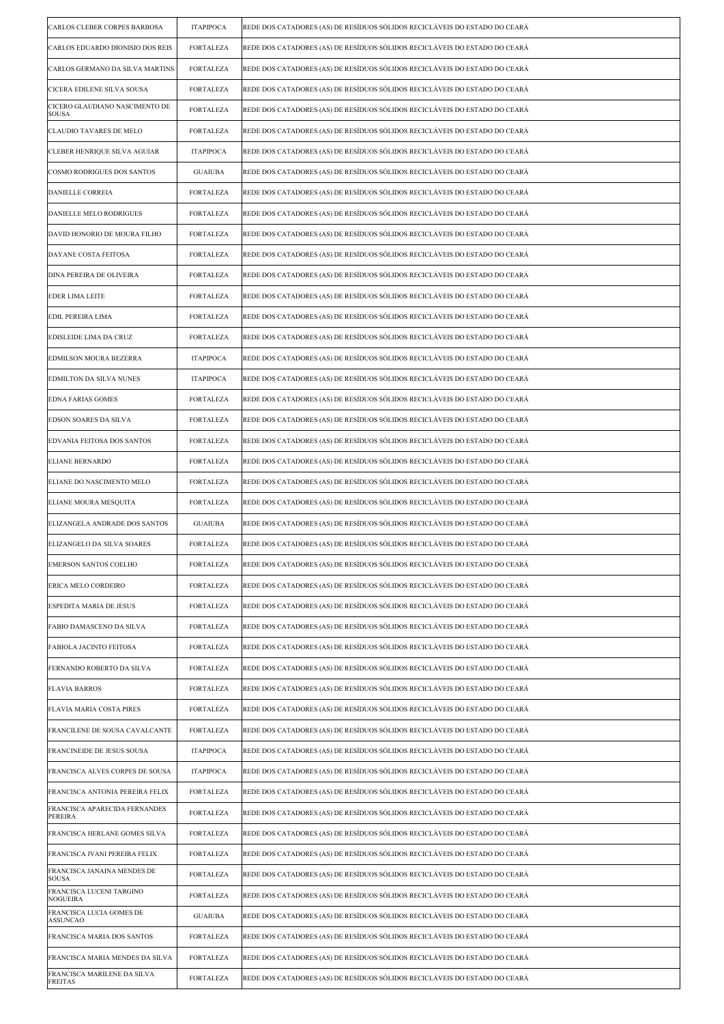| CARLOS CLEBER CORPES BARBOSA                   | <b>ITAPIPOCA</b> | REDE DOS CATADORES (AS) DE RESÍDUOS SÓLIDOS RECICLÁVEIS DO ESTADO DO CEARÁ |
|------------------------------------------------|------------------|----------------------------------------------------------------------------|
| CARLOS EDUARDO DIONISIO DOS REIS               | <b>FORTALEZA</b> | REDE DOS CATADORES (AS) DE RESÍDUOS SÓLIDOS RECICLÁVEIS DO ESTADO DO CEARÁ |
| CARLOS GERMANO DA SILVA MARTINS                | <b>FORTALEZA</b> | REDE DOS CATADORES (AS) DE RESÍDUOS SÓLIDOS RECICLÁVEIS DO ESTADO DO CEARÁ |
| CICERA EDILENE SILVA SOUSA                     | <b>FORTALEZA</b> | REDE DOS CATADORES (AS) DE RESÍDUOS SÓLIDOS RECICLÁVEIS DO ESTADO DO CEARÁ |
| CICERO GLAUDIANO NASCIMENTO DE<br><b>SOUSA</b> | <b>FORTALEZA</b> | REDE DOS CATADORES (AS) DE RESÍDUOS SÓLIDOS RECICLÁVEIS DO ESTADO DO CEARÁ |
| CLAUDIO TAVARES DE MELO                        | <b>FORTALEZA</b> | REDE DOS CATADORES (AS) DE RESÍDUOS SÓLIDOS RECICLÁVEIS DO ESTADO DO CEARÁ |
| CLEBER HENRIQUE SILVA AGUIAR                   | <b>ITAPIPOCA</b> | REDE DOS CATADORES (AS) DE RESÍDUOS SÓLIDOS RECICLÁVEIS DO ESTADO DO CEARÁ |
| COSMO RODRIGUES DOS SANTOS                     | <b>GUAIUBA</b>   | REDE DOS CATADORES (AS) DE RESÍDUOS SÓLIDOS RECICLÁVEIS DO ESTADO DO CEARÁ |
| DANIELLE CORREIA                               | <b>FORTALEZA</b> | REDE DOS CATADORES (AS) DE RESÍDUOS SÓLIDOS RECICLÁVEIS DO ESTADO DO CEARÁ |
| DANIELLE MELO RODRIGUES                        | <b>FORTALEZA</b> | REDE DOS CATADORES (AS) DE RESÍDUOS SÓLIDOS RECICLÁVEIS DO ESTADO DO CEARÁ |
| DAVID HONORIO DE MOURA FILHO                   | <b>FORTALEZA</b> | REDE DOS CATADORES (AS) DE RESÍDUOS SÓLIDOS RECICLÁVEIS DO ESTADO DO CEARÁ |
| DAYANE COSTA FEITOSA                           | <b>FORTALEZA</b> | REDE DOS CATADORES (AS) DE RESÍDUOS SÓLIDOS RECICLÁVEIS DO ESTADO DO CEARÁ |
| DINA PEREIRA DE OLIVEIRA                       | <b>FORTALEZA</b> | REDE DOS CATADORES (AS) DE RESÍDUOS SÓLIDOS RECICLÁVEIS DO ESTADO DO CEARÁ |
| <b>EDER LIMA LEITE</b>                         | <b>FORTALEZA</b> | REDE DOS CATADORES (AS) DE RESÍDUOS SÓLIDOS RECICLÁVEIS DO ESTADO DO CEARÁ |
| EDIL PEREIRA LIMA                              | <b>FORTALEZA</b> | REDE DOS CATADORES (AS) DE RESÍDUOS SÓLIDOS RECICLÁVEIS DO ESTADO DO CEARÁ |
| EDISLEIDE LIMA DA CRUZ                         | <b>FORTALEZA</b> | REDE DOS CATADORES (AS) DE RESÍDUOS SÓLIDOS RECICLÁVEIS DO ESTADO DO CEARÁ |
| EDMILSON MOURA BEZERRA                         | <b>ITAPIPOCA</b> | REDE DOS CATADORES (AS) DE RESÍDUOS SÓLIDOS RECICLÁVEIS DO ESTADO DO CEARÁ |
| EDMILTON DA SILVA NUNES                        | <b>ITAPIPOCA</b> | REDE DOS CATADORES (AS) DE RESÍDUOS SÓLIDOS RECICLÁVEIS DO ESTADO DO CEARÁ |
| <b>EDNA FARIAS GOMES</b>                       | <b>FORTALEZA</b> | REDE DOS CATADORES (AS) DE RESÍDUOS SÓLIDOS RECICLÁVEIS DO ESTADO DO CEARÁ |
| EDSON SOARES DA SILVA                          | <b>FORTALEZA</b> | REDE DOS CATADORES (AS) DE RESÍDUOS SÓLIDOS RECICLÁVEIS DO ESTADO DO CEARÁ |
| EDVANIA FEITOSA DOS SANTOS                     | <b>FORTALEZA</b> | REDE DOS CATADORES (AS) DE RESÍDUOS SÓLIDOS RECICLÁVEIS DO ESTADO DO CEARÁ |
| <b>ELIANE BERNARDO</b>                         | <b>FORTALEZA</b> | REDE DOS CATADORES (AS) DE RESÍDUOS SÓLIDOS RECICLÁVEIS DO ESTADO DO CEARÁ |
| ELIANE DO NASCIMENTO MELO                      | <b>FORTALEZA</b> | REDE DOS CATADORES (AS) DE RESÍDUOS SÓLIDOS RECICLÁVEIS DO ESTADO DO CEARÁ |
| ELIANE MOURA MESQUITA                          | <b>FORTALEZA</b> | REDE DOS CATADORES (AS) DE RESÍDUOS SÓLIDOS RECICLÁVEIS DO ESTADO DO CEARÁ |
| ELIZANGELA ANDRADE DOS SANTOS                  | <b>GUAIUBA</b>   | REDE DOS CATADORES (AS) DE RESÍDUOS SÓLIDOS RECICLÁVEIS DO ESTADO DO CEARÁ |
| ELIZANGELO DA SILVA SOARES                     | <b>FORTALEZA</b> | REDE DOS CATADORES (AS) DE RESÍDUOS SÓLIDOS RECICLÁVEIS DO ESTADO DO CEARÁ |
| EMERSON SANTOS COELHO                          | FORTALEZA        | REDE DOS CATADORES (AS) DE RESIDUOS SOLIDOS RECICLAVEIS DO ESTADO DO CEARA |
| ERICA MELO CORDEIRO                            | <b>FORTALEZA</b> | REDE DOS CATADORES (AS) DE RESÍDUOS SÓLIDOS RECICLÁVEIS DO ESTADO DO CEARÁ |
| ESPEDITA MARIA DE JESUS                        | <b>FORTALEZA</b> | REDE DOS CATADORES (AS) DE RESÍDUOS SÓLIDOS RECICLÁVEIS DO ESTADO DO CEARÁ |
| FABIO DAMASCENO DA SILVA                       | <b>FORTALEZA</b> | REDE DOS CATADORES (AS) DE RESÍDUOS SÓLIDOS RECICLÁVEIS DO ESTADO DO CEARÁ |
| FABIOLA JACINTO FEITOSA                        | <b>FORTALEZA</b> | REDE DOS CATADORES (AS) DE RESÍDUOS SÓLIDOS RECICLÁVEIS DO ESTADO DO CEARÁ |
| FERNANDO ROBERTO DA SILVA                      | <b>FORTALEZA</b> | REDE DOS CATADORES (AS) DE RESÍDUOS SÓLIDOS RECICLÁVEIS DO ESTADO DO CEARÁ |
| <b>FLAVIA BARROS</b>                           | <b>FORTALEZA</b> | REDE DOS CATADORES (AS) DE RESÍDUOS SÓLIDOS RECICLÁVEIS DO ESTADO DO CEARÁ |
| FLAVIA MARIA COSTA PIRES                       | <b>FORTALEZA</b> | REDE DOS CATADORES (AS) DE RESÍDUOS SÓLIDOS RECICLÁVEIS DO ESTADO DO CEARÁ |
| FRANCILENE DE SOUSA CAVALCANTE                 | <b>FORTALEZA</b> | REDE DOS CATADORES (AS) DE RESÍDUOS SÓLIDOS RECICLÁVEIS DO ESTADO DO CEARÁ |
| FRANCINEIDE DE JESUS SOUSA                     | <b>ITAPIPOCA</b> | REDE DOS CATADORES (AS) DE RESÍDUOS SÓLIDOS RECICLÁVEIS DO ESTADO DO CEARÁ |
| FRANCISCA ALVES CORPES DE SOUSA                | <b>ITAPIPOCA</b> | REDE DOS CATADORES (AS) DE RESÍDUOS SÓLIDOS RECICLÁVEIS DO ESTADO DO CEARÁ |
| FRANCISCA ANTONIA PEREIRA FELIX                | <b>FORTALEZA</b> | REDE DOS CATADORES (AS) DE RESÍDUOS SÓLIDOS RECICLÁVEIS DO ESTADO DO CEARÁ |
| FRANCISCA APARECIDA FERNANDES<br>PEREIRA       | <b>FORTALEZA</b> | REDE DOS CATADORES (AS) DE RESÍDUOS SÓLIDOS RECICLÁVEIS DO ESTADO DO CEARÁ |
| FRANCISCA HERLANE GOMES SILVA                  | <b>FORTALEZA</b> | REDE DOS CATADORES (AS) DE RESÍDUOS SÓLIDOS RECICLÁVEIS DO ESTADO DO CEARÁ |
| FRANCISCA IVANI PEREIRA FELIX                  | <b>FORTALEZA</b> | REDE DOS CATADORES (AS) DE RESÍDUOS SÓLIDOS RECICLÁVEIS DO ESTADO DO CEARÁ |
| FRANCISCA JANAINA MENDES DE<br><b>SOUSA</b>    | <b>FORTALEZA</b> | REDE DOS CATADORES (AS) DE RESÍDUOS SÓLIDOS RECICLÁVEIS DO ESTADO DO CEARÁ |
| FRANCISCA LUCENI TARGINO<br>NOGUEIRA           | <b>FORTALEZA</b> | REDE DOS CATADORES (AS) DE RESÍDUOS SÓLIDOS RECICLÁVEIS DO ESTADO DO CEARÁ |
| FRANCISCA LUCIA GOMES DE<br><b>ASSUNCAO</b>    | <b>GUAIUBA</b>   | REDE DOS CATADORES (AS) DE RESÍDUOS SÓLIDOS RECICLÁVEIS DO ESTADO DO CEARÁ |
| FRANCISCA MARIA DOS SANTOS                     | <b>FORTALEZA</b> | REDE DOS CATADORES (AS) DE RESÍDUOS SÓLIDOS RECICLÁVEIS DO ESTADO DO CEARÁ |
| FRANCISCA MARIA MENDES DA SILVA                | <b>FORTALEZA</b> | REDE DOS CATADORES (AS) DE RESÍDUOS SÓLIDOS RECICLÁVEIS DO ESTADO DO CEARÁ |
| FRANCISCA MARILENE DA SILVA<br>FREITAS         | <b>FORTALEZA</b> | REDE DOS CATADORES (AS) DE RESÍDUOS SÓLIDOS RECICLÁVEIS DO ESTADO DO CEARÁ |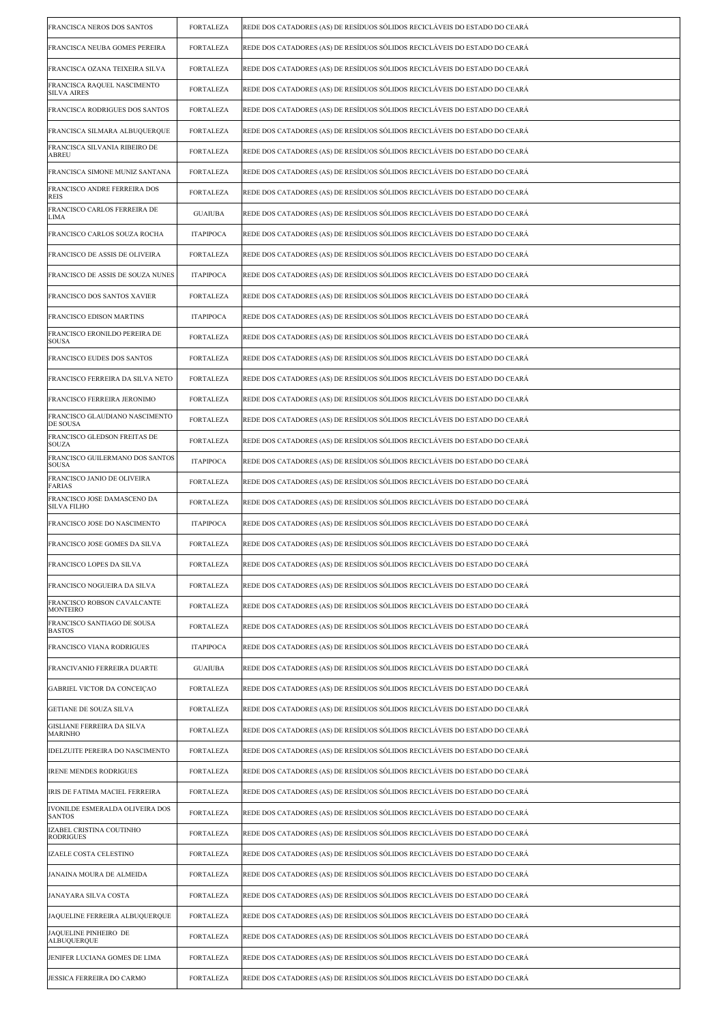| FRANCISCA NEROS DOS SANTOS                        | <b>FORTALEZA</b> | REDE DOS CATADORES (AS) DE RESÍDUOS SÓLIDOS RECICLÁVEIS DO ESTADO DO CEARÁ |
|---------------------------------------------------|------------------|----------------------------------------------------------------------------|
| FRANCISCA NEUBA GOMES PEREIRA                     | <b>FORTALEZA</b> | REDE DOS CATADORES (AS) DE RESÍDUOS SÓLIDOS RECICLÁVEIS DO ESTADO DO CEARÁ |
| FRANCISCA OZANA TEIXEIRA SILVA                    | <b>FORTALEZA</b> | REDE DOS CATADORES (AS) DE RESÍDUOS SÓLIDOS RECICLÁVEIS DO ESTADO DO CEARÁ |
| FRANCISCA RAQUEL NASCIMENTO<br><b>SILVA AIRES</b> | <b>FORTALEZA</b> | REDE DOS CATADORES (AS) DE RESÍDUOS SÓLIDOS RECICLÁVEIS DO ESTADO DO CEARÁ |
| FRANCISCA RODRIGUES DOS SANTOS                    | <b>FORTALEZA</b> | REDE DOS CATADORES (AS) DE RESÍDUOS SÓLIDOS RECICLÁVEIS DO ESTADO DO CEARÁ |
| FRANCISCA SILMARA ALBUQUERQUE                     | <b>FORTALEZA</b> | REDE DOS CATADORES (AS) DE RESÍDUOS SÓLIDOS RECICLÁVEIS DO ESTADO DO CEARÁ |
| FRANCISCA SILVANIA RIBEIRO DE<br>ABREU            | <b>FORTALEZA</b> | REDE DOS CATADORES (AS) DE RESÍDUOS SÓLIDOS RECICLÁVEIS DO ESTADO DO CEARÁ |
| FRANCISCA SIMONE MUNIZ SANTANA                    | <b>FORTALEZA</b> | REDE DOS CATADORES (AS) DE RESÍDUOS SÓLIDOS RECICLÁVEIS DO ESTADO DO CEARÁ |
| FRANCISCO ANDRE FERREIRA DOS<br><b>REIS</b>       | <b>FORTALEZA</b> | REDE DOS CATADORES (AS) DE RESÍDUOS SÓLIDOS RECICLÁVEIS DO ESTADO DO CEARÁ |
| FRANCISCO CARLOS FERREIRA DE<br>LIMA              | <b>GUAIUBA</b>   | REDE DOS CATADORES (AS) DE RESÍDUOS SÓLIDOS RECICLÁVEIS DO ESTADO DO CEARÁ |
| FRANCISCO CARLOS SOUZA ROCHA                      | <b>ITAPIPOCA</b> | REDE DOS CATADORES (AS) DE RESÍDUOS SÓLIDOS RECICLÁVEIS DO ESTADO DO CEARÁ |
| FRANCISCO DE ASSIS DE OLIVEIRA                    | <b>FORTALEZA</b> | REDE DOS CATADORES (AS) DE RESÍDUOS SÓLIDOS RECICLÁVEIS DO ESTADO DO CEARÁ |
| FRANCISCO DE ASSIS DE SOUZA NUNES                 | <b>ITAPIPOCA</b> | REDE DOS CATADORES (AS) DE RESÍDUOS SÓLIDOS RECICLÁVEIS DO ESTADO DO CEARÁ |
| FRANCISCO DOS SANTOS XAVIER                       | <b>FORTALEZA</b> | REDE DOS CATADORES (AS) DE RESÍDUOS SÓLIDOS RECICLÁVEIS DO ESTADO DO CEARÁ |
| FRANCISCO EDISON MARTINS                          | <b>ITAPIPOCA</b> | REDE DOS CATADORES (AS) DE RESÍDUOS SÓLIDOS RECICLÁVEIS DO ESTADO DO CEARÁ |
| FRANCISCO ERONILDO PEREIRA DE<br><b>SOUSA</b>     | <b>FORTALEZA</b> | REDE DOS CATADORES (AS) DE RESÍDUOS SÓLIDOS RECICLÁVEIS DO ESTADO DO CEARÁ |
| FRANCISCO EUDES DOS SANTOS                        | <b>FORTALEZA</b> | REDE DOS CATADORES (AS) DE RESÍDUOS SÓLIDOS RECICLÁVEIS DO ESTADO DO CEARÁ |
| FRANCISCO FERREIRA DA SILVA NETO                  | <b>FORTALEZA</b> | REDE DOS CATADORES (AS) DE RESÍDUOS SÓLIDOS RECICLÁVEIS DO ESTADO DO CEARÁ |
| FRANCISCO FERREIRA JERONIMO                       | <b>FORTALEZA</b> | REDE DOS CATADORES (AS) DE RESÍDUOS SÓLIDOS RECICLÁVEIS DO ESTADO DO CEARÁ |
| FRANCISCO GLAUDIANO NASCIMENTO<br>DE SOUSA        | <b>FORTALEZA</b> | REDE DOS CATADORES (AS) DE RESÍDUOS SÓLIDOS RECICLÁVEIS DO ESTADO DO CEARÁ |
| FRANCISCO GLEDSON FREITAS DE<br><b>SOUZA</b>      | <b>FORTALEZA</b> | REDE DOS CATADORES (AS) DE RESÍDUOS SÓLIDOS RECICLÁVEIS DO ESTADO DO CEARÁ |
| FRANCISCO GUILERMANO DOS SANTOS<br><b>SOUSA</b>   | <b>ITAPIPOCA</b> | REDE DOS CATADORES (AS) DE RESÍDUOS SÓLIDOS RECICLÁVEIS DO ESTADO DO CEARÁ |
| FRANCISCO JANIO DE OLIVEIRA<br>FARIAS             | <b>FORTALEZA</b> | REDE DOS CATADORES (AS) DE RESÍDUOS SÓLIDOS RECICLÁVEIS DO ESTADO DO CEARÁ |
| FRANCISCO JOSE DAMASCENO DA<br><b>SILVA FILHO</b> | <b>FORTALEZA</b> | REDE DOS CATADORES (AS) DE RESÍDUOS SÓLIDOS RECICLÁVEIS DO ESTADO DO CEARÁ |
| FRANCISCO JOSE DO NASCIMENTO                      | <b>ITAPIPOCA</b> | REDE DOS CATADORES (AS) DE RESÍDUOS SÓLIDOS RECICLÁVEIS DO ESTADO DO CEARÁ |
| FRANCISCO JOSE GOMES DA SILVA                     | <b>FORTALEZA</b> | REDE DOS CATADORES (AS) DE RESÍDUOS SÓLIDOS RECICLÁVEIS DO ESTADO DO CEARÁ |
| FRANCISCO LOPES DA SILVA                          | FORTALEZA        | REDE DOS CATADORES (AS) DE RESÍDUOS SÓLIDOS RECICLÁVEIS DO ESTADO DO CEARÁ |
| FRANCISCO NOGUEIRA DA SILVA                       | <b>FORTALEZA</b> | REDE DOS CATADORES (AS) DE RESÍDUOS SÓLIDOS RECICLÁVEIS DO ESTADO DO CEARÁ |
| FRANCISCO ROBSON CAVALCANTE<br>MONTEIRO           | <b>FORTALEZA</b> | REDE DOS CATADORES (AS) DE RESÍDUOS SÓLIDOS RECICLÁVEIS DO ESTADO DO CEARÁ |
| FRANCISCO SANTIAGO DE SOUSA<br><b>BASTOS</b>      | <b>FORTALEZA</b> | REDE DOS CATADORES (AS) DE RESÍDUOS SÓLIDOS RECICLÁVEIS DO ESTADO DO CEARÁ |
| FRANCISCO VIANA RODRIGUES                         | <b>ITAPIPOCA</b> | REDE DOS CATADORES (AS) DE RESÍDUOS SÓLIDOS RECICLÁVEIS DO ESTADO DO CEARÁ |
| FRANCIVANIO FERREIRA DUARTE                       | <b>GUAIUBA</b>   | REDE DOS CATADORES (AS) DE RESÍDUOS SÓLIDOS RECICLÁVEIS DO ESTADO DO CEARÁ |
| GABRIEL VICTOR DA CONCEIÇAO                       | <b>FORTALEZA</b> | REDE DOS CATADORES (AS) DE RESÍDUOS SÓLIDOS RECICLÁVEIS DO ESTADO DO CEARÁ |
| <b>GETIANE DE SOUZA SILVA</b>                     | <b>FORTALEZA</b> | REDE DOS CATADORES (AS) DE RESÍDUOS SÓLIDOS RECICLÁVEIS DO ESTADO DO CEARÁ |
| GISLIANE FERREIRA DA SILVA<br>MARINHO             | <b>FORTALEZA</b> | REDE DOS CATADORES (AS) DE RESÍDUOS SÓLIDOS RECICLÁVEIS DO ESTADO DO CEARÁ |
| IDELZUITE PEREIRA DO NASCIMENTO                   | <b>FORTALEZA</b> | REDE DOS CATADORES (AS) DE RESÍDUOS SÓLIDOS RECICLÁVEIS DO ESTADO DO CEARÁ |
| <b>IRENE MENDES RODRIGUES</b>                     | <b>FORTALEZA</b> | REDE DOS CATADORES (AS) DE RESÍDUOS SÓLIDOS RECICLÁVEIS DO ESTADO DO CEARÁ |
| IRIS DE FATIMA MACIEL FERREIRA                    | <b>FORTALEZA</b> | REDE DOS CATADORES (AS) DE RESÍDUOS SÓLIDOS RECICLÁVEIS DO ESTADO DO CEARÁ |
| IVONILDE ESMERALDA OLIVEIRA DOS<br><b>SANTOS</b>  | <b>FORTALEZA</b> | REDE DOS CATADORES (AS) DE RESÍDUOS SÓLIDOS RECICLÁVEIS DO ESTADO DO CEARÁ |
| IZABEL CRISTINA COUTINHO<br><b>RODRIGUES</b>      | <b>FORTALEZA</b> | REDE DOS CATADORES (AS) DE RESÍDUOS SÓLIDOS RECICLÁVEIS DO ESTADO DO CEARÁ |
| IZAELE COSTA CELESTINO                            | <b>FORTALEZA</b> | REDE DOS CATADORES (AS) DE RESÍDUOS SÓLIDOS RECICLÁVEIS DO ESTADO DO CEARÁ |
| JANAINA MOURA DE ALMEIDA                          | <b>FORTALEZA</b> | REDE DOS CATADORES (AS) DE RESÍDUOS SÓLIDOS RECICLÁVEIS DO ESTADO DO CEARÁ |
| JANAYARA SILVA COSTA                              | <b>FORTALEZA</b> | REDE DOS CATADORES (AS) DE RESÍDUOS SÓLIDOS RECICLÁVEIS DO ESTADO DO CEARÁ |
| JAQUELINE FERREIRA ALBUQUERQUE                    | <b>FORTALEZA</b> | REDE DOS CATADORES (AS) DE RESÍDUOS SÓLIDOS RECICLÁVEIS DO ESTADO DO CEARÁ |
| JAQUELINE PINHEIRO DE<br><b>ALBUQUERQUE</b>       | <b>FORTALEZA</b> | REDE DOS CATADORES (AS) DE RESÍDUOS SÓLIDOS RECICLÁVEIS DO ESTADO DO CEARÁ |
| JENIFER LUCIANA GOMES DE LIMA                     | <b>FORTALEZA</b> | REDE DOS CATADORES (AS) DE RESÍDUOS SÓLIDOS RECICLÁVEIS DO ESTADO DO CEARÁ |
| JESSICA FERREIRA DO CARMO                         | <b>FORTALEZA</b> | REDE DOS CATADORES (AS) DE RESÍDUOS SÓLIDOS RECICLÁVEIS DO ESTADO DO CEARÁ |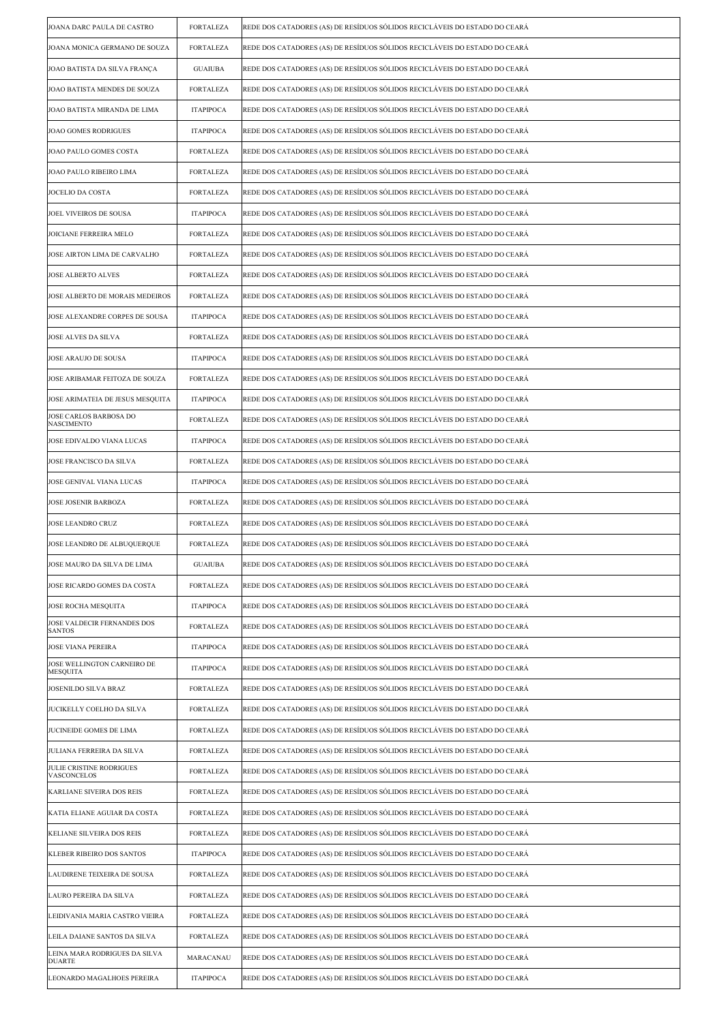| JOANA DARC PAULA DE CASTRO                     | <b>FORTALEZA</b> | REDE DOS CATADORES (AS) DE RESÍDUOS SÓLIDOS RECICLÁVEIS DO ESTADO DO CEARÁ |
|------------------------------------------------|------------------|----------------------------------------------------------------------------|
| JOANA MONICA GERMANO DE SOUZA                  | <b>FORTALEZA</b> | REDE DOS CATADORES (AS) DE RESÍDUOS SÓLIDOS RECICLÁVEIS DO ESTADO DO CEARÁ |
| JOAO BATISTA DA SILVA FRANÇA                   | <b>GUAIUBA</b>   | REDE DOS CATADORES (AS) DE RESÍDUOS SÓLIDOS RECICLÁVEIS DO ESTADO DO CEARÁ |
| JOAO BATISTA MENDES DE SOUZA                   | <b>FORTALEZA</b> | REDE DOS CATADORES (AS) DE RESÍDUOS SÓLIDOS RECICLÁVEIS DO ESTADO DO CEARÁ |
| JOAO BATISTA MIRANDA DE LIMA                   | <b>ITAPIPOCA</b> | REDE DOS CATADORES (AS) DE RESÍDUOS SÓLIDOS RECICLÁVEIS DO ESTADO DO CEARÁ |
| JOAO GOMES RODRIGUES                           | <b>ITAPIPOCA</b> | REDE DOS CATADORES (AS) DE RESÍDUOS SÓLIDOS RECICLÁVEIS DO ESTADO DO CEARÁ |
| JOAO PAULO GOMES COSTA                         | <b>FORTALEZA</b> | REDE DOS CATADORES (AS) DE RESÍDUOS SÓLIDOS RECICLÁVEIS DO ESTADO DO CEARÁ |
| JOAO PAULO RIBEIRO LIMA                        | <b>FORTALEZA</b> | REDE DOS CATADORES (AS) DE RESÍDUOS SÓLIDOS RECICLÁVEIS DO ESTADO DO CEARÁ |
| JOCELIO DA COSTA                               | <b>FORTALEZA</b> | REDE DOS CATADORES (AS) DE RESÍDUOS SÓLIDOS RECICLÁVEIS DO ESTADO DO CEARÁ |
| JOEL VIVEIROS DE SOUSA                         | <b>ITAPIPOCA</b> | REDE DOS CATADORES (AS) DE RESÍDUOS SÓLIDOS RECICLÁVEIS DO ESTADO DO CEARÁ |
| JOICIANE FERREIRA MELO                         | <b>FORTALEZA</b> | REDE DOS CATADORES (AS) DE RESÍDUOS SÓLIDOS RECICLÁVEIS DO ESTADO DO CEARÁ |
| JOSE AIRTON LIMA DE CARVALHO                   | <b>FORTALEZA</b> | REDE DOS CATADORES (AS) DE RESÍDUOS SÓLIDOS RECICLÁVEIS DO ESTADO DO CEARÁ |
| JOSE ALBERTO ALVES                             | <b>FORTALEZA</b> | REDE DOS CATADORES (AS) DE RESÍDUOS SÓLIDOS RECICLÁVEIS DO ESTADO DO CEARÁ |
| JOSE ALBERTO DE MORAIS MEDEIROS                | <b>FORTALEZA</b> | REDE DOS CATADORES (AS) DE RESÍDUOS SÓLIDOS RECICLÁVEIS DO ESTADO DO CEARÁ |
| JOSE ALEXANDRE CORPES DE SOUSA                 | <b>ITAPIPOCA</b> | REDE DOS CATADORES (AS) DE RESÍDUOS SÓLIDOS RECICLÁVEIS DO ESTADO DO CEARÁ |
| JOSE ALVES DA SILVA                            | <b>FORTALEZA</b> | REDE DOS CATADORES (AS) DE RESÍDUOS SÓLIDOS RECICLÁVEIS DO ESTADO DO CEARÁ |
| JOSE ARAUJO DE SOUSA                           | <b>ITAPIPOCA</b> | REDE DOS CATADORES (AS) DE RESÍDUOS SÓLIDOS RECICLÁVEIS DO ESTADO DO CEARÁ |
| JOSE ARIBAMAR FEITOZA DE SOUZA                 | <b>FORTALEZA</b> | REDE DOS CATADORES (AS) DE RESÍDUOS SÓLIDOS RECICLÁVEIS DO ESTADO DO CEARÁ |
| JOSE ARIMATEIA DE JESUS MESQUITA               | <b>ITAPIPOCA</b> | REDE DOS CATADORES (AS) DE RESÍDUOS SÓLIDOS RECICLÁVEIS DO ESTADO DO CEARÁ |
| JOSE CARLOS BARBOSA DO<br><b>NASCIMENTO</b>    | <b>FORTALEZA</b> | REDE DOS CATADORES (AS) DE RESÍDUOS SÓLIDOS RECICLÁVEIS DO ESTADO DO CEARÁ |
| JOSE EDIVALDO VIANA LUCAS                      | <b>ITAPIPOCA</b> | REDE DOS CATADORES (AS) DE RESÍDUOS SÓLIDOS RECICLÁVEIS DO ESTADO DO CEARÁ |
| JOSE FRANCISCO DA SILVA                        | <b>FORTALEZA</b> | REDE DOS CATADORES (AS) DE RESÍDUOS SÓLIDOS RECICLÁVEIS DO ESTADO DO CEARÁ |
| JOSE GENIVAL VIANA LUCAS                       | <b>ITAPIPOCA</b> | REDE DOS CATADORES (AS) DE RESÍDUOS SÓLIDOS RECICLÁVEIS DO ESTADO DO CEARÁ |
| JOSE JOSENIR BARBOZA                           | <b>FORTALEZA</b> | REDE DOS CATADORES (AS) DE RESÍDUOS SÓLIDOS RECICLÁVEIS DO ESTADO DO CEARÁ |
| JOSE LEANDRO CRUZ                              | <b>FORTALEZA</b> | REDE DOS CATADORES (AS) DE RESÍDUOS SÓLIDOS RECICLÁVEIS DO ESTADO DO CEARÁ |
| JOSE LEANDRO DE ALBUQUERQUE                    | <b>FORTALEZA</b> | REDE DOS CATADORES (AS) DE RESÍDUOS SÓLIDOS RECICLÁVEIS DO ESTADO DO CEARÁ |
| JOSE MAURO DA SILVA DE LIMA                    | <b>GUAIUBA</b>   | REDE DOS CATADORES (AS) DE RESIDUOS SOLIDOS RECICLAVEIS DO ESTADO DO CEARA |
| JOSE RICARDO GOMES DA COSTA                    | <b>FORTALEZA</b> | REDE DOS CATADORES (AS) DE RESÍDUOS SÓLIDOS RECICLÁVEIS DO ESTADO DO CEARÁ |
| <b>JOSE ROCHA MESQUITA</b>                     | <b>ITAPIPOCA</b> | REDE DOS CATADORES (AS) DE RESÍDUOS SÓLIDOS RECICLÁVEIS DO ESTADO DO CEARÁ |
| JOSE VALDECIR FERNANDES DOS<br><b>SANTOS</b>   | <b>FORTALEZA</b> | REDE DOS CATADORES (AS) DE RESÍDUOS SÓLIDOS RECICLÁVEIS DO ESTADO DO CEARÁ |
| <b>JOSE VIANA PEREIRA</b>                      | <b>ITAPIPOCA</b> | REDE DOS CATADORES (AS) DE RESÍDUOS SÓLIDOS RECICLÁVEIS DO ESTADO DO CEARÁ |
| JOSE WELLINGTON CARNEIRO DE<br><b>MESQUITA</b> | <b>ITAPIPOCA</b> | REDE DOS CATADORES (AS) DE RESÍDUOS SÓLIDOS RECICLÁVEIS DO ESTADO DO CEARÁ |
| JOSENILDO SILVA BRAZ                           | <b>FORTALEZA</b> | REDE DOS CATADORES (AS) DE RESÍDUOS SÓLIDOS RECICLÁVEIS DO ESTADO DO CEARÁ |
| JUCIKELLY COELHO DA SILVA                      | <b>FORTALEZA</b> | REDE DOS CATADORES (AS) DE RESÍDUOS SÓLIDOS RECICLÁVEIS DO ESTADO DO CEARÁ |
| JUCINEIDE GOMES DE LIMA                        | <b>FORTALEZA</b> | REDE DOS CATADORES (AS) DE RESÍDUOS SÓLIDOS RECICLÁVEIS DO ESTADO DO CEARÁ |
| JULIANA FERREIRA DA SILVA                      | <b>FORTALEZA</b> | REDE DOS CATADORES (AS) DE RESÍDUOS SÓLIDOS RECICLÁVEIS DO ESTADO DO CEARÁ |
| JULIE CRISTINE RODRIGUES<br>VASCONCELOS        | <b>FORTALEZA</b> | REDE DOS CATADORES (AS) DE RESÍDUOS SÓLIDOS RECICLÁVEIS DO ESTADO DO CEARÁ |
| KARLIANE SIVEIRA DOS REIS                      | <b>FORTALEZA</b> | REDE DOS CATADORES (AS) DE RESÍDUOS SÓLIDOS RECICLÁVEIS DO ESTADO DO CEARÁ |
| KATIA ELIANE AGUIAR DA COSTA                   | <b>FORTALEZA</b> | REDE DOS CATADORES (AS) DE RESÍDUOS SÓLIDOS RECICLÁVEIS DO ESTADO DO CEARÁ |
| KELIANE SILVEIRA DOS REIS                      | <b>FORTALEZA</b> | REDE DOS CATADORES (AS) DE RESÍDUOS SÓLIDOS RECICLÁVEIS DO ESTADO DO CEARÁ |
| KLEBER RIBEIRO DOS SANTOS                      | <b>ITAPIPOCA</b> | REDE DOS CATADORES (AS) DE RESÍDUOS SÓLIDOS RECICLÁVEIS DO ESTADO DO CEARÁ |
| LAUDIRENE TEIXEIRA DE SOUSA                    | <b>FORTALEZA</b> | REDE DOS CATADORES (AS) DE RESÍDUOS SÓLIDOS RECICLÁVEIS DO ESTADO DO CEARÁ |
| LAURO PEREIRA DA SILVA                         | <b>FORTALEZA</b> | REDE DOS CATADORES (AS) DE RESÍDUOS SÓLIDOS RECICLÁVEIS DO ESTADO DO CEARÁ |
| LEIDIVANIA MARIA CASTRO VIEIRA                 | <b>FORTALEZA</b> | REDE DOS CATADORES (AS) DE RESÍDUOS SÓLIDOS RECICLÁVEIS DO ESTADO DO CEARÁ |
| LEILA DAIANE SANTOS DA SILVA                   | <b>FORTALEZA</b> | REDE DOS CATADORES (AS) DE RESÍDUOS SÓLIDOS RECICLÁVEIS DO ESTADO DO CEARÁ |
| LEINA MARA RODRIGUES DA SILVA<br><b>DUARTE</b> | MARACANAU        | REDE DOS CATADORES (AS) DE RESÍDUOS SÓLIDOS RECICLÁVEIS DO ESTADO DO CEARÁ |
| LEONARDO MAGALHOES PEREIRA                     | <b>ITAPIPOCA</b> | REDE DOS CATADORES (AS) DE RESÍDUOS SÓLIDOS RECICLÁVEIS DO ESTADO DO CEARÁ |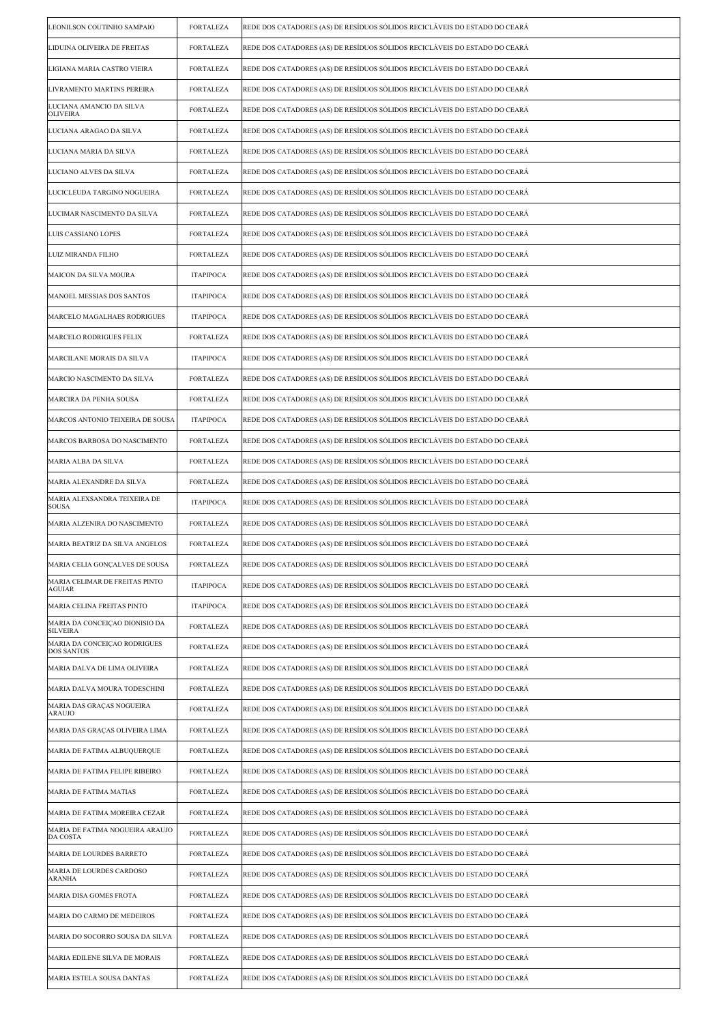| LEONILSON COUTINHO SAMPAIO                        | <b>FORTALEZA</b> | REDE DOS CATADORES (AS) DE RESÍDUOS SÓLIDOS RECICLÁVEIS DO ESTADO DO CEARÁ |
|---------------------------------------------------|------------------|----------------------------------------------------------------------------|
| LIDUINA OLIVEIRA DE FREITAS                       | <b>FORTALEZA</b> | REDE DOS CATADORES (AS) DE RESÍDUOS SÓLIDOS RECICLÁVEIS DO ESTADO DO CEARÁ |
| LIGIANA MARIA CASTRO VIEIRA                       | <b>FORTALEZA</b> | REDE DOS CATADORES (AS) DE RESÍDUOS SÓLIDOS RECICLÁVEIS DO ESTADO DO CEARÁ |
| LIVRAMENTO MARTINS PEREIRA                        | <b>FORTALEZA</b> | REDE DOS CATADORES (AS) DE RESÍDUOS SÓLIDOS RECICLÁVEIS DO ESTADO DO CEARÁ |
| LUCIANA AMANCIO DA SILVA<br>OLIVEIRA              | <b>FORTALEZA</b> | REDE DOS CATADORES (AS) DE RESÍDUOS SÓLIDOS RECICLÁVEIS DO ESTADO DO CEARÁ |
| LUCIANA ARAGAO DA SILVA                           | <b>FORTALEZA</b> | REDE DOS CATADORES (AS) DE RESÍDUOS SÓLIDOS RECICLÁVEIS DO ESTADO DO CEARÁ |
| LUCIANA MARIA DA SILVA                            | <b>FORTALEZA</b> | REDE DOS CATADORES (AS) DE RESÍDUOS SÓLIDOS RECICLÁVEIS DO ESTADO DO CEARÁ |
| LUCIANO ALVES DA SILVA                            | <b>FORTALEZA</b> | REDE DOS CATADORES (AS) DE RESÍDUOS SÓLIDOS RECICLÁVEIS DO ESTADO DO CEARÁ |
| LUCICLEUDA TARGINO NOGUEIRA                       | <b>FORTALEZA</b> | REDE DOS CATADORES (AS) DE RESÍDUOS SÓLIDOS RECICLÁVEIS DO ESTADO DO CEARÁ |
| LUCIMAR NASCIMENTO DA SILVA                       | <b>FORTALEZA</b> | REDE DOS CATADORES (AS) DE RESÍDUOS SÓLIDOS RECICLÁVEIS DO ESTADO DO CEARÁ |
| LUIS CASSIANO LOPES                               | <b>FORTALEZA</b> | REDE DOS CATADORES (AS) DE RESÍDUOS SÓLIDOS RECICLÁVEIS DO ESTADO DO CEARÁ |
| LUIZ MIRANDA FILHO                                | <b>FORTALEZA</b> | REDE DOS CATADORES (AS) DE RESÍDUOS SÓLIDOS RECICLÁVEIS DO ESTADO DO CEARÁ |
| MAICON DA SILVA MOURA                             | <b>ITAPIPOCA</b> | REDE DOS CATADORES (AS) DE RESÍDUOS SÓLIDOS RECICLÁVEIS DO ESTADO DO CEARÁ |
| MANOEL MESSIAS DOS SANTOS                         | <b>ITAPIPOCA</b> | REDE DOS CATADORES (AS) DE RESÍDUOS SÓLIDOS RECICLÁVEIS DO ESTADO DO CEARÁ |
| MARCELO MAGALHAES RODRIGUES                       | <b>ITAPIPOCA</b> | REDE DOS CATADORES (AS) DE RESÍDUOS SÓLIDOS RECICLÁVEIS DO ESTADO DO CEARÁ |
| MARCELO RODRIGUES FELIX                           | <b>FORTALEZA</b> | REDE DOS CATADORES (AS) DE RESÍDUOS SÓLIDOS RECICLÁVEIS DO ESTADO DO CEARÁ |
| MARCILANE MORAIS DA SILVA                         | <b>ITAPIPOCA</b> | REDE DOS CATADORES (AS) DE RESÍDUOS SÓLIDOS RECICLÁVEIS DO ESTADO DO CEARÁ |
| MARCIO NASCIMENTO DA SILVA                        | <b>FORTALEZA</b> | REDE DOS CATADORES (AS) DE RESÍDUOS SÓLIDOS RECICLÁVEIS DO ESTADO DO CEARÁ |
| MARCIRA DA PENHA SOUSA                            | <b>FORTALEZA</b> | REDE DOS CATADORES (AS) DE RESÍDUOS SÓLIDOS RECICLÁVEIS DO ESTADO DO CEARÁ |
| MARCOS ANTONIO TEIXEIRA DE SOUSA                  | <b>ITAPIPOCA</b> | REDE DOS CATADORES (AS) DE RESÍDUOS SÓLIDOS RECICLÁVEIS DO ESTADO DO CEARÁ |
| MARCOS BARBOSA DO NASCIMENTO                      | <b>FORTALEZA</b> | REDE DOS CATADORES (AS) DE RESÍDUOS SÓLIDOS RECICLÁVEIS DO ESTADO DO CEARÁ |
| MARIA ALBA DA SILVA                               | <b>FORTALEZA</b> | REDE DOS CATADORES (AS) DE RESÍDUOS SÓLIDOS RECICLÁVEIS DO ESTADO DO CEARÁ |
| MARIA ALEXANDRE DA SILVA                          | <b>FORTALEZA</b> | REDE DOS CATADORES (AS) DE RESÍDUOS SÓLIDOS RECICLÁVEIS DO ESTADO DO CEARÁ |
| MARIA ALEXSANDRA TEIXEIRA DE<br><b>SOUSA</b>      | <b>ITAPIPOCA</b> | REDE DOS CATADORES (AS) DE RESÍDUOS SÓLIDOS RECICLÁVEIS DO ESTADO DO CEARÁ |
| MARIA ALZENIRA DO NASCIMENTO                      | <b>FORTALEZA</b> | REDE DOS CATADORES (AS) DE RESÍDUOS SÓLIDOS RECICLÁVEIS DO ESTADO DO CEARÁ |
| MARIA BEATRIZ DA SILVA ANGELOS                    | <b>FORTALEZA</b> | REDE DOS CATADORES (AS) DE RESÍDUOS SÓLIDOS RECICLÁVEIS DO ESTADO DO CEARÁ |
| MARIA CELIA GONÇALVES DE SOUSA                    | FORTALEZA        | REDE DOS CATADORES (AS) DE RESIDUOS SOLIDOS RECICLAVEIS DO ESTADO DO CEARA |
| MARIA CELIMAR DE FREITAS PINTO<br>AGUIAR          | <b>ITAPIPOCA</b> | REDE DOS CATADORES (AS) DE RESÍDUOS SÓLIDOS RECICLÁVEIS DO ESTADO DO CEARÁ |
| MARIA CELINA FREITAS PINTO                        | <b>ITAPIPOCA</b> | REDE DOS CATADORES (AS) DE RESÍDUOS SÓLIDOS RECICLÁVEIS DO ESTADO DO CEARÁ |
| MARIA DA CONCEIÇÃO DIONISIO DA<br><b>SILVEIRA</b> | <b>FORTALEZA</b> | REDE DOS CATADORES (AS) DE RESÍDUOS SÓLIDOS RECICLÁVEIS DO ESTADO DO CEARÁ |
| MARIA DA CONCEIÇÃO RODRIGUES<br><b>DOS SANTOS</b> | <b>FORTALEZA</b> | REDE DOS CATADORES (AS) DE RESÍDUOS SÓLIDOS RECICLÁVEIS DO ESTADO DO CEARÁ |
| MARIA DALVA DE LIMA OLIVEIRA                      | <b>FORTALEZA</b> | REDE DOS CATADORES (AS) DE RESÍDUOS SÓLIDOS RECICLÁVEIS DO ESTADO DO CEARÁ |
| MARIA DALVA MOURA TODESCHINI                      | <b>FORTALEZA</b> | REDE DOS CATADORES (AS) DE RESÍDUOS SÓLIDOS RECICLÁVEIS DO ESTADO DO CEARÁ |
| MARIA DAS GRAÇAS NOGUEIRA<br>ARAUJO               | <b>FORTALEZA</b> | REDE DOS CATADORES (AS) DE RESÍDUOS SÓLIDOS RECICLÁVEIS DO ESTADO DO CEARÁ |
| MARIA DAS GRAÇAS OLIVEIRA LIMA                    | <b>FORTALEZA</b> | REDE DOS CATADORES (AS) DE RESÍDUOS SÓLIDOS RECICLÁVEIS DO ESTADO DO CEARÁ |
| MARIA DE FATIMA ALBUQUERQUE                       | <b>FORTALEZA</b> | REDE DOS CATADORES (AS) DE RESÍDUOS SÓLIDOS RECICLÁVEIS DO ESTADO DO CEARÁ |
| MARIA DE FATIMA FELIPE RIBEIRO                    | <b>FORTALEZA</b> | REDE DOS CATADORES (AS) DE RESÍDUOS SÓLIDOS RECICLÁVEIS DO ESTADO DO CEARÁ |
| MARIA DE FATIMA MATIAS                            | <b>FORTALEZA</b> | REDE DOS CATADORES (AS) DE RESÍDUOS SÓLIDOS RECICLÁVEIS DO ESTADO DO CEARÁ |
| MARIA DE FATIMA MOREIRA CEZAR                     | <b>FORTALEZA</b> | REDE DOS CATADORES (AS) DE RESÍDUOS SÓLIDOS RECICLÁVEIS DO ESTADO DO CEARÁ |
| MARIA DE FATIMA NOGUEIRA ARAUJO<br>DA COSTA       | <b>FORTALEZA</b> | REDE DOS CATADORES (AS) DE RESÍDUOS SÓLIDOS RECICLÁVEIS DO ESTADO DO CEARÁ |
| MARIA DE LOURDES BARRETO                          | <b>FORTALEZA</b> | REDE DOS CATADORES (AS) DE RESÍDUOS SÓLIDOS RECICLÁVEIS DO ESTADO DO CEARÁ |
| MARIA DE LOURDES CARDOSO<br><b>ARANHA</b>         | <b>FORTALEZA</b> | REDE DOS CATADORES (AS) DE RESÍDUOS SÓLIDOS RECICLÁVEIS DO ESTADO DO CEARÁ |
| MARIA DISA GOMES FROTA                            | <b>FORTALEZA</b> | REDE DOS CATADORES (AS) DE RESÍDUOS SÓLIDOS RECICLÁVEIS DO ESTADO DO CEARÁ |
| MARIA DO CARMO DE MEDEIROS                        | <b>FORTALEZA</b> | REDE DOS CATADORES (AS) DE RESÍDUOS SÓLIDOS RECICLÁVEIS DO ESTADO DO CEARÁ |
| MARIA DO SOCORRO SOUSA DA SILVA                   | <b>FORTALEZA</b> | REDE DOS CATADORES (AS) DE RESÍDUOS SÓLIDOS RECICLÁVEIS DO ESTADO DO CEARÁ |
| MARIA EDILENE SILVA DE MORAIS                     | <b>FORTALEZA</b> | REDE DOS CATADORES (AS) DE RESÍDUOS SÓLIDOS RECICLÁVEIS DO ESTADO DO CEARÁ |
| MARIA ESTELA SOUSA DANTAS                         | <b>FORTALEZA</b> | REDE DOS CATADORES (AS) DE RESÍDUOS SÓLIDOS RECICLÁVEIS DO ESTADO DO CEARÁ |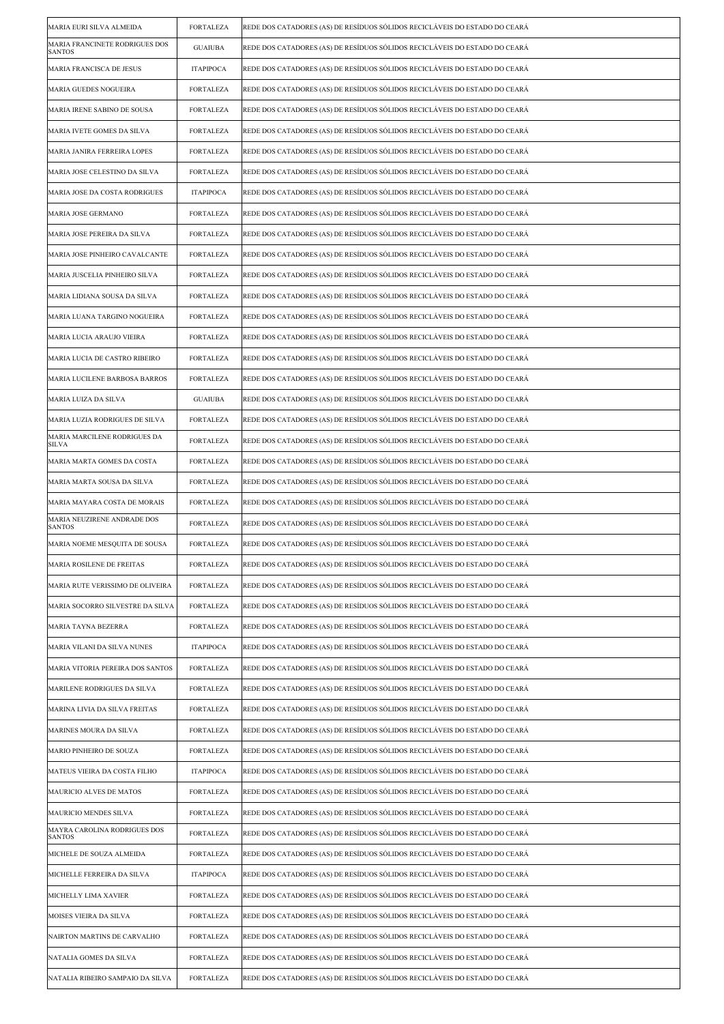| MARIA EURI SILVA ALMEIDA                        | <b>FORTALEZA</b> | REDE DOS CATADORES (AS) DE RESÍDUOS SÓLIDOS RECICLÁVEIS DO ESTADO DO CEARÁ |
|-------------------------------------------------|------------------|----------------------------------------------------------------------------|
| MARIA FRANCINETE RODRIGUES DOS<br><b>SANTOS</b> | <b>GUAIUBA</b>   | REDE DOS CATADORES (AS) DE RESÍDUOS SÓLIDOS RECICLÁVEIS DO ESTADO DO CEARÁ |
| MARIA FRANCISCA DE JESUS                        | <b>ITAPIPOCA</b> | REDE DOS CATADORES (AS) DE RESÍDUOS SÓLIDOS RECICLÁVEIS DO ESTADO DO CEARÁ |
| MARIA GUEDES NOGUEIRA                           | <b>FORTALEZA</b> | REDE DOS CATADORES (AS) DE RESÍDUOS SÓLIDOS RECICLÁVEIS DO ESTADO DO CEARÁ |
| MARIA IRENE SABINO DE SOUSA                     | <b>FORTALEZA</b> | REDE DOS CATADORES (AS) DE RESÍDUOS SÓLIDOS RECICLÁVEIS DO ESTADO DO CEARÁ |
| MARIA IVETE GOMES DA SILVA                      | <b>FORTALEZA</b> | REDE DOS CATADORES (AS) DE RESÍDUOS SÓLIDOS RECICLÁVEIS DO ESTADO DO CEARÁ |
| MARIA JANIRA FERREIRA LOPES                     | <b>FORTALEZA</b> | REDE DOS CATADORES (AS) DE RESÍDUOS SÓLIDOS RECICLÁVEIS DO ESTADO DO CEARÁ |
| MARIA JOSE CELESTINO DA SILVA                   | <b>FORTALEZA</b> | REDE DOS CATADORES (AS) DE RESÍDUOS SÓLIDOS RECICLÁVEIS DO ESTADO DO CEARÁ |
| MARIA JOSE DA COSTA RODRIGUES                   | <b>ITAPIPOCA</b> | REDE DOS CATADORES (AS) DE RESÍDUOS SÓLIDOS RECICLÁVEIS DO ESTADO DO CEARÁ |
| MARIA JOSE GERMANO                              | <b>FORTALEZA</b> | REDE DOS CATADORES (AS) DE RESÍDUOS SÓLIDOS RECICLÁVEIS DO ESTADO DO CEARÁ |
| MARIA JOSE PEREIRA DA SILVA                     | <b>FORTALEZA</b> | REDE DOS CATADORES (AS) DE RESÍDUOS SÓLIDOS RECICLÁVEIS DO ESTADO DO CEARÁ |
| MARIA JOSE PINHEIRO CAVALCANTE                  | <b>FORTALEZA</b> | REDE DOS CATADORES (AS) DE RESÍDUOS SÓLIDOS RECICLÁVEIS DO ESTADO DO CEARÁ |
| MARIA JUSCELIA PINHEIRO SILVA                   | <b>FORTALEZA</b> | REDE DOS CATADORES (AS) DE RESÍDUOS SÓLIDOS RECICLÁVEIS DO ESTADO DO CEARÁ |
| MARIA LIDIANA SOUSA DA SILVA                    | <b>FORTALEZA</b> | REDE DOS CATADORES (AS) DE RESÍDUOS SÓLIDOS RECICLÁVEIS DO ESTADO DO CEARÁ |
| MARIA LUANA TARGINO NOGUEIRA                    | <b>FORTALEZA</b> | REDE DOS CATADORES (AS) DE RESÍDUOS SÓLIDOS RECICLÁVEIS DO ESTADO DO CEARÁ |
| MARIA LUCIA ARAUJO VIEIRA                       | <b>FORTALEZA</b> | REDE DOS CATADORES (AS) DE RESÍDUOS SÓLIDOS RECICLÁVEIS DO ESTADO DO CEARÁ |
| MARIA LUCIA DE CASTRO RIBEIRO                   | <b>FORTALEZA</b> | REDE DOS CATADORES (AS) DE RESÍDUOS SÓLIDOS RECICLÁVEIS DO ESTADO DO CEARÁ |
| MARIA LUCILENE BARBOSA BARROS                   | <b>FORTALEZA</b> | REDE DOS CATADORES (AS) DE RESÍDUOS SÓLIDOS RECICLÁVEIS DO ESTADO DO CEARÁ |
| MARIA LUIZA DA SILVA                            | <b>GUAIUBA</b>   | REDE DOS CATADORES (AS) DE RESÍDUOS SÓLIDOS RECICLÁVEIS DO ESTADO DO CEARÁ |
| MARIA LUZIA RODRIGUES DE SILVA                  | <b>FORTALEZA</b> | REDE DOS CATADORES (AS) DE RESÍDUOS SÓLIDOS RECICLÁVEIS DO ESTADO DO CEARÁ |
| MARIA MARCILENE RODRIGUES DA<br>SILVA           | <b>FORTALEZA</b> | REDE DOS CATADORES (AS) DE RESÍDUOS SÓLIDOS RECICLÁVEIS DO ESTADO DO CEARÁ |
| MARIA MARTA GOMES DA COSTA                      | <b>FORTALEZA</b> | REDE DOS CATADORES (AS) DE RESÍDUOS SÓLIDOS RECICLÁVEIS DO ESTADO DO CEARÁ |
| MARIA MARTA SOUSA DA SILVA                      | <b>FORTALEZA</b> | REDE DOS CATADORES (AS) DE RESÍDUOS SÓLIDOS RECICLÁVEIS DO ESTADO DO CEARÁ |
| MARIA MAYARA COSTA DE MORAIS                    | <b>FORTALEZA</b> | REDE DOS CATADORES (AS) DE RESÍDUOS SÓLIDOS RECICLÁVEIS DO ESTADO DO CEARÁ |
| MARIA NEUZIRENE ANDRADE DOS<br><b>SANTOS</b>    | <b>FORTALEZA</b> | REDE DOS CATADORES (AS) DE RESÍDUOS SÓLIDOS RECICLÁVEIS DO ESTADO DO CEARÁ |
| MARIA NOEME MESQUITA DE SOUSA                   | <b>FORTALEZA</b> | REDE DOS CATADORES (AS) DE RESÍDUOS SÓLIDOS RECICLÁVEIS DO ESTADO DO CEARÁ |
| MARIA ROSILENE DE FREITAS                       | FORTALEZA        | REDE DOS CATADORES (AS) DE RESIDUOS SOLIDOS RECICLAVEIS DO ESTADO DO CEARA |
| MARIA RUTE VERISSIMO DE OLIVEIRA                | <b>FORTALEZA</b> | REDE DOS CATADORES (AS) DE RESÍDUOS SÓLIDOS RECICLÁVEIS DO ESTADO DO CEARÁ |
| MARIA SOCORRO SILVESTRE DA SILVA                | <b>FORTALEZA</b> | REDE DOS CATADORES (AS) DE RESÍDUOS SÓLIDOS RECICLÁVEIS DO ESTADO DO CEARÁ |
| <b>MARIA TAYNA BEZERRA</b>                      | <b>FORTALEZA</b> | REDE DOS CATADORES (AS) DE RESÍDUOS SÓLIDOS RECICLÁVEIS DO ESTADO DO CEARÁ |
| MARIA VILANI DA SILVA NUNES                     | <b>ITAPIPOCA</b> | REDE DOS CATADORES (AS) DE RESÍDUOS SÓLIDOS RECICLÁVEIS DO ESTADO DO CEARÁ |
| MARIA VITORIA PEREIRA DOS SANTOS                | <b>FORTALEZA</b> | REDE DOS CATADORES (AS) DE RESÍDUOS SÓLIDOS RECICLÁVEIS DO ESTADO DO CEARÁ |
| MARILENE RODRIGUES DA SILVA                     | <b>FORTALEZA</b> | REDE DOS CATADORES (AS) DE RESÍDUOS SÓLIDOS RECICLÁVEIS DO ESTADO DO CEARÁ |
| MARINA LIVIA DA SILVA FREITAS                   | FORTALEZA        | REDE DOS CATADORES (AS) DE RESÍDUOS SÓLIDOS RECICLÁVEIS DO ESTADO DO CEARÁ |
| MARINES MOURA DA SILVA                          | <b>FORTALEZA</b> | REDE DOS CATADORES (AS) DE RESÍDUOS SÓLIDOS RECICLÁVEIS DO ESTADO DO CEARÁ |
| MARIO PINHEIRO DE SOUZA                         | <b>FORTALEZA</b> | REDE DOS CATADORES (AS) DE RESÍDUOS SÓLIDOS RECICLÁVEIS DO ESTADO DO CEARÁ |
| MATEUS VIEIRA DA COSTA FILHO                    | <b>ITAPIPOCA</b> | REDE DOS CATADORES (AS) DE RESÍDUOS SÓLIDOS RECICLÁVEIS DO ESTADO DO CEARÁ |
| MAURICIO ALVES DE MATOS                         | <b>FORTALEZA</b> | REDE DOS CATADORES (AS) DE RESÍDUOS SÓLIDOS RECICLÁVEIS DO ESTADO DO CEARÁ |
| MAURICIO MENDES SILVA                           | FORTALEZA        | REDE DOS CATADORES (AS) DE RESÍDUOS SÓLIDOS RECICLÁVEIS DO ESTADO DO CEARÁ |
| MAYRA CAROLINA RODRIGUES DOS<br><b>SANTOS</b>   | <b>FORTALEZA</b> | REDE DOS CATADORES (AS) DE RESÍDUOS SÓLIDOS RECICLÁVEIS DO ESTADO DO CEARÁ |
| MICHELE DE SOUZA ALMEIDA                        | <b>FORTALEZA</b> | REDE DOS CATADORES (AS) DE RESÍDUOS SÓLIDOS RECICLÁVEIS DO ESTADO DO CEARÁ |
| MICHELLE FERREIRA DA SILVA                      | <b>ITAPIPOCA</b> | REDE DOS CATADORES (AS) DE RESÍDUOS SÓLIDOS RECICLÁVEIS DO ESTADO DO CEARÁ |
| MICHELLY LIMA XAVIER                            | <b>FORTALEZA</b> | REDE DOS CATADORES (AS) DE RESÍDUOS SÓLIDOS RECICLÁVEIS DO ESTADO DO CEARÁ |
| MOISES VIEIRA DA SILVA                          | FORTALEZA        | REDE DOS CATADORES (AS) DE RESÍDUOS SÓLIDOS RECICLÁVEIS DO ESTADO DO CEARÁ |
| NAIRTON MARTINS DE CARVALHO                     | <b>FORTALEZA</b> | REDE DOS CATADORES (AS) DE RESÍDUOS SÓLIDOS RECICLÁVEIS DO ESTADO DO CEARÁ |
| NATALIA GOMES DA SILVA                          | FORTALEZA        | REDE DOS CATADORES (AS) DE RESÍDUOS SÓLIDOS RECICLÁVEIS DO ESTADO DO CEARÁ |
| NATALIA RIBEIRO SAMPAIO DA SILVA                | <b>FORTALEZA</b> | REDE DOS CATADORES (AS) DE RESÍDUOS SÓLIDOS RECICLÁVEIS DO ESTADO DO CEARÁ |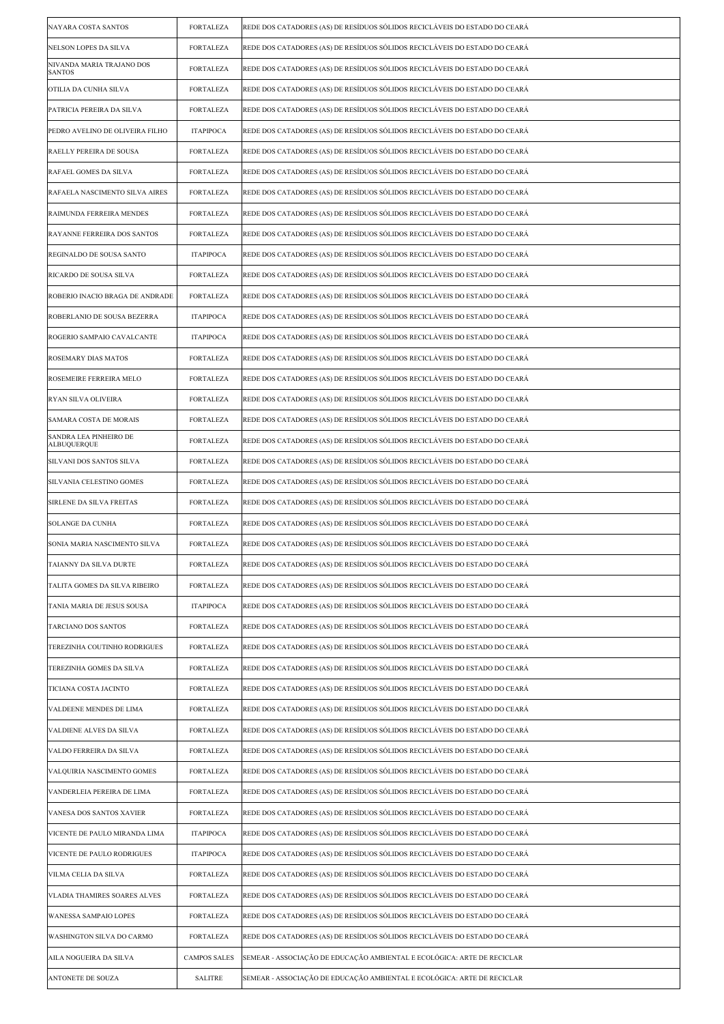| NAYARA COSTA SANTOS                          | <b>FORTALEZA</b>    | REDE DOS CATADORES (AS) DE RESÍDUOS SÓLIDOS RECICLÁVEIS DO ESTADO DO CEARÁ |
|----------------------------------------------|---------------------|----------------------------------------------------------------------------|
| NELSON LOPES DA SILVA                        | <b>FORTALEZA</b>    | REDE DOS CATADORES (AS) DE RESÍDUOS SÓLIDOS RECICLÁVEIS DO ESTADO DO CEARÁ |
| NIVANDA MARIA TRAJANO DOS<br><b>SANTOS</b>   | <b>FORTALEZA</b>    | REDE DOS CATADORES (AS) DE RESÍDUOS SÓLIDOS RECICLÁVEIS DO ESTADO DO CEARÁ |
| OTILIA DA CUNHA SILVA                        | <b>FORTALEZA</b>    | REDE DOS CATADORES (AS) DE RESÍDUOS SÓLIDOS RECICLÁVEIS DO ESTADO DO CEARÁ |
| PATRICIA PEREIRA DA SILVA                    | <b>FORTALEZA</b>    | REDE DOS CATADORES (AS) DE RESÍDUOS SÓLIDOS RECICLÁVEIS DO ESTADO DO CEARÁ |
| PEDRO AVELINO DE OLIVEIRA FILHO              | <b>ITAPIPOCA</b>    | REDE DOS CATADORES (AS) DE RESÍDUOS SÓLIDOS RECICLÁVEIS DO ESTADO DO CEARÁ |
| RAELLY PEREIRA DE SOUSA                      | <b>FORTALEZA</b>    | REDE DOS CATADORES (AS) DE RESÍDUOS SÓLIDOS RECICLÁVEIS DO ESTADO DO CEARÁ |
| RAFAEL GOMES DA SILVA                        | <b>FORTALEZA</b>    | REDE DOS CATADORES (AS) DE RESÍDUOS SÓLIDOS RECICLÁVEIS DO ESTADO DO CEARÁ |
| RAFAELA NASCIMENTO SILVA AIRES               | <b>FORTALEZA</b>    | REDE DOS CATADORES (AS) DE RESÍDUOS SÓLIDOS RECICLÁVEIS DO ESTADO DO CEARÁ |
| RAIMUNDA FERREIRA MENDES                     | <b>FORTALEZA</b>    | REDE DOS CATADORES (AS) DE RESÍDUOS SÓLIDOS RECICLÁVEIS DO ESTADO DO CEARÁ |
| RAYANNE FERREIRA DOS SANTOS                  | <b>FORTALEZA</b>    | REDE DOS CATADORES (AS) DE RESÍDUOS SÓLIDOS RECICLÁVEIS DO ESTADO DO CEARÁ |
| REGINALDO DE SOUSA SANTO                     | <b>ITAPIPOCA</b>    | REDE DOS CATADORES (AS) DE RESÍDUOS SÓLIDOS RECICLÁVEIS DO ESTADO DO CEARÁ |
| RICARDO DE SOUSA SILVA                       | <b>FORTALEZA</b>    | REDE DOS CATADORES (AS) DE RESÍDUOS SÓLIDOS RECICLÁVEIS DO ESTADO DO CEARÁ |
| ROBERIO INACIO BRAGA DE ANDRADE              | <b>FORTALEZA</b>    | REDE DOS CATADORES (AS) DE RESÍDUOS SÓLIDOS RECICLÁVEIS DO ESTADO DO CEARÁ |
| ROBERLANIO DE SOUSA BEZERRA                  | <b>ITAPIPOCA</b>    | REDE DOS CATADORES (AS) DE RESÍDUOS SÓLIDOS RECICLÁVEIS DO ESTADO DO CEARÁ |
| ROGERIO SAMPAIO CAVALCANTE                   | <b>ITAPIPOCA</b>    | REDE DOS CATADORES (AS) DE RESÍDUOS SÓLIDOS RECICLÁVEIS DO ESTADO DO CEARÁ |
| ROSEMARY DIAS MATOS                          | <b>FORTALEZA</b>    | REDE DOS CATADORES (AS) DE RESÍDUOS SÓLIDOS RECICLÁVEIS DO ESTADO DO CEARÁ |
| ROSEMEIRE FERREIRA MELO                      | <b>FORTALEZA</b>    | REDE DOS CATADORES (AS) DE RESÍDUOS SÓLIDOS RECICLÁVEIS DO ESTADO DO CEARÁ |
| RYAN SILVA OLIVEIRA                          | <b>FORTALEZA</b>    | REDE DOS CATADORES (AS) DE RESÍDUOS SÓLIDOS RECICLÁVEIS DO ESTADO DO CEARÁ |
| SAMARA COSTA DE MORAIS                       | <b>FORTALEZA</b>    | REDE DOS CATADORES (AS) DE RESÍDUOS SÓLIDOS RECICLÁVEIS DO ESTADO DO CEARÁ |
| SANDRA LEA PINHEIRO DE<br><b>ALBUQUERQUE</b> | <b>FORTALEZA</b>    | REDE DOS CATADORES (AS) DE RESÍDUOS SÓLIDOS RECICLÁVEIS DO ESTADO DO CEARÁ |
| SILVANI DOS SANTOS SILVA                     | <b>FORTALEZA</b>    | REDE DOS CATADORES (AS) DE RESÍDUOS SÓLIDOS RECICLÁVEIS DO ESTADO DO CEARÁ |
| SILVANIA CELESTINO GOMES                     | <b>FORTALEZA</b>    | REDE DOS CATADORES (AS) DE RESÍDUOS SÓLIDOS RECICLÁVEIS DO ESTADO DO CEARÁ |
| SIRLENE DA SILVA FREITAS                     | <b>FORTALEZA</b>    | REDE DOS CATADORES (AS) DE RESÍDUOS SÓLIDOS RECICLÁVEIS DO ESTADO DO CEARÁ |
| SOLANGE DA CUNHA                             | <b>FORTALEZA</b>    | REDE DOS CATADORES (AS) DE RESÍDUOS SÓLIDOS RECICLÁVEIS DO ESTADO DO CEARÁ |
| SONIA MARIA NASCIMENTO SILVA                 | <b>FORTALEZA</b>    | REDE DOS CATADORES (AS) DE RESÍDUOS SÓLIDOS RECICLÁVEIS DO ESTADO DO CEARÁ |
| TAIANNY DA SILVA DURTE                       | <b>FORTALEZA</b>    | REDE DOS CATADORES (AS) DE RESIDUOS SOLIDOS RECICLAVEIS DO ESTADO DO CEARA |
| TALITA GOMES DA SILVA RIBEIRO                | <b>FORTALEZA</b>    | REDE DOS CATADORES (AS) DE RESÍDUOS SÓLIDOS RECICLÁVEIS DO ESTADO DO CEARÁ |
| TANIA MARIA DE JESUS SOUSA                   | <b>ITAPIPOCA</b>    | REDE DOS CATADORES (AS) DE RESÍDUOS SÓLIDOS RECICLÁVEIS DO ESTADO DO CEARÁ |
| TARCIANO DOS SANTOS                          | <b>FORTALEZA</b>    | REDE DOS CATADORES (AS) DE RESÍDUOS SÓLIDOS RECICLÁVEIS DO ESTADO DO CEARÁ |
| TEREZINHA COUTINHO RODRIGUES                 | <b>FORTALEZA</b>    | REDE DOS CATADORES (AS) DE RESÍDUOS SÓLIDOS RECICLÁVEIS DO ESTADO DO CEARÁ |
| TEREZINHA GOMES DA SILVA                     | <b>FORTALEZA</b>    | REDE DOS CATADORES (AS) DE RESÍDUOS SÓLIDOS RECICLÁVEIS DO ESTADO DO CEARÁ |
| TICIANA COSTA JACINTO                        | <b>FORTALEZA</b>    | REDE DOS CATADORES (AS) DE RESÍDUOS SÓLIDOS RECICLÁVEIS DO ESTADO DO CEARÁ |
| VALDEENE MENDES DE LIMA                      | <b>FORTALEZA</b>    | REDE DOS CATADORES (AS) DE RESÍDUOS SÓLIDOS RECICLÁVEIS DO ESTADO DO CEARÁ |
| VALDIENE ALVES DA SILVA                      | <b>FORTALEZA</b>    | REDE DOS CATADORES (AS) DE RESÍDUOS SÓLIDOS RECICLÁVEIS DO ESTADO DO CEARÁ |
| VALDO FERREIRA DA SILVA                      | <b>FORTALEZA</b>    | REDE DOS CATADORES (AS) DE RESÍDUOS SÓLIDOS RECICLÁVEIS DO ESTADO DO CEARÁ |
| VALQUIRIA NASCIMENTO GOMES                   | <b>FORTALEZA</b>    | REDE DOS CATADORES (AS) DE RESÍDUOS SÓLIDOS RECICLÁVEIS DO ESTADO DO CEARÁ |
| VANDERLEIA PEREIRA DE LIMA                   | <b>FORTALEZA</b>    | REDE DOS CATADORES (AS) DE RESÍDUOS SÓLIDOS RECICLÁVEIS DO ESTADO DO CEARÁ |
| VANESA DOS SANTOS XAVIER                     | <b>FORTALEZA</b>    | REDE DOS CATADORES (AS) DE RESÍDUOS SÓLIDOS RECICLÁVEIS DO ESTADO DO CEARÁ |
| VICENTE DE PAULO MIRANDA LIMA                | <b>ITAPIPOCA</b>    | REDE DOS CATADORES (AS) DE RESÍDUOS SÓLIDOS RECICLÁVEIS DO ESTADO DO CEARÁ |
| VICENTE DE PAULO RODRIGUES                   | <b>ITAPIPOCA</b>    | REDE DOS CATADORES (AS) DE RESÍDUOS SÓLIDOS RECICLÁVEIS DO ESTADO DO CEARÁ |
| VILMA CELIA DA SILVA                         | <b>FORTALEZA</b>    | REDE DOS CATADORES (AS) DE RESÍDUOS SÓLIDOS RECICLÁVEIS DO ESTADO DO CEARÁ |
| VLADIA THAMIRES SOARES ALVES                 | <b>FORTALEZA</b>    | REDE DOS CATADORES (AS) DE RESÍDUOS SÓLIDOS RECICLÁVEIS DO ESTADO DO CEARÁ |
| WANESSA SAMPAIO LOPES                        | <b>FORTALEZA</b>    | REDE DOS CATADORES (AS) DE RESÍDUOS SÓLIDOS RECICLÁVEIS DO ESTADO DO CEARÁ |
| WASHINGTON SILVA DO CARMO                    | <b>FORTALEZA</b>    | REDE DOS CATADORES (AS) DE RESÍDUOS SÓLIDOS RECICLÁVEIS DO ESTADO DO CEARÁ |
| AILA NOGUEIRA DA SILVA                       | <b>CAMPOS SALES</b> | SEMEAR - ASSOCIAÇÃO DE EDUCAÇÃO AMBIENTAL E ECOLÓGICA: ARTE DE RECICLAR    |
| <b>ANTONETE DE SOUZA</b>                     | <b>SALITRE</b>      | SEMEAR - ASSOCIACÃO DE EDUCACÃO AMBIENTAL E ECOLÓGICA: ARTE DE RECICLAR    |